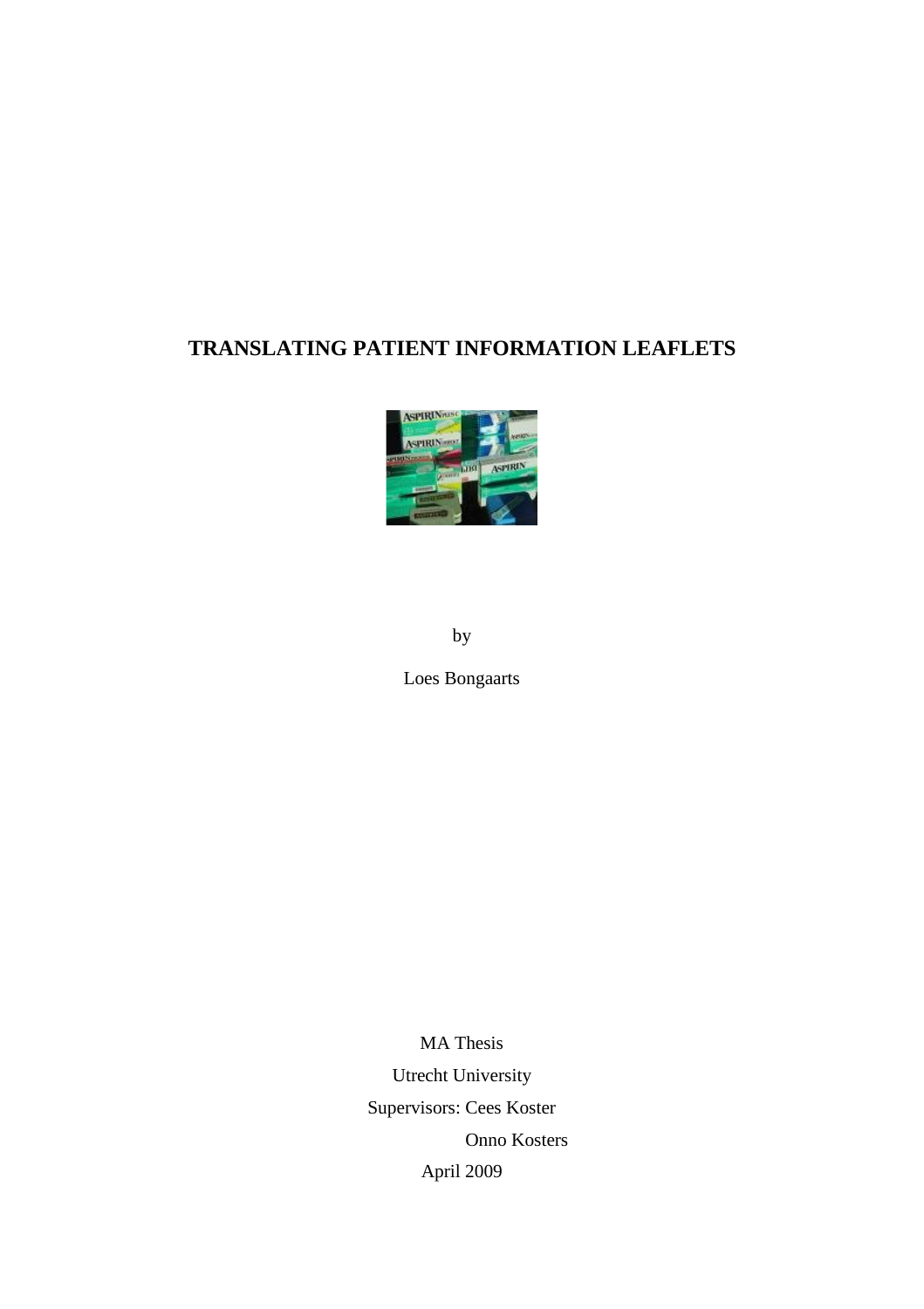# **TRANSLATING PATIENT INFORMATION LEAFLETS**



by

Loes Bongaarts

MA Thesis Utrecht University Supervisors: Cees Koster Onno Kosters April 2009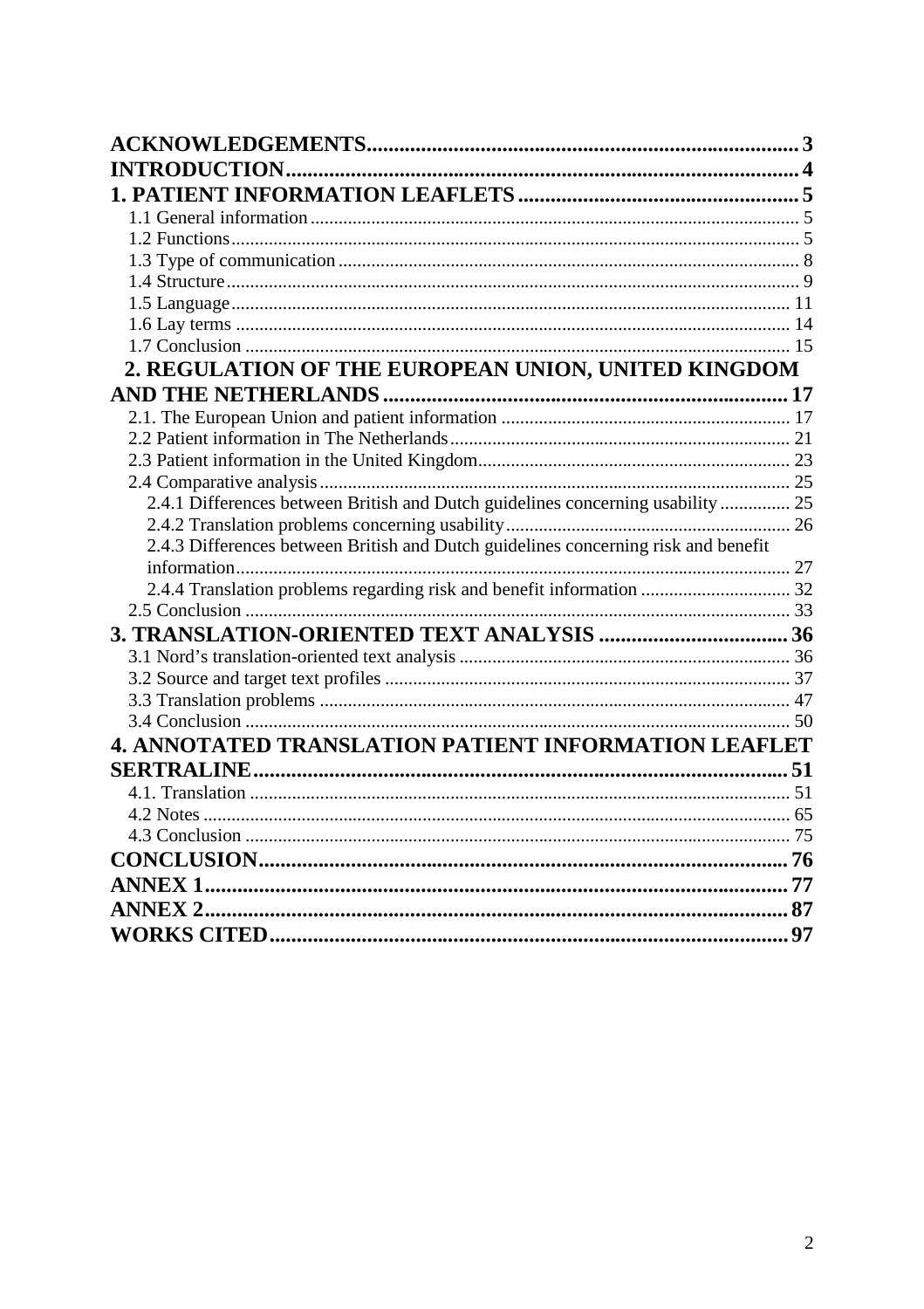| 2. REGULATION OF THE EUROPEAN UNION, UNITED KINGDOM                                |  |
|------------------------------------------------------------------------------------|--|
|                                                                                    |  |
|                                                                                    |  |
|                                                                                    |  |
|                                                                                    |  |
|                                                                                    |  |
| 2.4.1 Differences between British and Dutch guidelines concerning usability  25    |  |
|                                                                                    |  |
| 2.4.3 Differences between British and Dutch guidelines concerning risk and benefit |  |
|                                                                                    |  |
| 2.4.4 Translation problems regarding risk and benefit information  32              |  |
|                                                                                    |  |
|                                                                                    |  |
|                                                                                    |  |
|                                                                                    |  |
|                                                                                    |  |
|                                                                                    |  |
| <b>4. ANNOTATED TRANSLATION PATIENT INFORMATION LEAFLET</b>                        |  |
|                                                                                    |  |
|                                                                                    |  |
|                                                                                    |  |
|                                                                                    |  |
|                                                                                    |  |
|                                                                                    |  |
|                                                                                    |  |
|                                                                                    |  |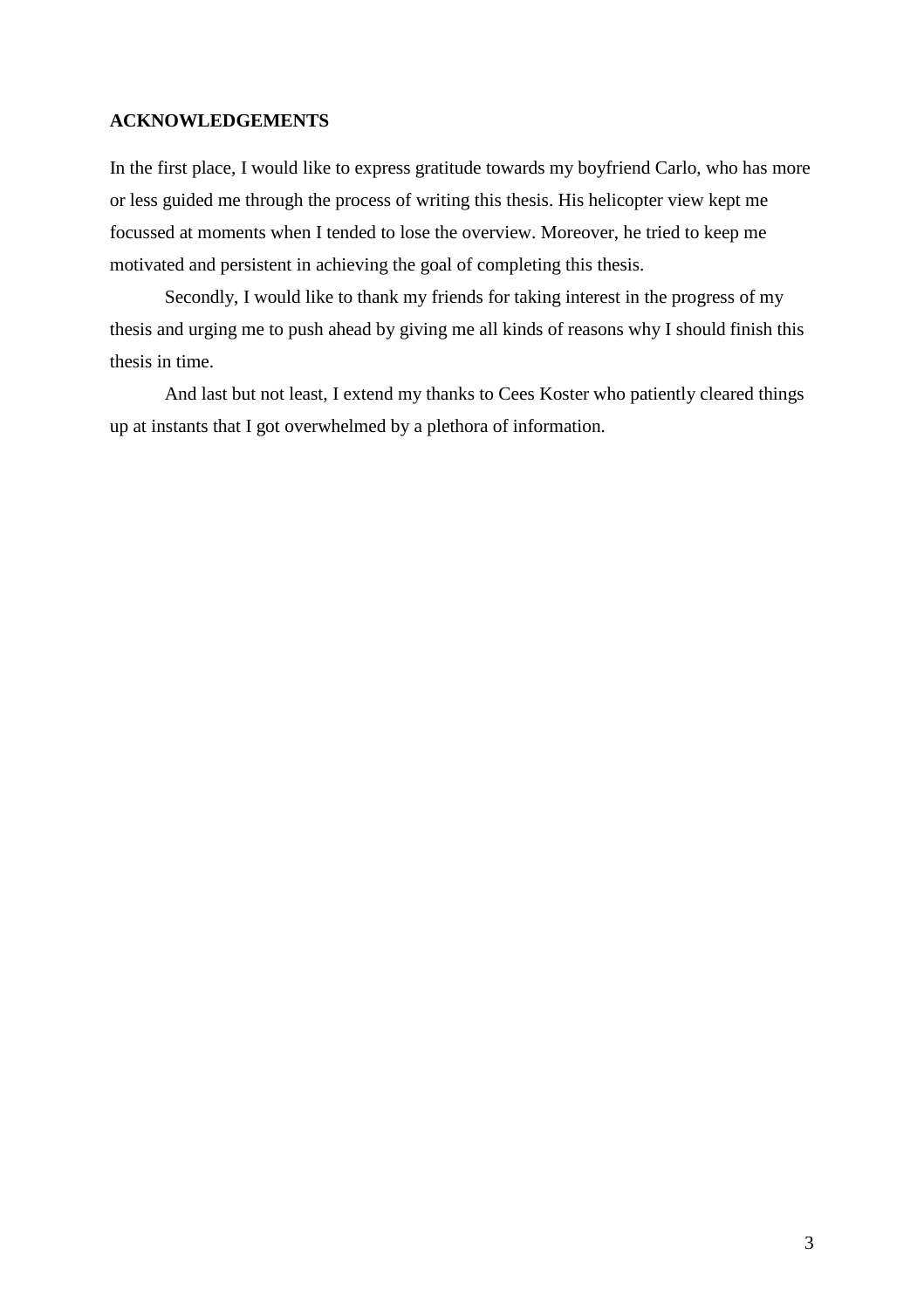## **ACKNOWLEDGEMENTS**

In the first place, I would like to express gratitude towards my boyfriend Carlo, who has more or less guided me through the process of writing this thesis. His helicopter view kept me focussed at moments when I tended to lose the overview. Moreover, he tried to keep me motivated and persistent in achieving the goal of completing this thesis.

Secondly, I would like to thank my friends for taking interest in the progress of my thesis and urging me to push ahead by giving me all kinds of reasons why I should finish this thesis in time.

And last but not least, I extend my thanks to Cees Koster who patiently cleared things up at instants that I got overwhelmed by a plethora of information.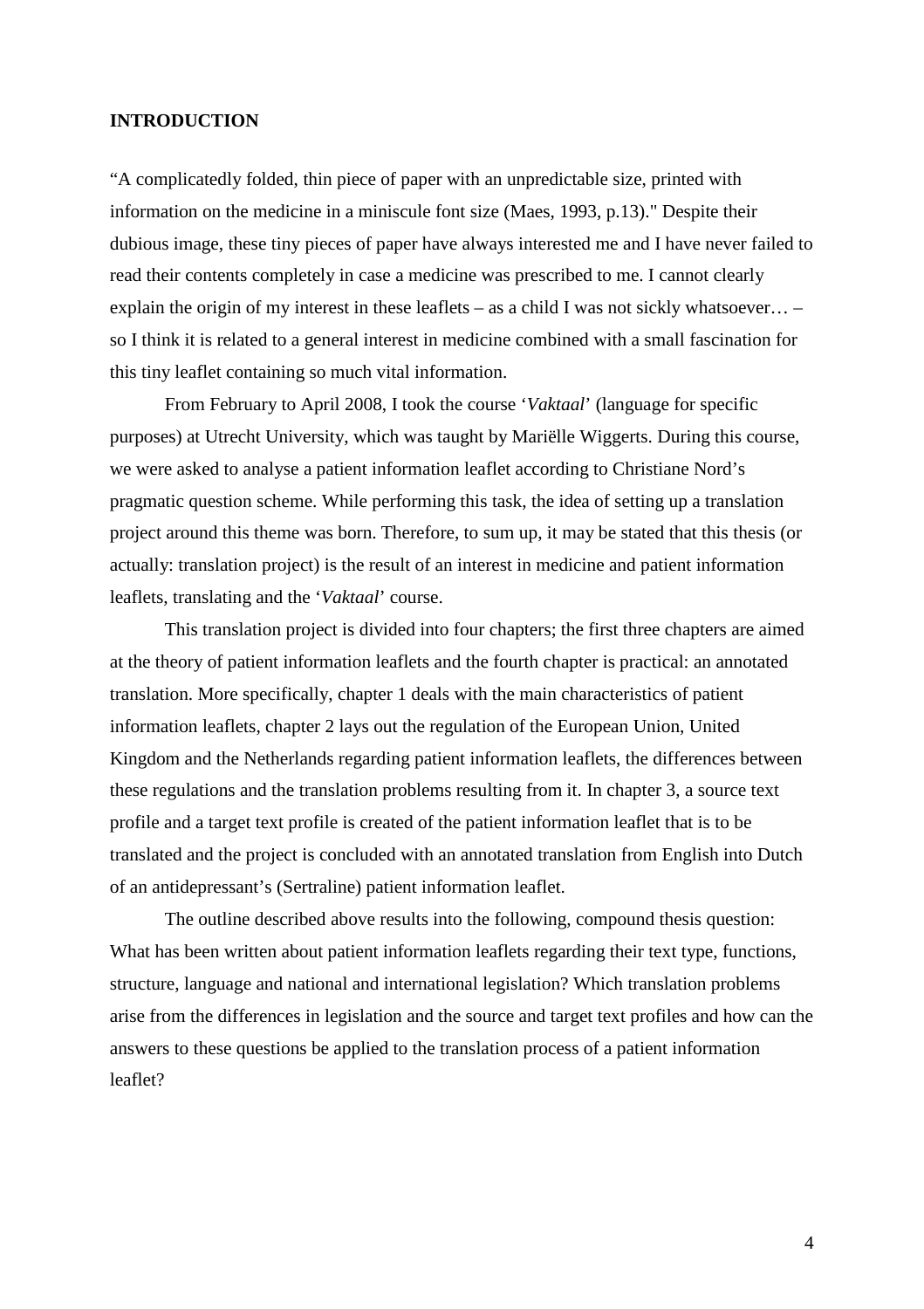## **INTRODUCTION**

"A complicatedly folded, thin piece of paper with an unpredictable size, printed with information on the medicine in a miniscule font size (Maes, 1993, p.13)." Despite their dubious image, these tiny pieces of paper have always interested me and I have never failed to read their contents completely in case a medicine was prescribed to me. I cannot clearly explain the origin of my interest in these leaflets – as a child I was not sickly whatsoever… – so I think it is related to a general interest in medicine combined with a small fascination for this tiny leaflet containing so much vital information.

From February to April 2008, I took the course '*Vaktaal*' (language for specific purposes) at Utrecht University, which was taught by Mariëlle Wiggerts. During this course, we were asked to analyse a patient information leaflet according to Christiane Nord's pragmatic question scheme. While performing this task, the idea of setting up a translation project around this theme was born. Therefore, to sum up, it may be stated that this thesis (or actually: translation project) is the result of an interest in medicine and patient information leaflets, translating and the '*Vaktaal*' course.

This translation project is divided into four chapters; the first three chapters are aimed at the theory of patient information leaflets and the fourth chapter is practical: an annotated translation. More specifically, chapter 1 deals with the main characteristics of patient information leaflets, chapter 2 lays out the regulation of the European Union, United Kingdom and the Netherlands regarding patient information leaflets, the differences between these regulations and the translation problems resulting from it. In chapter 3, a source text profile and a target text profile is created of the patient information leaflet that is to be translated and the project is concluded with an annotated translation from English into Dutch of an antidepressant's (Sertraline) patient information leaflet.

The outline described above results into the following, compound thesis question: What has been written about patient information leaflets regarding their text type, functions, structure, language and national and international legislation? Which translation problems arise from the differences in legislation and the source and target text profiles and how can the answers to these questions be applied to the translation process of a patient information leaflet?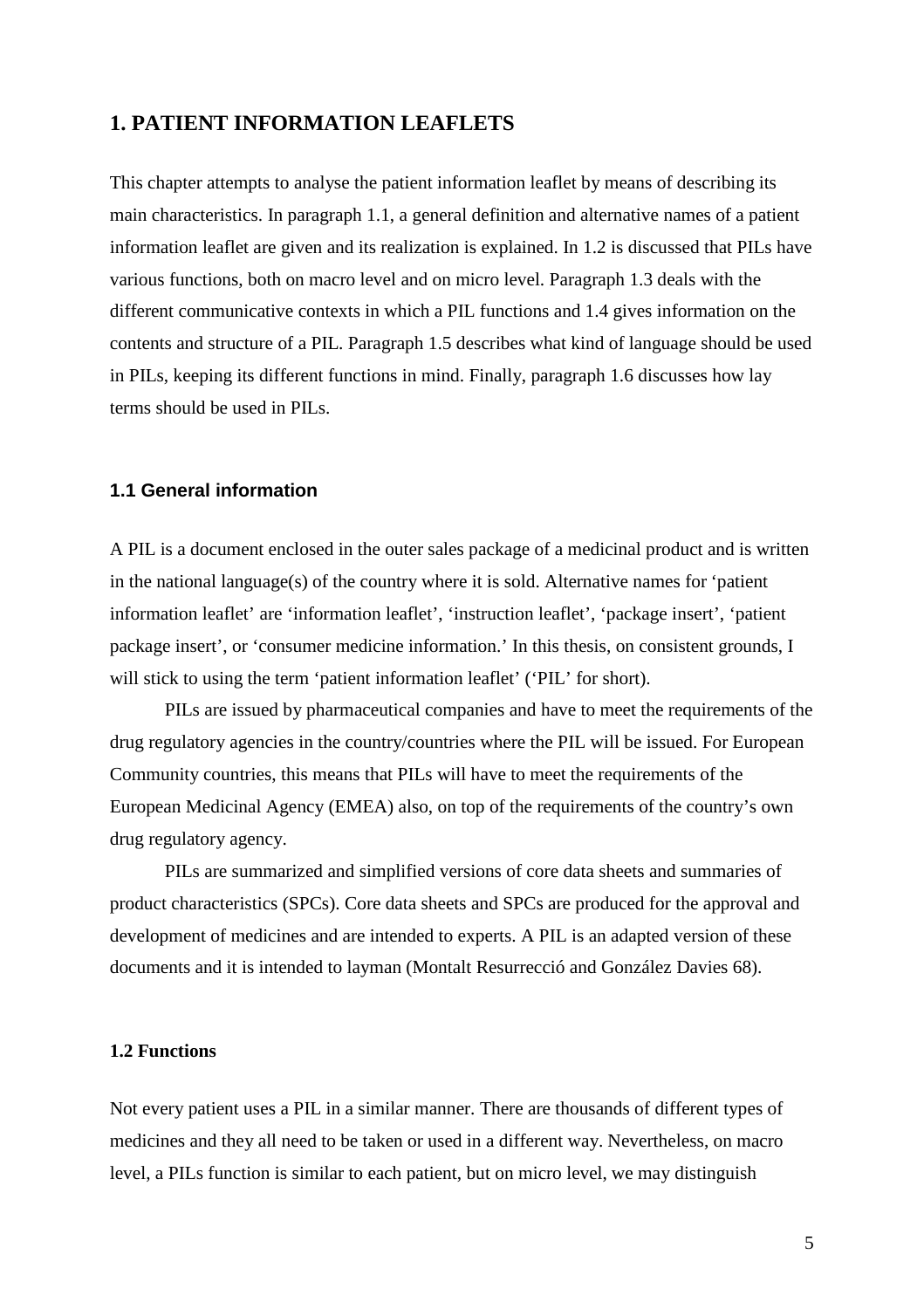## **1. PATIENT INFORMATION LEAFLETS**

This chapter attempts to analyse the patient information leaflet by means of describing its main characteristics. In paragraph 1.1, a general definition and alternative names of a patient information leaflet are given and its realization is explained. In 1.2 is discussed that PILs have various functions, both on macro level and on micro level. Paragraph 1.3 deals with the different communicative contexts in which a PIL functions and 1.4 gives information on the contents and structure of a PIL. Paragraph 1.5 describes what kind of language should be used in PILs, keeping its different functions in mind. Finally, paragraph 1.6 discusses how lay terms should be used in PILs.

## **1.1 General information**

A PIL is a document enclosed in the outer sales package of a medicinal product and is written in the national language(s) of the country where it is sold. Alternative names for 'patient information leaflet' are 'information leaflet', 'instruction leaflet', 'package insert', 'patient package insert', or 'consumer medicine information.' In this thesis, on consistent grounds, I will stick to using the term 'patient information leaflet' ('PIL' for short).

PILs are issued by pharmaceutical companies and have to meet the requirements of the drug regulatory agencies in the country/countries where the PIL will be issued. For European Community countries, this means that PILs will have to meet the requirements of the European Medicinal Agency (EMEA) also, on top of the requirements of the country's own drug regulatory agency.

PILs are summarized and simplified versions of core data sheets and summaries of product characteristics (SPCs). Core data sheets and SPCs are produced for the approval and development of medicines and are intended to experts. A PIL is an adapted version of these documents and it is intended to layman (Montalt Resurrecció and González Davies 68).

## **1.2 Functions**

Not every patient uses a PIL in a similar manner. There are thousands of different types of medicines and they all need to be taken or used in a different way. Nevertheless, on macro level, a PILs function is similar to each patient, but on micro level, we may distinguish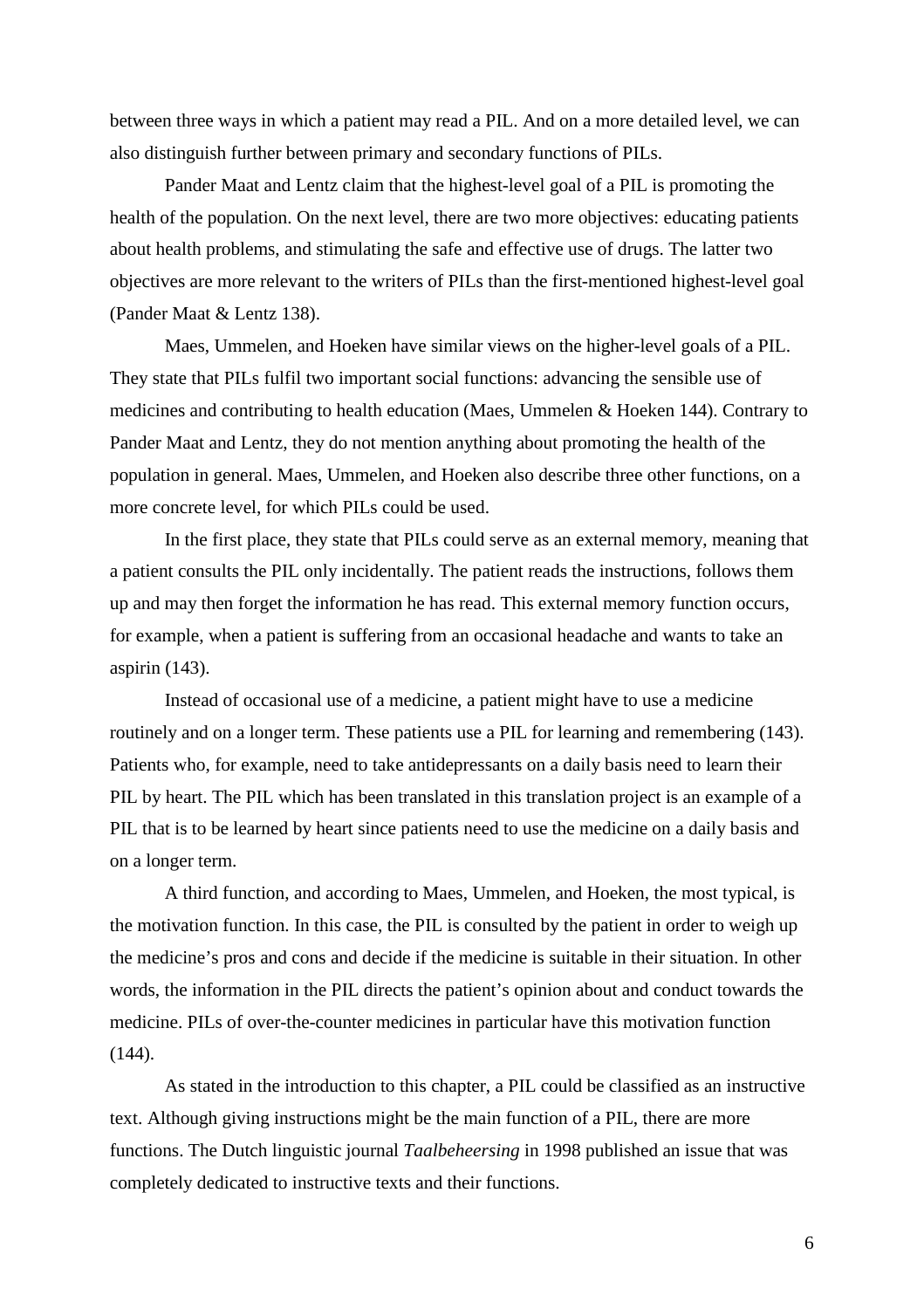between three ways in which a patient may read a PIL. And on a more detailed level, we can also distinguish further between primary and secondary functions of PILs.

Pander Maat and Lentz claim that the highest-level goal of a PIL is promoting the health of the population. On the next level, there are two more objectives: educating patients about health problems, and stimulating the safe and effective use of drugs. The latter two objectives are more relevant to the writers of PILs than the first-mentioned highest-level goal (Pander Maat & Lentz 138).

Maes, Ummelen, and Hoeken have similar views on the higher-level goals of a PIL. They state that PILs fulfil two important social functions: advancing the sensible use of medicines and contributing to health education (Maes, Ummelen & Hoeken 144). Contrary to Pander Maat and Lentz, they do not mention anything about promoting the health of the population in general. Maes, Ummelen, and Hoeken also describe three other functions, on a more concrete level, for which PILs could be used.

In the first place, they state that PILs could serve as an external memory, meaning that a patient consults the PIL only incidentally. The patient reads the instructions, follows them up and may then forget the information he has read. This external memory function occurs, for example, when a patient is suffering from an occasional headache and wants to take an aspirin (143).

Instead of occasional use of a medicine, a patient might have to use a medicine routinely and on a longer term. These patients use a PIL for learning and remembering (143). Patients who, for example, need to take antidepressants on a daily basis need to learn their PIL by heart. The PIL which has been translated in this translation project is an example of a PIL that is to be learned by heart since patients need to use the medicine on a daily basis and on a longer term.

A third function, and according to Maes, Ummelen, and Hoeken, the most typical, is the motivation function. In this case, the PIL is consulted by the patient in order to weigh up the medicine's pros and cons and decide if the medicine is suitable in their situation. In other words, the information in the PIL directs the patient's opinion about and conduct towards the medicine. PILs of over-the-counter medicines in particular have this motivation function (144).

As stated in the introduction to this chapter, a PIL could be classified as an instructive text. Although giving instructions might be the main function of a PIL, there are more functions. The Dutch linguistic journal *Taalbeheersing* in 1998 published an issue that was completely dedicated to instructive texts and their functions.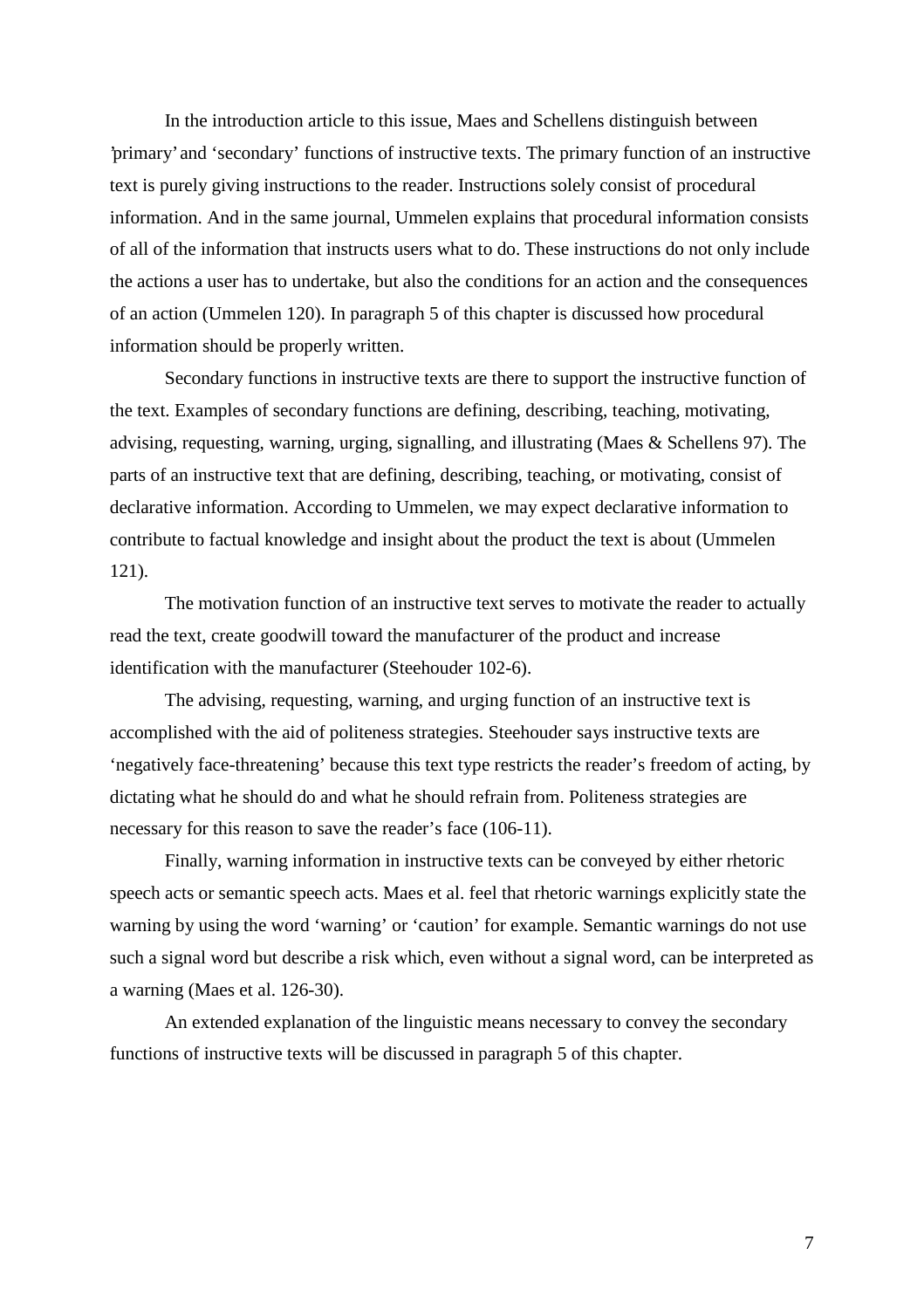In the introduction article to this issue, Maes and Schellens distinguish between 'primary' and 'secondary' functions of instructive texts. The primary function of an instructive text is purely giving instructions to the reader. Instructions solely consist of procedural information. And in the same journal, Ummelen explains that procedural information consists of all of the information that instructs users what to do. These instructions do not only include the actions a user has to undertake, but also the conditions for an action and the consequences of an action (Ummelen 120). In paragraph 5 of this chapter is discussed how procedural information should be properly written.

Secondary functions in instructive texts are there to support the instructive function of the text. Examples of secondary functions are defining, describing, teaching, motivating, advising, requesting, warning, urging, signalling, and illustrating (Maes & Schellens 97). The parts of an instructive text that are defining, describing, teaching, or motivating, consist of declarative information. According to Ummelen, we may expect declarative information to contribute to factual knowledge and insight about the product the text is about (Ummelen 121).

The motivation function of an instructive text serves to motivate the reader to actually read the text, create goodwill toward the manufacturer of the product and increase identification with the manufacturer (Steehouder 102-6).

The advising, requesting, warning, and urging function of an instructive text is accomplished with the aid of politeness strategies. Steehouder says instructive texts are 'negatively face-threatening' because this text type restricts the reader's freedom of acting, by dictating what he should do and what he should refrain from. Politeness strategies are necessary for this reason to save the reader's face (106-11).

Finally, warning information in instructive texts can be conveyed by either rhetoric speech acts or semantic speech acts. Maes et al. feel that rhetoric warnings explicitly state the warning by using the word 'warning' or 'caution' for example. Semantic warnings do not use such a signal word but describe a risk which, even without a signal word, can be interpreted as a warning (Maes et al. 126-30).

An extended explanation of the linguistic means necessary to convey the secondary functions of instructive texts will be discussed in paragraph 5 of this chapter.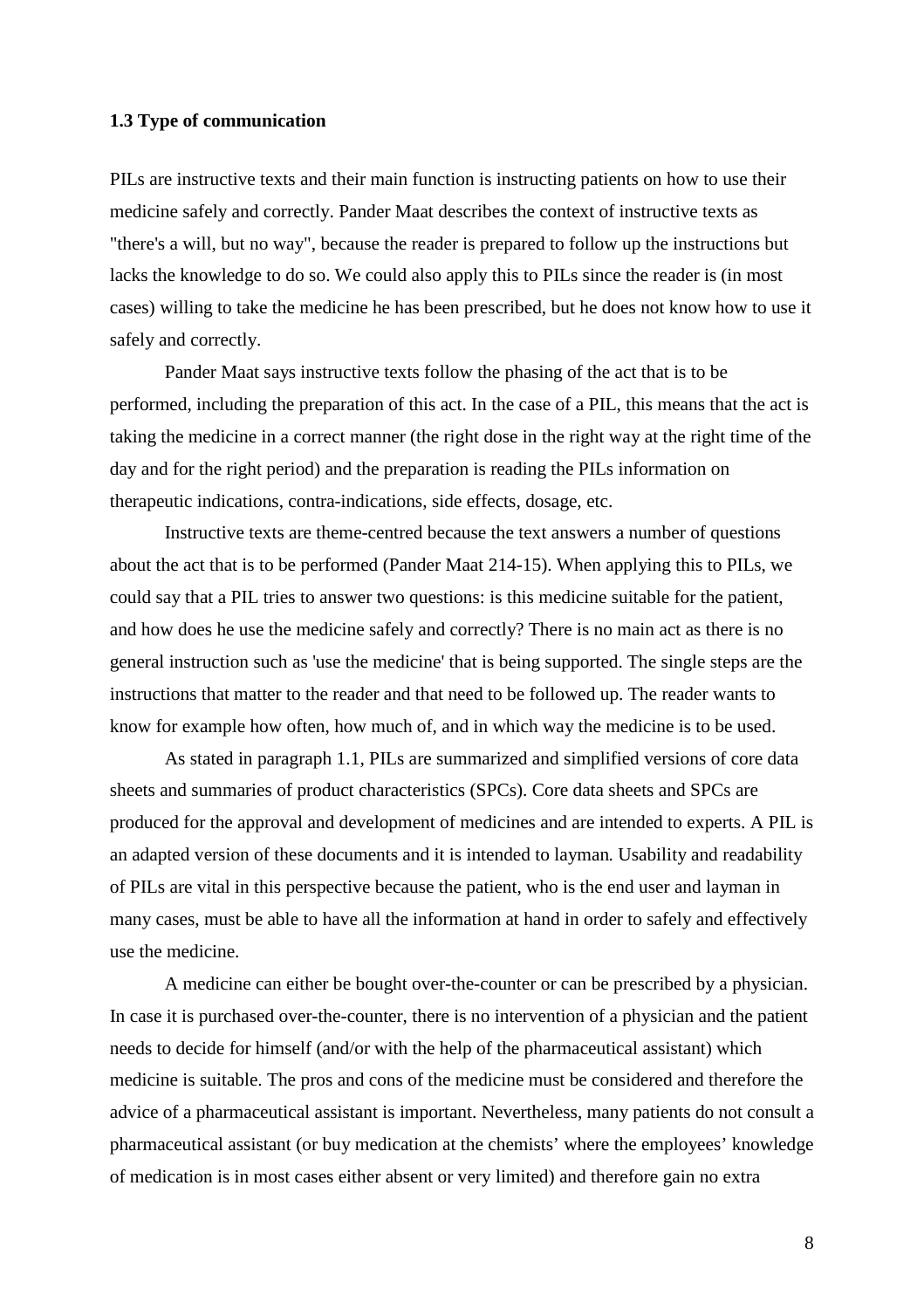#### **1.3 Type of communication**

PILs are instructive texts and their main function is instructing patients on how to use their medicine safely and correctly. Pander Maat describes the context of instructive texts as "there's a will, but no way", because the reader is prepared to follow up the instructions but lacks the knowledge to do so. We could also apply this to PILs since the reader is (in most cases) willing to take the medicine he has been prescribed, but he does not know how to use it safely and correctly.

Pander Maat says instructive texts follow the phasing of the act that is to be performed, including the preparation of this act. In the case of a PIL, this means that the act is taking the medicine in a correct manner (the right dose in the right way at the right time of the day and for the right period) and the preparation is reading the PILs information on therapeutic indications, contra-indications, side effects, dosage, etc.

Instructive texts are theme-centred because the text answers a number of questions about the act that is to be performed (Pander Maat 214-15). When applying this to PILs, we could say that a PIL tries to answer two questions: is this medicine suitable for the patient, and how does he use the medicine safely and correctly? There is no main act as there is no general instruction such as 'use the medicine' that is being supported. The single steps are the instructions that matter to the reader and that need to be followed up. The reader wants to know for example how often, how much of, and in which way the medicine is to be used.

As stated in paragraph 1.1, PILs are summarized and simplified versions of core data sheets and summaries of product characteristics (SPCs). Core data sheets and SPCs are produced for the approval and development of medicines and are intended to experts. A PIL is an adapted version of these documents and it is intended to layman. Usability and readability of PILs are vital in this perspective because the patient, who is the end user and layman in many cases, must be able to have all the information at hand in order to safely and effectively use the medicine.

A medicine can either be bought over-the-counter or can be prescribed by a physician. In case it is purchased over-the-counter, there is no intervention of a physician and the patient needs to decide for himself (and/or with the help of the pharmaceutical assistant) which medicine is suitable. The pros and cons of the medicine must be considered and therefore the advice of a pharmaceutical assistant is important. Nevertheless, many patients do not consult a pharmaceutical assistant (or buy medication at the chemists' where the employees' knowledge of medication is in most cases either absent or very limited) and therefore gain no extra

8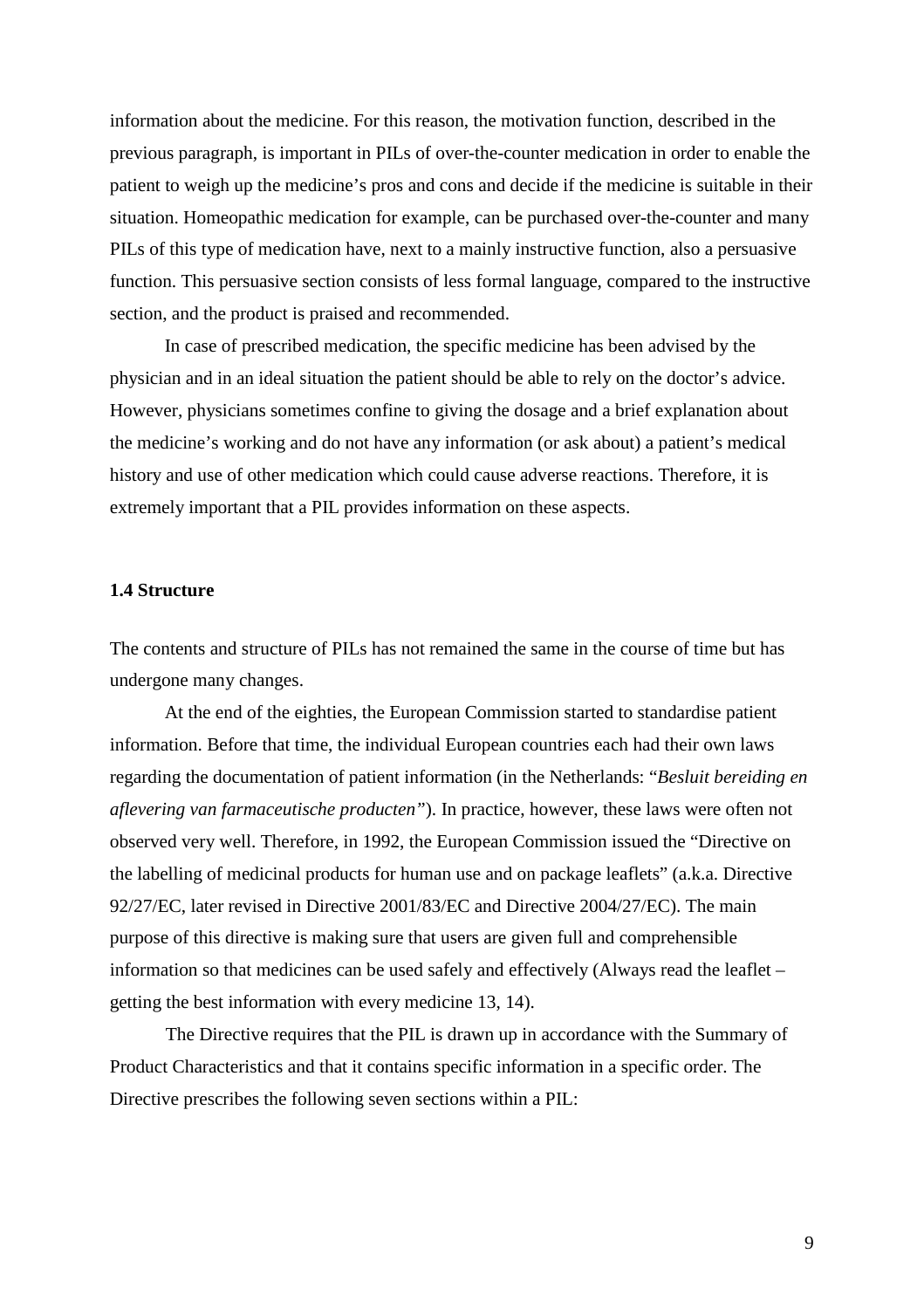information about the medicine. For this reason, the motivation function, described in the previous paragraph, is important in PILs of over-the-counter medication in order to enable the patient to weigh up the medicine's pros and cons and decide if the medicine is suitable in their situation. Homeopathic medication for example, can be purchased over-the-counter and many PILs of this type of medication have, next to a mainly instructive function, also a persuasive function. This persuasive section consists of less formal language, compared to the instructive section, and the product is praised and recommended.

In case of prescribed medication, the specific medicine has been advised by the physician and in an ideal situation the patient should be able to rely on the doctor's advice. However, physicians sometimes confine to giving the dosage and a brief explanation about the medicine's working and do not have any information (or ask about) a patient's medical history and use of other medication which could cause adverse reactions. Therefore, it is extremely important that a PIL provides information on these aspects.

## **1.4 Structure**

The contents and structure of PILs has not remained the same in the course of time but has undergone many changes.

At the end of the eighties, the European Commission started to standardise patient information. Before that time, the individual European countries each had their own laws regarding the documentation of patient information (in the Netherlands: "*Besluit bereiding en aflevering van farmaceutische producten"*). In practice, however, these laws were often not observed very well. Therefore, in 1992, the European Commission issued the "Directive on the labelling of medicinal products for human use and on package leaflets" (a.k.a. Directive 92/27/EC, later revised in Directive 2001/83/EC and Directive 2004/27/EC). The main purpose of this directive is making sure that users are given full and comprehensible information so that medicines can be used safely and effectively (Always read the leaflet – getting the best information with every medicine 13, 14).

The Directive requires that the PIL is drawn up in accordance with the Summary of Product Characteristics and that it contains specific information in a specific order. The Directive prescribes the following seven sections within a PIL: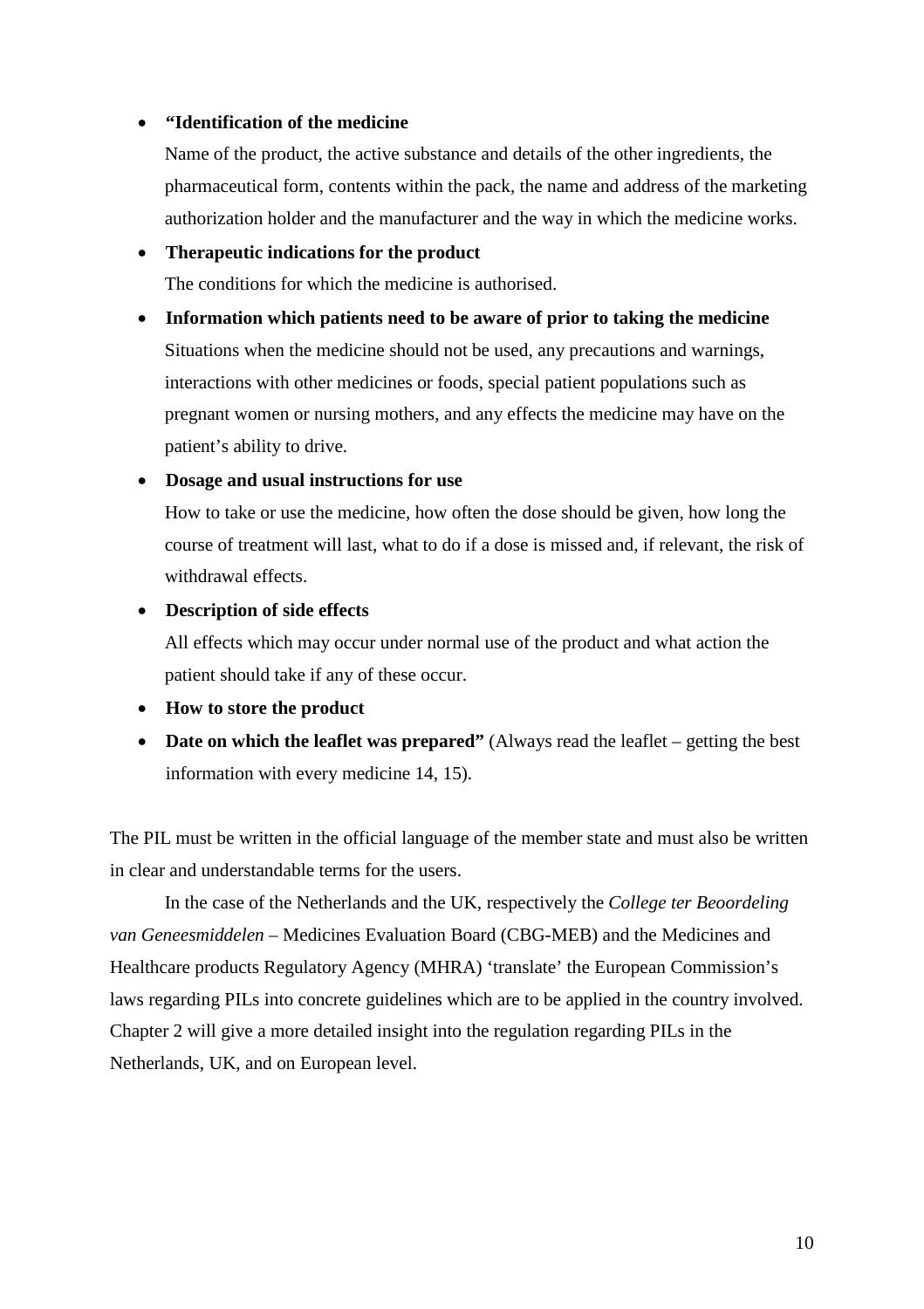### **"Identification of the medicine**

Name of the product, the active substance and details of the other ingredients, the pharmaceutical form, contents within the pack, the name and address of the marketing authorization holder and the manufacturer and the way in which the medicine works.

## **Therapeutic indications for the product**

The conditions for which the medicine is authorised.

 **Information which patients need to be aware of prior to taking the medicine** Situations when the medicine should not be used, any precautions and warnings, interactions with other medicines or foods, special patient populations such as pregnant women or nursing mothers, and any effects the medicine may have on the patient's ability to drive.

## **Dosage and usual instructions for use**

How to take or use the medicine, how often the dose should be given, how long the course of treatment will last, what to do if a dose is missed and, if relevant, the risk of withdrawal effects.

#### **Description of side effects**

All effects which may occur under normal use of the product and what action the patient should take if any of these occur.

## **How to store the product**

 **Date on which the leaflet was prepared"** (Always read the leaflet – getting the best information with every medicine 14, 15).

The PIL must be written in the official language of the member state and must also be written in clear and understandable terms for the users.

In the case of the Netherlands and the UK, respectively the *College ter Beoordeling van Geneesmiddelen* – Medicines Evaluation Board (CBG-MEB) and the Medicines and Healthcare products Regulatory Agency (MHRA) 'translate' the European Commission's laws regarding PILs into concrete guidelines which are to be applied in the country involved. Chapter 2 will give a more detailed insight into the regulation regarding PILs in the Netherlands, UK, and on European level.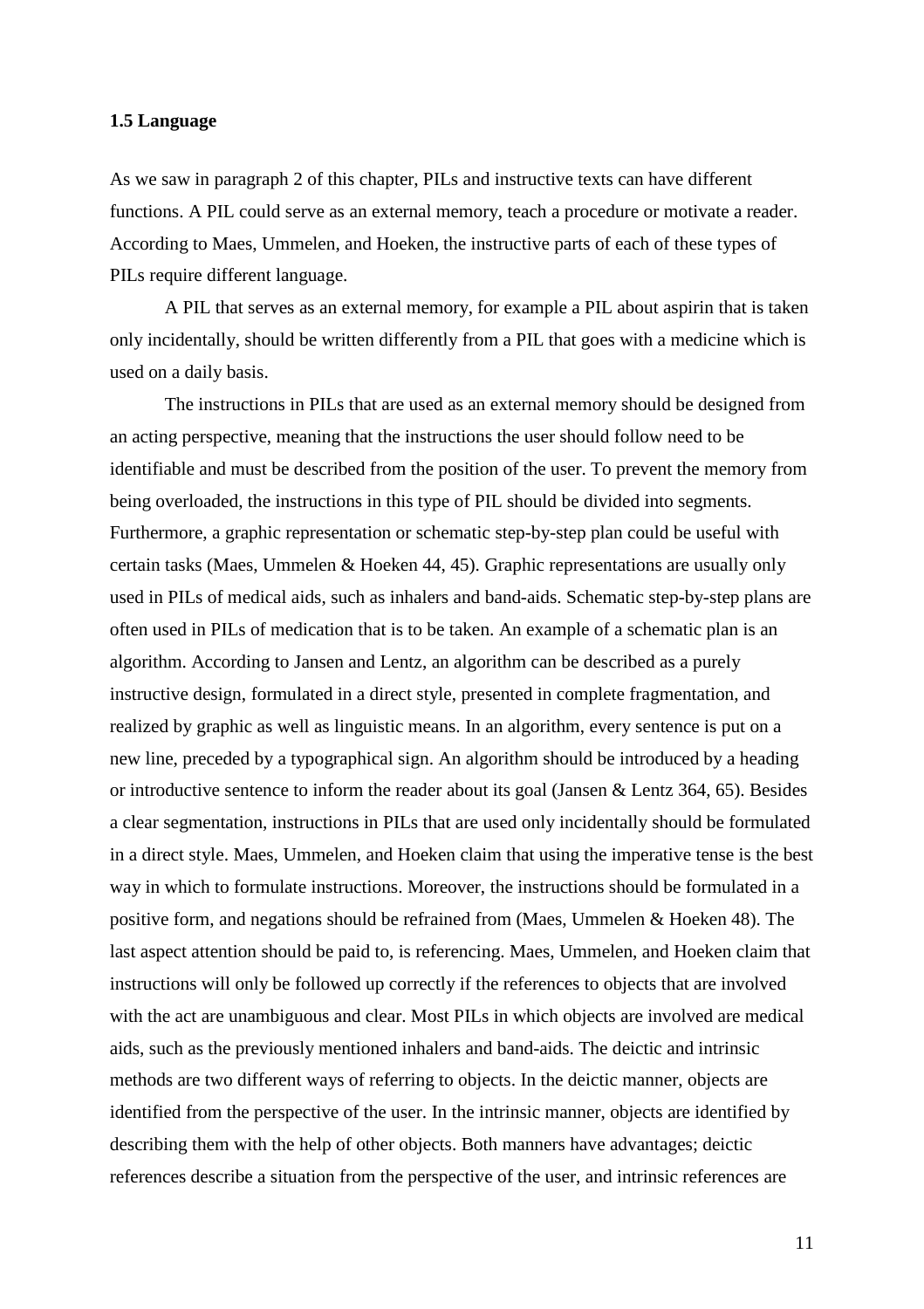### **1.5 Language**

As we saw in paragraph 2 of this chapter, PILs and instructive texts can have different functions. A PIL could serve as an external memory, teach a procedure or motivate a reader. According to Maes, Ummelen, and Hoeken, the instructive parts of each of these types of PILs require different language.

A PIL that serves as an external memory, for example a PIL about aspirin that is taken only incidentally, should be written differently from a PIL that goes with a medicine which is used on a daily basis.

The instructions in PILs that are used as an external memory should be designed from an acting perspective, meaning that the instructions the user should follow need to be identifiable and must be described from the position of the user. To prevent the memory from being overloaded, the instructions in this type of PIL should be divided into segments. Furthermore, a graphic representation or schematic step-by-step plan could be useful with certain tasks (Maes, Ummelen & Hoeken 44, 45). Graphic representations are usually only used in PILs of medical aids, such as inhalers and band-aids. Schematic step-by-step plans are often used in PILs of medication that is to be taken. An example of a schematic plan is an algorithm. According to Jansen and Lentz, an algorithm can be described as a purely instructive design, formulated in a direct style, presented in complete fragmentation, and realized by graphic as well as linguistic means. In an algorithm, every sentence is put on a new line, preceded by a typographical sign. An algorithm should be introduced by a heading or introductive sentence to inform the reader about its goal (Jansen & Lentz 364, 65). Besides a clear segmentation, instructions in PILs that are used only incidentally should be formulated in a direct style. Maes, Ummelen, and Hoeken claim that using the imperative tense is the best way in which to formulate instructions. Moreover, the instructions should be formulated in a positive form, and negations should be refrained from (Maes, Ummelen & Hoeken 48). The last aspect attention should be paid to, is referencing. Maes, Ummelen, and Hoeken claim that instructions will only be followed up correctly if the references to objects that are involved with the act are unambiguous and clear. Most PILs in which objects are involved are medical aids, such as the previously mentioned inhalers and band-aids. The deictic and intrinsic methods are two different ways of referring to objects. In the deictic manner, objects are identified from the perspective of the user. In the intrinsic manner, objects are identified by describing them with the help of other objects. Both manners have advantages; deictic references describe a situation from the perspective of the user, and intrinsic references are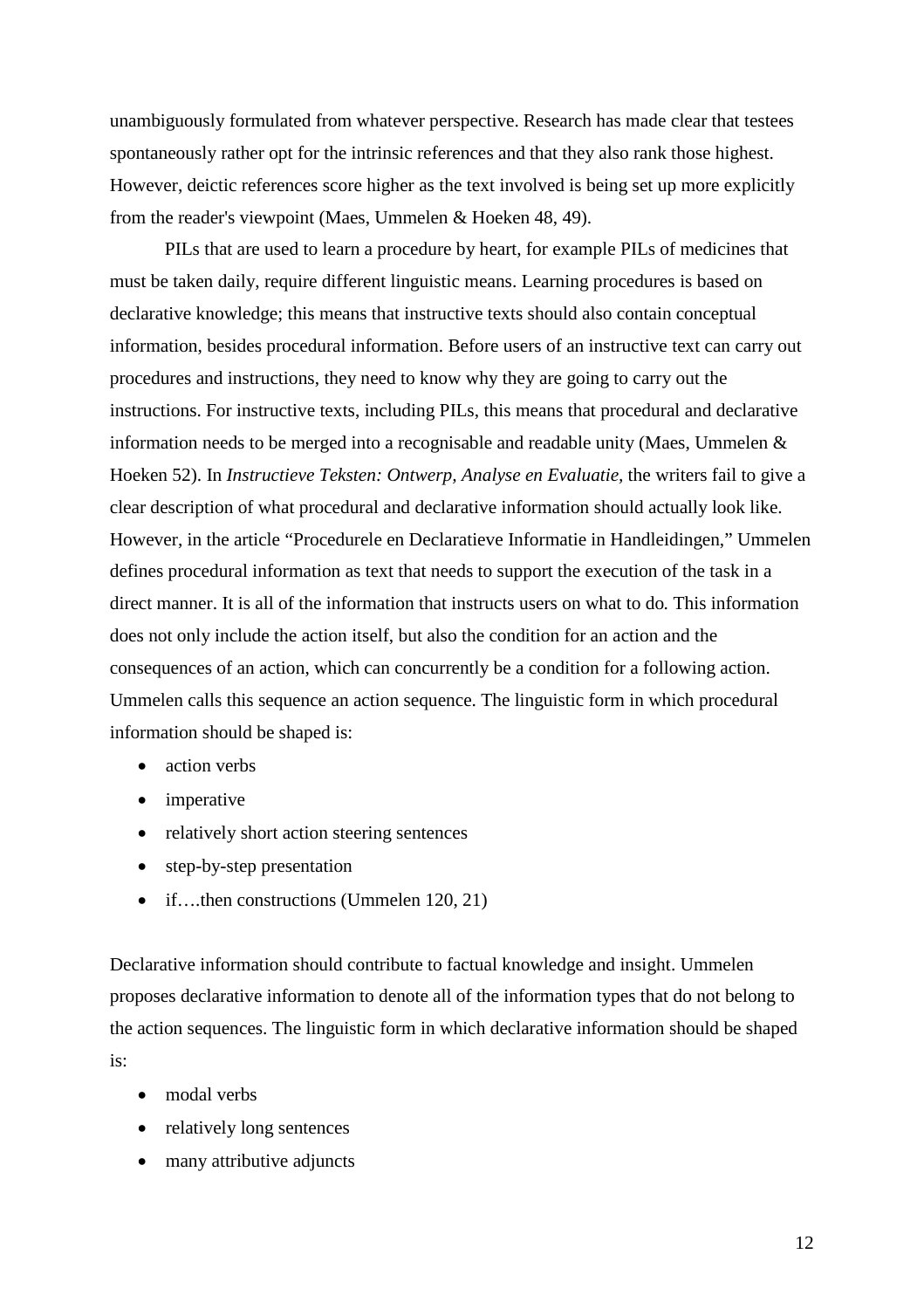unambiguously formulated from whatever perspective. Research has made clear that testees spontaneously rather opt for the intrinsic references and that they also rank those highest. However, deictic references score higher as the text involved is being set up more explicitly from the reader's viewpoint (Maes, Ummelen & Hoeken 48, 49).

PILs that are used to learn a procedure by heart, for example PILs of medicines that must be taken daily, require different linguistic means. Learning procedures is based on declarative knowledge; this means that instructive texts should also contain conceptual information, besides procedural information. Before users of an instructive text can carry out procedures and instructions, they need to know why they are going to carry out the instructions. For instructive texts, including PILs, this means that procedural and declarative information needs to be merged into a recognisable and readable unity (Maes, Ummelen & Hoeken 52). In *Instructieve Teksten: Ontwerp, Analyse en Evaluatie,* the writers fail to give a clear description of what procedural and declarative information should actually look like. However, in the article "Procedurele en Declaratieve Informatie in Handleidingen," Ummelen defines procedural information as text that needs to support the execution of the task in a direct manner. It is all of the information that instructs users on what to do. This information does not only include the action itself, but also the condition for an action and the consequences of an action, which can concurrently be a condition for a following action. Ummelen calls this sequence an action sequence. The linguistic form in which procedural information should be shaped is:

- action verbs
- imperative
- relatively short action steering sentences
- step-by-step presentation
- if….then constructions (Ummelen 120, 21)

Declarative information should contribute to factual knowledge and insight. Ummelen proposes declarative information to denote all of the information types that do not belong to the action sequences. The linguistic form in which declarative information should be shaped is:

- modal verbs
- relatively long sentences
- many attributive adjuncts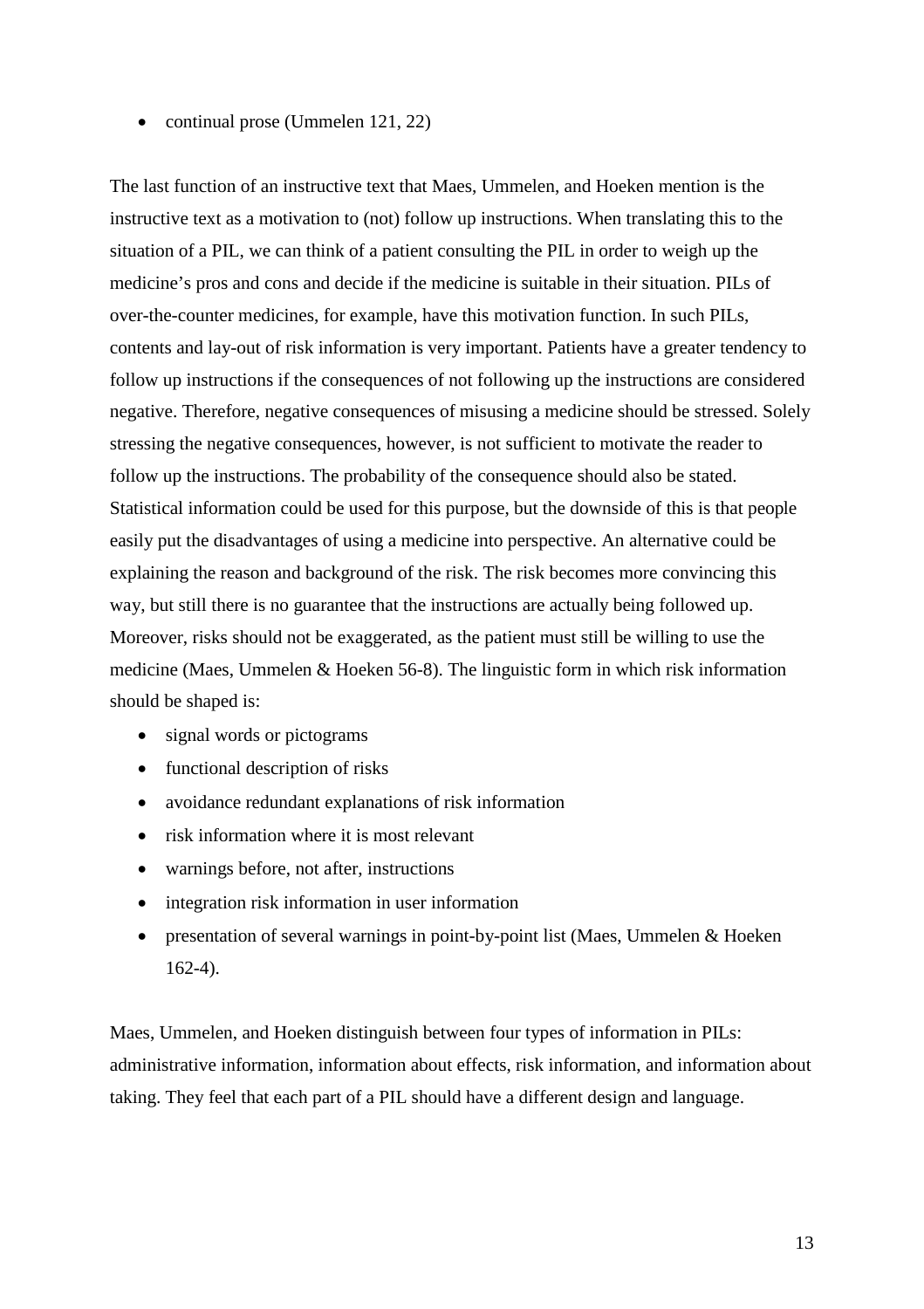• continual prose (Ummelen 121, 22)

The last function of an instructive text that Maes, Ummelen, and Hoeken mention is the instructive text as a motivation to (not) follow up instructions. When translating this to the situation of a PIL, we can think of a patient consulting the PIL in order to weigh up the medicine's pros and cons and decide if the medicine is suitable in their situation. PILs of over-the-counter medicines, for example, have this motivation function. In such PILs, contents and lay-out of risk information is very important. Patients have a greater tendency to follow up instructions if the consequences of not following up the instructions are considered negative. Therefore, negative consequences of misusing a medicine should be stressed. Solely stressing the negative consequences, however, is not sufficient to motivate the reader to follow up the instructions. The probability of the consequence should also be stated. Statistical information could be used for this purpose, but the downside of this is that people easily put the disadvantages of using a medicine into perspective. An alternative could be explaining the reason and background of the risk. The risk becomes more convincing this way, but still there is no guarantee that the instructions are actually being followed up. Moreover, risks should not be exaggerated, as the patient must still be willing to use the medicine (Maes, Ummelen & Hoeken 56-8). The linguistic form in which risk information should be shaped is:

- signal words or pictograms
- functional description of risks
- avoidance redundant explanations of risk information
- risk information where it is most relevant
- warnings before, not after, instructions
- integration risk information in user information
- presentation of several warnings in point-by-point list (Maes, Ummelen & Hoeken 162-4).

Maes, Ummelen, and Hoeken distinguish between four types of information in PILs: administrative information, information about effects, risk information, and information about taking. They feel that each part of a PIL should have a different design and language.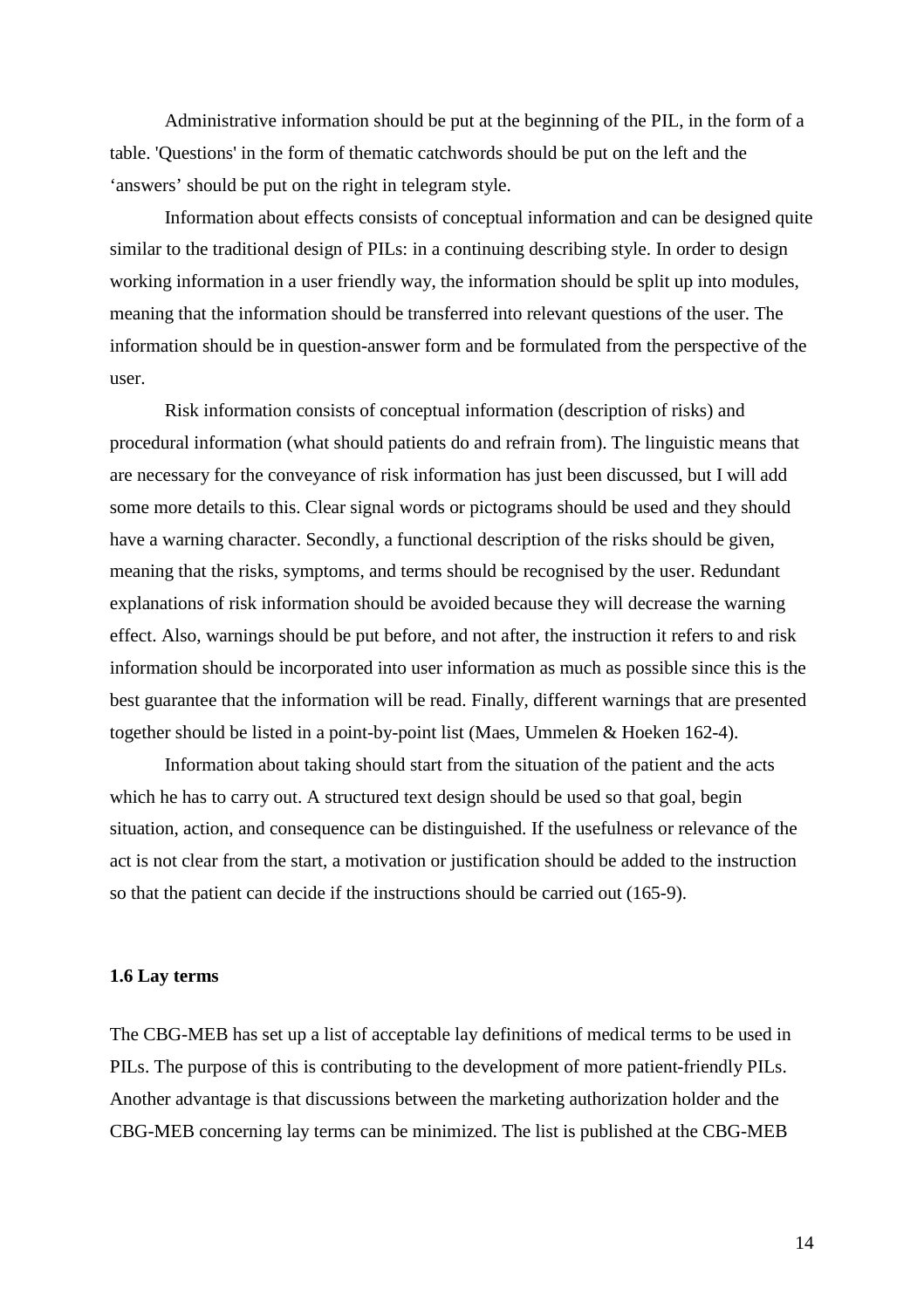Administrative information should be put at the beginning of the PIL, in the form of a table. 'Questions' in the form of thematic catchwords should be put on the left and the 'answers' should be put on the right in telegram style.

Information about effects consists of conceptual information and can be designed quite similar to the traditional design of PILs: in a continuing describing style. In order to design working information in a user friendly way, the information should be split up into modules, meaning that the information should be transferred into relevant questions of the user. The information should be in question-answer form and be formulated from the perspective of the user.

Risk information consists of conceptual information (description of risks) and procedural information (what should patients do and refrain from). The linguistic means that are necessary for the conveyance of risk information has just been discussed, but I will add some more details to this. Clear signal words or pictograms should be used and they should have a warning character. Secondly, a functional description of the risks should be given, meaning that the risks, symptoms, and terms should be recognised by the user. Redundant explanations of risk information should be avoided because they will decrease the warning effect. Also, warnings should be put before, and not after, the instruction it refers to and risk information should be incorporated into user information as much as possible since this is the best guarantee that the information will be read. Finally, different warnings that are presented together should be listed in a point-by-point list (Maes, Ummelen & Hoeken 162-4).

Information about taking should start from the situation of the patient and the acts which he has to carry out. A structured text design should be used so that goal, begin situation, action, and consequence can be distinguished. If the usefulness or relevance of the act is not clear from the start, a motivation or justification should be added to the instruction so that the patient can decide if the instructions should be carried out (165-9).

#### **1.6 Lay terms**

The CBG-MEB has set up a list of acceptable lay definitions of medical terms to be used in PILs. The purpose of this is contributing to the development of more patient-friendly PILs. Another advantage is that discussions between the marketing authorization holder and the CBG-MEB concerning lay terms can be minimized. The list is published at the CBG-MEB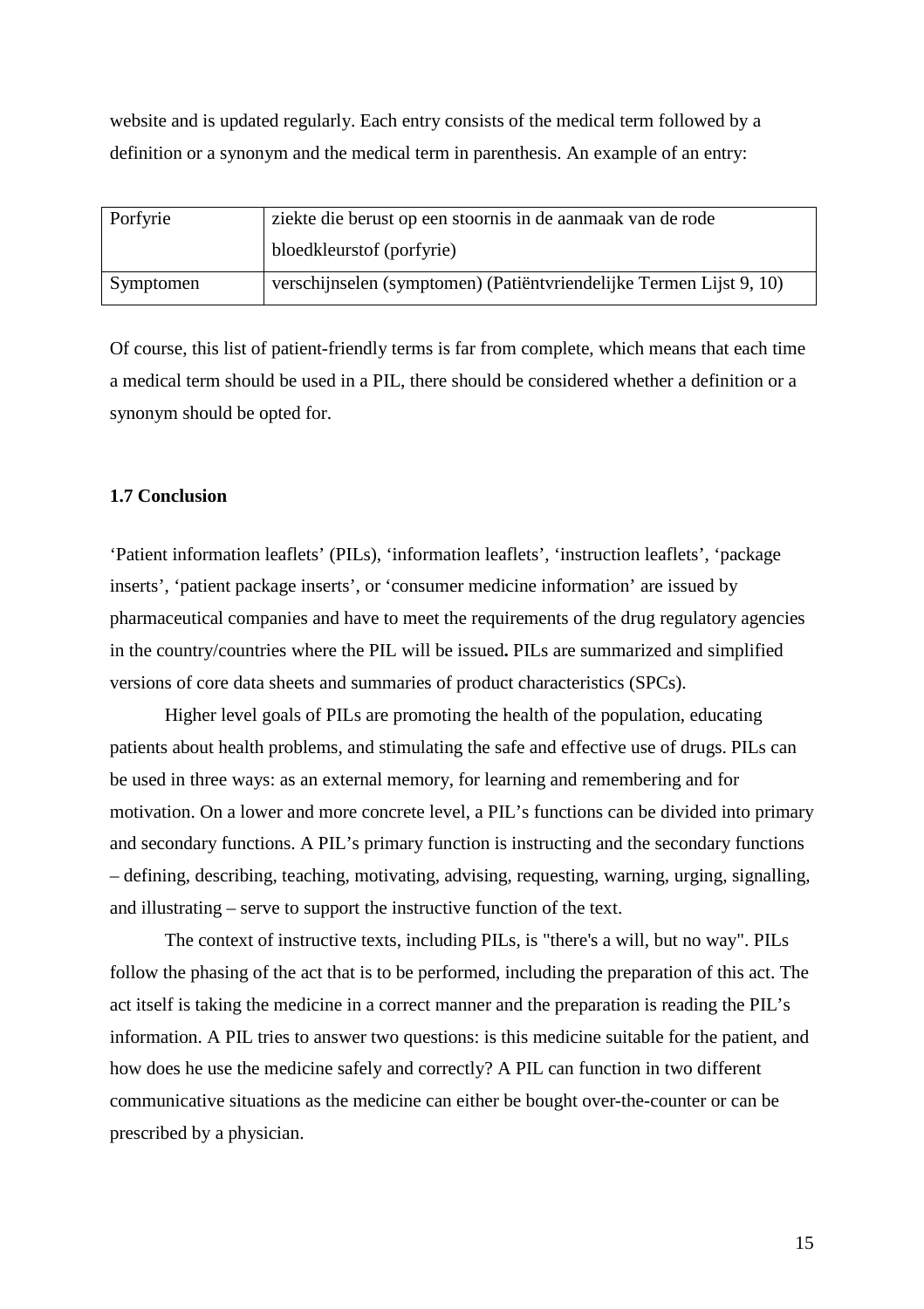website and is updated regularly. Each entry consists of the medical term followed by a definition or a synonym and the medical term in parenthesis. An example of an entry:

| Porfyrie  | ziekte die berust op een stoornis in de aanmaak van de rode         |
|-----------|---------------------------------------------------------------------|
|           | bloedkleurstof (porfyrie)                                           |
| Symptomen | verschijnselen (symptomen) (Patiëntvriendelijke Termen Lijst 9, 10) |

Of course, this list of patient-friendly terms is far from complete, which means that each time a medical term should be used in a PIL, there should be considered whether a definition or a synonym should be opted for.

#### **1.7 Conclusion**

'Patient information leaflets' (PILs), 'information leaflets', 'instruction leaflets', 'package inserts', 'patient package inserts', or 'consumer medicine information' are issued by pharmaceutical companies and have to meet the requirements of the drug regulatory agencies in the country/countries where the PIL will be issued**.** PILs are summarized and simplified versions of core data sheets and summaries of product characteristics (SPCs).

Higher level goals of PILs are promoting the health of the population, educating patients about health problems, and stimulating the safe and effective use of drugs. PILs can be used in three ways: as an external memory, for learning and remembering and for motivation. On a lower and more concrete level, a PIL's functions can be divided into primary and secondary functions. A PIL's primary function is instructing and the secondary functions – defining, describing, teaching, motivating, advising, requesting, warning, urging, signalling, and illustrating – serve to support the instructive function of the text.

The context of instructive texts, including PILs, is "there's a will, but no way". PILs follow the phasing of the act that is to be performed, including the preparation of this act. The act itself is taking the medicine in a correct manner and the preparation is reading the PIL's information. A PIL tries to answer two questions: is this medicine suitable for the patient, and how does he use the medicine safely and correctly? A PIL can function in two different communicative situations as the medicine can either be bought over-the-counter or can be prescribed by a physician.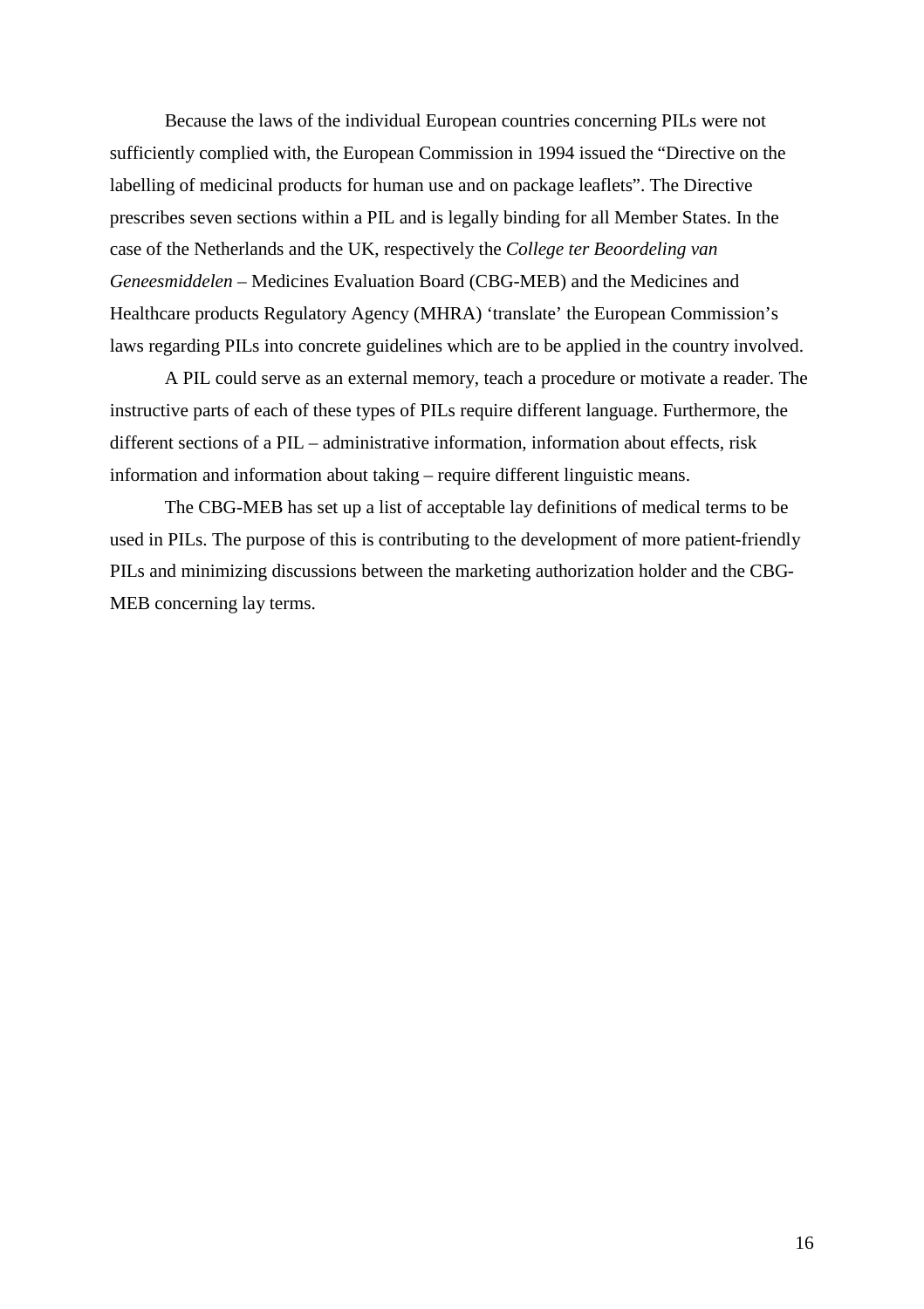Because the laws of the individual European countries concerning PILs were not sufficiently complied with, the European Commission in 1994 issued the "Directive on the labelling of medicinal products for human use and on package leaflets". The Directive prescribes seven sections within a PIL and is legally binding for all Member States. In the case of the Netherlands and the UK, respectively the *College ter Beoordeling van Geneesmiddelen* – Medicines Evaluation Board (CBG-MEB) and the Medicines and Healthcare products Regulatory Agency (MHRA) 'translate' the European Commission's laws regarding PILs into concrete guidelines which are to be applied in the country involved.

A PIL could serve as an external memory, teach a procedure or motivate a reader. The instructive parts of each of these types of PILs require different language. Furthermore, the different sections of a PIL – administrative information, information about effects, risk information and information about taking – require different linguistic means.

The CBG-MEB has set up a list of acceptable lay definitions of medical terms to be used in PILs. The purpose of this is contributing to the development of more patient-friendly PILs and minimizing discussions between the marketing authorization holder and the CBG-MEB concerning lay terms.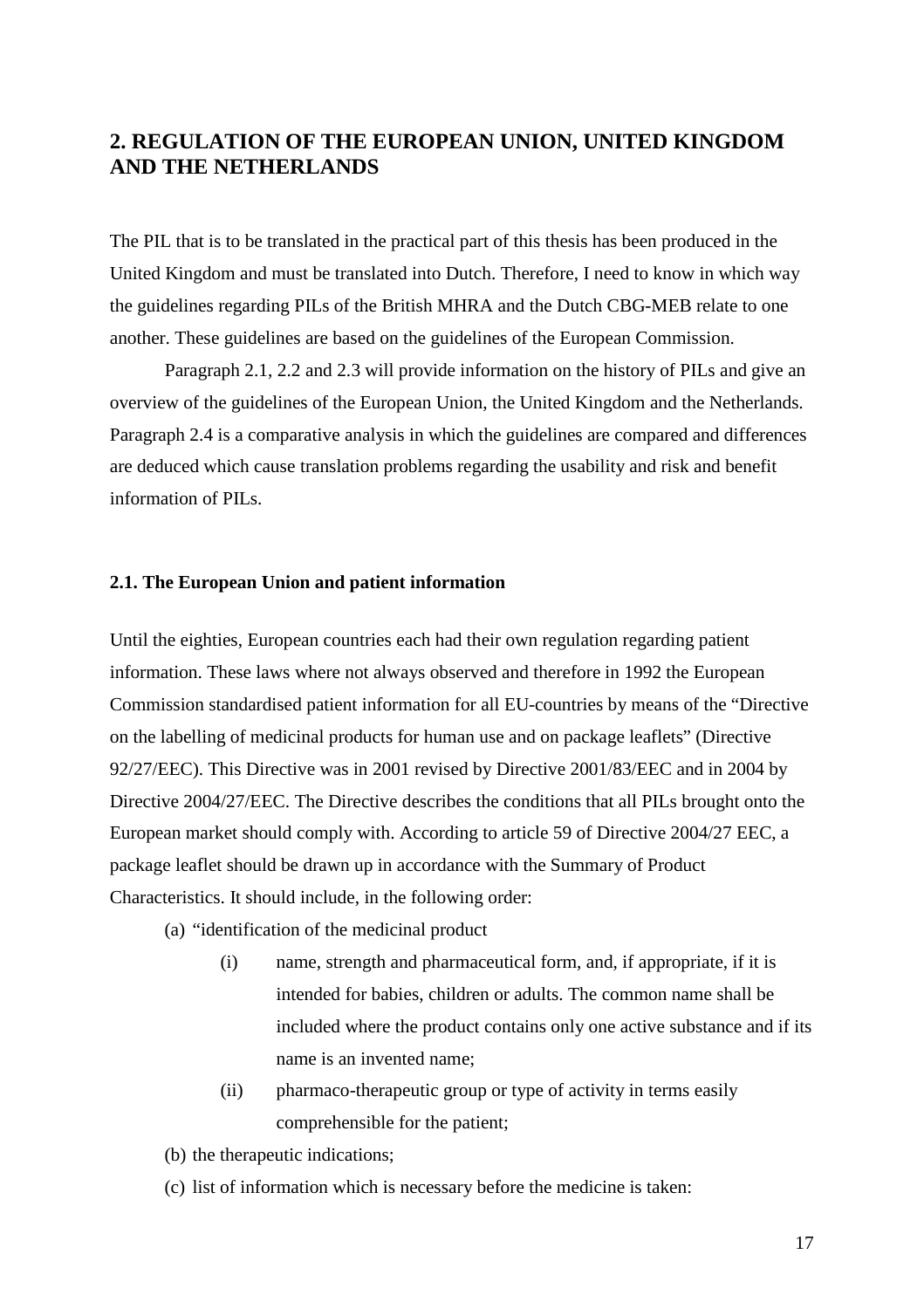## **2. REGULATION OF THE EUROPEAN UNION, UNITED KINGDOM AND THE NETHERLANDS**

The PIL that is to be translated in the practical part of this thesis has been produced in the United Kingdom and must be translated into Dutch. Therefore, I need to know in which way the guidelines regarding PILs of the British MHRA and the Dutch CBG-MEB relate to one another. These guidelines are based on the guidelines of the European Commission.

Paragraph 2.1, 2.2 and 2.3 will provide information on the history of PILs and give an overview of the guidelines of the European Union, the United Kingdom and the Netherlands. Paragraph 2.4 is a comparative analysis in which the guidelines are compared and differences are deduced which cause translation problems regarding the usability and risk and benefit information of PILs.

#### **2.1. The European Union and patient information**

Until the eighties, European countries each had their own regulation regarding patient information. These laws where not always observed and therefore in 1992 the European Commission standardised patient information for all EU-countries by means of the "Directive on the labelling of medicinal products for human use and on package leaflets" (Directive 92/27/EEC). This Directive was in 2001 revised by Directive 2001/83/EEC and in 2004 by Directive 2004/27/EEC. The Directive describes the conditions that all PILs brought onto the European market should comply with. According to article 59 of Directive 2004/27 EEC, a package leaflet should be drawn up in accordance with the Summary of Product Characteristics. It should include, in the following order:

- (a) "identification of the medicinal product
	- (i) name, strength and pharmaceutical form, and, if appropriate, if it is intended for babies, children or adults. The common name shall be included where the product contains only one active substance and if its name is an invented name;
	- (ii) pharmaco-therapeutic group or type of activity in terms easily comprehensible for the patient;
- (b) the therapeutic indications;
- (c) list of information which is necessary before the medicine is taken: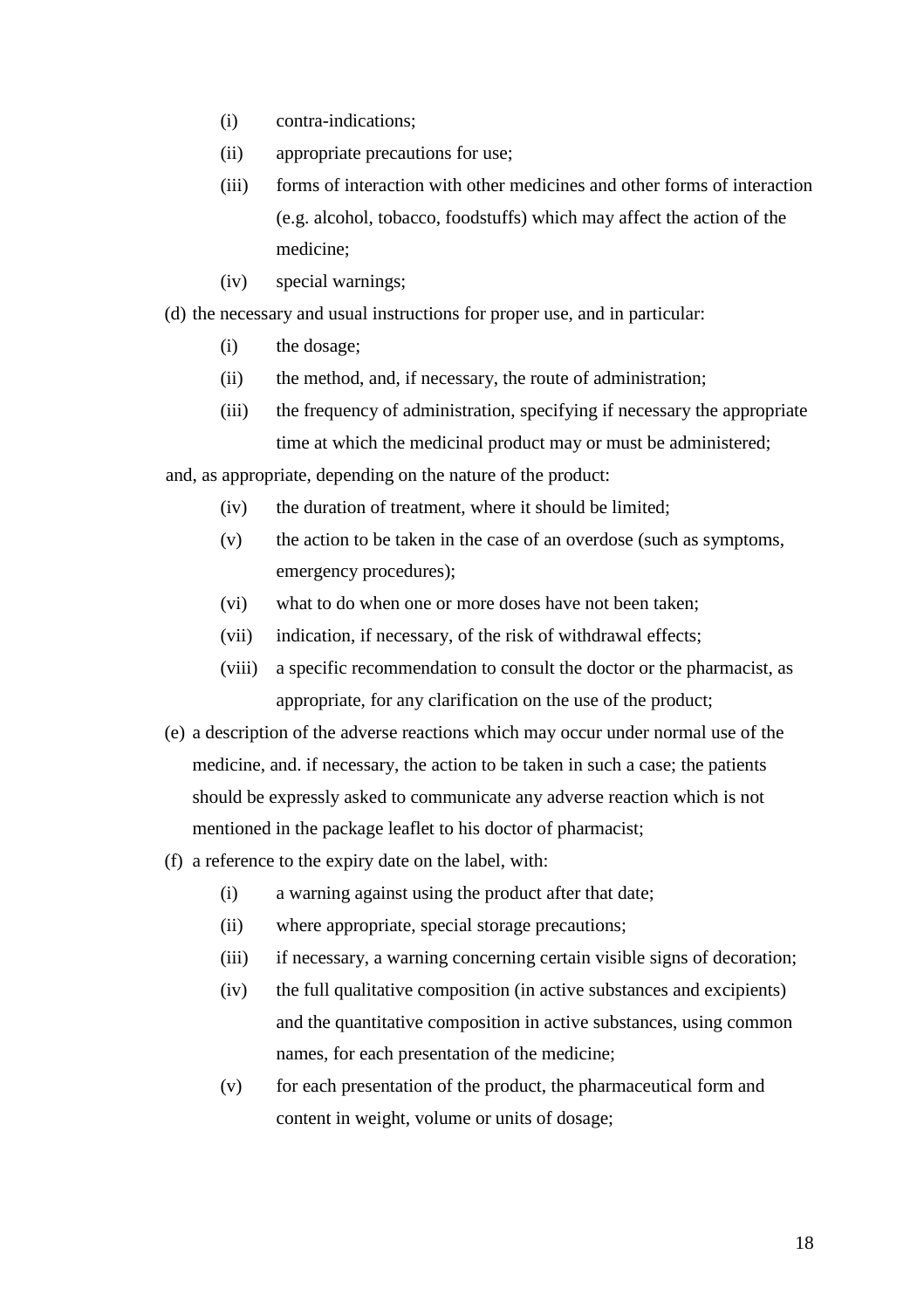- (i) contra-indications;
- (ii) appropriate precautions for use;
- (iii) forms of interaction with other medicines and other forms of interaction (e.g. alcohol, tobacco, foodstuffs) which may affect the action of the medicine;
- (iv) special warnings;
- (d) the necessary and usual instructions for proper use, and in particular:
	- (i) the dosage;
	- (ii) the method, and, if necessary, the route of administration;
	- (iii) the frequency of administration, specifying if necessary the appropriate time at which the medicinal product may or must be administered;

and, as appropriate, depending on the nature of the product:

- (iv) the duration of treatment, where it should be limited;
- (v) the action to be taken in the case of an overdose (such as symptoms, emergency procedures);
- (vi) what to do when one or more doses have not been taken;
- (vii) indication, if necessary, of the risk of withdrawal effects;
- (viii) a specific recommendation to consult the doctor or the pharmacist, as appropriate, for any clarification on the use of the product;
- (e) a description of the adverse reactions which may occur under normal use of the medicine, and. if necessary, the action to be taken in such a case; the patients should be expressly asked to communicate any adverse reaction which is not mentioned in the package leaflet to his doctor of pharmacist;
- (f) a reference to the expiry date on the label, with:
	- (i) a warning against using the product after that date;
	- (ii) where appropriate, special storage precautions;
	- (iii) if necessary, a warning concerning certain visible signs of decoration;
	- (iv) the full qualitative composition (in active substances and excipients) and the quantitative composition in active substances, using common names, for each presentation of the medicine;
	- (v) for each presentation of the product, the pharmaceutical form and content in weight, volume or units of dosage;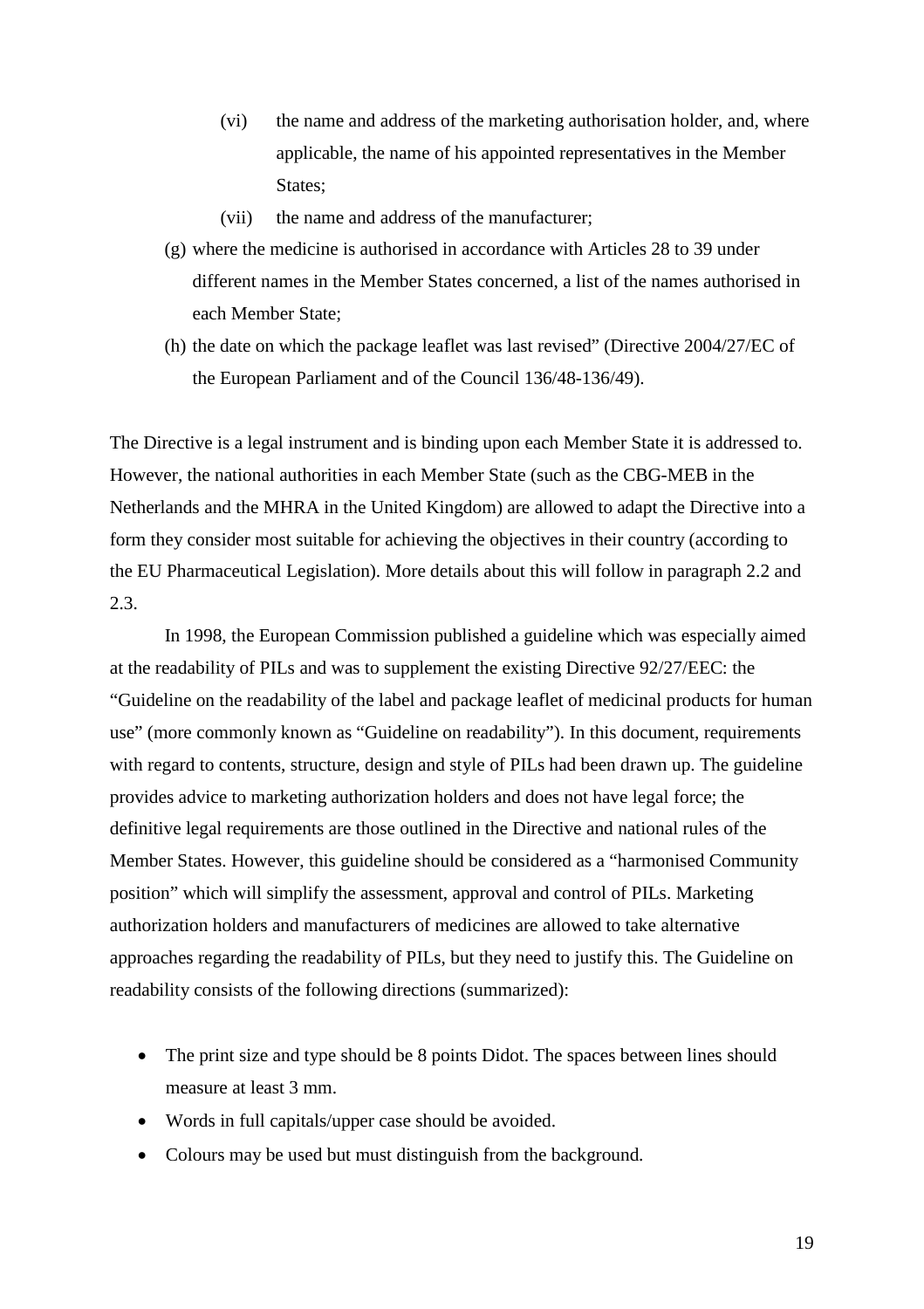- (vi) the name and address of the marketing authorisation holder, and, where applicable, the name of his appointed representatives in the Member States:
- (vii) the name and address of the manufacturer;
- (g) where the medicine is authorised in accordance with Articles 28 to 39 under different names in the Member States concerned, a list of the names authorised in each Member State;
- (h) the date on which the package leaflet was last revised" (Directive 2004/27/EC of the European Parliament and of the Council 136/48-136/49).

The Directive is a legal instrument and is binding upon each Member State it is addressed to. However, the national authorities in each Member State (such as the CBG-MEB in the Netherlands and the MHRA in the United Kingdom) are allowed to adapt the Directive into a form they consider most suitable for achieving the objectives in their country (according to the EU Pharmaceutical Legislation). More details about this will follow in paragraph 2.2 and 2.3.

In 1998, the European Commission published a guideline which was especially aimed at the readability of PILs and was to supplement the existing Directive 92/27/EEC: the "Guideline on the readability of the label and package leaflet of medicinal products for human use" (more commonly known as "Guideline on readability"). In this document, requirements with regard to contents, structure, design and style of PILs had been drawn up. The guideline provides advice to marketing authorization holders and does not have legal force; the definitive legal requirements are those outlined in the Directive and national rules of the Member States. However, this guideline should be considered as a "harmonised Community position" which will simplify the assessment, approval and control of PILs. Marketing authorization holders and manufacturers of medicines are allowed to take alternative approaches regarding the readability of PILs, but they need to justify this. The Guideline on readability consists of the following directions (summarized):

- The print size and type should be 8 points Didot. The spaces between lines should measure at least 3 mm.
- Words in full capitals/upper case should be avoided.
- Colours may be used but must distinguish from the background.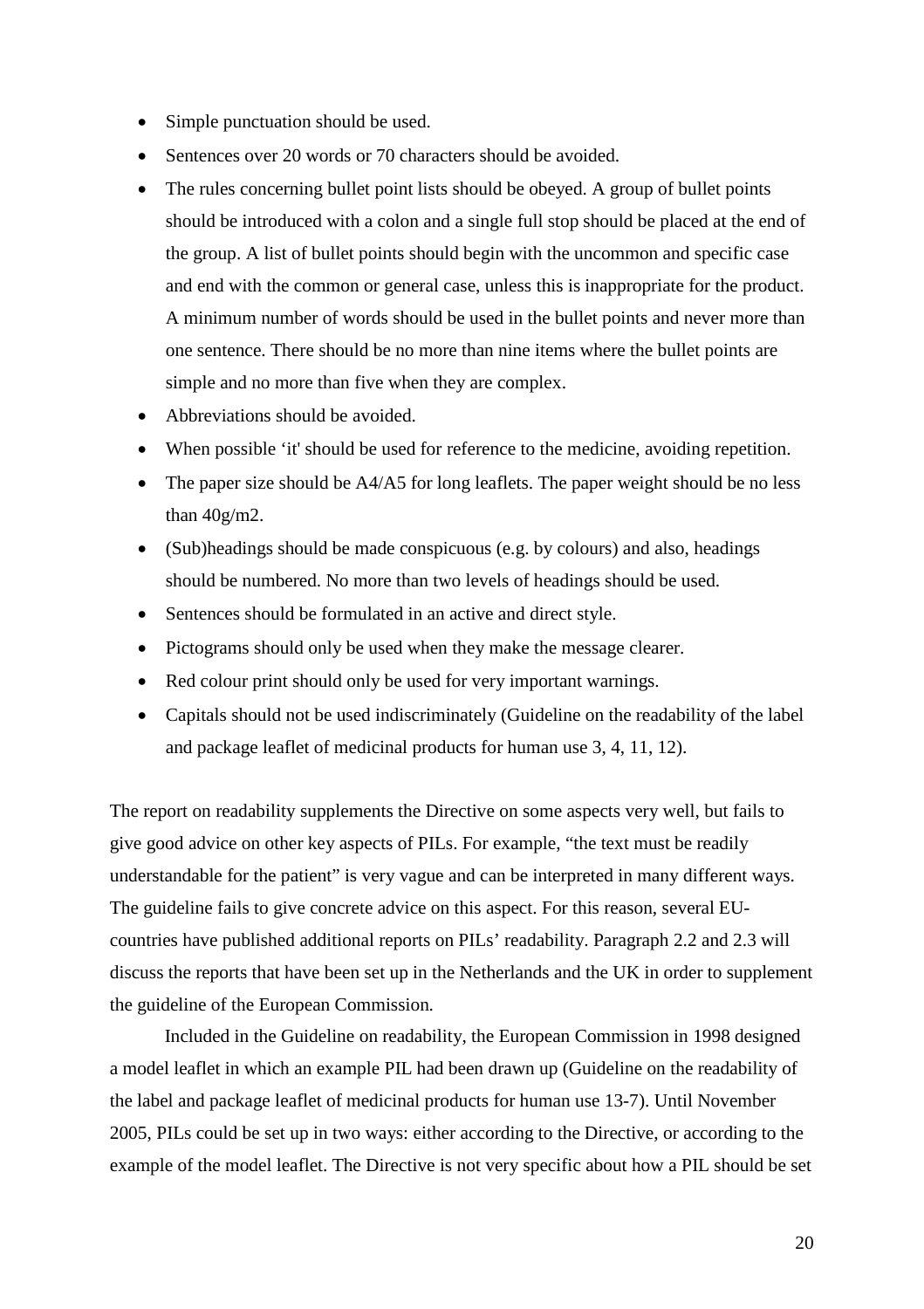- Simple punctuation should be used.
- Sentences over 20 words or 70 characters should be avoided.
- The rules concerning bullet point lists should be obeyed. A group of bullet points should be introduced with a colon and a single full stop should be placed at the end of the group. A list of bullet points should begin with the uncommon and specific case and end with the common or general case, unless this is inappropriate for the product. A minimum number of words should be used in the bullet points and never more than one sentence. There should be no more than nine items where the bullet points are simple and no more than five when they are complex.
- Abbreviations should be avoided.
- When possible 'it' should be used for reference to the medicine, avoiding repetition.
- The paper size should be A4/A5 for long leaflets. The paper weight should be no less than 40g/m2.
- (Sub)headings should be made conspicuous (e.g. by colours) and also, headings should be numbered. No more than two levels of headings should be used.
- Sentences should be formulated in an active and direct style.
- Pictograms should only be used when they make the message clearer.
- Red colour print should only be used for very important warnings.
- Capitals should not be used indiscriminately (Guideline on the readability of the label and package leaflet of medicinal products for human use 3, 4, 11, 12).

The report on readability supplements the Directive on some aspects very well, but fails to give good advice on other key aspects of PILs. For example, "the text must be readily understandable for the patient" is very vague and can be interpreted in many different ways. The guideline fails to give concrete advice on this aspect. For this reason, several EUcountries have published additional reports on PILs' readability. Paragraph 2.2 and 2.3 will discuss the reports that have been set up in the Netherlands and the UK in order to supplement the guideline of the European Commission.

Included in the Guideline on readability, the European Commission in 1998 designed a model leaflet in which an example PIL had been drawn up (Guideline on the readability of the label and package leaflet of medicinal products for human use 13-7). Until November 2005, PILs could be set up in two ways: either according to the Directive, or according to the example of the model leaflet. The Directive is not very specific about how a PIL should be set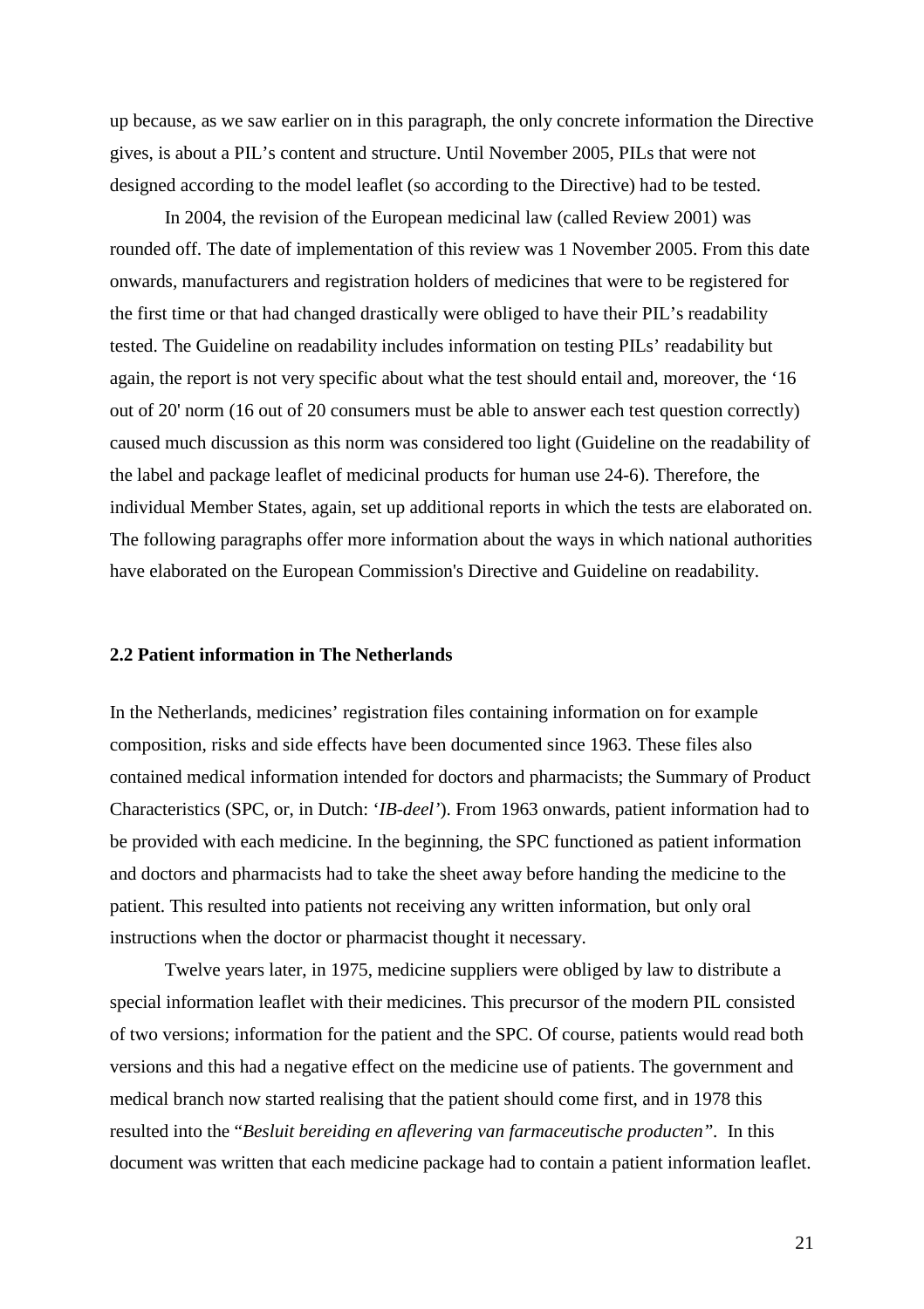up because, as we saw earlier on in this paragraph, the only concrete information the Directive gives, is about a PIL's content and structure. Until November 2005, PILs that were not designed according to the model leaflet (so according to the Directive) had to be tested.

In 2004, the revision of the European medicinal law (called Review 2001) was rounded off. The date of implementation of this review was 1 November 2005. From this date onwards, manufacturers and registration holders of medicines that were to be registered for the first time or that had changed drastically were obliged to have their PIL's readability tested. The Guideline on readability includes information on testing PILs' readability but again, the report is not very specific about what the test should entail and, moreover, the '16 out of 20' norm (16 out of 20 consumers must be able to answer each test question correctly) caused much discussion as this norm was considered too light (Guideline on the readability of the label and package leaflet of medicinal products for human use 24-6). Therefore, the individual Member States, again, set up additional reports in which the tests are elaborated on. The following paragraphs offer more information about the ways in which national authorities have elaborated on the European Commission's Directive and Guideline on readability.

## **2.2 Patient information in The Netherlands**

In the Netherlands, medicines' registration files containing information on for example composition, risks and side effects have been documented since 1963. These files also contained medical information intended for doctors and pharmacists; the Summary of Product Characteristics (SPC, or, in Dutch: '*IB-deel'*). From 1963 onwards, patient information had to be provided with each medicine. In the beginning, the SPC functioned as patient information and doctors and pharmacists had to take the sheet away before handing the medicine to the patient. This resulted into patients not receiving any written information, but only oral instructions when the doctor or pharmacist thought it necessary.

Twelve years later, in 1975, medicine suppliers were obliged by law to distribute a special information leaflet with their medicines. This precursor of the modern PIL consisted of two versions; information for the patient and the SPC. Of course, patients would read both versions and this had a negative effect on the medicine use of patients. The government and medical branch now started realising that the patient should come first, and in 1978 this resulted into the "*Besluit bereiding en aflevering van farmaceutische producten".* In this document was written that each medicine package had to contain a patient information leaflet.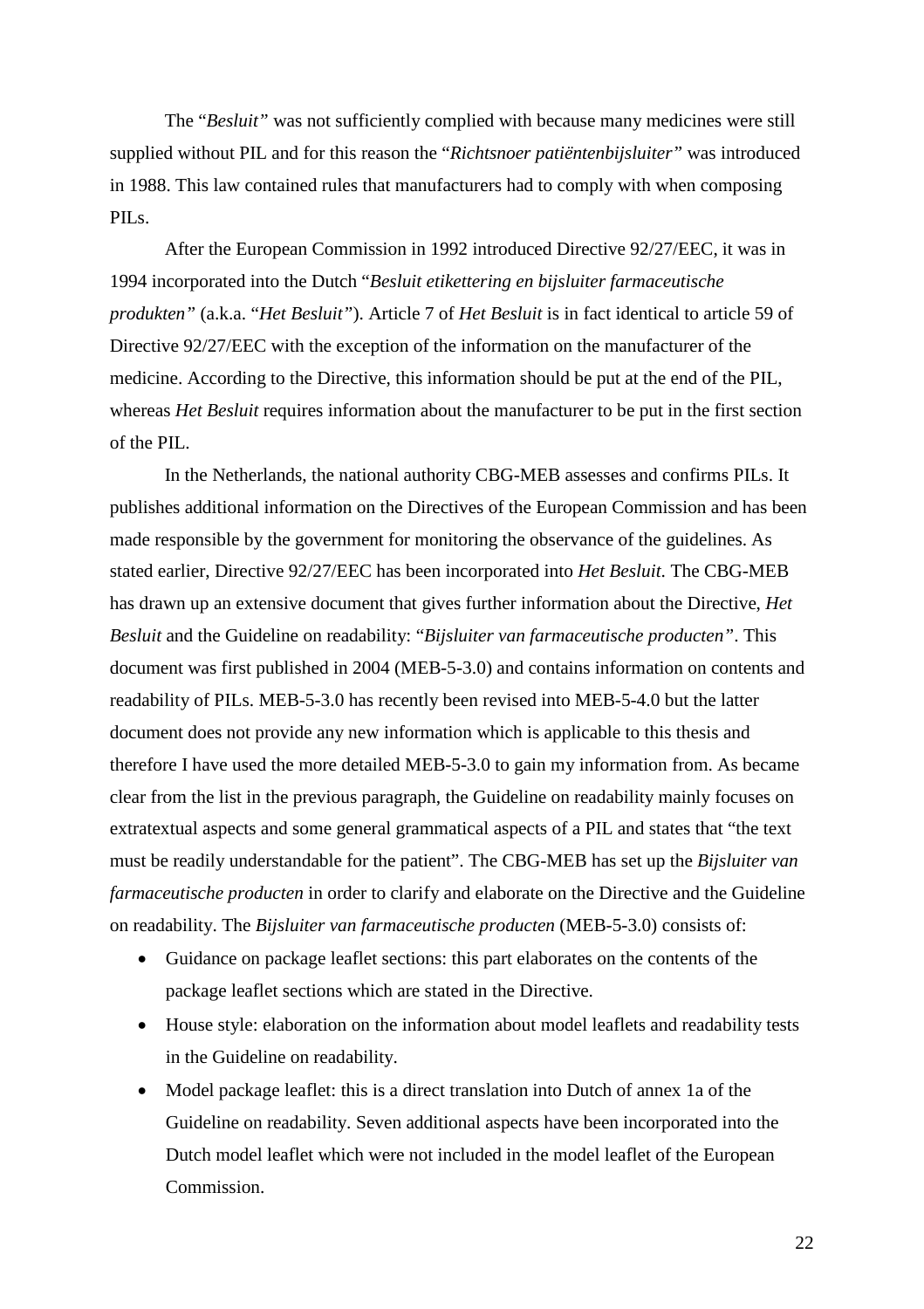The "*Besluit"* was not sufficiently complied with because many medicines were still supplied without PIL and for this reason the "*Richtsnoer patiëntenbijsluiter"* was introduced in 1988. This law contained rules that manufacturers had to comply with when composing PILs.

After the European Commission in 1992 introduced Directive 92/27/EEC, it was in 1994 incorporated into the Dutch "*Besluit etikettering en bijsluiter farmaceutische produkten"* (a.k.a. "*Het Besluit"*). Article 7 of *Het Besluit* is in fact identical to article 59 of Directive 92/27/EEC with the exception of the information on the manufacturer of the medicine. According to the Directive, this information should be put at the end of the PIL, whereas *Het Besluit* requires information about the manufacturer to be put in the first section of the PIL.

In the Netherlands, the national authority CBG-MEB assesses and confirms PILs. It publishes additional information on the Directives of the European Commission and has been made responsible by the government for monitoring the observance of the guidelines. As stated earlier, Directive 92/27/EEC has been incorporated into *Het Besluit*. The CBG-MEB has drawn up an extensive document that gives further information about the Directive, *Het Besluit* and the Guideline on readability: "*Bijsluiter van farmaceutische producten"*. This document was first published in 2004 (MEB-5-3.0) and contains information on contents and readability of PILs. MEB-5-3.0 has recently been revised into MEB-5-4.0 but the latter document does not provide any new information which is applicable to this thesis and therefore I have used the more detailed MEB-5-3.0 to gain my information from. As became clear from the list in the previous paragraph, the Guideline on readability mainly focuses on extratextual aspects and some general grammatical aspects of a PIL and states that "the text must be readily understandable for the patient". The CBG-MEB has set up the *Bijsluiter van farmaceutische producten* in order to clarify and elaborate on the Directive and the Guideline on readability. The *Bijsluiter van farmaceutische producten* (MEB-5-3.0) consists of:

- Guidance on package leaflet sections: this part elaborates on the contents of the package leaflet sections which are stated in the Directive.
- House style: elaboration on the information about model leaflets and readability tests in the Guideline on readability.
- Model package leaflet: this is a direct translation into Dutch of annex 1a of the Guideline on readability. Seven additional aspects have been incorporated into the Dutch model leaflet which were not included in the model leaflet of the European Commission.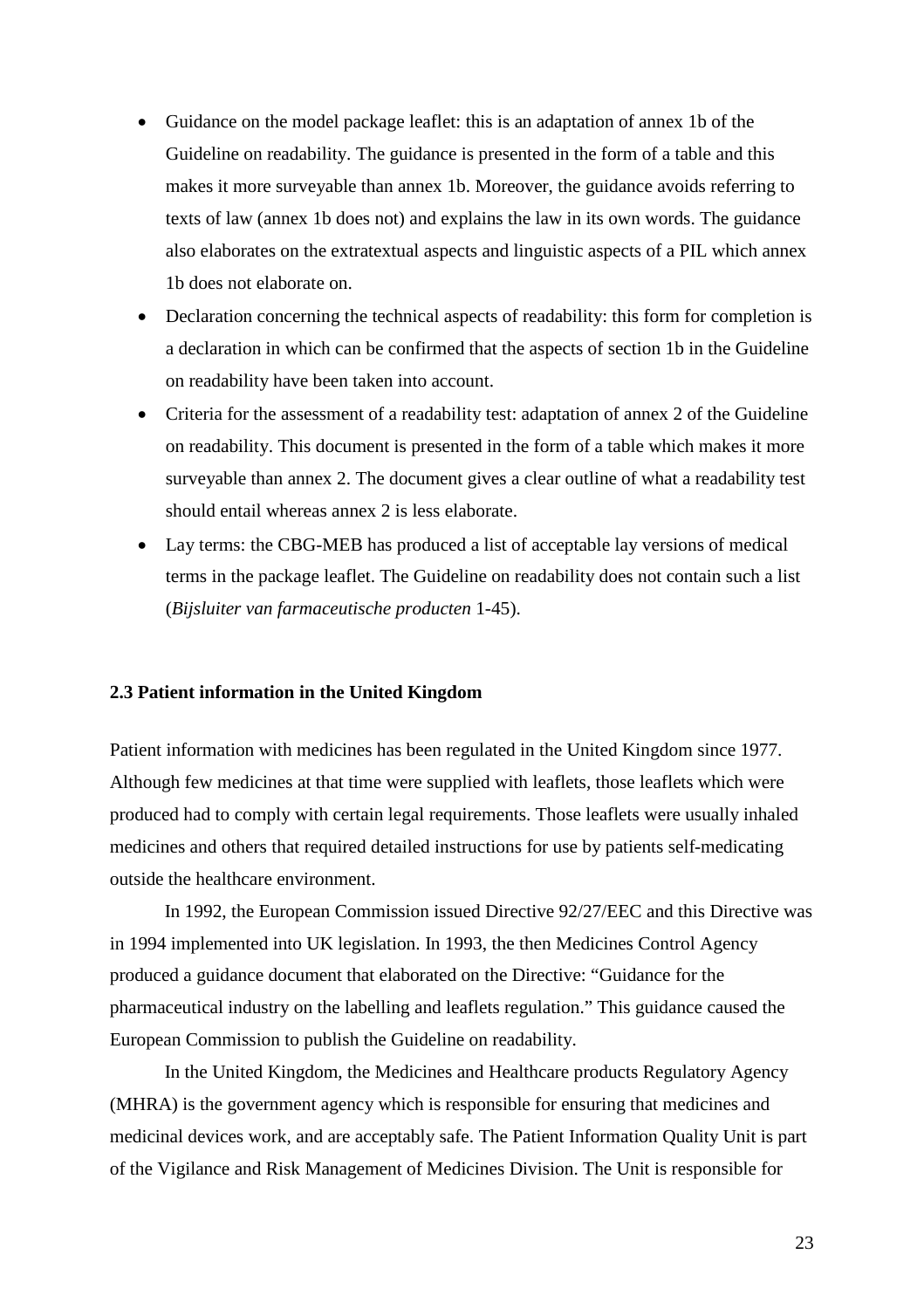- Guidance on the model package leaflet: this is an adaptation of annex 1b of the Guideline on readability. The guidance is presented in the form of a table and this makes it more surveyable than annex 1b. Moreover, the guidance avoids referring to texts of law (annex 1b does not) and explains the law in its own words. The guidance also elaborates on the extratextual aspects and linguistic aspects of a PIL which annex 1b does not elaborate on.
- Declaration concerning the technical aspects of readability: this form for completion is a declaration in which can be confirmed that the aspects of section 1b in the Guideline on readability have been taken into account.
- Criteria for the assessment of a readability test: adaptation of annex 2 of the Guideline on readability. This document is presented in the form of a table which makes it more surveyable than annex 2. The document gives a clear outline of what a readability test should entail whereas annex 2 is less elaborate.
- Lay terms: the CBG-MEB has produced a list of acceptable lay versions of medical terms in the package leaflet. The Guideline on readability does not contain such a list (*Bijsluiter van farmaceutische producten* 1-45).

#### **2.3 Patient information in the United Kingdom**

Patient information with medicines has been regulated in the United Kingdom since 1977. Although few medicines at that time were supplied with leaflets, those leaflets which were produced had to comply with certain legal requirements. Those leaflets were usually inhaled medicines and others that required detailed instructions for use by patients self-medicating outside the healthcare environment.

In 1992, the European Commission issued Directive 92/27/EEC and this Directive was in 1994 implemented into UK legislation. In 1993, the then Medicines Control Agency produced a guidance document that elaborated on the Directive: "Guidance for the pharmaceutical industry on the labelling and leaflets regulation." This guidance caused the European Commission to publish the Guideline on readability.

In the United Kingdom, the Medicines and Healthcare products Regulatory Agency (MHRA) is the government agency which is responsible for ensuring that medicines and medicinal devices work, and are acceptably safe. The Patient Information Quality Unit is part of the Vigilance and Risk Management of Medicines Division. The Unit is responsible for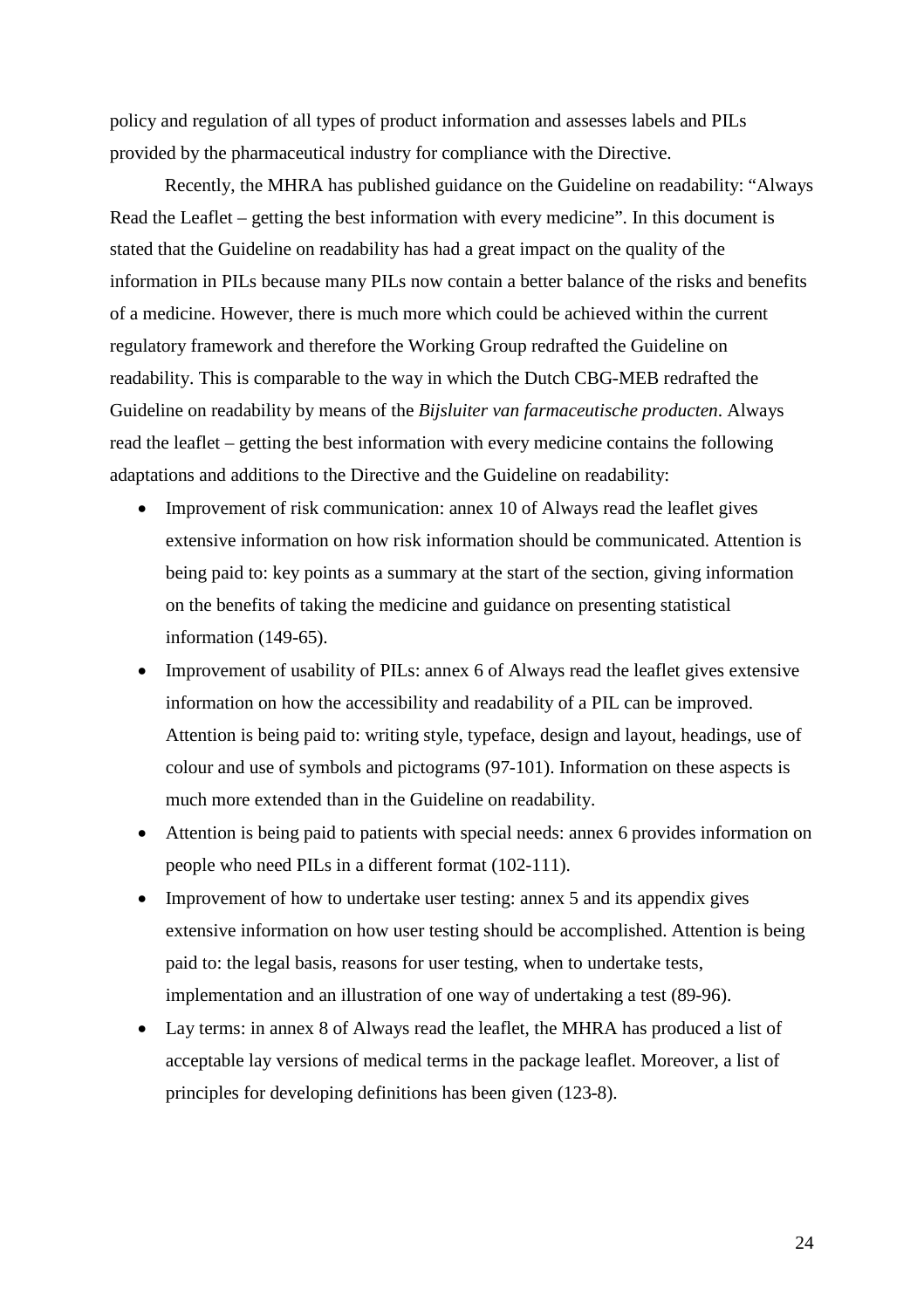policy and regulation of all types of product information and assesses labels and PILs provided by the pharmaceutical industry for compliance with the Directive.

Recently, the MHRA has published guidance on the Guideline on readability: "Always Read the Leaflet – getting the best information with every medicine". In this document is stated that the Guideline on readability has had a great impact on the quality of the information in PILs because many PILs now contain a better balance of the risks and benefits of a medicine. However, there is much more which could be achieved within the current regulatory framework and therefore the Working Group redrafted the Guideline on readability. This is comparable to the way in which the Dutch CBG-MEB redrafted the Guideline on readability by means of the *Bijsluiter van farmaceutische producten*. Always read the leaflet – getting the best information with every medicine contains the following adaptations and additions to the Directive and the Guideline on readability:

- Improvement of risk communication: annex 10 of Always read the leaflet gives extensive information on how risk information should be communicated. Attention is being paid to: key points as a summary at the start of the section, giving information on the benefits of taking the medicine and guidance on presenting statistical information (149-65).
- Improvement of usability of PILs: annex 6 of Always read the leaflet gives extensive information on how the accessibility and readability of a PIL can be improved. Attention is being paid to: writing style, typeface, design and layout, headings, use of colour and use of symbols and pictograms (97-101). Information on these aspects is much more extended than in the Guideline on readability.
- Attention is being paid to patients with special needs: annex 6 provides information on people who need PILs in a different format (102-111).
- Improvement of how to undertake user testing: annex 5 and its appendix gives extensive information on how user testing should be accomplished. Attention is being paid to: the legal basis, reasons for user testing, when to undertake tests, implementation and an illustration of one way of undertaking a test (89-96).
- Lay terms: in annex 8 of Always read the leaflet, the MHRA has produced a list of acceptable lay versions of medical terms in the package leaflet. Moreover, a list of principles for developing definitions has been given (123-8).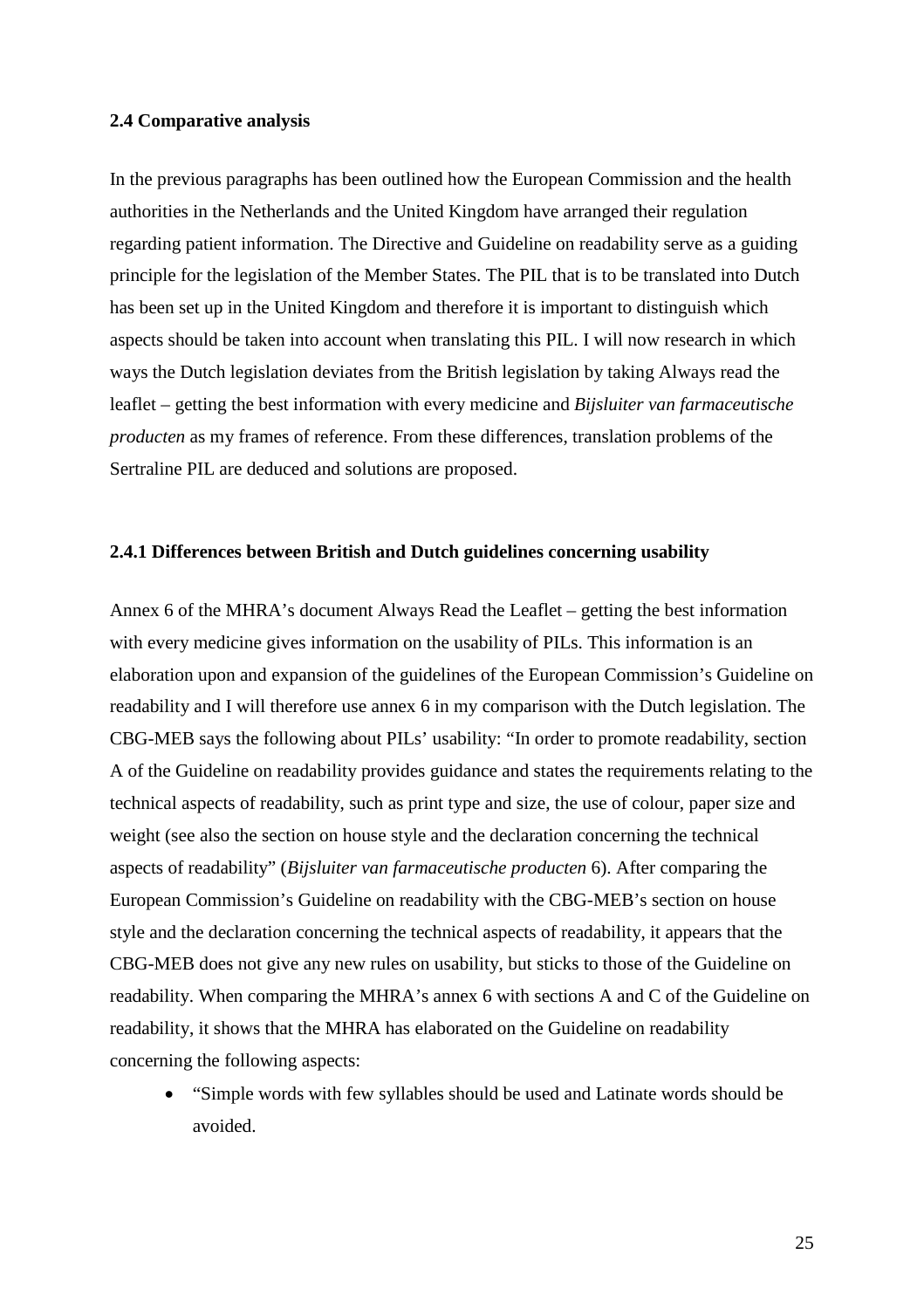## **2.4 Comparative analysis**

In the previous paragraphs has been outlined how the European Commission and the health authorities in the Netherlands and the United Kingdom have arranged their regulation regarding patient information. The Directive and Guideline on readability serve as a guiding principle for the legislation of the Member States. The PIL that is to be translated into Dutch has been set up in the United Kingdom and therefore it is important to distinguish which aspects should be taken into account when translating this PIL. I will now research in which ways the Dutch legislation deviates from the British legislation by taking Always read the leaflet – getting the best information with every medicine and *Bijsluiter van farmaceutische producten* as my frames of reference. From these differences, translation problems of the Sertraline PIL are deduced and solutions are proposed.

## **2.4.1 Differences between British and Dutch guidelines concerning usability**

Annex 6 of the MHRA's document Always Read the Leaflet – getting the best information with every medicine gives information on the usability of PILs. This information is an elaboration upon and expansion of the guidelines of the European Commission's Guideline on readability and I will therefore use annex 6 in my comparison with the Dutch legislation. The CBG-MEB says the following about PILs' usability: "In order to promote readability, section A of the Guideline on readability provides guidance and states the requirements relating to the technical aspects of readability, such as print type and size, the use of colour, paper size and weight (see also the section on house style and the declaration concerning the technical aspects of readability" (*Bijsluiter van farmaceutische producten* 6). After comparing the European Commission's Guideline on readability with the CBG-MEB's section on house style and the declaration concerning the technical aspects of readability, it appears that the CBG-MEB does not give any new rules on usability, but sticks to those of the Guideline on readability. When comparing the MHRA's annex 6 with sections A and C of the Guideline on readability, it shows that the MHRA has elaborated on the Guideline on readability concerning the following aspects:

 "Simple words with few syllables should be used and Latinate words should be avoided.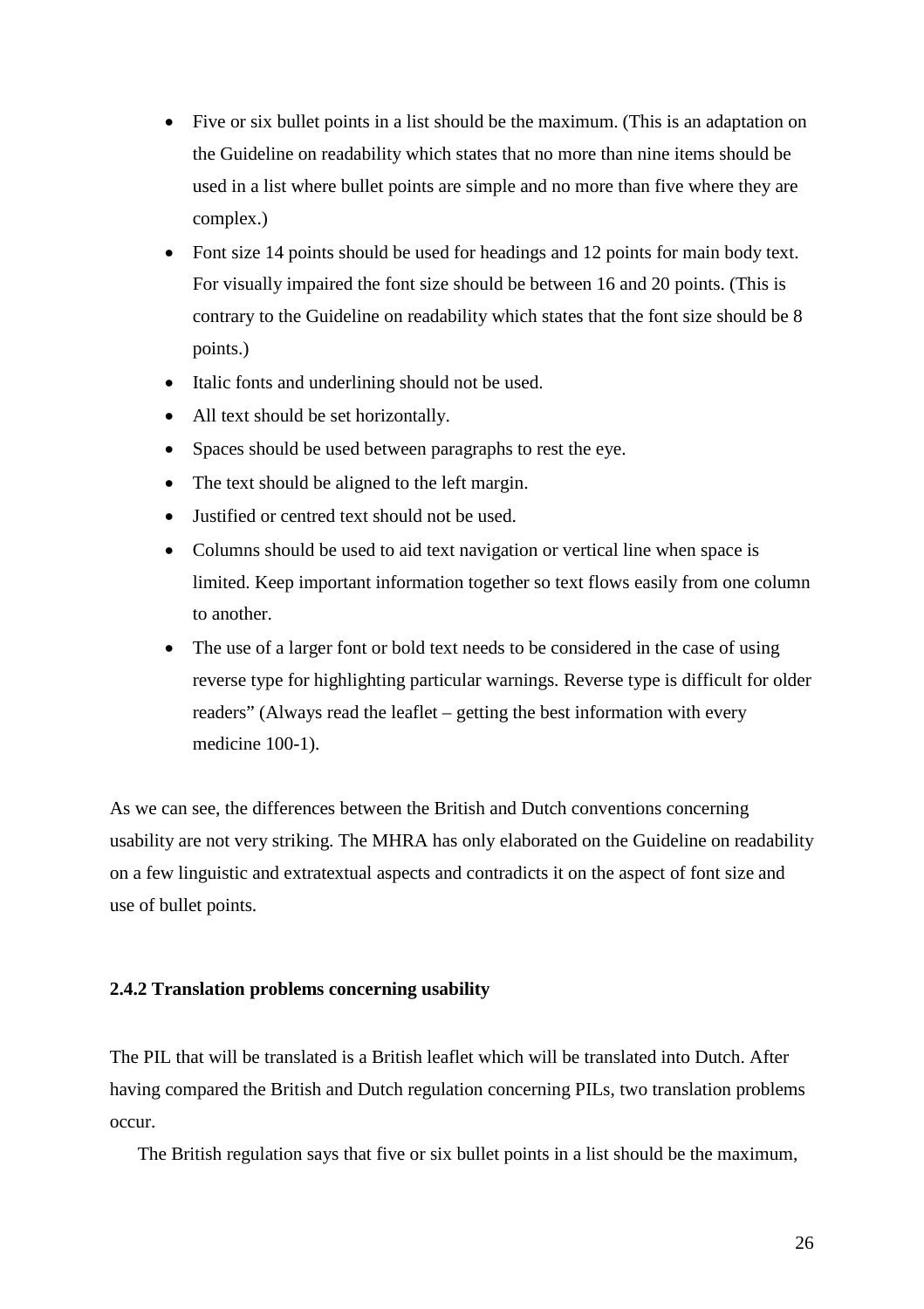- Five or six bullet points in a list should be the maximum. (This is an adaptation on the Guideline on readability which states that no more than nine items should be used in a list where bullet points are simple and no more than five where they are complex.)
- Font size 14 points should be used for headings and 12 points for main body text. For visually impaired the font size should be between 16 and 20 points. (This is contrary to the Guideline on readability which states that the font size should be 8 points.)
- Italic fonts and underlining should not be used.
- All text should be set horizontally.
- Spaces should be used between paragraphs to rest the eye.
- The text should be aligned to the left margin.
- Justified or centred text should not be used.
- Columns should be used to aid text navigation or vertical line when space is limited. Keep important information together so text flows easily from one column to another.
- The use of a larger font or bold text needs to be considered in the case of using reverse type for highlighting particular warnings. Reverse type is difficult for older readers" (Always read the leaflet – getting the best information with every medicine 100-1).

As we can see, the differences between the British and Dutch conventions concerning usability are not very striking. The MHRA has only elaborated on the Guideline on readability on a few linguistic and extratextual aspects and contradicts it on the aspect of font size and use of bullet points.

#### **2.4.2 Translation problems concerning usability**

The PIL that will be translated is a British leaflet which will be translated into Dutch. After having compared the British and Dutch regulation concerning PILs, two translation problems occur.

The British regulation says that five or six bullet points in a list should be the maximum,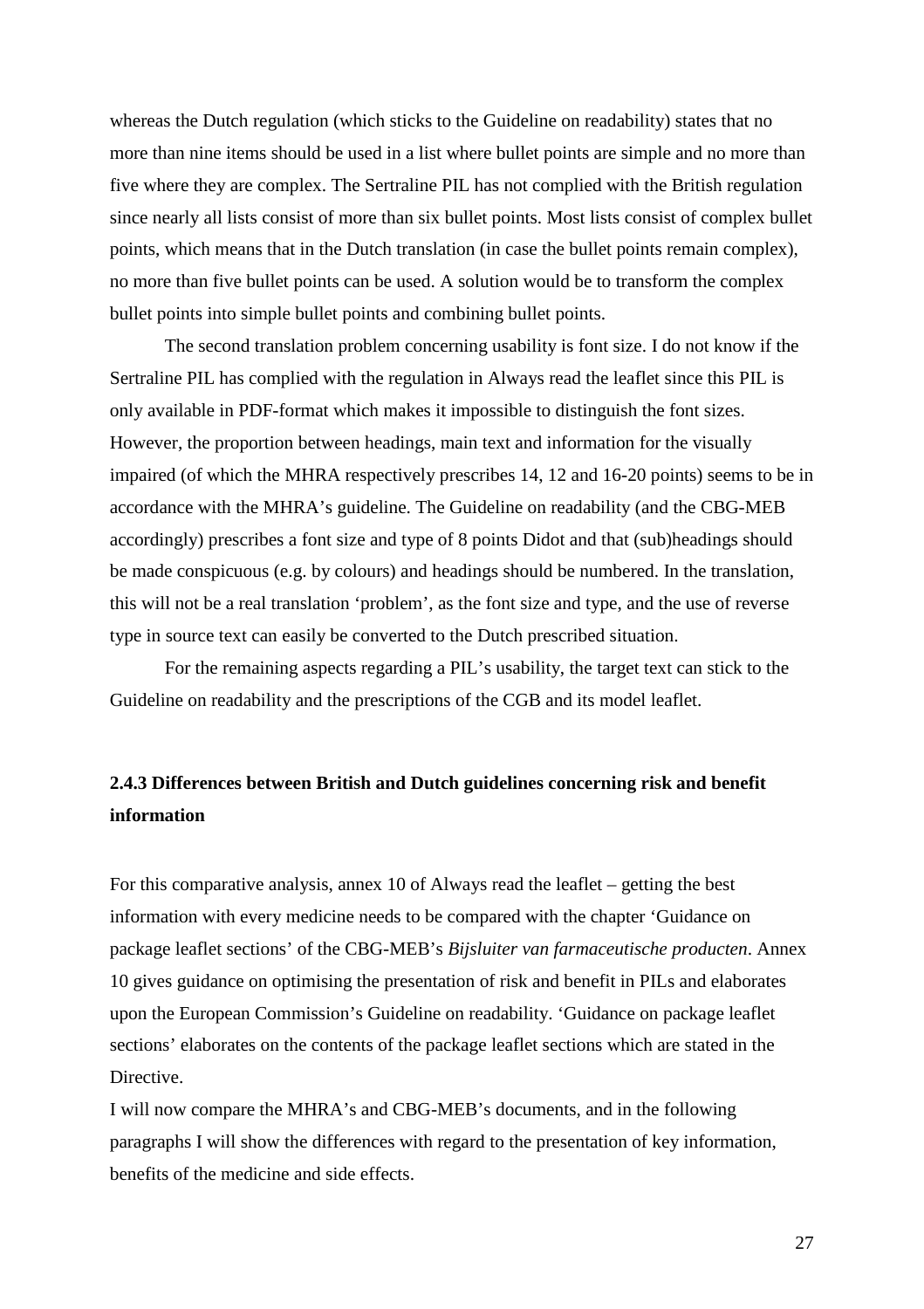whereas the Dutch regulation (which sticks to the Guideline on readability) states that no more than nine items should be used in a list where bullet points are simple and no more than five where they are complex. The Sertraline PIL has not complied with the British regulation since nearly all lists consist of more than six bullet points. Most lists consist of complex bullet points, which means that in the Dutch translation (in case the bullet points remain complex), no more than five bullet points can be used. A solution would be to transform the complex bullet points into simple bullet points and combining bullet points.

The second translation problem concerning usability is font size. I do not know if the Sertraline PIL has complied with the regulation in Always read the leaflet since this PIL is only available in PDF-format which makes it impossible to distinguish the font sizes. However, the proportion between headings, main text and information for the visually impaired (of which the MHRA respectively prescribes 14, 12 and 16-20 points) seems to be in accordance with the MHRA's guideline. The Guideline on readability (and the CBG-MEB accordingly) prescribes a font size and type of 8 points Didot and that (sub)headings should be made conspicuous (e.g. by colours) and headings should be numbered. In the translation, this will not be a real translation 'problem', as the font size and type, and the use of reverse type in source text can easily be converted to the Dutch prescribed situation.

For the remaining aspects regarding a PIL's usability, the target text can stick to the Guideline on readability and the prescriptions of the CGB and its model leaflet.

## **2.4.3 Differences between British and Dutch guidelines concerning risk and benefit information**

For this comparative analysis, annex 10 of Always read the leaflet – getting the best information with every medicine needs to be compared with the chapter 'Guidance on package leaflet sections' of the CBG-MEB's *Bijsluiter van farmaceutische producten*. Annex 10 gives guidance on optimising the presentation of risk and benefit in PILs and elaborates upon the European Commission's Guideline on readability. 'Guidance on package leaflet sections' elaborates on the contents of the package leaflet sections which are stated in the Directive.

I will now compare the MHRA's and CBG-MEB's documents, and in the following paragraphs I will show the differences with regard to the presentation of key information, benefits of the medicine and side effects.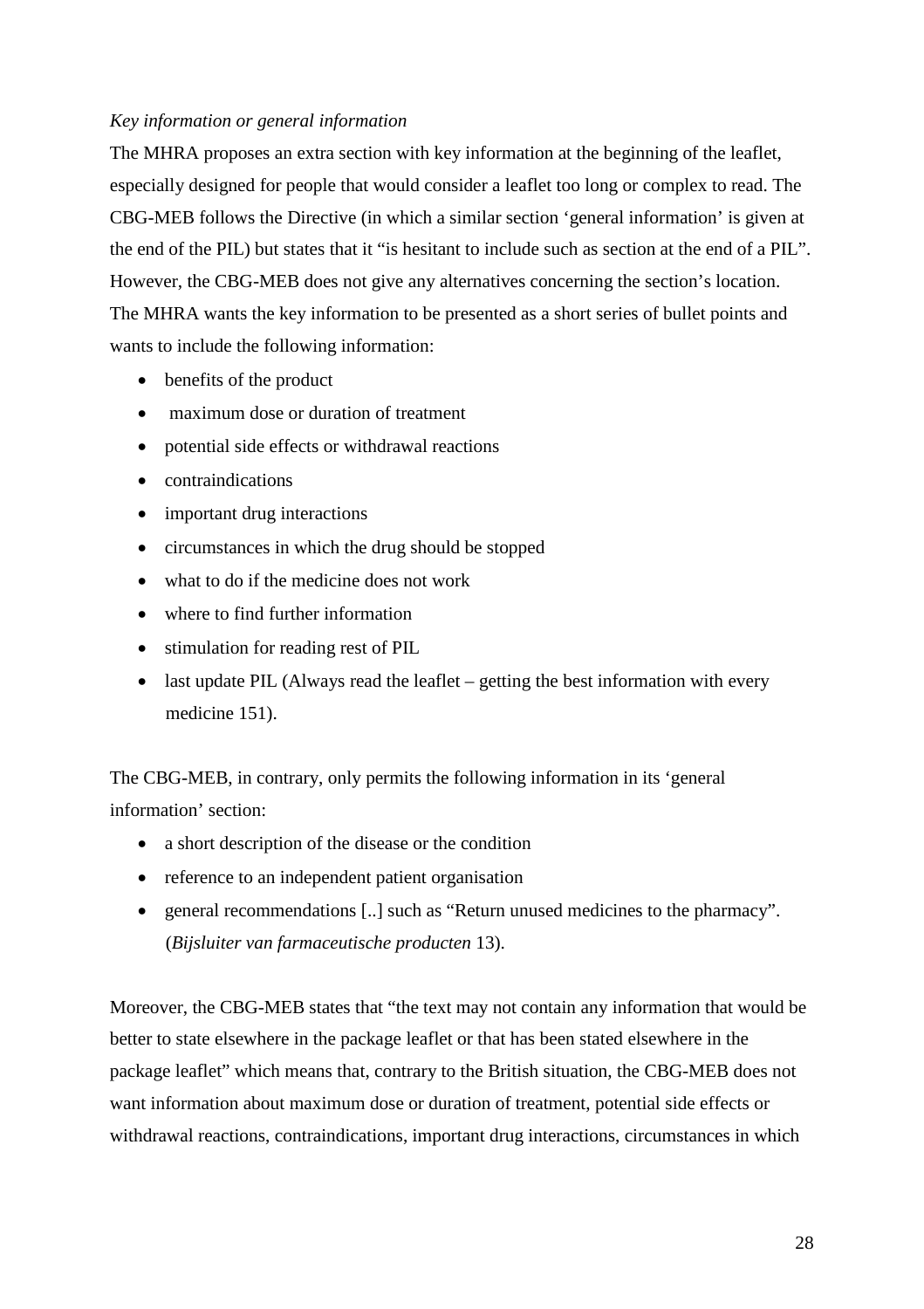## *Key information or general information*

The MHRA proposes an extra section with key information at the beginning of the leaflet, especially designed for people that would consider a leaflet too long or complex to read. The CBG-MEB follows the Directive (in which a similar section 'general information' is given at the end of the PIL) but states that it "is hesitant to include such as section at the end of a PIL". However, the CBG-MEB does not give any alternatives concerning the section's location. The MHRA wants the key information to be presented as a short series of bullet points and wants to include the following information:

- benefits of the product
- maximum dose or duration of treatment
- potential side effects or withdrawal reactions
- contraindications
- important drug interactions
- circumstances in which the drug should be stopped
- what to do if the medicine does not work
- where to find further information
- stimulation for reading rest of PIL
- last update PIL (Always read the leaflet getting the best information with every medicine 151).

The CBG-MEB, in contrary, only permits the following information in its 'general information' section:

- a short description of the disease or the condition
- reference to an independent patient organisation
- general recommendations [..] such as "Return unused medicines to the pharmacy". (*Bijsluiter van farmaceutische producten* 13).

Moreover, the CBG-MEB states that "the text may not contain any information that would be better to state elsewhere in the package leaflet or that has been stated elsewhere in the package leaflet" which means that, contrary to the British situation, the CBG-MEB does not want information about maximum dose or duration of treatment, potential side effects or withdrawal reactions, contraindications, important drug interactions, circumstances in which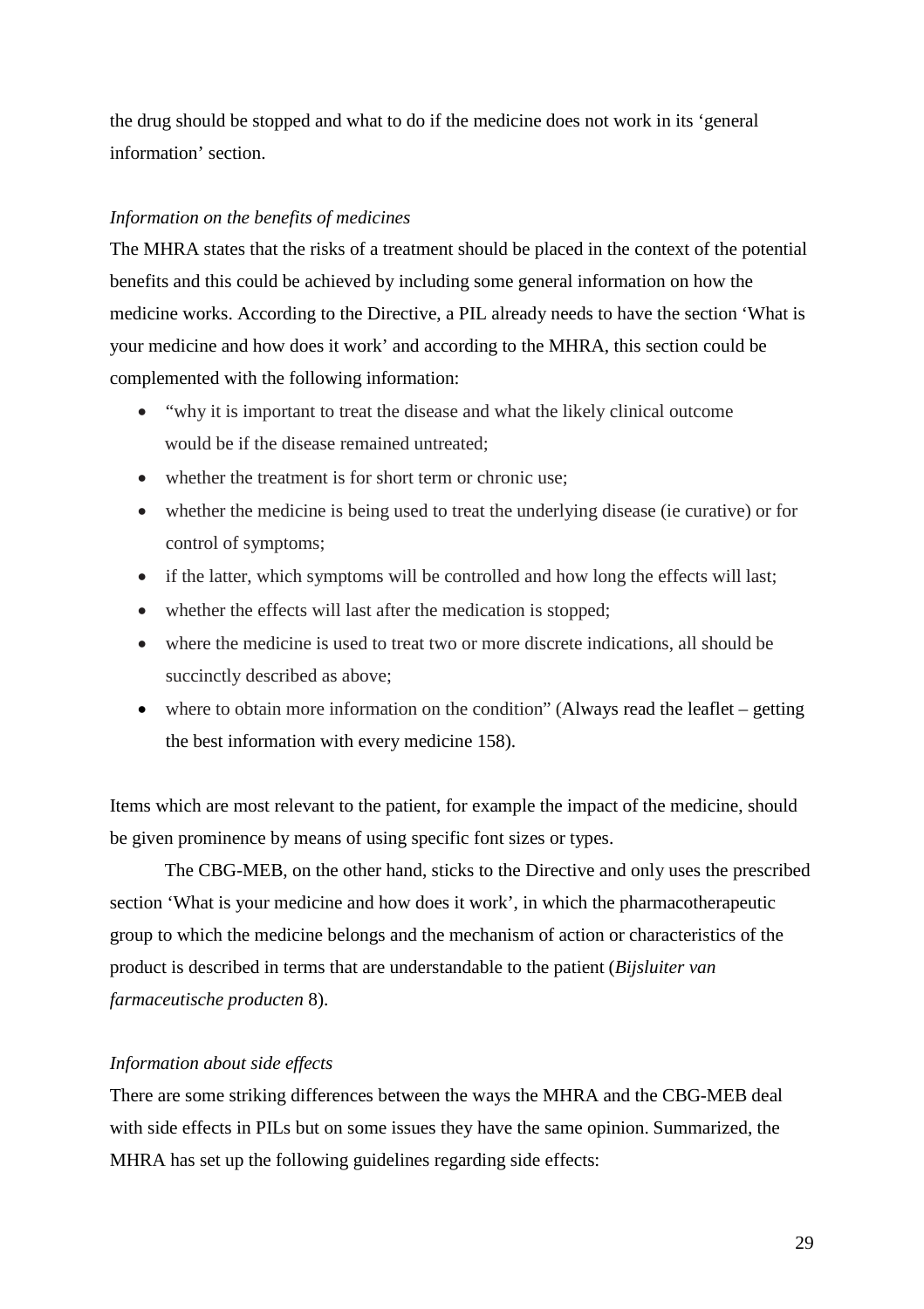the drug should be stopped and what to do if the medicine does not work in its 'general information' section.

## *Information on the benefits of medicines*

The MHRA states that the risks of a treatment should be placed in the context of the potential benefits and this could be achieved by including some general information on how the medicine works. According to the Directive, a PIL already needs to have the section 'What is your medicine and how does it work' and according to the MHRA, this section could be complemented with the following information:

- "why it is important to treat the disease and what the likely clinical outcome would be if the disease remained untreated;
- whether the treatment is for short term or chronic use;
- whether the medicine is being used to treat the underlying disease (ie curative) or for control of symptoms;
- if the latter, which symptoms will be controlled and how long the effects will last;
- whether the effects will last after the medication is stopped;
- where the medicine is used to treat two or more discrete indications, all should be succinctly described as above;
- where to obtain more information on the condition" (Always read the leaflet getting the best information with every medicine 158).

Items which are most relevant to the patient, for example the impact of the medicine, should be given prominence by means of using specific font sizes or types.

The CBG-MEB, on the other hand, sticks to the Directive and only uses the prescribed section 'What is your medicine and how does it work', in which the pharmacotherapeutic group to which the medicine belongs and the mechanism of action or characteristics of the product is described in terms that are understandable to the patient (*Bijsluiter van farmaceutische producten* 8).

## *Information about side effects*

There are some striking differences between the ways the MHRA and the CBG-MEB deal with side effects in PILs but on some issues they have the same opinion. Summarized, the MHRA has set up the following guidelines regarding side effects: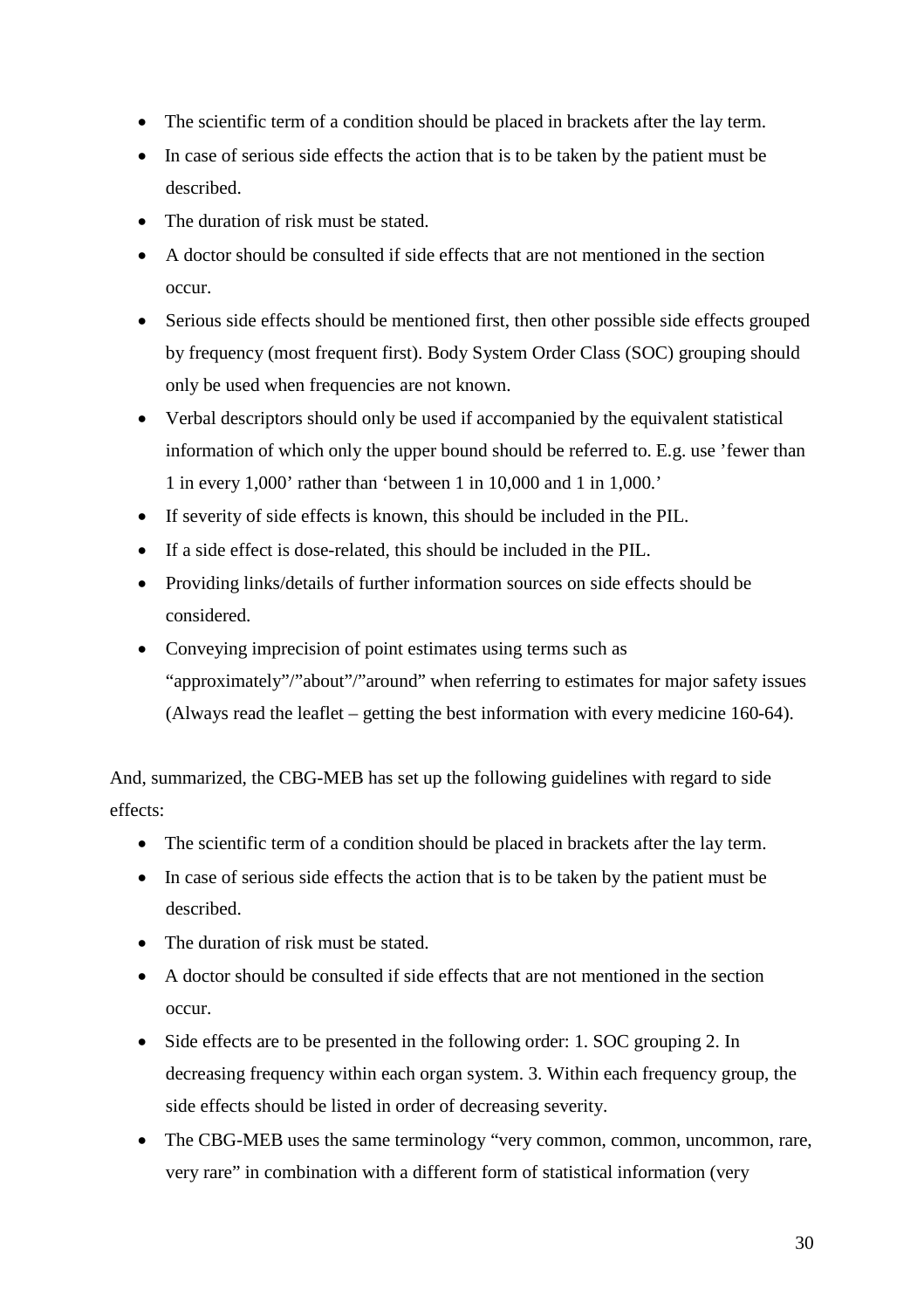- The scientific term of a condition should be placed in brackets after the lay term.
- In case of serious side effects the action that is to be taken by the patient must be described.
- The duration of risk must be stated.
- A doctor should be consulted if side effects that are not mentioned in the section occur.
- Serious side effects should be mentioned first, then other possible side effects grouped by frequency (most frequent first). Body System Order Class (SOC) grouping should only be used when frequencies are not known.
- Verbal descriptors should only be used if accompanied by the equivalent statistical information of which only the upper bound should be referred to. E.g. use 'fewer than 1 in every 1,000' rather than 'between 1 in 10,000 and 1 in 1,000.'
- If severity of side effects is known, this should be included in the PIL.
- If a side effect is dose-related, this should be included in the PIL.
- Providing links/details of further information sources on side effects should be considered.
- Conveying imprecision of point estimates using terms such as "approximately"/"about"/"around" when referring to estimates for major safety issues (Always read the leaflet – getting the best information with every medicine 160-64).

And, summarized, the CBG-MEB has set up the following guidelines with regard to side effects:

- The scientific term of a condition should be placed in brackets after the lay term.
- In case of serious side effects the action that is to be taken by the patient must be described.
- The duration of risk must be stated.
- A doctor should be consulted if side effects that are not mentioned in the section occur.
- Side effects are to be presented in the following order: 1. SOC grouping 2. In decreasing frequency within each organ system. 3. Within each frequency group, the side effects should be listed in order of decreasing severity.
- The CBG-MEB uses the same terminology "very common, common, uncommon, rare, very rare" in combination with a different form of statistical information (very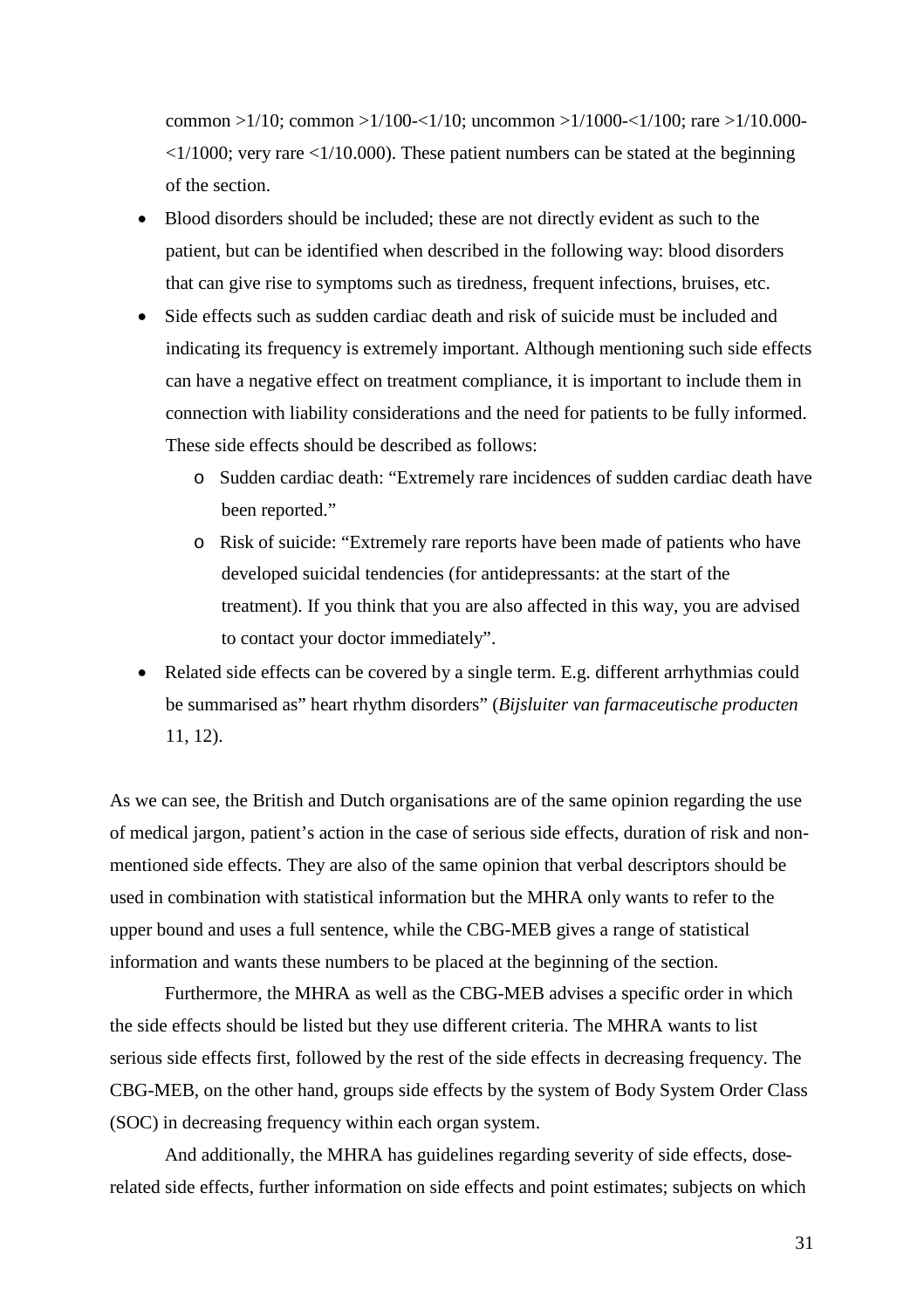common  $>1/10$ ; common  $>1/100 - 1/10$ ; uncommon  $>1/1000 - 1/100$ ; rare  $>1/10.000 - 1/10$  $\langle 1/1000$ ; very rare  $\langle 1/10.000 \rangle$ . These patient numbers can be stated at the beginning of the section.

- Blood disorders should be included; these are not directly evident as such to the patient, but can be identified when described in the following way: blood disorders that can give rise to symptoms such as tiredness, frequent infections, bruises, etc.
- Side effects such as sudden cardiac death and risk of suicide must be included and indicating its frequency is extremely important. Although mentioning such side effects can have a negative effect on treatment compliance, it is important to include them in connection with liability considerations and the need for patients to be fully informed. These side effects should be described as follows:
	- o Sudden cardiac death: "Extremely rare incidences of sudden cardiac death have been reported."
	- o Risk of suicide: "Extremely rare reports have been made of patients who have developed suicidal tendencies (for antidepressants: at the start of the treatment). If you think that you are also affected in this way, you are advised to contact your doctor immediately".
- Related side effects can be covered by a single term. E.g. different arrhythmias could be summarised as" heart rhythm disorders" (*Bijsluiter van farmaceutische producten* 11, 12).

As we can see, the British and Dutch organisations are of the same opinion regarding the use of medical jargon, patient's action in the case of serious side effects, duration of risk and nonmentioned side effects. They are also of the same opinion that verbal descriptors should be used in combination with statistical information but the MHRA only wants to refer to the upper bound and uses a full sentence, while the CBG-MEB gives a range of statistical information and wants these numbers to be placed at the beginning of the section.

Furthermore, the MHRA as well as the CBG-MEB advises a specific order in which the side effects should be listed but they use different criteria. The MHRA wants to list serious side effects first, followed by the rest of the side effects in decreasing frequency. The CBG-MEB, on the other hand, groups side effects by the system of Body System Order Class (SOC) in decreasing frequency within each organ system.

And additionally, the MHRA has guidelines regarding severity of side effects, doserelated side effects, further information on side effects and point estimates; subjects on which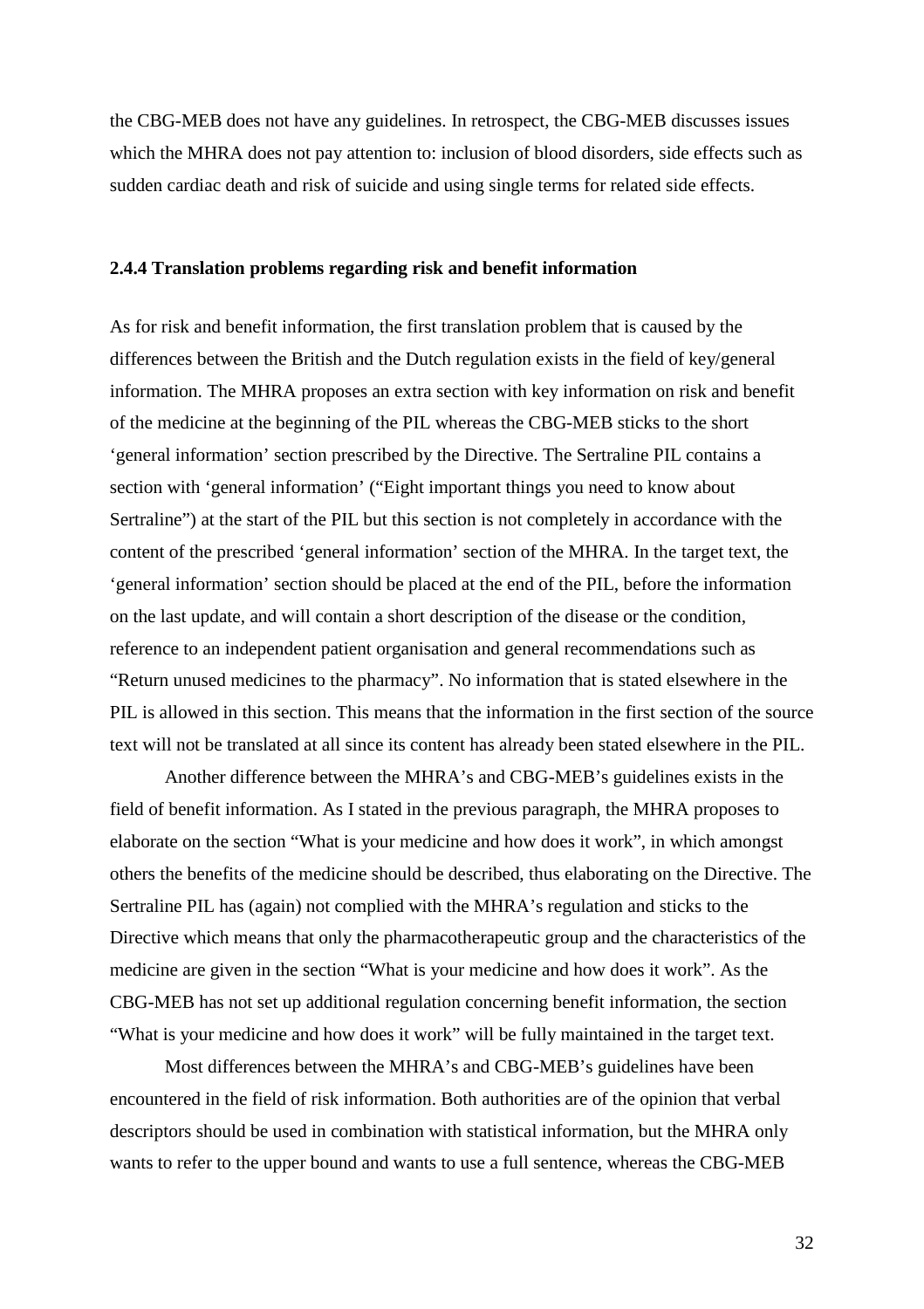the CBG-MEB does not have any guidelines. In retrospect, the CBG-MEB discusses issues which the MHRA does not pay attention to: inclusion of blood disorders, side effects such as sudden cardiac death and risk of suicide and using single terms for related side effects.

#### **2.4.4 Translation problems regarding risk and benefit information**

As for risk and benefit information, the first translation problem that is caused by the differences between the British and the Dutch regulation exists in the field of key/general information. The MHRA proposes an extra section with key information on risk and benefit of the medicine at the beginning of the PIL whereas the CBG-MEB sticks to the short 'general information' section prescribed by the Directive. The Sertraline PIL contains a section with 'general information' ("Eight important things you need to know about Sertraline") at the start of the PIL but this section is not completely in accordance with the content of the prescribed 'general information' section of the MHRA. In the target text, the 'general information' section should be placed at the end of the PIL, before the information on the last update, and will contain a short description of the disease or the condition, reference to an independent patient organisation and general recommendations such as "Return unused medicines to the pharmacy". No information that is stated elsewhere in the PIL is allowed in this section. This means that the information in the first section of the source text will not be translated at all since its content has already been stated elsewhere in the PIL.

Another difference between the MHRA's and CBG-MEB's guidelines exists in the field of benefit information. As I stated in the previous paragraph, the MHRA proposes to elaborate on the section "What is your medicine and how does it work", in which amongst others the benefits of the medicine should be described, thus elaborating on the Directive. The Sertraline PIL has (again) not complied with the MHRA's regulation and sticks to the Directive which means that only the pharmacotherapeutic group and the characteristics of the medicine are given in the section "What is your medicine and how does it work". As the CBG-MEB has not set up additional regulation concerning benefit information, the section "What is your medicine and how does it work" will be fully maintained in the target text.

Most differences between the MHRA's and CBG-MEB's guidelines have been encountered in the field of risk information. Both authorities are of the opinion that verbal descriptors should be used in combination with statistical information, but the MHRA only wants to refer to the upper bound and wants to use a full sentence, whereas the CBG-MEB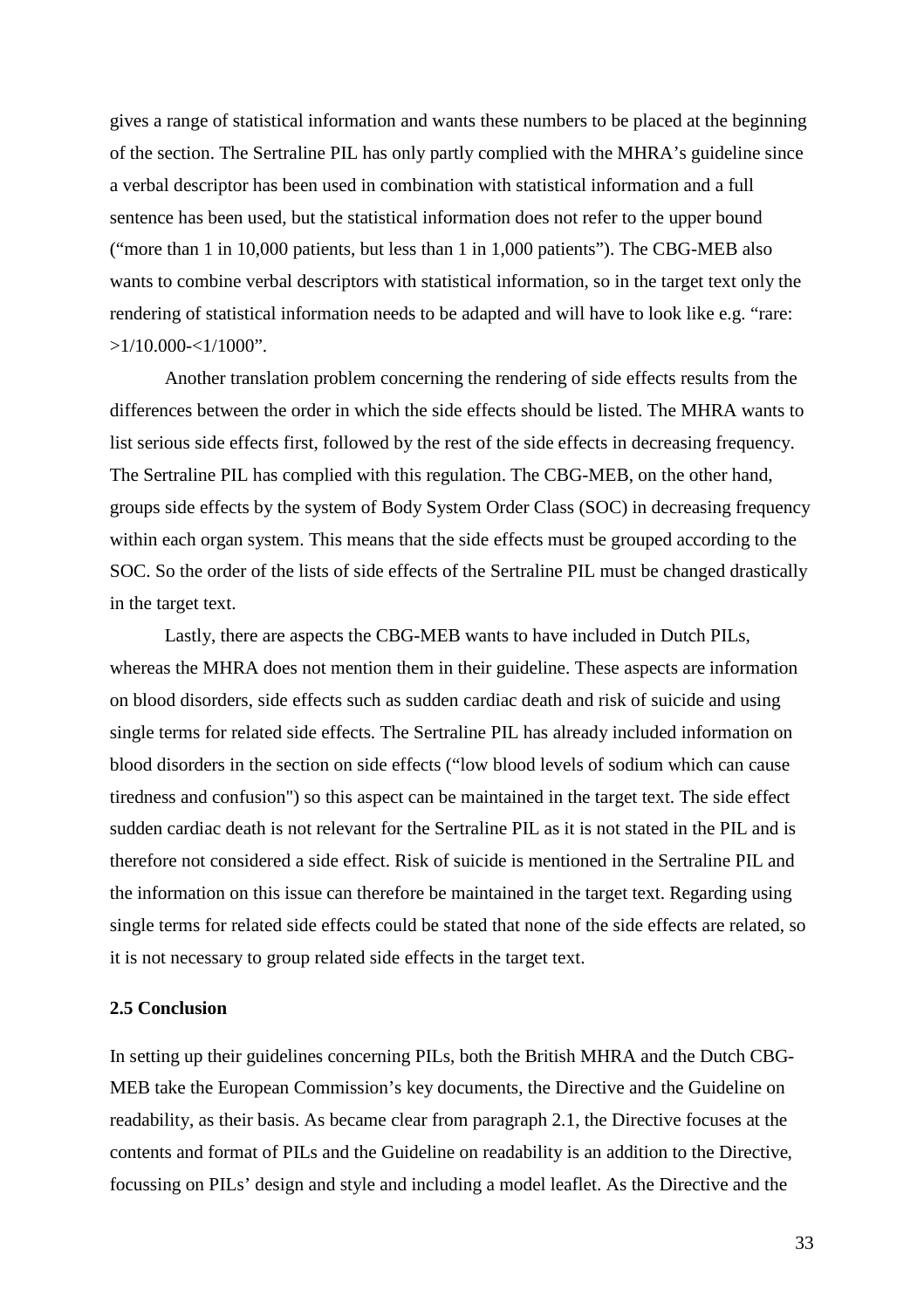gives a range of statistical information and wants these numbers to be placed at the beginning of the section. The Sertraline PIL has only partly complied with the MHRA's guideline since a verbal descriptor has been used in combination with statistical information and a full sentence has been used, but the statistical information does not refer to the upper bound ("more than 1 in 10,000 patients, but less than 1 in 1,000 patients"). The CBG-MEB also wants to combine verbal descriptors with statistical information, so in the target text only the rendering of statistical information needs to be adapted and will have to look like e.g. "rare:  $>1/10.000 < 1/1000$ ".

Another translation problem concerning the rendering of side effects results from the differences between the order in which the side effects should be listed. The MHRA wants to list serious side effects first, followed by the rest of the side effects in decreasing frequency. The Sertraline PIL has complied with this regulation. The CBG-MEB, on the other hand, groups side effects by the system of Body System Order Class (SOC) in decreasing frequency within each organ system. This means that the side effects must be grouped according to the SOC. So the order of the lists of side effects of the Sertraline PIL must be changed drastically in the target text.

Lastly, there are aspects the CBG-MEB wants to have included in Dutch PILs, whereas the MHRA does not mention them in their guideline. These aspects are information on blood disorders, side effects such as sudden cardiac death and risk of suicide and using single terms for related side effects. The Sertraline PIL has already included information on blood disorders in the section on side effects ("low blood levels of sodium which can cause tiredness and confusion") so this aspect can be maintained in the target text. The side effect sudden cardiac death is not relevant for the Sertraline PIL as it is not stated in the PIL and is therefore not considered a side effect. Risk of suicide is mentioned in the Sertraline PIL and the information on this issue can therefore be maintained in the target text. Regarding using single terms for related side effects could be stated that none of the side effects are related, so it is not necessary to group related side effects in the target text.

#### **2.5 Conclusion**

In setting up their guidelines concerning PILs, both the British MHRA and the Dutch CBG-MEB take the European Commission's key documents, the Directive and the Guideline on readability, as their basis. As became clear from paragraph 2.1, the Directive focuses at the contents and format of PILs and the Guideline on readability is an addition to the Directive, focussing on PILs' design and style and including a model leaflet. As the Directive and the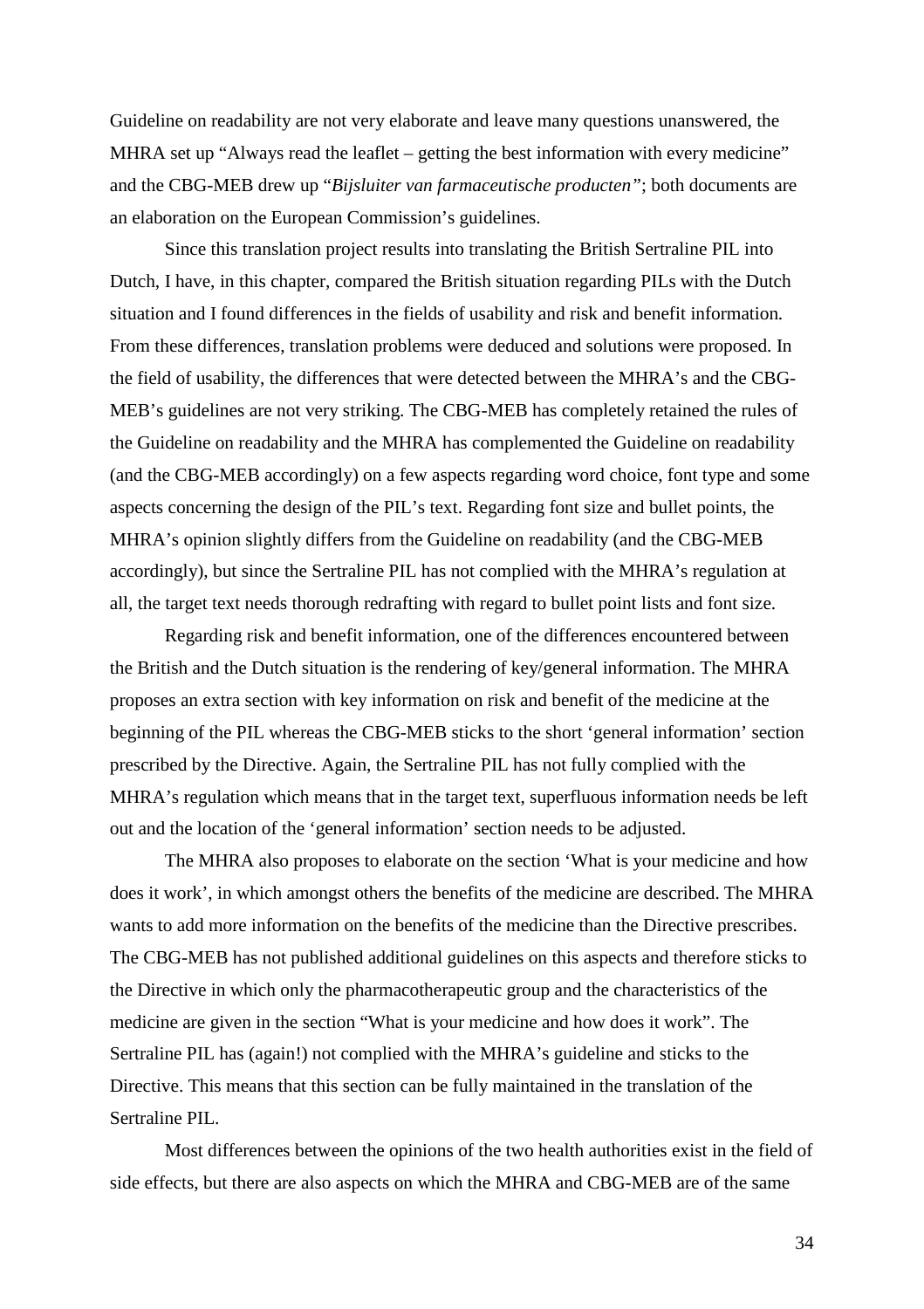Guideline on readability are not very elaborate and leave many questions unanswered, the MHRA set up "Always read the leaflet – getting the best information with every medicine" and the CBG-MEB drew up "*Bijsluiter van farmaceutische producten"*; both documents are an elaboration on the European Commission's guidelines.

Since this translation project results into translating the British Sertraline PIL into Dutch, I have, in this chapter, compared the British situation regarding PILs with the Dutch situation and I found differences in the fields of usability and risk and benefit information. From these differences, translation problems were deduced and solutions were proposed. In the field of usability, the differences that were detected between the MHRA's and the CBG-MEB's guidelines are not very striking. The CBG-MEB has completely retained the rules of the Guideline on readability and the MHRA has complemented the Guideline on readability (and the CBG-MEB accordingly) on a few aspects regarding word choice, font type and some aspects concerning the design of the PIL's text. Regarding font size and bullet points, the MHRA's opinion slightly differs from the Guideline on readability (and the CBG-MEB accordingly), but since the Sertraline PIL has not complied with the MHRA's regulation at all, the target text needs thorough redrafting with regard to bullet point lists and font size.

Regarding risk and benefit information, one of the differences encountered between the British and the Dutch situation is the rendering of key/general information. The MHRA proposes an extra section with key information on risk and benefit of the medicine at the beginning of the PIL whereas the CBG-MEB sticks to the short 'general information' section prescribed by the Directive. Again, the Sertraline PIL has not fully complied with the MHRA's regulation which means that in the target text, superfluous information needs be left out and the location of the 'general information' section needs to be adjusted.

The MHRA also proposes to elaborate on the section 'What is your medicine and how does it work', in which amongst others the benefits of the medicine are described. The MHRA wants to add more information on the benefits of the medicine than the Directive prescribes. The CBG-MEB has not published additional guidelines on this aspects and therefore sticks to the Directive in which only the pharmacotherapeutic group and the characteristics of the medicine are given in the section "What is your medicine and how does it work". The Sertraline PIL has (again!) not complied with the MHRA's guideline and sticks to the Directive. This means that this section can be fully maintained in the translation of the Sertraline PIL.

Most differences between the opinions of the two health authorities exist in the field of side effects, but there are also aspects on which the MHRA and CBG-MEB are of the same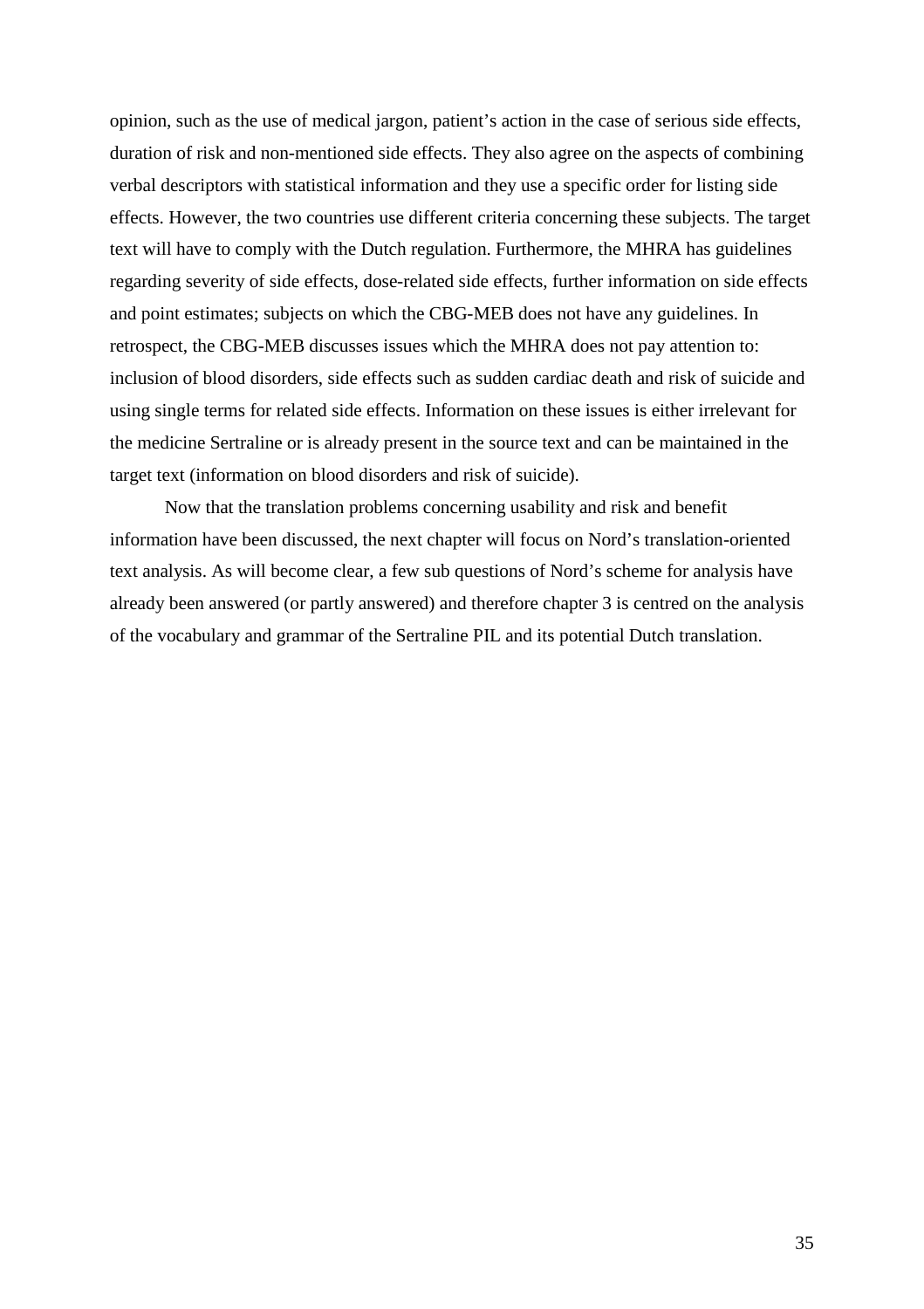opinion, such as the use of medical jargon, patient's action in the case of serious side effects, duration of risk and non-mentioned side effects. They also agree on the aspects of combining verbal descriptors with statistical information and they use a specific order for listing side effects. However, the two countries use different criteria concerning these subjects. The target text will have to comply with the Dutch regulation. Furthermore, the MHRA has guidelines regarding severity of side effects, dose-related side effects, further information on side effects and point estimates; subjects on which the CBG-MEB does not have any guidelines. In retrospect, the CBG-MEB discusses issues which the MHRA does not pay attention to: inclusion of blood disorders, side effects such as sudden cardiac death and risk of suicide and using single terms for related side effects. Information on these issues is either irrelevant for the medicine Sertraline or is already present in the source text and can be maintained in the target text (information on blood disorders and risk of suicide).

Now that the translation problems concerning usability and risk and benefit information have been discussed, the next chapter will focus on Nord's translation-oriented text analysis. As will become clear, a few sub questions of Nord's scheme for analysis have already been answered (or partly answered) and therefore chapter 3 is centred on the analysis of the vocabulary and grammar of the Sertraline PIL and its potential Dutch translation.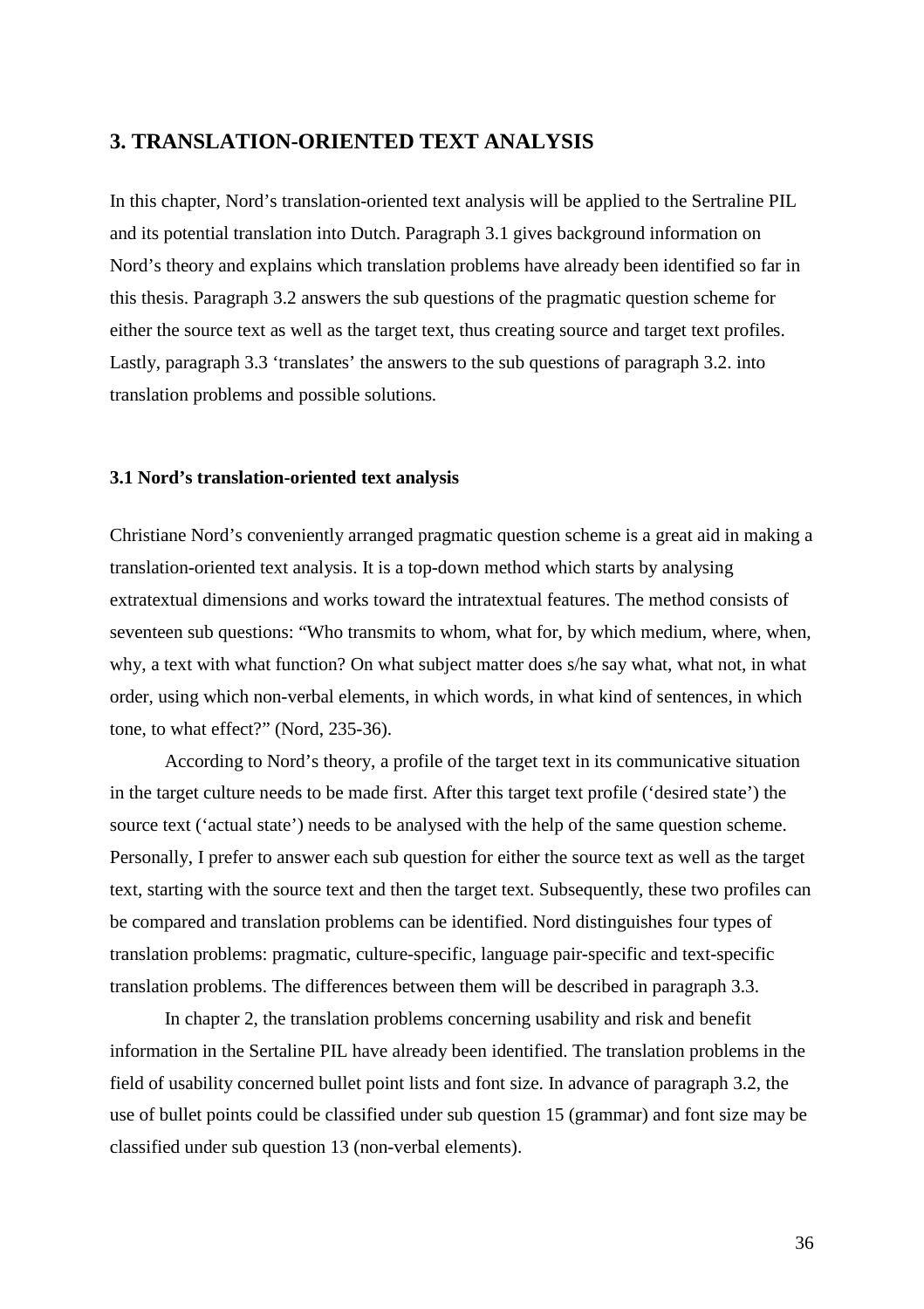## **3. TRANSLATION-ORIENTED TEXT ANALYSIS**

In this chapter, Nord's translation-oriented text analysis will be applied to the Sertraline PIL and its potential translation into Dutch. Paragraph 3.1 gives background information on Nord's theory and explains which translation problems have already been identified so far in this thesis. Paragraph 3.2 answers the sub questions of the pragmatic question scheme for either the source text as well as the target text, thus creating source and target text profiles. Lastly, paragraph 3.3 'translates' the answers to the sub questions of paragraph 3.2. into translation problems and possible solutions.

#### **3.1 Nord's translation-oriented text analysis**

Christiane Nord's conveniently arranged pragmatic question scheme is a great aid in making a translation-oriented text analysis. It is a top-down method which starts by analysing extratextual dimensions and works toward the intratextual features. The method consists of seventeen sub questions: "Who transmits to whom, what for, by which medium, where, when, why, a text with what function? On what subject matter does s/he say what, what not, in what order, using which non-verbal elements, in which words, in what kind of sentences, in which tone, to what effect?" (Nord, 235-36).

According to Nord's theory, a profile of the target text in its communicative situation in the target culture needs to be made first. After this target text profile ('desired state') the source text ('actual state') needs to be analysed with the help of the same question scheme. Personally, I prefer to answer each sub question for either the source text as well as the target text, starting with the source text and then the target text. Subsequently, these two profiles can be compared and translation problems can be identified. Nord distinguishes four types of translation problems: pragmatic, culture-specific, language pair-specific and text-specific translation problems. The differences between them will be described in paragraph 3.3.

In chapter 2, the translation problems concerning usability and risk and benefit information in the Sertaline PIL have already been identified. The translation problems in the field of usability concerned bullet point lists and font size. In advance of paragraph 3.2, the use of bullet points could be classified under sub question 15 (grammar) and font size may be classified under sub question 13 (non-verbal elements).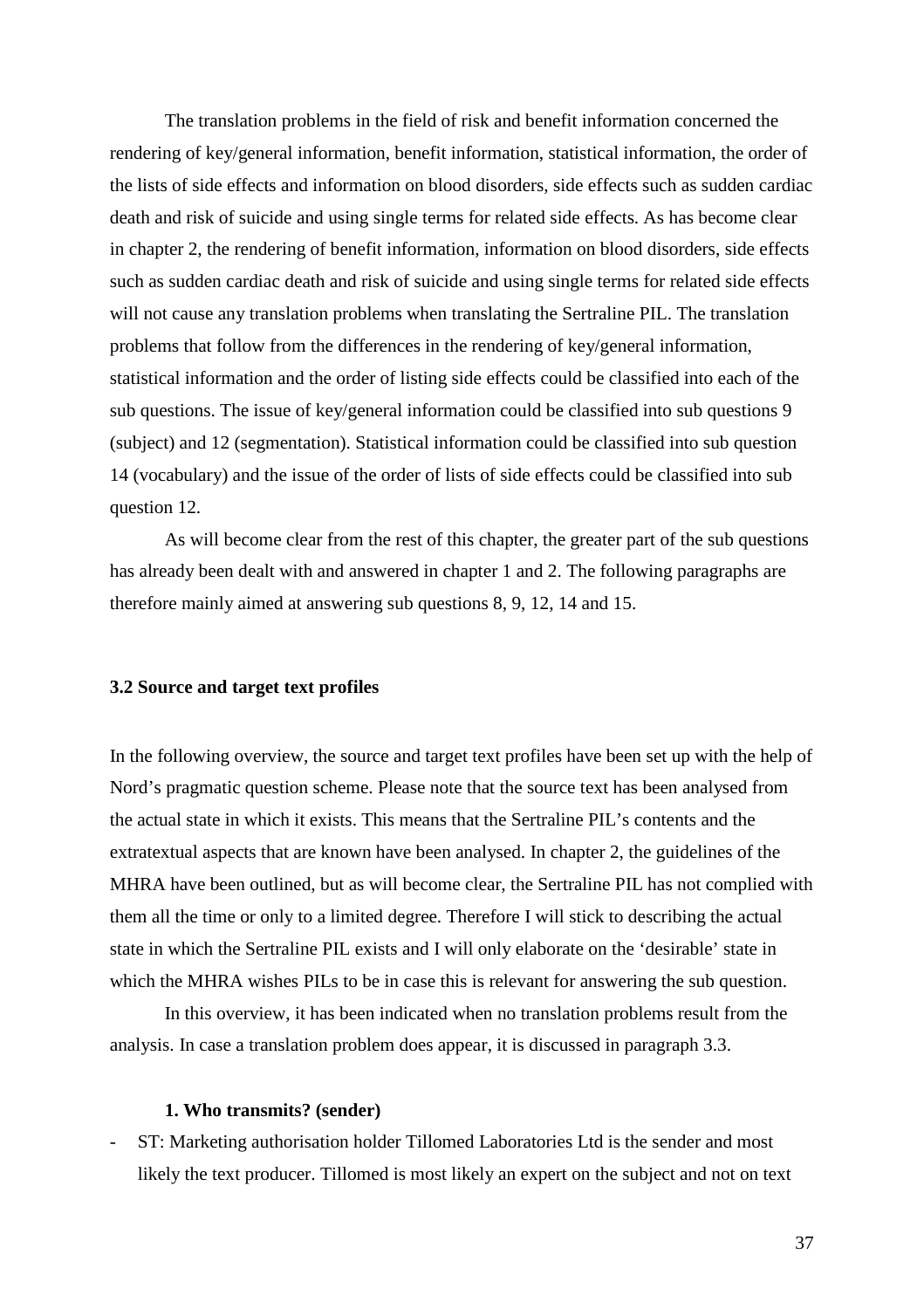The translation problems in the field of risk and benefit information concerned the rendering of key/general information, benefit information, statistical information, the order of the lists of side effects and information on blood disorders, side effects such as sudden cardiac death and risk of suicide and using single terms for related side effects. As has become clear in chapter 2, the rendering of benefit information, information on blood disorders, side effects such as sudden cardiac death and risk of suicide and using single terms for related side effects will not cause any translation problems when translating the Sertraline PIL. The translation problems that follow from the differences in the rendering of key/general information, statistical information and the order of listing side effects could be classified into each of the sub questions. The issue of key/general information could be classified into sub questions 9 (subject) and 12 (segmentation). Statistical information could be classified into sub question 14 (vocabulary) and the issue of the order of lists of side effects could be classified into sub question 12.

As will become clear from the rest of this chapter, the greater part of the sub questions has already been dealt with and answered in chapter 1 and 2. The following paragraphs are therefore mainly aimed at answering sub questions 8, 9, 12, 14 and 15.

#### **3.2 Source and target text profiles**

In the following overview, the source and target text profiles have been set up with the help of Nord's pragmatic question scheme. Please note that the source text has been analysed from the actual state in which it exists. This means that the Sertraline PIL's contents and the extratextual aspects that are known have been analysed. In chapter 2, the guidelines of the MHRA have been outlined, but as will become clear, the Sertraline PIL has not complied with them all the time or only to a limited degree. Therefore I will stick to describing the actual state in which the Sertraline PIL exists and I will only elaborate on the 'desirable' state in which the MHRA wishes PILs to be in case this is relevant for answering the sub question.

In this overview, it has been indicated when no translation problems result from the analysis. In case a translation problem does appear, it is discussed in paragraph 3.3.

#### **1. Who transmits? (sender)**

ST: Marketing authorisation holder Tillomed Laboratories Ltd is the sender and most likely the text producer. Tillomed is most likely an expert on the subject and not on text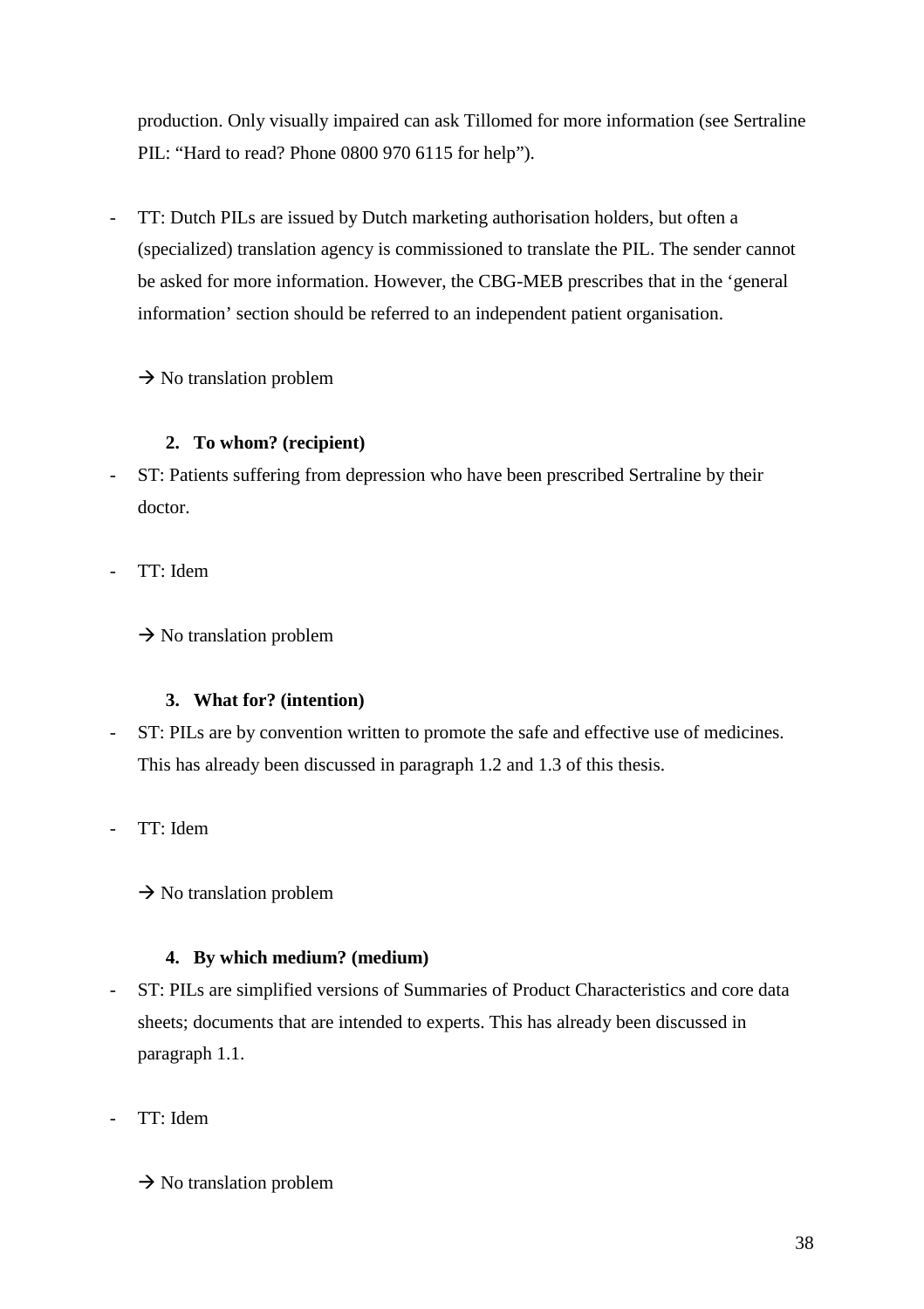production. Only visually impaired can ask Tillomed for more information (see Sertraline PIL: "Hard to read? Phone 0800 970 6115 for help").

TT: Dutch PILs are issued by Dutch marketing authorisation holders, but often a (specialized) translation agency is commissioned to translate the PIL. The sender cannot be asked for more information. However, the CBG-MEB prescribes that in the 'general information' section should be referred to an independent patient organisation.

 $\rightarrow$  No translation problem

### **2. To whom? (recipient)**

- ST: Patients suffering from depression who have been prescribed Sertraline by their doctor.
- TT: Idem

 $\rightarrow$  No translation problem

### **3. What for? (intention)**

- ST: PILs are by convention written to promote the safe and effective use of medicines. This has already been discussed in paragraph 1.2 and 1.3 of this thesis.
- TT: Idem

 $\rightarrow$  No translation problem

### **4. By which medium? (medium)**

- ST: PILs are simplified versions of Summaries of Product Characteristics and core data sheets; documents that are intended to experts. This has already been discussed in paragraph 1.1.
- TT: Idem
	- $\rightarrow$  No translation problem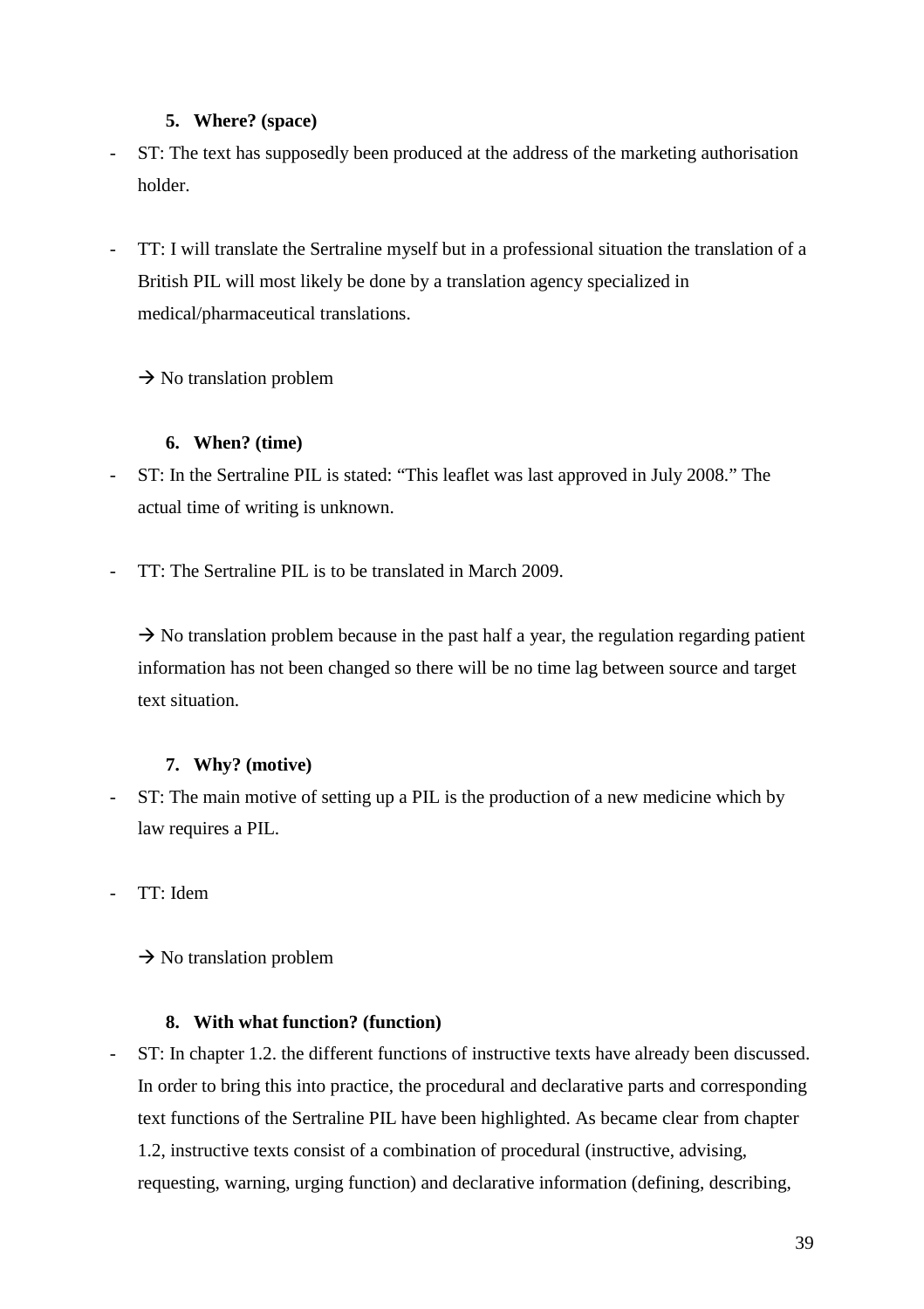### **5. Where? (space)**

- ST: The text has supposedly been produced at the address of the marketing authorisation holder.
- TT: I will translate the Sertraline myself but in a professional situation the translation of a British PIL will most likely be done by a translation agency specialized in medical/pharmaceutical translations.

 $\rightarrow$  No translation problem

### **6. When? (time)**

- ST: In the Sertraline PIL is stated: "This leaflet was last approved in July 2008." The actual time of writing is unknown.
- TT: The Sertraline PIL is to be translated in March 2009.

 $\rightarrow$  No translation problem because in the past half a year, the regulation regarding patient information has not been changed so there will be no time lag between source and target text situation.

### **7. Why? (motive)**

- ST: The main motive of setting up a PIL is the production of a new medicine which by law requires a PIL.
- TT: Idem

 $\rightarrow$  No translation problem

### **8. With what function? (function)**

ST: In chapter 1.2. the different functions of instructive texts have already been discussed. In order to bring this into practice, the procedural and declarative parts and corresponding text functions of the Sertraline PIL have been highlighted. As became clear from chapter 1.2, instructive texts consist of a combination of procedural (instructive, advising, requesting, warning, urging function) and declarative information (defining, describing,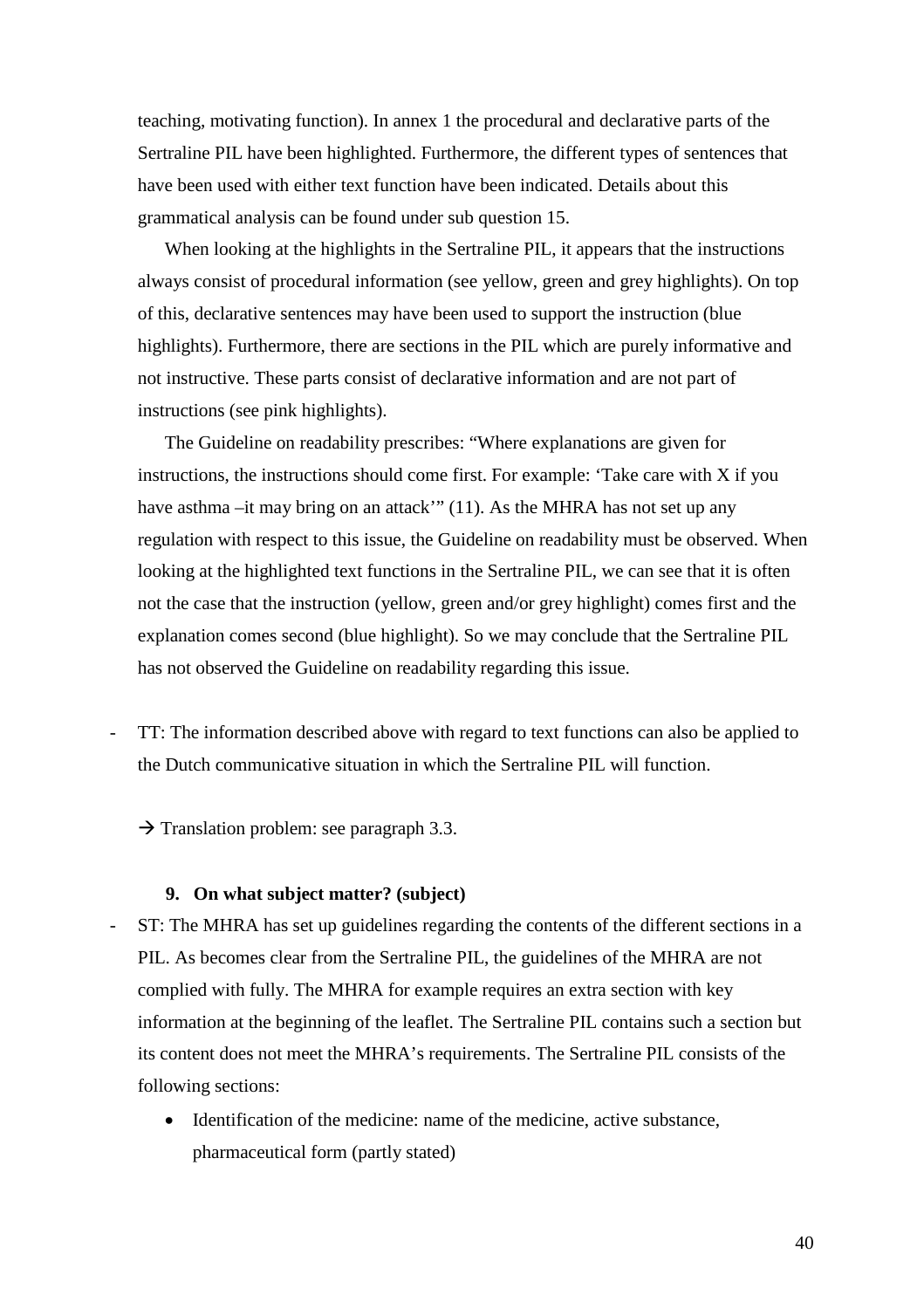teaching, motivating function). In annex 1 the procedural and declarative parts of the Sertraline PIL have been highlighted. Furthermore, the different types of sentences that have been used with either text function have been indicated. Details about this grammatical analysis can be found under sub question 15.

When looking at the highlights in the Sertraline PIL, it appears that the instructions always consist of procedural information (see yellow, green and grey highlights). On top of this, declarative sentences may have been used to support the instruction (blue highlights). Furthermore, there are sections in the PIL which are purely informative and not instructive. These parts consist of declarative information and are not part of instructions (see pink highlights).

The Guideline on readability prescribes: "Where explanations are given for instructions, the instructions should come first. For example: 'Take care with  $X$  if you have asthma –it may bring on an attack'" (11). As the MHRA has not set up any regulation with respect to this issue, the Guideline on readability must be observed. When looking at the highlighted text functions in the Sertraline PIL, we can see that it is often not the case that the instruction (yellow, green and/or grey highlight) comes first and the explanation comes second (blue highlight). So we may conclude that the Sertraline PIL has not observed the Guideline on readability regarding this issue.

- TT: The information described above with regard to text functions can also be applied to the Dutch communicative situation in which the Sertraline PIL will function.

 $\rightarrow$  Translation problem: see paragraph 3.3.

#### **9. On what subject matter? (subject)**

- ST: The MHRA has set up guidelines regarding the contents of the different sections in a PIL. As becomes clear from the Sertraline PIL, the guidelines of the MHRA are not complied with fully. The MHRA for example requires an extra section with key information at the beginning of the leaflet. The Sertraline PIL contains such a section but its content does not meet the MHRA's requirements. The Sertraline PIL consists of the following sections:
	- Identification of the medicine: name of the medicine, active substance, pharmaceutical form (partly stated)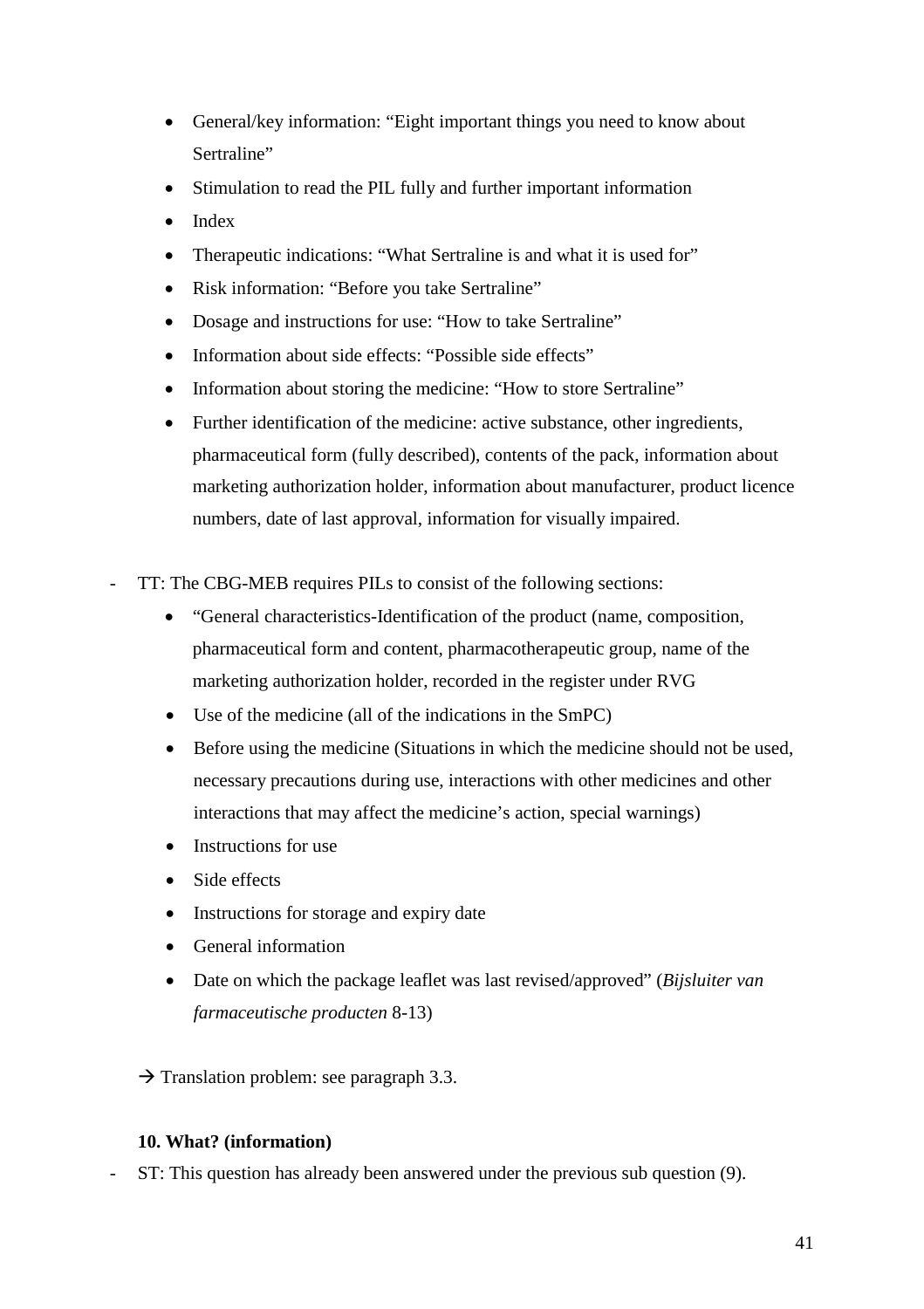- General/key information: "Eight important things you need to know about Sertraline"
- Stimulation to read the PIL fully and further important information
- Index
- Therapeutic indications: "What Sertraline is and what it is used for"
- Risk information: "Before you take Sertraline"
- Dosage and instructions for use: "How to take Sertraline"
- Information about side effects: "Possible side effects"
- Information about storing the medicine: "How to store Sertraline"
- Further identification of the medicine: active substance, other ingredients, pharmaceutical form (fully described), contents of the pack, information about marketing authorization holder, information about manufacturer, product licence numbers, date of last approval, information for visually impaired.
- TT: The CBG-MEB requires PILs to consist of the following sections:
	- "General characteristics-Identification of the product (name, composition, pharmaceutical form and content, pharmacotherapeutic group, name of the marketing authorization holder, recorded in the register under RVG
	- Use of the medicine (all of the indications in the SmPC)
	- Before using the medicine (Situations in which the medicine should not be used, necessary precautions during use, interactions with other medicines and other interactions that may affect the medicine's action, special warnings)
	- Instructions for use
	- Side effects
	- Instructions for storage and expiry date
	- General information
	- Date on which the package leaflet was last revised/approved" (*Bijsluiter van farmaceutische producten* 8-13)

 $\rightarrow$  Translation problem: see paragraph 3.3.

### **10. What? (information)**

- ST: This question has already been answered under the previous sub question (9).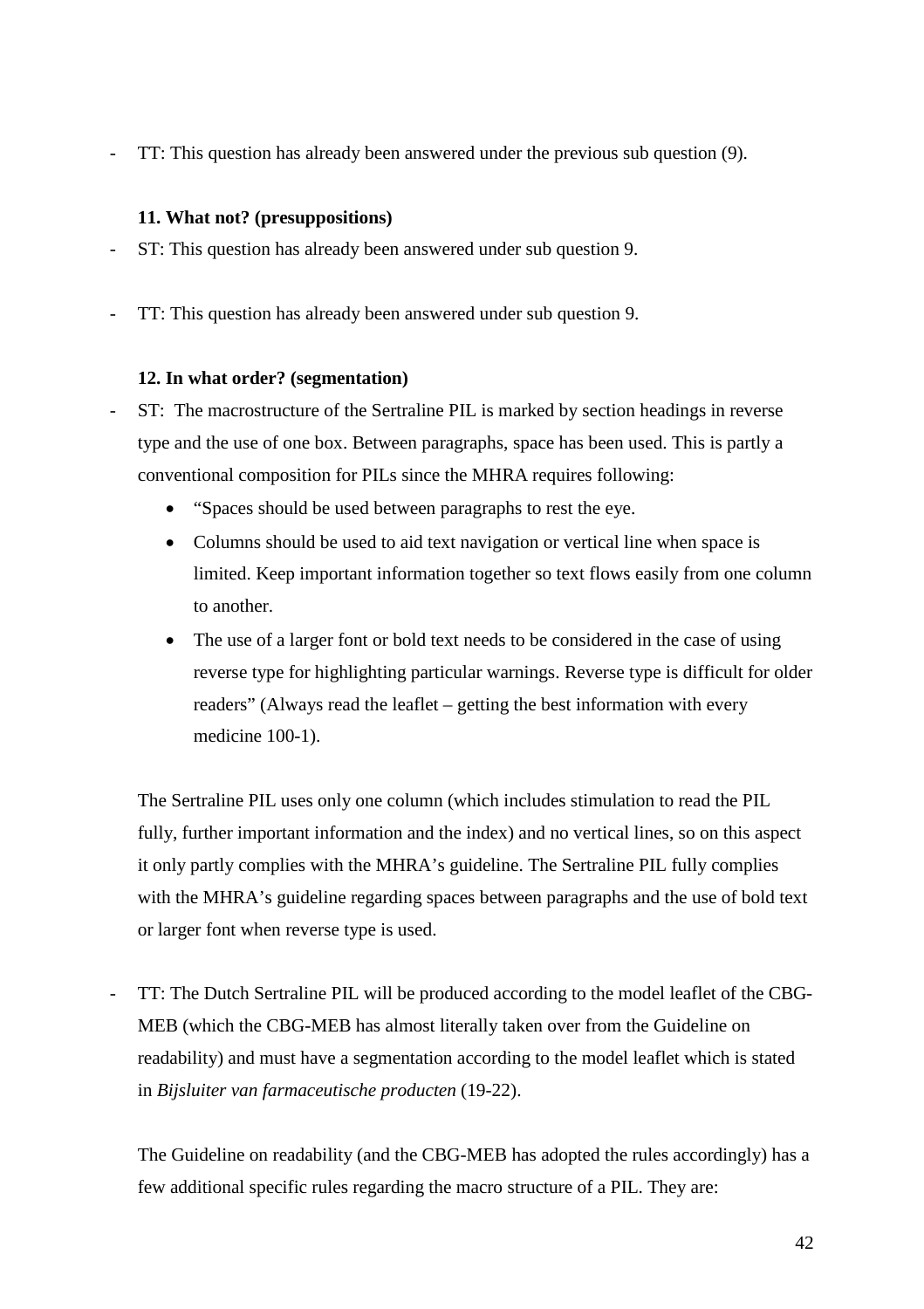- TT: This question has already been answered under the previous sub question (9).

### **11. What not? (presuppositions)**

- ST: This question has already been answered under sub question 9.
- TT: This question has already been answered under sub question 9.

### **12. In what order? (segmentation)**

- ST: The macrostructure of the Sertraline PIL is marked by section headings in reverse type and the use of one box. Between paragraphs, space has been used. This is partly a conventional composition for PILs since the MHRA requires following:
	- "Spaces should be used between paragraphs to rest the eye.
	- Columns should be used to aid text navigation or vertical line when space is limited. Keep important information together so text flows easily from one column to another.
	- The use of a larger font or bold text needs to be considered in the case of using reverse type for highlighting particular warnings. Reverse type is difficult for older readers" (Always read the leaflet – getting the best information with every medicine 100-1).

The Sertraline PIL uses only one column (which includes stimulation to read the PIL fully, further important information and the index) and no vertical lines, so on this aspect it only partly complies with the MHRA's guideline. The Sertraline PIL fully complies with the MHRA's guideline regarding spaces between paragraphs and the use of bold text or larger font when reverse type is used.

- TT: The Dutch Sertraline PIL will be produced according to the model leaflet of the CBG-MEB (which the CBG-MEB has almost literally taken over from the Guideline on readability) and must have a segmentation according to the model leaflet which is stated in *Bijsluiter van farmaceutische producten* (19-22).

The Guideline on readability (and the CBG-MEB has adopted the rules accordingly) has a few additional specific rules regarding the macro structure of a PIL. They are: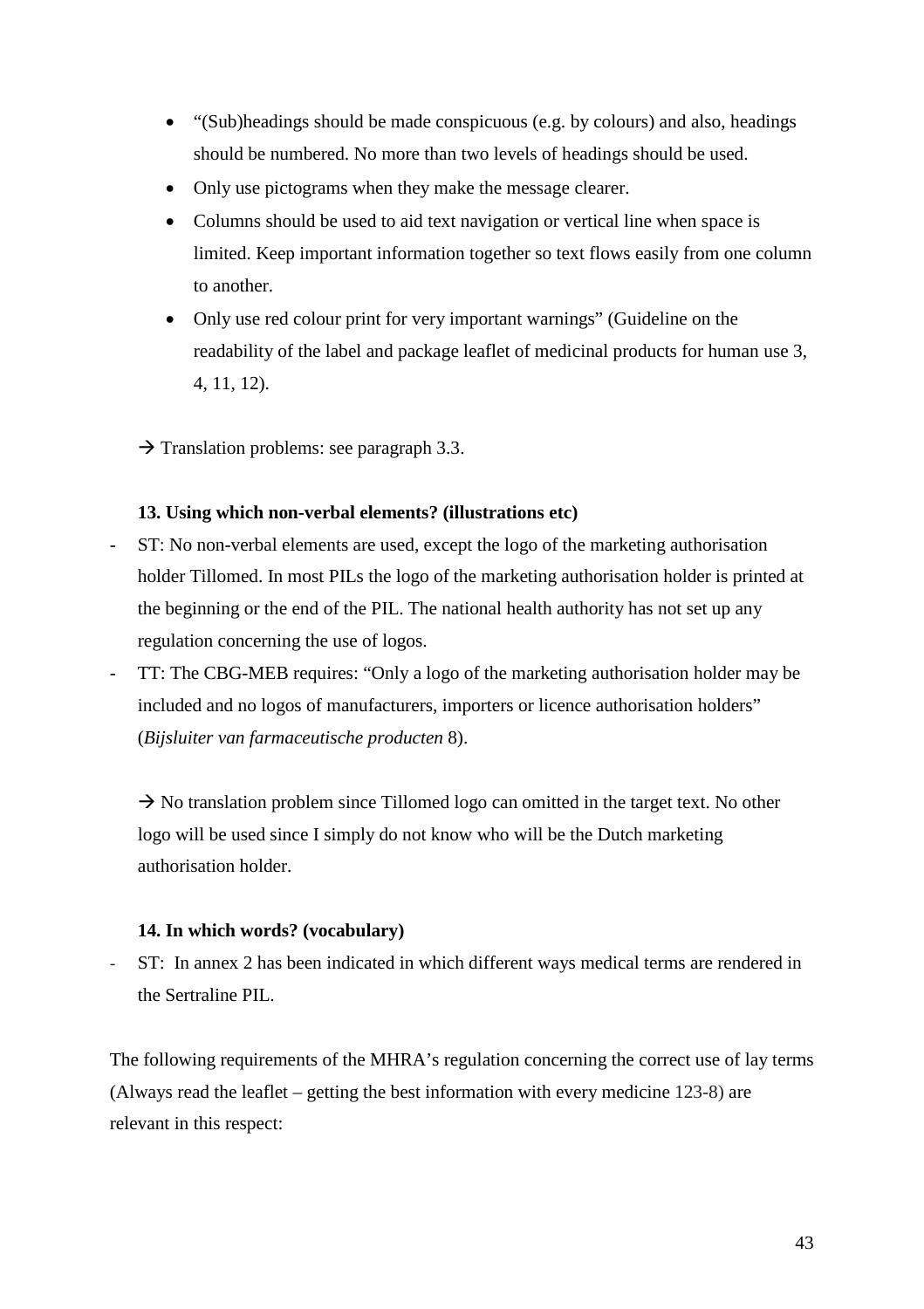- "(Sub)headings should be made conspicuous (e.g. by colours) and also, headings should be numbered. No more than two levels of headings should be used.
- Only use pictograms when they make the message clearer.
- Columns should be used to aid text navigation or vertical line when space is limited. Keep important information together so text flows easily from one column to another.
- Only use red colour print for very important warnings" (Guideline on the readability of the label and package leaflet of medicinal products for human use 3, 4, 11, 12).
- $\rightarrow$  Translation problems: see paragraph 3.3.

### **13. Using which non-verbal elements? (illustrations etc)**

- ST: No non-verbal elements are used, except the logo of the marketing authorisation holder Tillomed. In most PILs the logo of the marketing authorisation holder is printed at the beginning or the end of the PIL. The national health authority has not set up any regulation concerning the use of logos.
- TT: The CBG-MEB requires: "Only a logo of the marketing authorisation holder may be included and no logos of manufacturers, importers or licence authorisation holders" (*Bijsluiter van farmaceutische producten* 8).

 $\rightarrow$  No translation problem since Tillomed logo can omitted in the target text. No other logo will be used since I simply do not know who will be the Dutch marketing authorisation holder.

### **14. In which words? (vocabulary)**

ST: In annex 2 has been indicated in which different ways medical terms are rendered in the Sertraline PIL.

The following requirements of the MHRA's regulation concerning the correct use of lay terms (Always read the leaflet – getting the best information with every medicine 123-8) are relevant in this respect: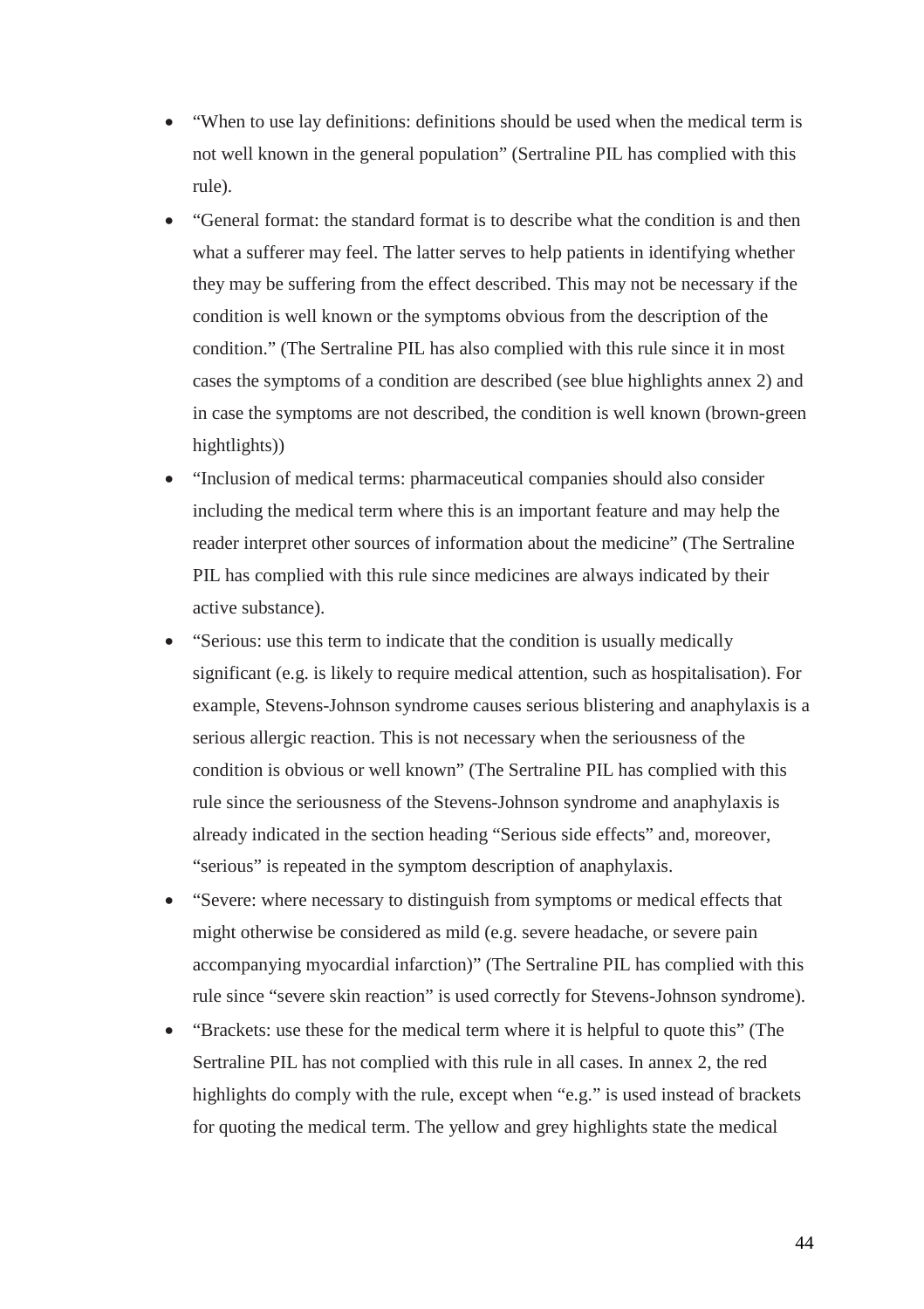- "When to use lay definitions: definitions should be used when the medical term is not well known in the general population" (Sertraline PIL has complied with this rule).
- "General format: the standard format is to describe what the condition is and then what a sufferer may feel. The latter serves to help patients in identifying whether they may be suffering from the effect described. This may not be necessary if the condition is well known or the symptoms obvious from the description of the condition." (The Sertraline PIL has also complied with this rule since it in most cases the symptoms of a condition are described (see blue highlights annex 2) and in case the symptoms are not described, the condition is well known (brown-green hightlights))
- "Inclusion of medical terms: pharmaceutical companies should also consider including the medical term where this is an important feature and may help the reader interpret other sources of information about the medicine" (The Sertraline PIL has complied with this rule since medicines are always indicated by their active substance).
- "Serious: use this term to indicate that the condition is usually medically significant (e.g. is likely to require medical attention, such as hospitalisation). For example, Stevens-Johnson syndrome causes serious blistering and anaphylaxis is a serious allergic reaction. This is not necessary when the seriousness of the condition is obvious or well known" (The Sertraline PIL has complied with this rule since the seriousness of the Stevens-Johnson syndrome and anaphylaxis is already indicated in the section heading "Serious side effects" and, moreover, "serious" is repeated in the symptom description of anaphylaxis.
- "Severe: where necessary to distinguish from symptoms or medical effects that might otherwise be considered as mild (e.g. severe headache, or severe pain accompanying myocardial infarction)" (The Sertraline PIL has complied with this rule since "severe skin reaction" is used correctly for Stevens-Johnson syndrome).
- "Brackets: use these for the medical term where it is helpful to quote this" (The Sertraline PIL has not complied with this rule in all cases. In annex 2, the red highlights do comply with the rule, except when "e.g." is used instead of brackets for quoting the medical term. The yellow and grey highlights state the medical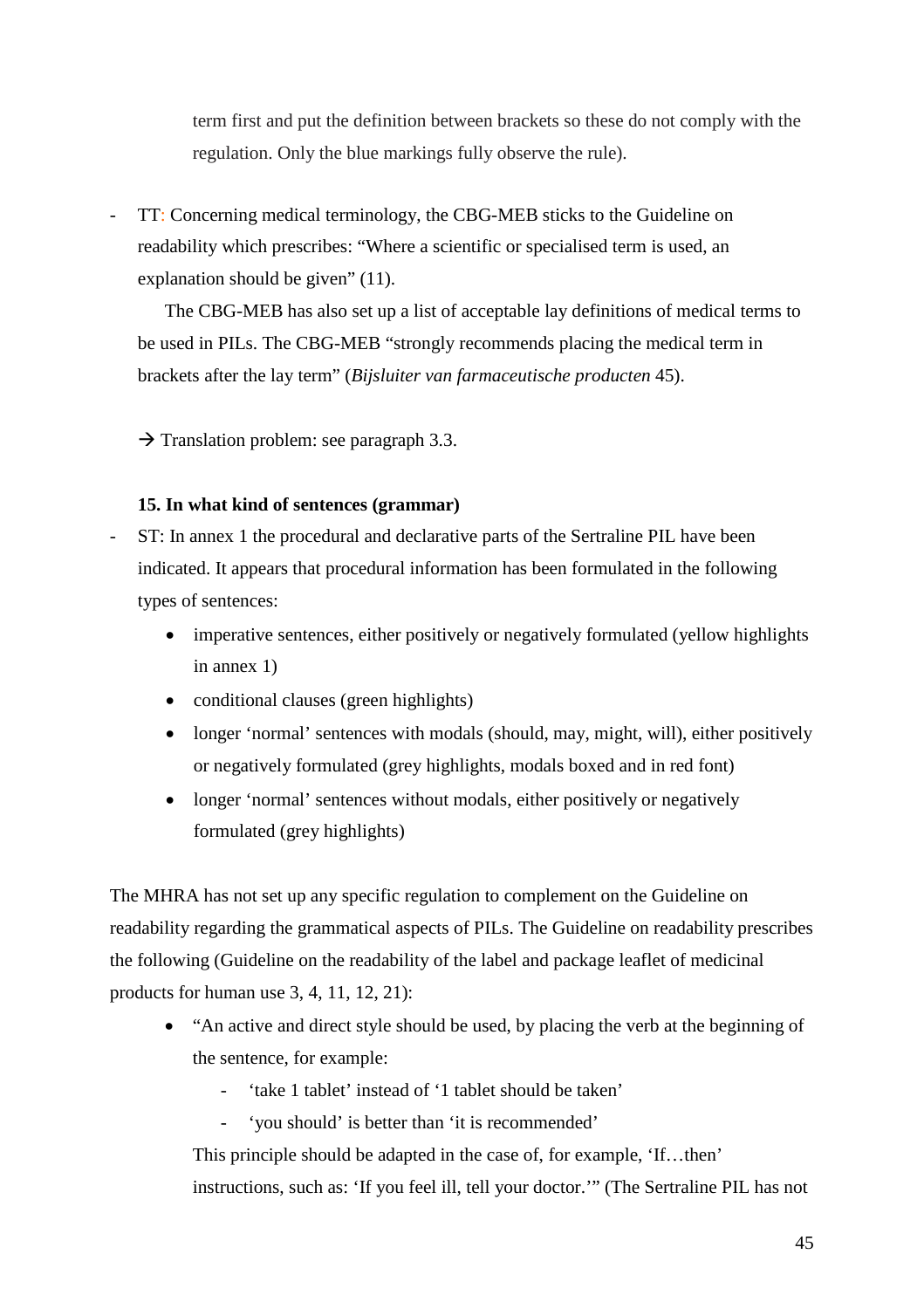term first and put the definition between brackets so these do not comply with the regulation. Only the blue markings fully observe the rule).

TT: Concerning medical terminology, the CBG-MEB sticks to the Guideline on readability which prescribes: "Where a scientific or specialised term is used, an explanation should be given" (11).

The CBG-MEB has also set up a list of acceptable lay definitions of medical terms to be used in PILs. The CBG-MEB "strongly recommends placing the medical term in brackets after the lay term" (*Bijsluiter van farmaceutische producten* 45).

 $\rightarrow$  Translation problem: see paragraph 3.3.

### **15. In what kind of sentences (grammar)**

- ST: In annex 1 the procedural and declarative parts of the Sertraline PIL have been indicated. It appears that procedural information has been formulated in the following types of sentences:
	- imperative sentences, either positively or negatively formulated (yellow highlights in annex 1)
	- conditional clauses (green highlights)
	- longer 'normal' sentences with modals (should, may, might, will), either positively or negatively formulated (grey highlights, modals boxed and in red font)
	- longer 'normal' sentences without modals, either positively or negatively formulated (grey highlights)

The MHRA has not set up any specific regulation to complement on the Guideline on readability regarding the grammatical aspects of PILs. The Guideline on readability prescribes the following (Guideline on the readability of the label and package leaflet of medicinal products for human use 3, 4, 11, 12, 21):

- "An active and direct style should be used, by placing the verb at the beginning of the sentence, for example:
	- 'take 1 tablet' instead of '1 tablet should be taken'
	- 'you should' is better than 'it is recommended'

This principle should be adapted in the case of, for example, 'If…then' instructions, such as: 'If you feel ill, tell your doctor.'" (The Sertraline PIL has not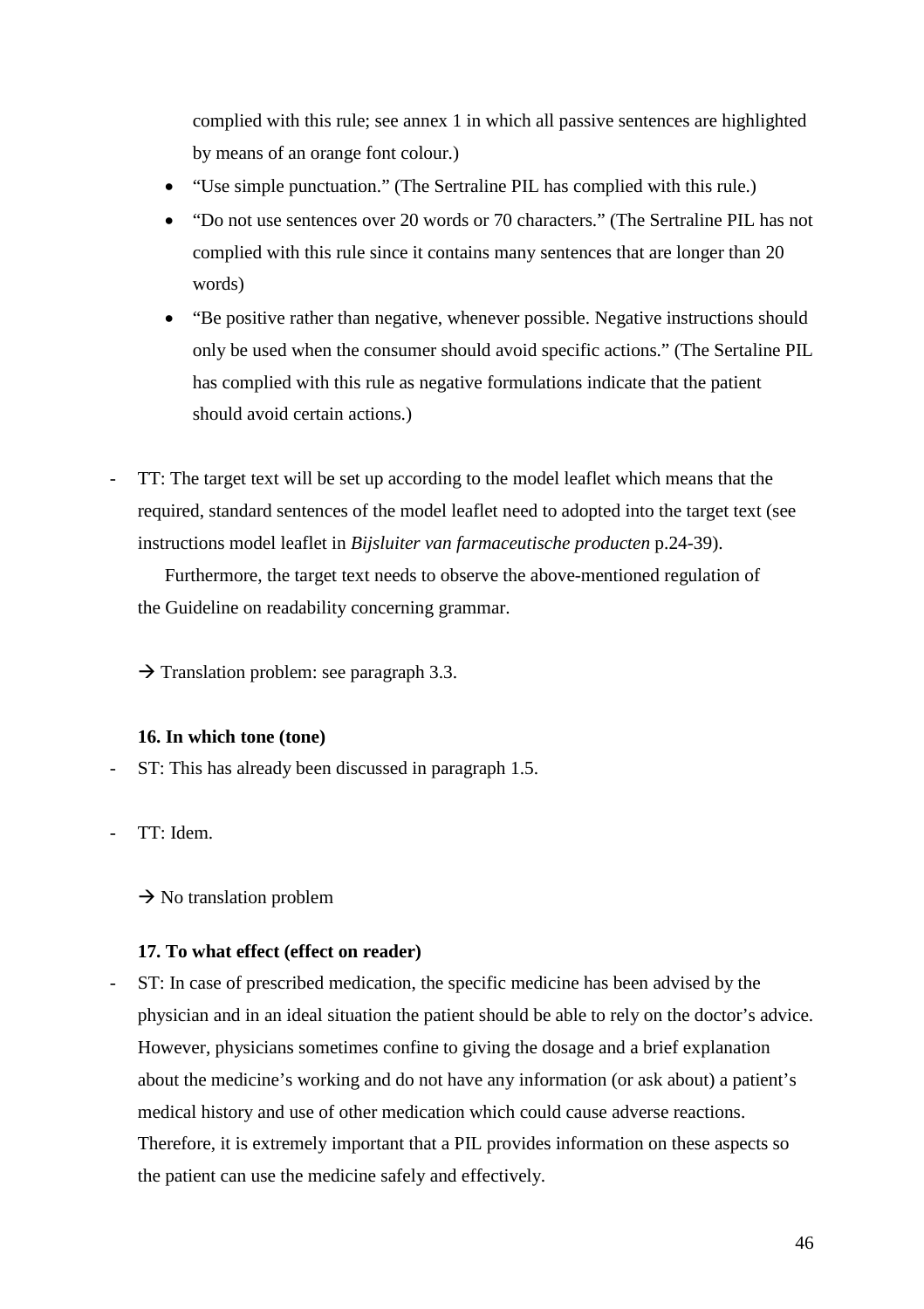complied with this rule; see annex 1 in which all passive sentences are highlighted by means of an orange font colour.)

- "Use simple punctuation." (The Sertraline PIL has complied with this rule.)
- "Do not use sentences over 20 words or 70 characters." (The Sertraline PIL has not complied with this rule since it contains many sentences that are longer than 20 words)
- "Be positive rather than negative, whenever possible. Negative instructions should only be used when the consumer should avoid specific actions." (The Sertaline PIL has complied with this rule as negative formulations indicate that the patient should avoid certain actions.)
- TT: The target text will be set up according to the model leaflet which means that the required, standard sentences of the model leaflet need to adopted into the target text (see instructions model leaflet in *Bijsluiter van farmaceutische producten* p.24-39).

Furthermore, the target text needs to observe the above-mentioned regulation of the Guideline on readability concerning grammar.

 $\rightarrow$  Translation problem: see paragraph 3.3.

### **16. In which tone (tone)**

- ST: This has already been discussed in paragraph 1.5.
- TT: Idem.

 $\rightarrow$  No translation problem

### **17. To what effect (effect on reader)**

- ST: In case of prescribed medication, the specific medicine has been advised by the physician and in an ideal situation the patient should be able to rely on the doctor's advice. However, physicians sometimes confine to giving the dosage and a brief explanation about the medicine's working and do not have any information (or ask about) a patient's medical history and use of other medication which could cause adverse reactions. Therefore, it is extremely important that a PIL provides information on these aspects so the patient can use the medicine safely and effectively.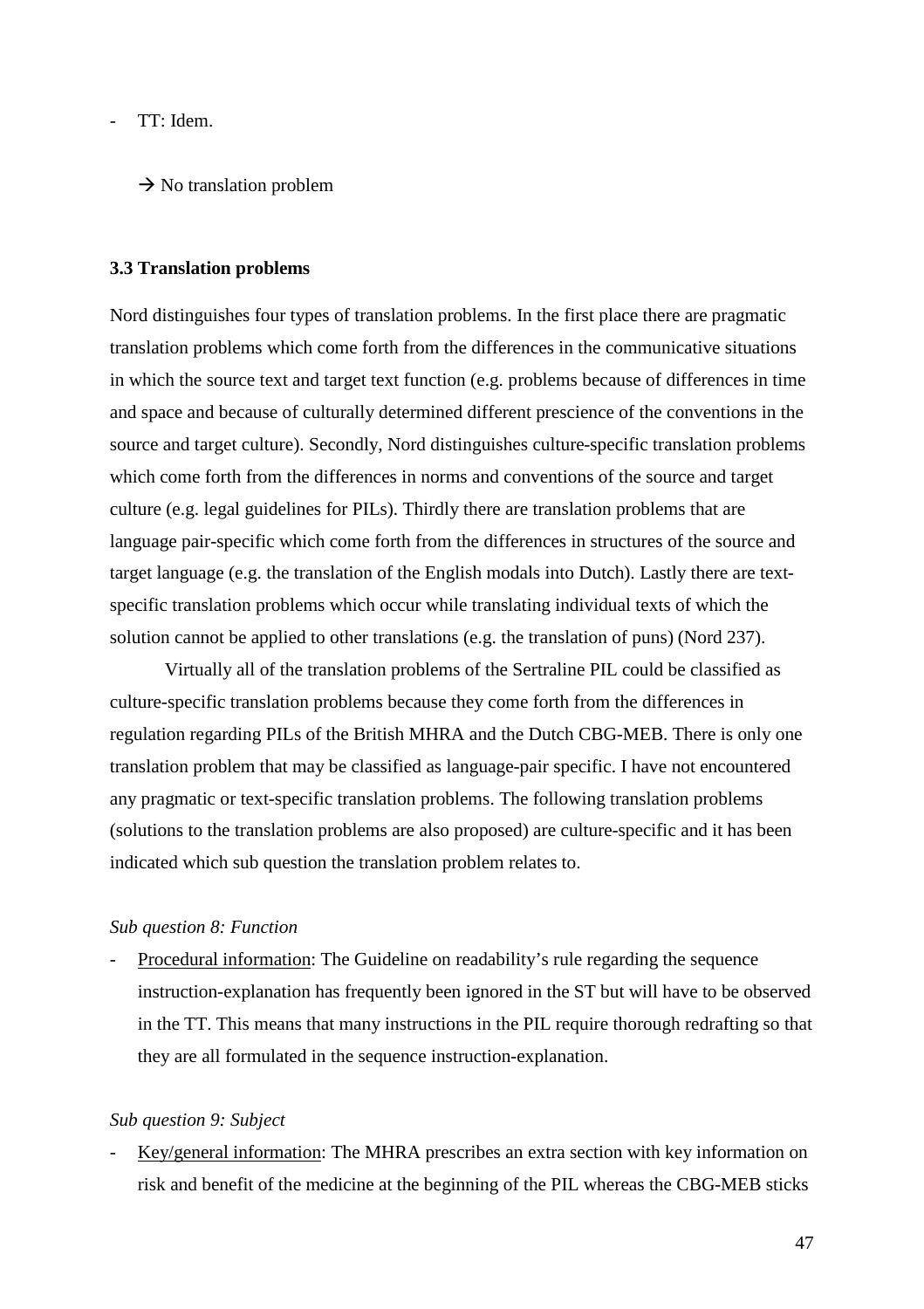TT: Idem.

 $\rightarrow$  No translation problem

#### **3.3 Translation problems**

Nord distinguishes four types of translation problems. In the first place there are pragmatic translation problems which come forth from the differences in the communicative situations in which the source text and target text function (e.g. problems because of differences in time and space and because of culturally determined different prescience of the conventions in the source and target culture). Secondly, Nord distinguishes culture-specific translation problems which come forth from the differences in norms and conventions of the source and target culture (e.g. legal guidelines for PILs). Thirdly there are translation problems that are language pair-specific which come forth from the differences in structures of the source and target language (e.g. the translation of the English modals into Dutch). Lastly there are textspecific translation problems which occur while translating individual texts of which the solution cannot be applied to other translations (e.g. the translation of puns) (Nord 237).

Virtually all of the translation problems of the Sertraline PIL could be classified as culture-specific translation problems because they come forth from the differences in regulation regarding PILs of the British MHRA and the Dutch CBG-MEB. There is only one translation problem that may be classified as language-pair specific. I have not encountered any pragmatic or text-specific translation problems. The following translation problems (solutions to the translation problems are also proposed) are culture-specific and it has been indicated which sub question the translation problem relates to.

#### *Sub question 8: Function*

Procedural information: The Guideline on readability's rule regarding the sequence instruction-explanation has frequently been ignored in the ST but will have to be observed in the TT. This means that many instructions in the PIL require thorough redrafting so that they are all formulated in the sequence instruction-explanation.

#### *Sub question 9: Subject*

Key/general information: The MHRA prescribes an extra section with key information on risk and benefit of the medicine at the beginning of the PIL whereas the CBG-MEB sticks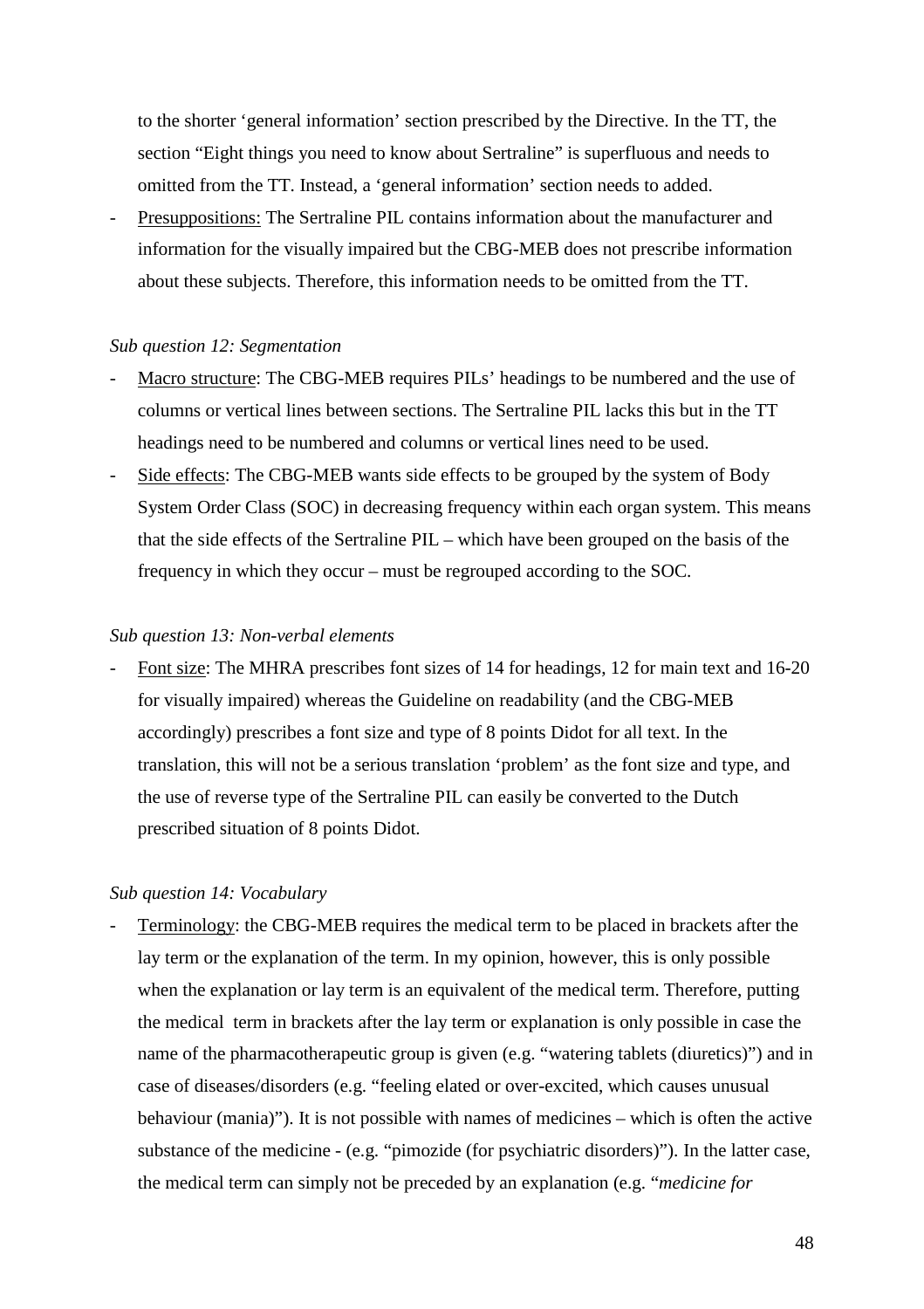to the shorter 'general information' section prescribed by the Directive. In the TT, the section "Eight things you need to know about Sertraline" is superfluous and needs to omitted from the TT. Instead, a 'general information' section needs to added.

Presuppositions: The Sertraline PIL contains information about the manufacturer and information for the visually impaired but the CBG-MEB does not prescribe information about these subjects. Therefore, this information needs to be omitted from the TT.

#### *Sub question 12: Segmentation*

- Macro structure: The CBG-MEB requires PILs' headings to be numbered and the use of columns or vertical lines between sections. The Sertraline PIL lacks this but in the TT headings need to be numbered and columns or vertical lines need to be used.
- Side effects: The CBG-MEB wants side effects to be grouped by the system of Body System Order Class (SOC) in decreasing frequency within each organ system. This means that the side effects of the Sertraline PIL – which have been grouped on the basis of the frequency in which they occur – must be regrouped according to the SOC.

#### *Sub question 13: Non-verbal elements*

Font size: The MHRA prescribes font sizes of 14 for headings, 12 for main text and 16-20 for visually impaired) whereas the Guideline on readability (and the CBG-MEB accordingly) prescribes a font size and type of 8 points Didot for all text. In the translation, this will not be a serious translation 'problem' as the font size and type, and the use of reverse type of the Sertraline PIL can easily be converted to the Dutch prescribed situation of 8 points Didot.

#### *Sub question 14: Vocabulary*

Terminology: the CBG-MEB requires the medical term to be placed in brackets after the lay term or the explanation of the term. In my opinion, however, this is only possible when the explanation or lay term is an equivalent of the medical term. Therefore, putting the medical term in brackets after the lay term or explanation is only possible in case the name of the pharmacotherapeutic group is given (e.g. "watering tablets (diuretics)") and in case of diseases/disorders (e.g. "feeling elated or over-excited, which causes unusual behaviour (mania)"). It is not possible with names of medicines – which is often the active substance of the medicine - (e.g. "pimozide (for psychiatric disorders)"). In the latter case, the medical term can simply not be preceded by an explanation (e.g. "*medicine for*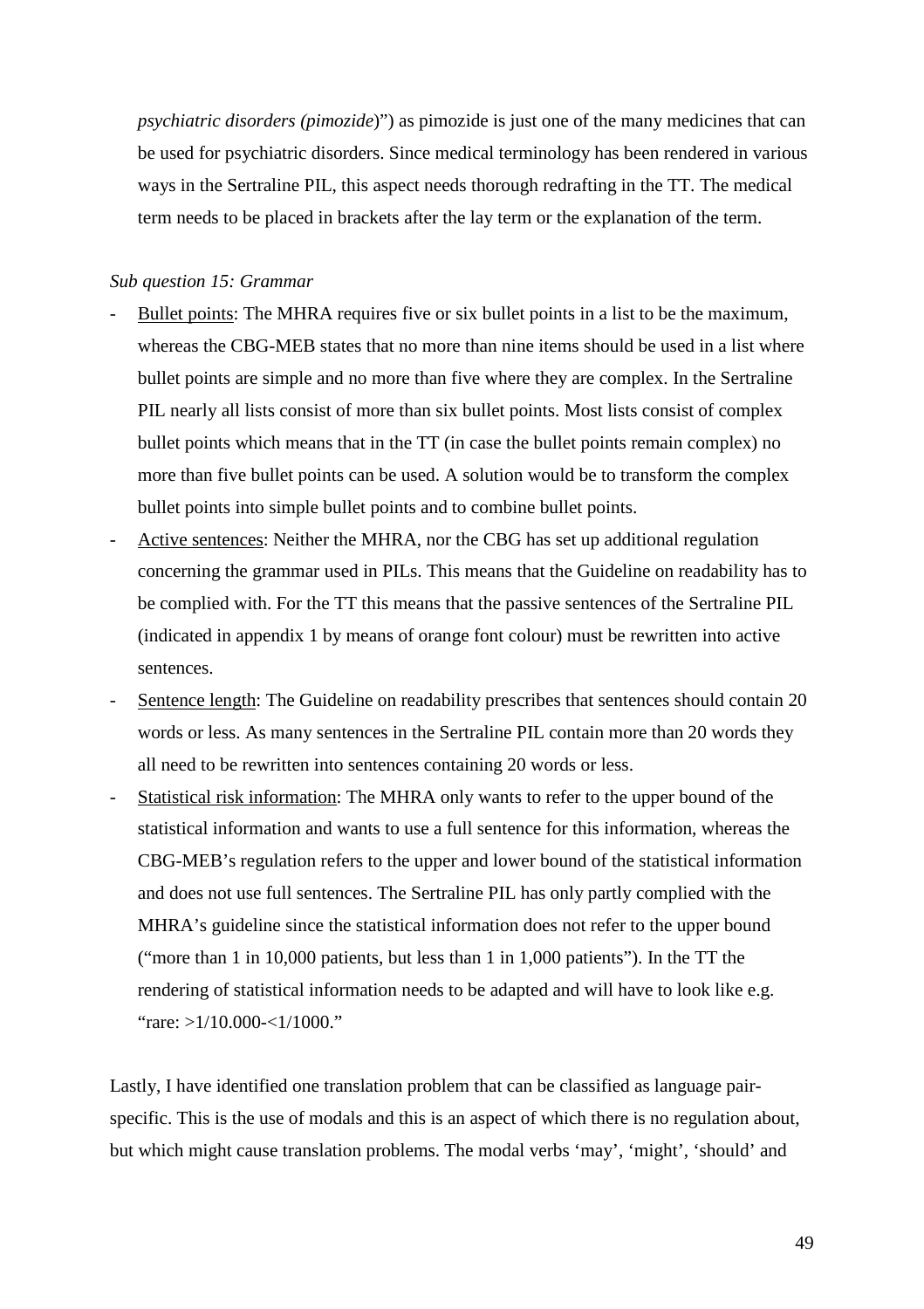*psychiatric disorders (pimozide*)") as pimozide is just one of the many medicines that can be used for psychiatric disorders. Since medical terminology has been rendered in various ways in the Sertraline PIL, this aspect needs thorough redrafting in the TT. The medical term needs to be placed in brackets after the lay term or the explanation of the term.

#### *Sub question 15: Grammar*

- Bullet points: The MHRA requires five or six bullet points in a list to be the maximum, whereas the CBG-MEB states that no more than nine items should be used in a list where bullet points are simple and no more than five where they are complex. In the Sertraline PIL nearly all lists consist of more than six bullet points. Most lists consist of complex bullet points which means that in the TT (in case the bullet points remain complex) no more than five bullet points can be used. A solution would be to transform the complex bullet points into simple bullet points and to combine bullet points.
- Active sentences: Neither the MHRA, nor the CBG has set up additional regulation concerning the grammar used in PILs. This means that the Guideline on readability has to be complied with. For the TT this means that the passive sentences of the Sertraline PIL (indicated in appendix 1 by means of orange font colour) must be rewritten into active sentences.
- Sentence length: The Guideline on readability prescribes that sentences should contain 20 words or less. As many sentences in the Sertraline PIL contain more than 20 words they all need to be rewritten into sentences containing 20 words or less.
- Statistical risk information: The MHRA only wants to refer to the upper bound of the statistical information and wants to use a full sentence for this information, whereas the CBG-MEB's regulation refers to the upper and lower bound of the statistical information and does not use full sentences. The Sertraline PIL has only partly complied with the MHRA's guideline since the statistical information does not refer to the upper bound ("more than 1 in 10,000 patients, but less than 1 in 1,000 patients"). In the TT the rendering of statistical information needs to be adapted and will have to look like e.g. "rare: >1/10.000-<1/1000."

Lastly, I have identified one translation problem that can be classified as language pairspecific. This is the use of modals and this is an aspect of which there is no regulation about, but which might cause translation problems. The modal verbs 'may', 'might', 'should' and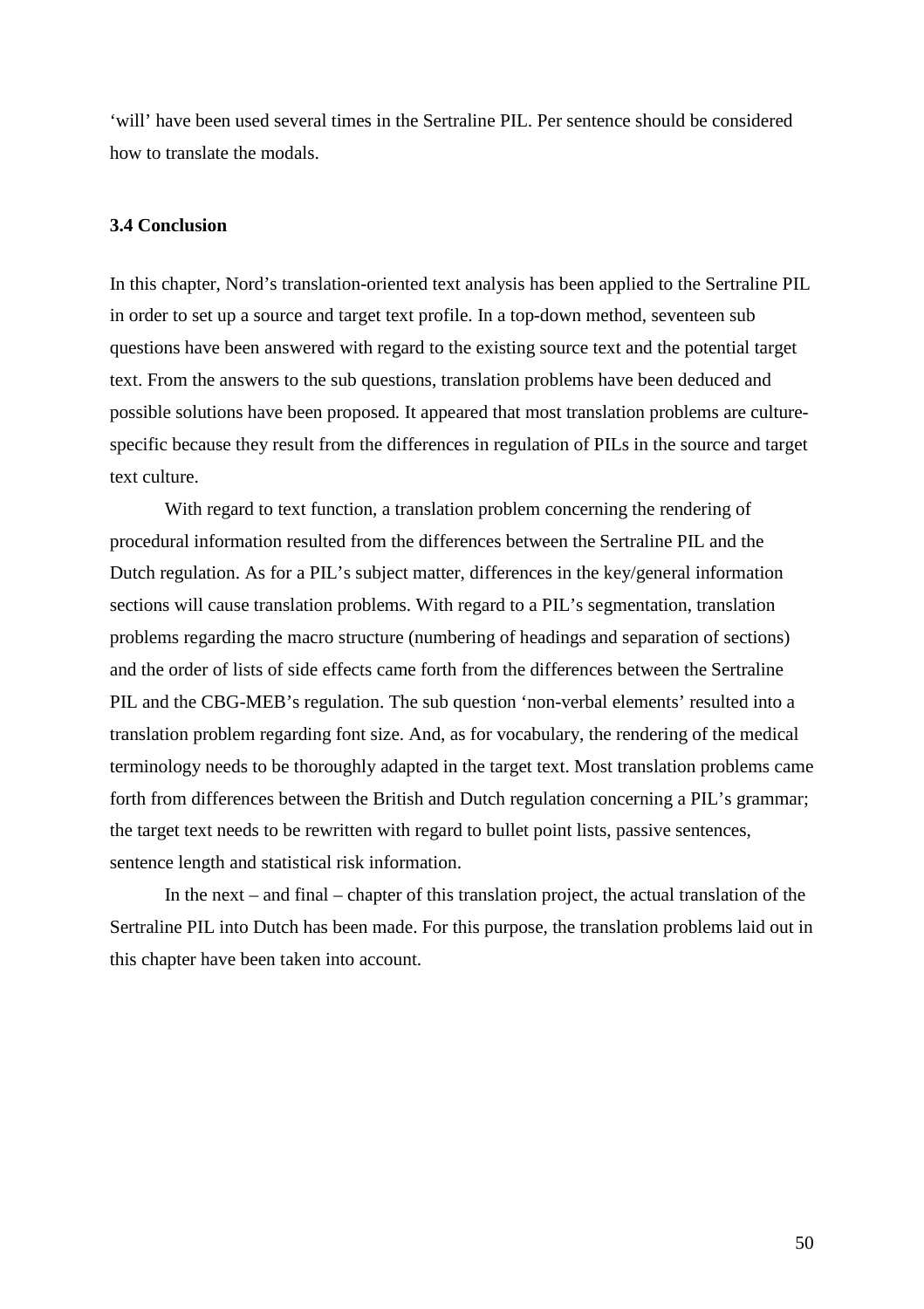'will' have been used several times in the Sertraline PIL. Per sentence should be considered how to translate the modals.

#### **3.4 Conclusion**

In this chapter, Nord's translation-oriented text analysis has been applied to the Sertraline PIL in order to set up a source and target text profile. In a top-down method, seventeen sub questions have been answered with regard to the existing source text and the potential target text. From the answers to the sub questions, translation problems have been deduced and possible solutions have been proposed. It appeared that most translation problems are culturespecific because they result from the differences in regulation of PILs in the source and target text culture.

With regard to text function, a translation problem concerning the rendering of procedural information resulted from the differences between the Sertraline PIL and the Dutch regulation. As for a PIL's subject matter, differences in the key/general information sections will cause translation problems. With regard to a PIL's segmentation, translation problems regarding the macro structure (numbering of headings and separation of sections) and the order of lists of side effects came forth from the differences between the Sertraline PIL and the CBG-MEB's regulation. The sub question 'non-verbal elements' resulted into a translation problem regarding font size. And, as for vocabulary, the rendering of the medical terminology needs to be thoroughly adapted in the target text. Most translation problems came forth from differences between the British and Dutch regulation concerning a PIL's grammar; the target text needs to be rewritten with regard to bullet point lists, passive sentences, sentence length and statistical risk information.

In the next – and final – chapter of this translation project, the actual translation of the Sertraline PIL into Dutch has been made. For this purpose, the translation problems laid out in this chapter have been taken into account.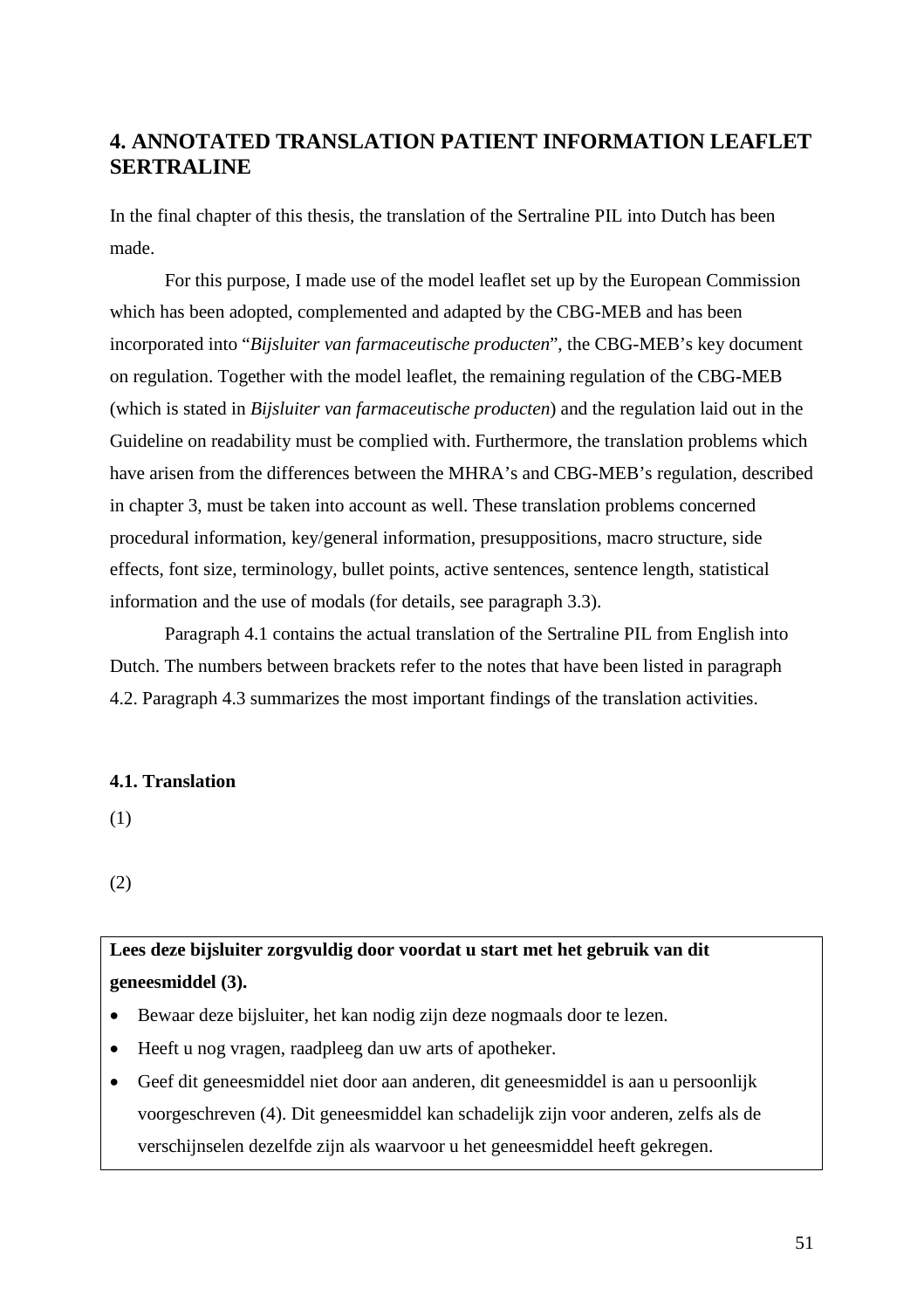# **4. ANNOTATED TRANSLATION PATIENT INFORMATION LEAFLET SERTRALINE**

In the final chapter of this thesis, the translation of the Sertraline PIL into Dutch has been made.

For this purpose, I made use of the model leaflet set up by the European Commission which has been adopted, complemented and adapted by the CBG-MEB and has been incorporated into "*Bijsluiter van farmaceutische producten*", the CBG-MEB's key document on regulation. Together with the model leaflet, the remaining regulation of the CBG-MEB (which is stated in *Bijsluiter van farmaceutische producten*) and the regulation laid out in the Guideline on readability must be complied with. Furthermore, the translation problems which have arisen from the differences between the MHRA's and CBG-MEB's regulation, described in chapter 3, must be taken into account as well. These translation problems concerned procedural information, key/general information, presuppositions, macro structure, side effects, font size, terminology, bullet points, active sentences, sentence length, statistical information and the use of modals (for details, see paragraph 3.3).

Paragraph 4.1 contains the actual translation of the Sertraline PIL from English into Dutch. The numbers between brackets refer to the notes that have been listed in paragraph 4.2. Paragraph 4.3 summarizes the most important findings of the translation activities.

#### **4.1. Translation**

(1)

(2)

# **Lees deze bijsluiter zorgvuldig door voordat u start met het gebruik van dit geneesmiddel (3).**

- Bewaar deze bijsluiter, het kan nodig zijn deze nogmaals door te lezen.
- Heeft u nog vragen, raadpleeg dan uw arts of apotheker.
- Geef dit geneesmiddel niet door aan anderen, dit geneesmiddel is aan u persoonlijk voorgeschreven (4). Dit geneesmiddel kan schadelijk zijn voor anderen, zelfs als de verschijnselen dezelfde zijn als waarvoor u het geneesmiddel heeft gekregen.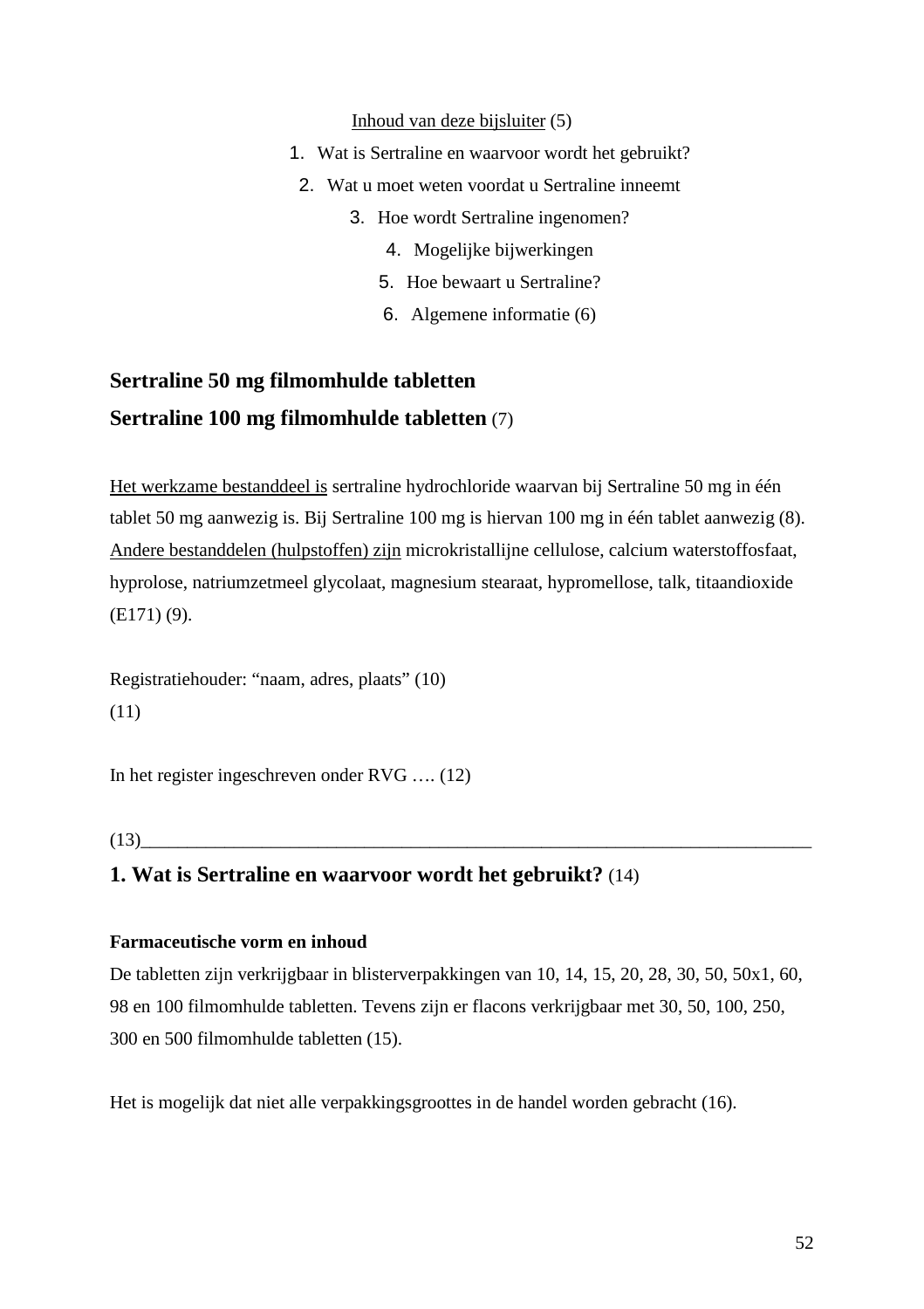#### Inhoud van deze bijsluiter (5)

- 1. Wat is Sertraline en waarvoor wordt het gebruikt?
	- 2. Wat u moet weten voordat u Sertraline inneemt
		- 3. Hoe wordt Sertraline ingenomen?
			- 4. Mogelijke bijwerkingen
			- 5. Hoe bewaart u Sertraline?
			- 6. Algemene informatie (6)

# **Sertraline 50 mg filmomhulde tabletten Sertraline 100 mg filmomhulde tabletten** (7)

Het werkzame bestanddeel is sertraline hydrochloride waarvan bij Sertraline 50 mg in één tablet 50 mg aanwezig is. Bij Sertraline 100 mg is hiervan 100 mg in één tablet aanwezig (8). Andere bestanddelen (hulpstoffen) zijn microkristallijne cellulose, calcium waterstoffosfaat, hyprolose, natriumzetmeel glycolaat, magnesium stearaat, hypromellose, talk, titaandioxide (E171) (9).

Registratiehouder: "naam, adres, plaats" (10) (11)

In het register ingeschreven onder RVG …. (12)

 $(13)$ 

### **1. Wat is Sertraline en waarvoor wordt het gebruikt?** (14)

#### **Farmaceutische vorm en inhoud**

De tabletten zijn verkrijgbaar in blisterverpakkingen van 10, 14, 15, 20, 28, 30, 50, 50x1, 60, 98 en 100 filmomhulde tabletten. Tevens zijn er flacons verkrijgbaar met 30, 50, 100, 250, 300 en 500 filmomhulde tabletten (15).

Het is mogelijk dat niet alle verpakkingsgroottes in de handel worden gebracht (16).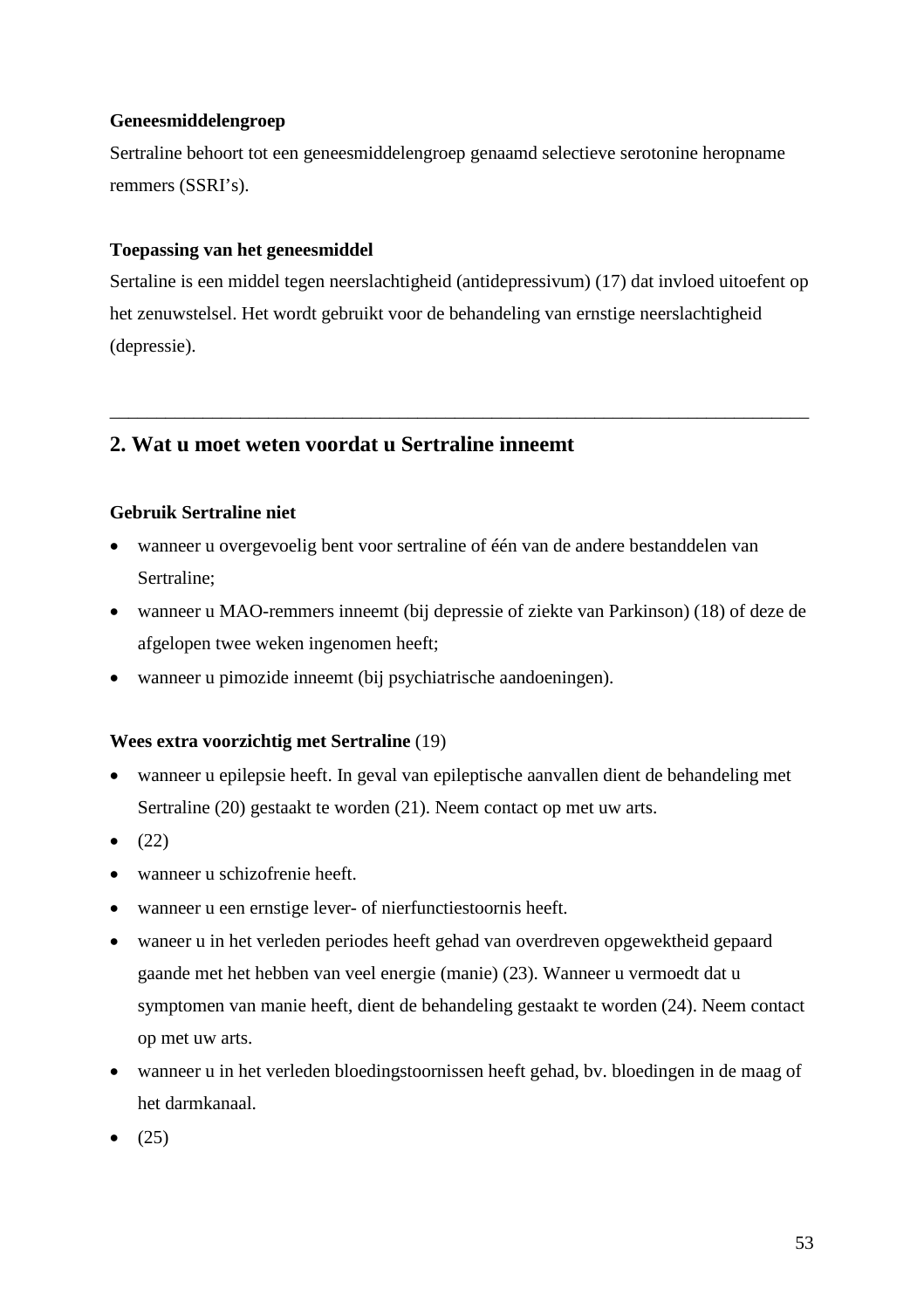#### **Geneesmiddelengroep**

Sertraline behoort tot een geneesmiddelengroep genaamd selectieve serotonine heropname remmers (SSRI's).

### **Toepassing van het geneesmiddel**

Sertaline is een middel tegen neerslachtigheid (antidepressivum) (17) dat invloed uitoefent op het zenuwstelsel. Het wordt gebruikt voor de behandeling van ernstige neerslachtigheid (depressie).

\_\_\_\_\_\_\_\_\_\_\_\_\_\_\_\_\_\_\_\_\_\_\_\_\_\_\_\_\_\_\_\_\_\_\_\_\_\_\_\_\_\_\_\_\_\_\_\_\_\_\_\_\_\_\_\_\_\_\_\_\_\_\_\_\_\_\_\_\_\_\_\_\_\_\_

## **2. Wat u moet weten voordat u Sertraline inneemt**

### **Gebruik Sertraline niet**

- wanneer u overgevoelig bent voor sertraline of één van de andere bestanddelen van Sertraline;
- wanneer u MAO-remmers inneemt (bij depressie of ziekte van Parkinson) (18) of deze de afgelopen twee weken ingenomen heeft;
- wanneer u pimozide inneemt (bij psychiatrische aandoeningen).

#### **Wees extra voorzichtig met Sertraline** (19)

- wanneer u epilepsie heeft. In geval van epileptische aanvallen dient de behandeling met Sertraline (20) gestaakt te worden (21). Neem contact op met uw arts.
- $\bullet$  (22)
- wanneer u schizofrenie heeft.
- wanneer u een ernstige lever- of nierfunctiestoornis heeft.
- waneer u in het verleden periodes heeft gehad van overdreven opgewektheid gepaard gaande met het hebben van veel energie (manie) (23). Wanneer u vermoedt dat u symptomen van manie heeft, dient de behandeling gestaakt te worden (24). Neem contact op met uw arts.
- wanneer u in het verleden bloedingstoornissen heeft gehad, bv. bloedingen in de maag of het darmkanaal.
- (25)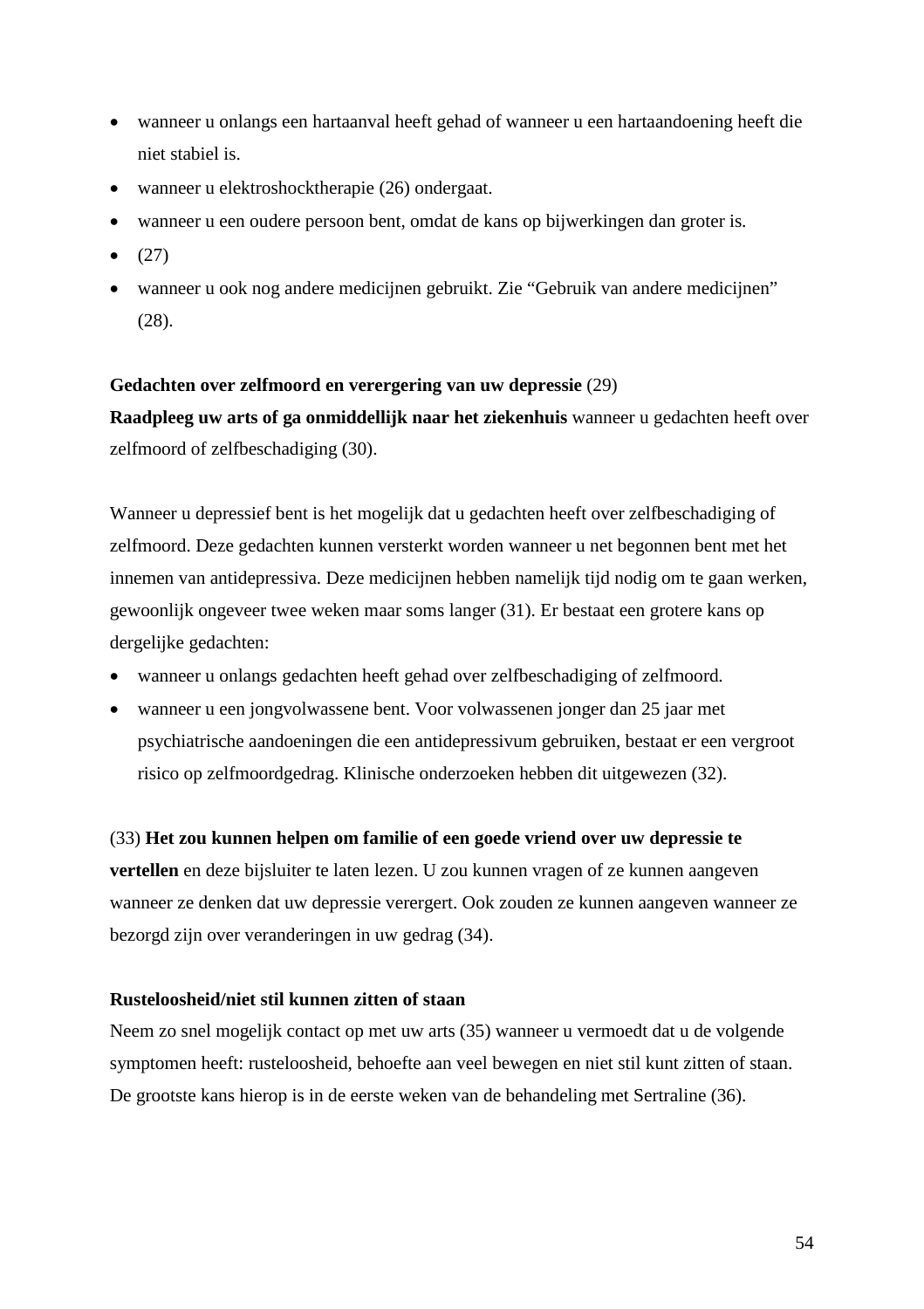- wanneer u onlangs een hartaanval heeft gehad of wanneer u een hartaandoening heeft die niet stabiel is.
- wanneer u elektroshocktherapie (26) ondergaat.
- wanneer u een oudere persoon bent, omdat de kans op bijwerkingen dan groter is.
- $\bullet$  (27)
- wanneer u ook nog andere medicijnen gebruikt. Zie "Gebruik van andere medicijnen" (28).

#### **Gedachten over zelfmoord en verergering van uw depressie** (29)

**Raadpleeg uw arts of ga onmiddellijk naar het ziekenhuis** wanneer u gedachten heeft over zelfmoord of zelfbeschadiging (30).

Wanneer u depressief bent is het mogelijk dat u gedachten heeft over zelfbeschadiging of zelfmoord. Deze gedachten kunnen versterkt worden wanneer u net begonnen bent met het innemen van antidepressiva. Deze medicijnen hebben namelijk tijd nodig om te gaan werken, gewoonlijk ongeveer twee weken maar soms langer (31). Er bestaat een grotere kans op dergelijke gedachten:

- wanneer u onlangs gedachten heeft gehad over zelfbeschadiging of zelfmoord.
- wanneer u een jongvolwassene bent. Voor volwassenen jonger dan 25 jaar met psychiatrische aandoeningen die een antidepressivum gebruiken, bestaat er een vergroot risico op zelfmoordgedrag. Klinische onderzoeken hebben dit uitgewezen (32).

#### (33) **Het zou kunnen helpen om familie of een goede vriend over uw depressie te**

**vertellen** en deze bijsluiter te laten lezen. U zou kunnen vragen of ze kunnen aangeven wanneer ze denken dat uw depressie verergert. Ook zouden ze kunnen aangeven wanneer ze bezorgd zijn over veranderingen in uw gedrag (34).

#### **Rusteloosheid/niet stil kunnen zitten of staan**

Neem zo snel mogelijk contact op met uw arts (35) wanneer u vermoedt dat u de volgende symptomen heeft: rusteloosheid, behoefte aan veel bewegen en niet stil kunt zitten of staan. De grootste kans hierop is in de eerste weken van de behandeling met Sertraline (36).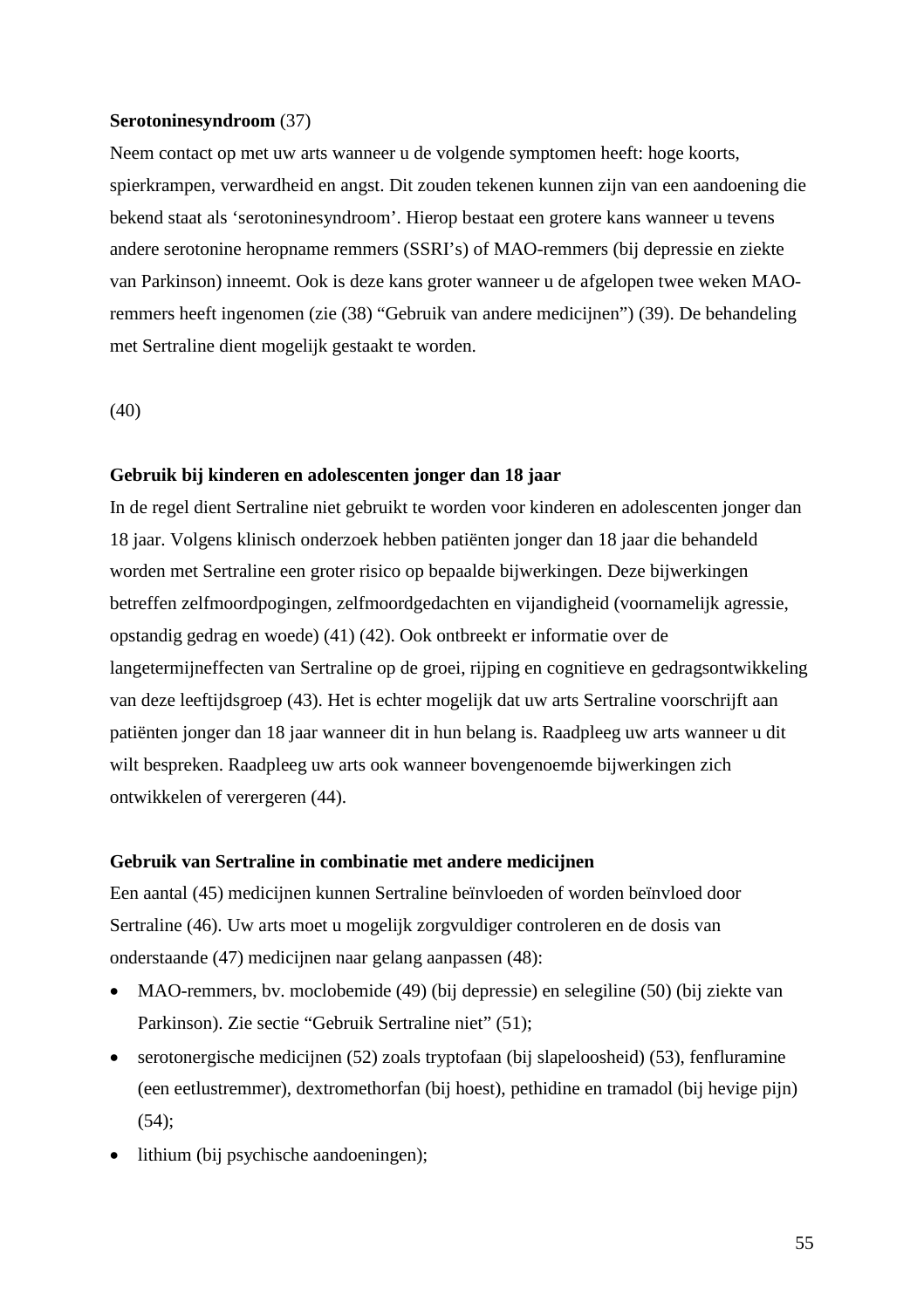#### **Serotoninesyndroom** (37)

Neem contact op met uw arts wanneer u de volgende symptomen heeft: hoge koorts, spierkrampen, verwardheid en angst. Dit zouden tekenen kunnen zijn van een aandoening die bekend staat als 'serotoninesyndroom'. Hierop bestaat een grotere kans wanneer u tevens andere serotonine heropname remmers (SSRI's) of MAO-remmers (bij depressie en ziekte van Parkinson) inneemt. Ook is deze kans groter wanneer u de afgelopen twee weken MAOremmers heeft ingenomen (zie (38) "Gebruik van andere medicijnen") (39). De behandeling met Sertraline dient mogelijk gestaakt te worden.

(40)

#### **Gebruik bij kinderen en adolescenten jonger dan 18 jaar**

In de regel dient Sertraline niet gebruikt te worden voor kinderen en adolescenten jonger dan 18 jaar. Volgens klinisch onderzoek hebben patiënten jonger dan 18 jaar die behandeld worden met Sertraline een groter risico op bepaalde bijwerkingen. Deze bijwerkingen betreffen zelfmoordpogingen, zelfmoordgedachten en vijandigheid (voornamelijk agressie, opstandig gedrag en woede) (41) (42). Ook ontbreekt er informatie over de langetermijneffecten van Sertraline op de groei, rijping en cognitieve en gedragsontwikkeling van deze leeftijdsgroep (43). Het is echter mogelijk dat uw arts Sertraline voorschrijft aan patiënten jonger dan 18 jaar wanneer dit in hun belang is. Raadpleeg uw arts wanneer u dit wilt bespreken. Raadpleeg uw arts ook wanneer bovengenoemde bijwerkingen zich ontwikkelen of verergeren (44).

#### **Gebruik van Sertraline in combinatie met andere medicijnen**

Een aantal (45) medicijnen kunnen Sertraline beïnvloeden of worden beïnvloed door Sertraline (46). Uw arts moet u mogelijk zorgvuldiger controleren en de dosis van onderstaande (47) medicijnen naar gelang aanpassen (48):

- MAO-remmers, bv. moclobemide (49) (bij depressie) en selegiline (50) (bij ziekte van Parkinson). Zie sectie "Gebruik Sertraline niet" (51);
- serotonergische medicijnen (52) zoals tryptofaan (bij slapeloosheid) (53), fenfluramine (een eetlustremmer), dextromethorfan (bij hoest), pethidine en tramadol (bij hevige pijn) (54);
- lithium (bij psychische aandoeningen);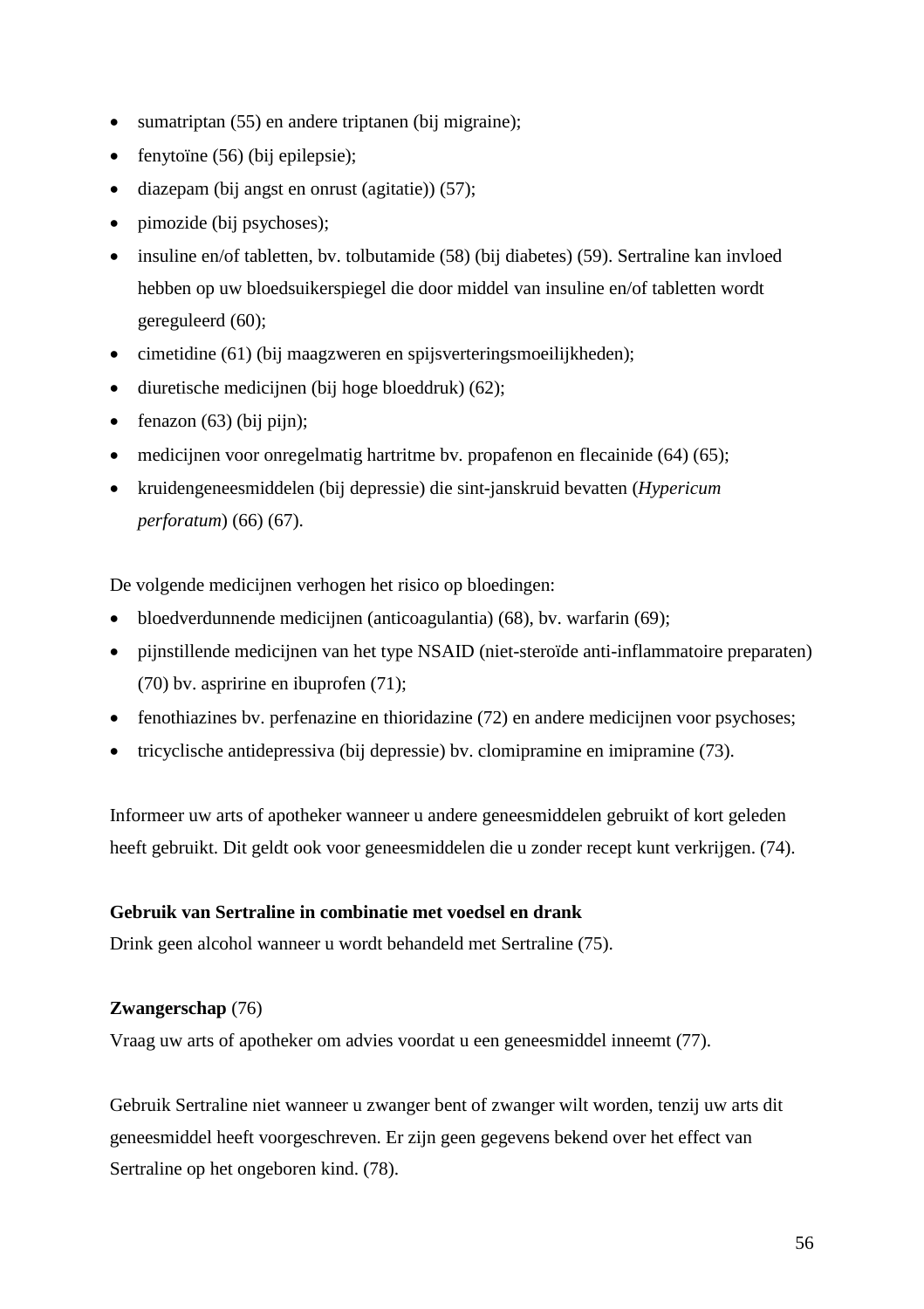- sumatriptan (55) en andere triptanen (bij migraine);
- $\bullet$  fenytoïne (56) (bij epilepsie);
- $\bullet$  diazepam (bij angst en onrust (agitatie)) (57);
- pimozide (bij psychoses);
- insuline en/of tabletten, bv. tolbutamide (58) (bij diabetes) (59). Sertraline kan invloed hebben op uw bloedsuikerspiegel die door middel van insuline en/of tabletten wordt gereguleerd (60);
- cimetidine (61) (bij maagzweren en spijsverteringsmoeilijkheden);
- $\bullet$  diuretische medicijnen (bij hoge bloeddruk) (62);
- $\bullet$  fenazon (63) (bij pijn);
- medicijnen voor onregelmatig hartritme bv. propafenon en flecainide (64) (65);
- kruidengeneesmiddelen (bij depressie) die sint-janskruid bevatten (*Hypericum perforatum*) (66) (67).

De volgende medicijnen verhogen het risico op bloedingen:

- bloedverdunnende medicijnen (anticoagulantia) (68), bv. warfarin (69);
- pijnstillende medicijnen van het type NSAID (niet-steroïde anti-inflammatoire preparaten) (70) bv. aspririne en ibuprofen (71);
- fenothiazines bv. perfenazine en thioridazine (72) en andere medicijnen voor psychoses;
- tricyclische antidepressiva (bij depressie) bv. clomipramine en imipramine (73).

Informeer uw arts of apotheker wanneer u andere geneesmiddelen gebruikt of kort geleden heeft gebruikt. Dit geldt ook voor geneesmiddelen die u zonder recept kunt verkrijgen. (74).

### **Gebruik van Sertraline in combinatie met voedsel en drank**

Drink geen alcohol wanneer u wordt behandeld met Sertraline (75).

#### **Zwangerschap** (76)

Vraag uw arts of apotheker om advies voordat u een geneesmiddel inneemt (77).

Gebruik Sertraline niet wanneer u zwanger bent of zwanger wilt worden, tenzij uw arts dit geneesmiddel heeft voorgeschreven. Er zijn geen gegevens bekend over het effect van Sertraline op het ongeboren kind. (78).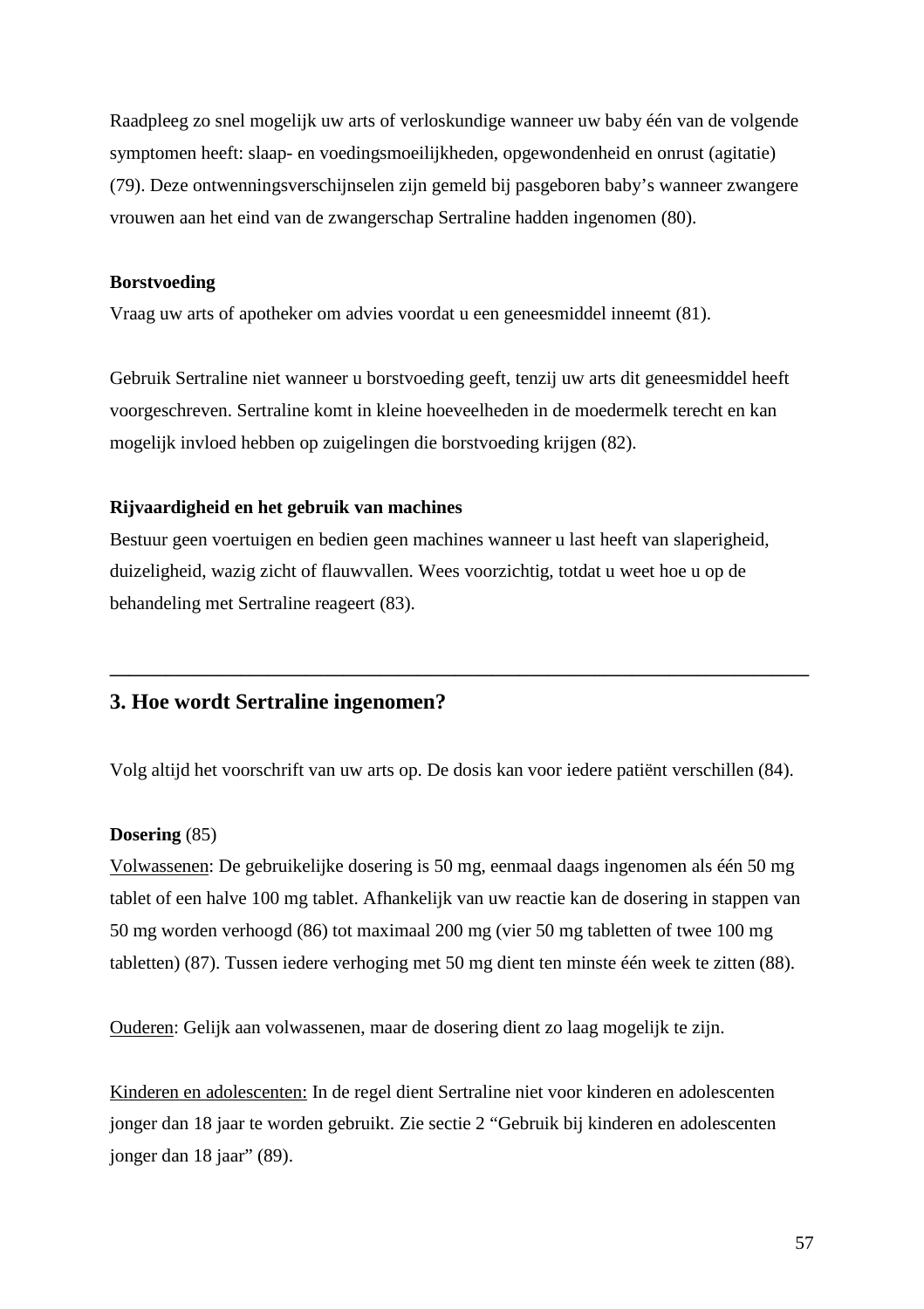Raadpleeg zo snel mogelijk uw arts of verloskundige wanneer uw baby één van de volgende symptomen heeft: slaap- en voedingsmoeilijkheden, opgewondenheid en onrust (agitatie) (79). Deze ontwenningsverschijnselen zijn gemeld bij pasgeboren baby's wanneer zwangere vrouwen aan het eind van de zwangerschap Sertraline hadden ingenomen (80).

#### **Borstvoeding**

Vraag uw arts of apotheker om advies voordat u een geneesmiddel inneemt (81).

Gebruik Sertraline niet wanneer u borstvoeding geeft, tenzij uw arts dit geneesmiddel heeft voorgeschreven. Sertraline komt in kleine hoeveelheden in de moedermelk terecht en kan mogelijk invloed hebben op zuigelingen die borstvoeding krijgen (82).

#### **Rijvaardigheid en het gebruik van machines**

Bestuur geen voertuigen en bedien geen machines wanneer u last heeft van slaperigheid, duizeligheid, wazig zicht of flauwvallen. Wees voorzichtig, totdat u weet hoe u op de behandeling met Sertraline reageert (83).

### **3. Hoe wordt Sertraline ingenomen?**

Volg altijd het voorschrift van uw arts op. De dosis kan voor iedere patiënt verschillen (84).

**\_\_\_\_\_\_\_\_\_\_\_\_\_\_\_\_\_\_\_\_\_\_\_\_\_\_\_\_\_\_\_\_\_\_\_\_\_\_\_\_\_\_\_\_\_\_\_\_\_\_\_\_\_\_\_\_\_\_\_\_\_\_\_\_\_\_\_\_\_\_\_\_\_\_\_**

#### **Dosering** (85)

Volwassenen: De gebruikelijke dosering is 50 mg, eenmaal daags ingenomen als één 50 mg tablet of een halve 100 mg tablet. Afhankelijk van uw reactie kan de dosering in stappen van 50 mg worden verhoogd (86) tot maximaal 200 mg (vier 50 mg tabletten of twee 100 mg tabletten) (87). Tussen iedere verhoging met 50 mg dient ten minste één week te zitten (88).

Ouderen: Gelijk aan volwassenen, maar de dosering dient zo laag mogelijk te zijn.

Kinderen en adolescenten: In de regel dient Sertraline niet voor kinderen en adolescenten jonger dan 18 jaar te worden gebruikt. Zie sectie 2 "Gebruik bij kinderen en adolescenten jonger dan 18 jaar" (89).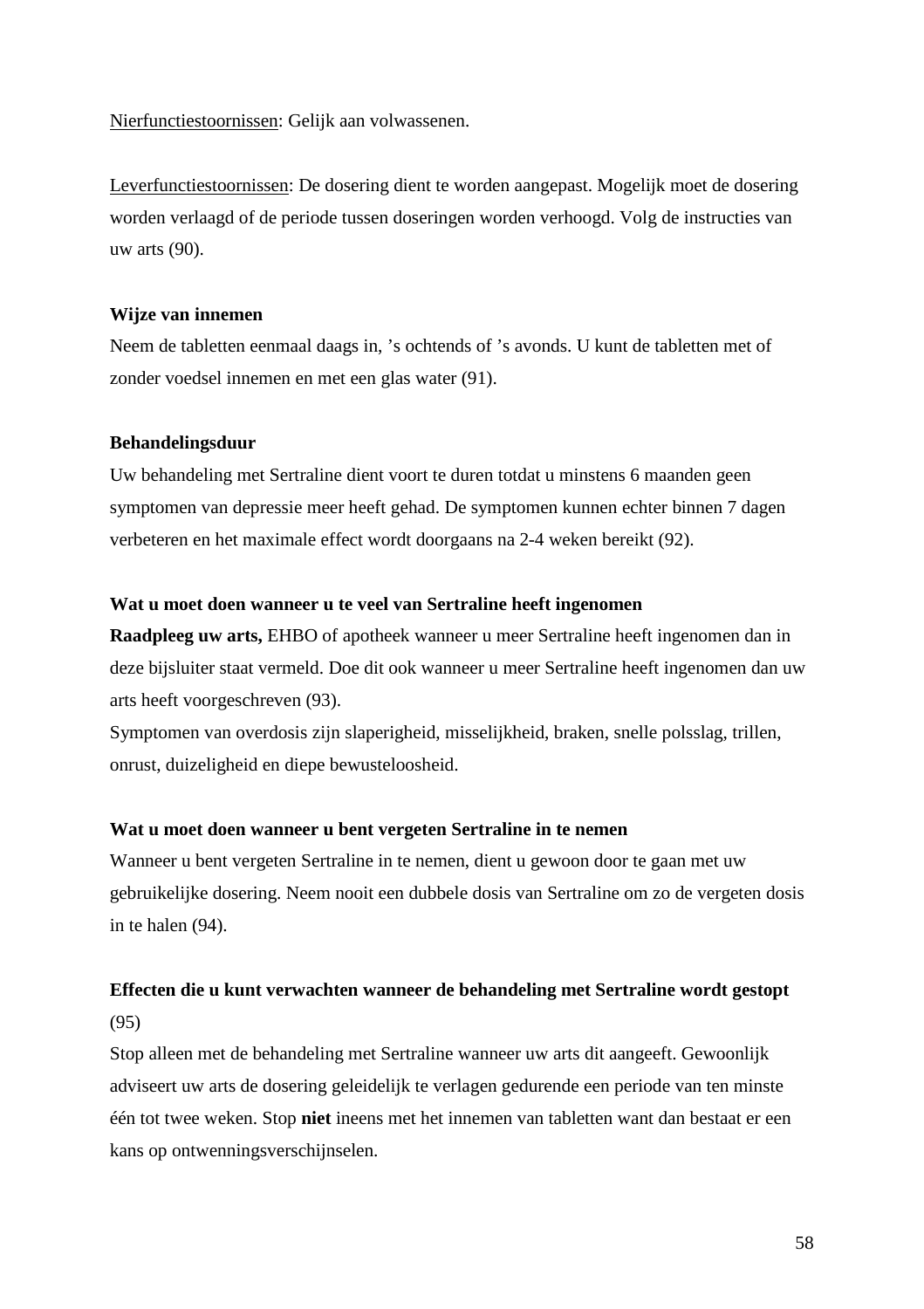Nierfunctiestoornissen: Gelijk aan volwassenen.

Leverfunctiestoornissen: De dosering dient te worden aangepast. Mogelijk moet de dosering worden verlaagd of de periode tussen doseringen worden verhoogd. Volg de instructies van uw arts (90).

#### **Wijze van innemen**

Neem de tabletten eenmaal daags in, 's ochtends of 's avonds. U kunt de tabletten met of zonder voedsel innemen en met een glas water (91).

### **Behandelingsduur**

Uw behandeling met Sertraline dient voort te duren totdat u minstens 6 maanden geen symptomen van depressie meer heeft gehad. De symptomen kunnen echter binnen 7 dagen verbeteren en het maximale effect wordt doorgaans na 2-4 weken bereikt (92).

#### **Wat u moet doen wanneer u te veel van Sertraline heeft ingenomen**

**Raadpleeg uw arts,** EHBO of apotheek wanneer u meer Sertraline heeft ingenomen dan in deze bijsluiter staat vermeld. Doe dit ook wanneer u meer Sertraline heeft ingenomen dan uw arts heeft voorgeschreven (93).

Symptomen van overdosis zijn slaperigheid, misselijkheid, braken, snelle polsslag, trillen, onrust, duizeligheid en diepe bewusteloosheid.

#### **Wat u moet doen wanneer u bent vergeten Sertraline in te nemen**

Wanneer u bent vergeten Sertraline in te nemen, dient u gewoon door te gaan met uw gebruikelijke dosering. Neem nooit een dubbele dosis van Sertraline om zo de vergeten dosis in te halen (94).

# **Effecten die u kunt verwachten wanneer de behandeling met Sertraline wordt gestopt** (95)

Stop alleen met de behandeling met Sertraline wanneer uw arts dit aangeeft. Gewoonlijk adviseert uw arts de dosering geleidelijk te verlagen gedurende een periode van ten minste één tot twee weken. Stop **niet** ineens met het innemen van tabletten want dan bestaat er een kans op ontwenningsverschijnselen.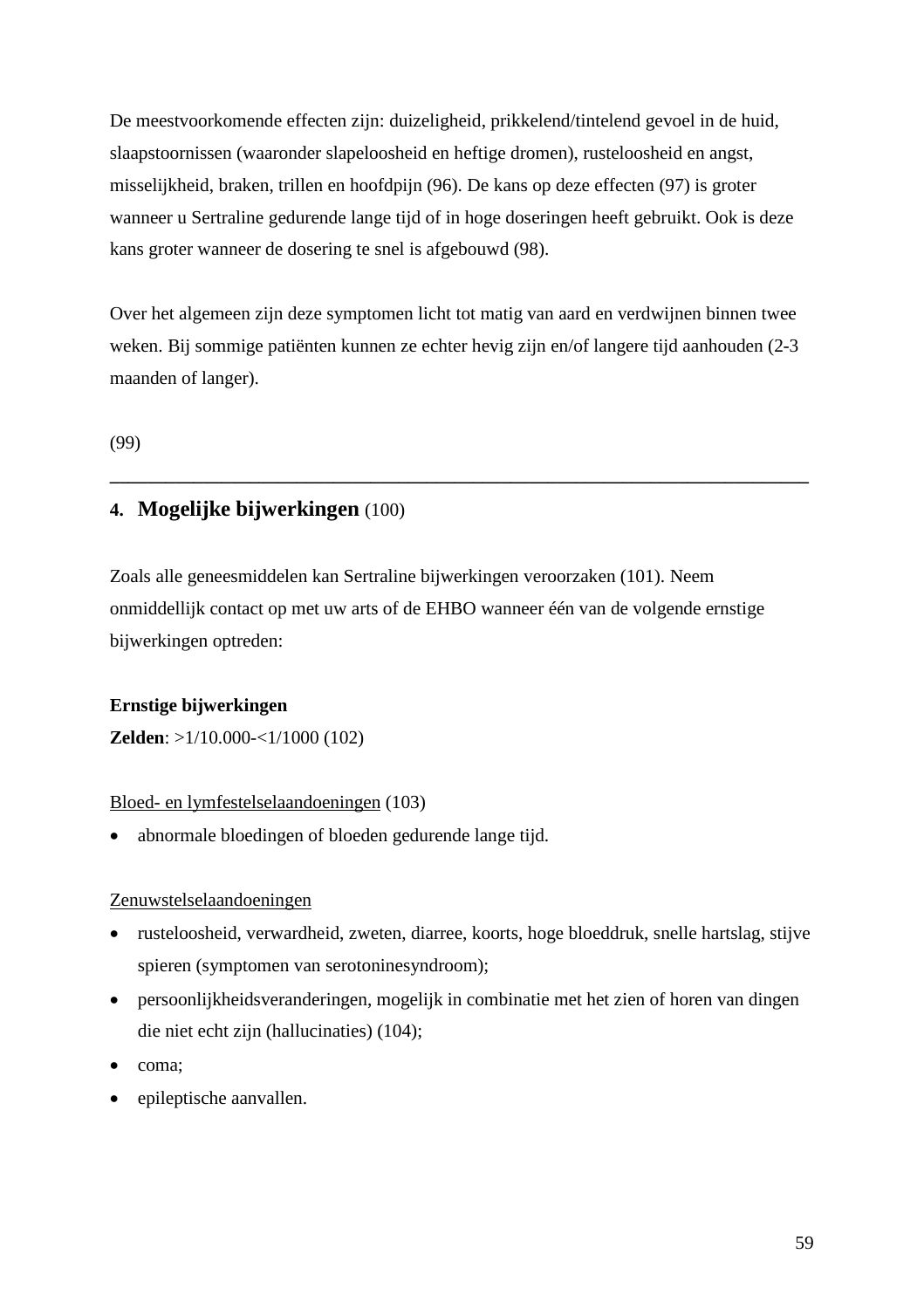De meestvoorkomende effecten zijn: duizeligheid, prikkelend/tintelend gevoel in de huid, slaapstoornissen (waaronder slapeloosheid en heftige dromen), rusteloosheid en angst, misselijkheid, braken, trillen en hoofdpijn (96). De kans op deze effecten (97) is groter wanneer u Sertraline gedurende lange tijd of in hoge doseringen heeft gebruikt. Ook is deze kans groter wanneer de dosering te snel is afgebouwd (98).

Over het algemeen zijn deze symptomen licht tot matig van aard en verdwijnen binnen twee weken. Bij sommige patiënten kunnen ze echter hevig zijn en/of langere tijd aanhouden (2-3 maanden of langer).

**\_\_\_\_\_\_\_\_\_\_\_\_\_\_\_\_\_\_\_\_\_\_\_\_\_\_\_\_\_\_\_\_\_\_\_\_\_\_\_\_\_\_\_\_\_\_\_\_\_\_\_\_\_\_\_\_\_\_\_\_\_\_\_\_\_\_\_\_\_\_\_\_\_\_\_**

(99)

# **4. Mogelijke bijwerkingen** (100)

Zoals alle geneesmiddelen kan Sertraline bijwerkingen veroorzaken (101). Neem onmiddellijk contact op met uw arts of de EHBO wanneer één van de volgende ernstige bijwerkingen optreden:

### **Ernstige bijwerkingen**

**Zelden**: >1/10.000-<1/1000 (102)

### Bloed- en lymfestelselaandoeningen (103)

• abnormale bloedingen of bloeden gedurende lange tijd.

### Zenuwstelselaandoeningen

- rusteloosheid, verwardheid, zweten, diarree, koorts, hoge bloeddruk, snelle hartslag, stijve spieren (symptomen van serotoninesyndroom);
- persoonlijkheidsveranderingen, mogelijk in combinatie met het zien of horen van dingen die niet echt zijn (hallucinaties) (104);
- coma;
- epileptische aanvallen.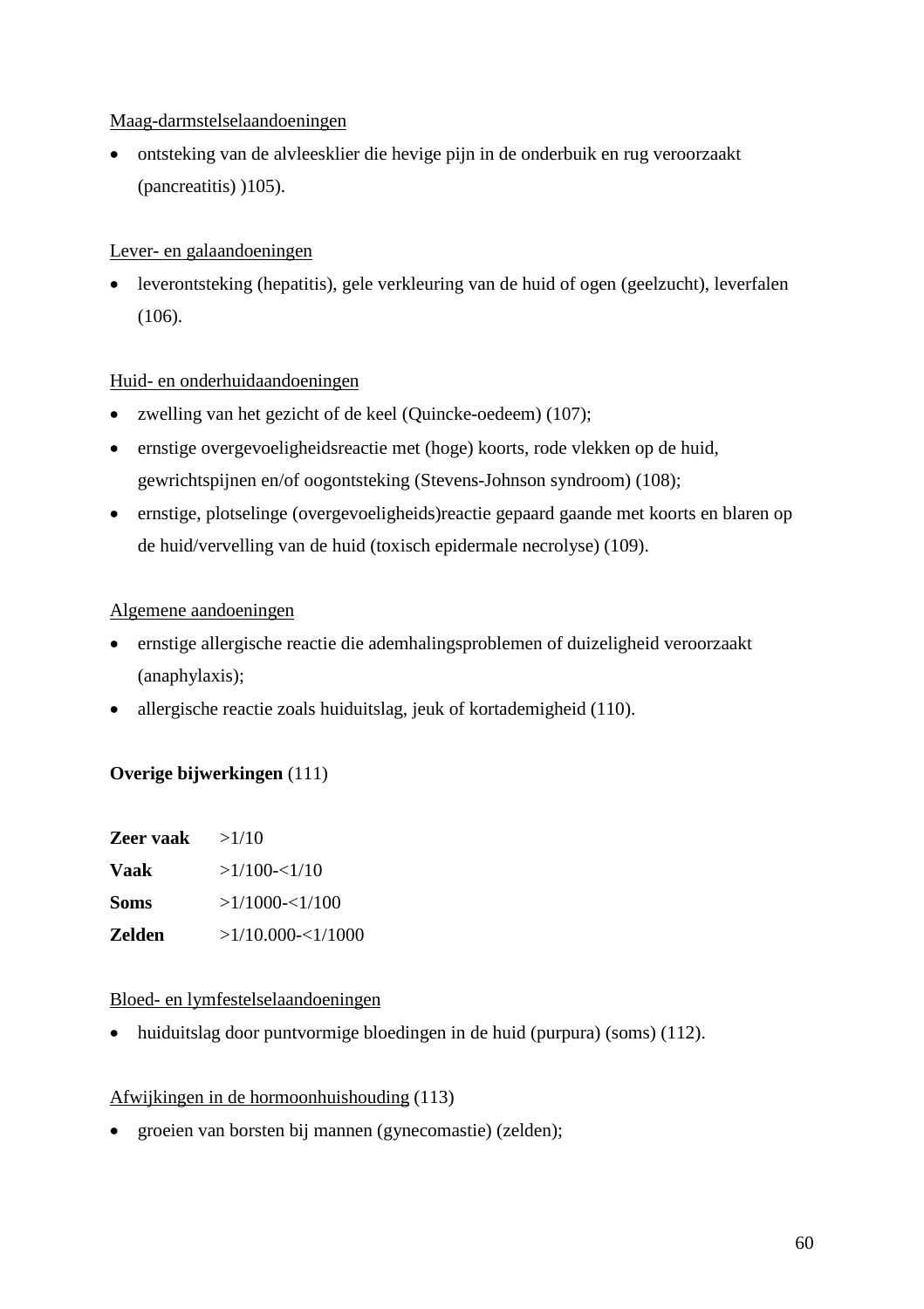### Maag-darmstelselaandoeningen

 ontsteking van de alvleesklier die hevige pijn in de onderbuik en rug veroorzaakt (pancreatitis) )105).

### Lever- en galaandoeningen

 leverontsteking (hepatitis), gele verkleuring van de huid of ogen (geelzucht), leverfalen (106).

### Huid- en onderhuidaandoeningen

- zwelling van het gezicht of de keel (Quincke-oedeem) (107);
- ernstige overgevoeligheidsreactie met (hoge) koorts, rode vlekken op de huid, gewrichtspijnen en/of oogontsteking (Stevens-Johnson syndroom) (108);
- ernstige, plotselinge (overgevoeligheids)reactie gepaard gaande met koorts en blaren op de huid/vervelling van de huid (toxisch epidermale necrolyse) (109).

### Algemene aandoeningen

- ernstige allergische reactie die ademhalingsproblemen of duizeligheid veroorzaakt (anaphylaxis);
- allergische reactie zoals huiduitslag, jeuk of kortademigheid (110).

### **Overige bijwerkingen** (111)

| Zeer vaak     | >1/10              |
|---------------|--------------------|
| Vaak          | >1/100 < 1/10      |
| <b>Soms</b>   | $>1/1000 - 1/100$  |
| <b>Zelden</b> | >1/10.000 < 1/1000 |

### Bloed- en lymfestelselaandoeningen

• huiduitslag door puntvormige bloedingen in de huid (purpura) (soms) (112).

### Afwijkingen in de hormoonhuishouding (113)

• groeien van borsten bij mannen (gynecomastie) (zelden);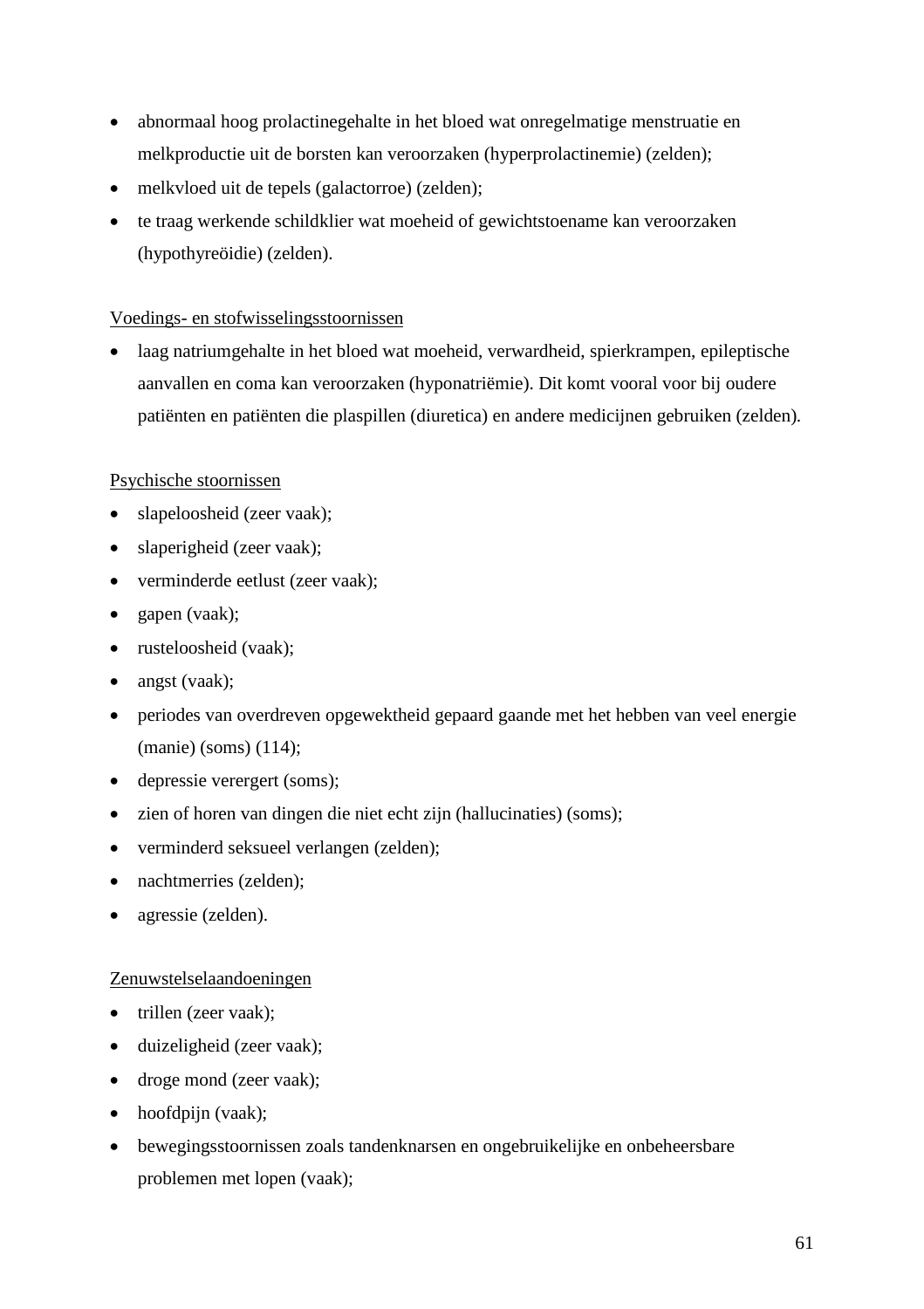- abnormaal hoog prolactinegehalte in het bloed wat onregelmatige menstruatie en melkproductie uit de borsten kan veroorzaken (hyperprolactinemie) (zelden);
- melkvloed uit de tepels (galactorroe) (zelden);
- te traag werkende schildklier wat moeheid of gewichtstoename kan veroorzaken (hypothyreöidie) (zelden).

### Voedings- en stofwisselingsstoornissen

 laag natriumgehalte in het bloed wat moeheid, verwardheid, spierkrampen, epileptische aanvallen en coma kan veroorzaken (hyponatriëmie). Dit komt vooral voor bij oudere patiënten en patiënten die plaspillen (diuretica) en andere medicijnen gebruiken (zelden).

### Psychische stoornissen

- slapeloosheid (zeer vaak);
- slaperigheid (zeer vaak);
- verminderde eetlust (zeer vaak);
- gapen (vaak);
- rusteloosheid (vaak);
- angst (vaak);
- periodes van overdreven opgewektheid gepaard gaande met het hebben van veel energie (manie) (soms) (114);
- depressie verergert (soms);
- zien of horen van dingen die niet echt zijn (hallucinaties) (soms);
- verminderd seksueel verlangen (zelden);
- nachtmerries (zelden);
- agressie (zelden).

### Zenuwstelselaandoeningen

- trillen (zeer vaak);
- duizeligheid (zeer vaak);
- droge mond (zeer vaak);
- hoofdpijn (vaak);
- bewegingsstoornissen zoals tandenknarsen en ongebruikelijke en onbeheersbare problemen met lopen (vaak);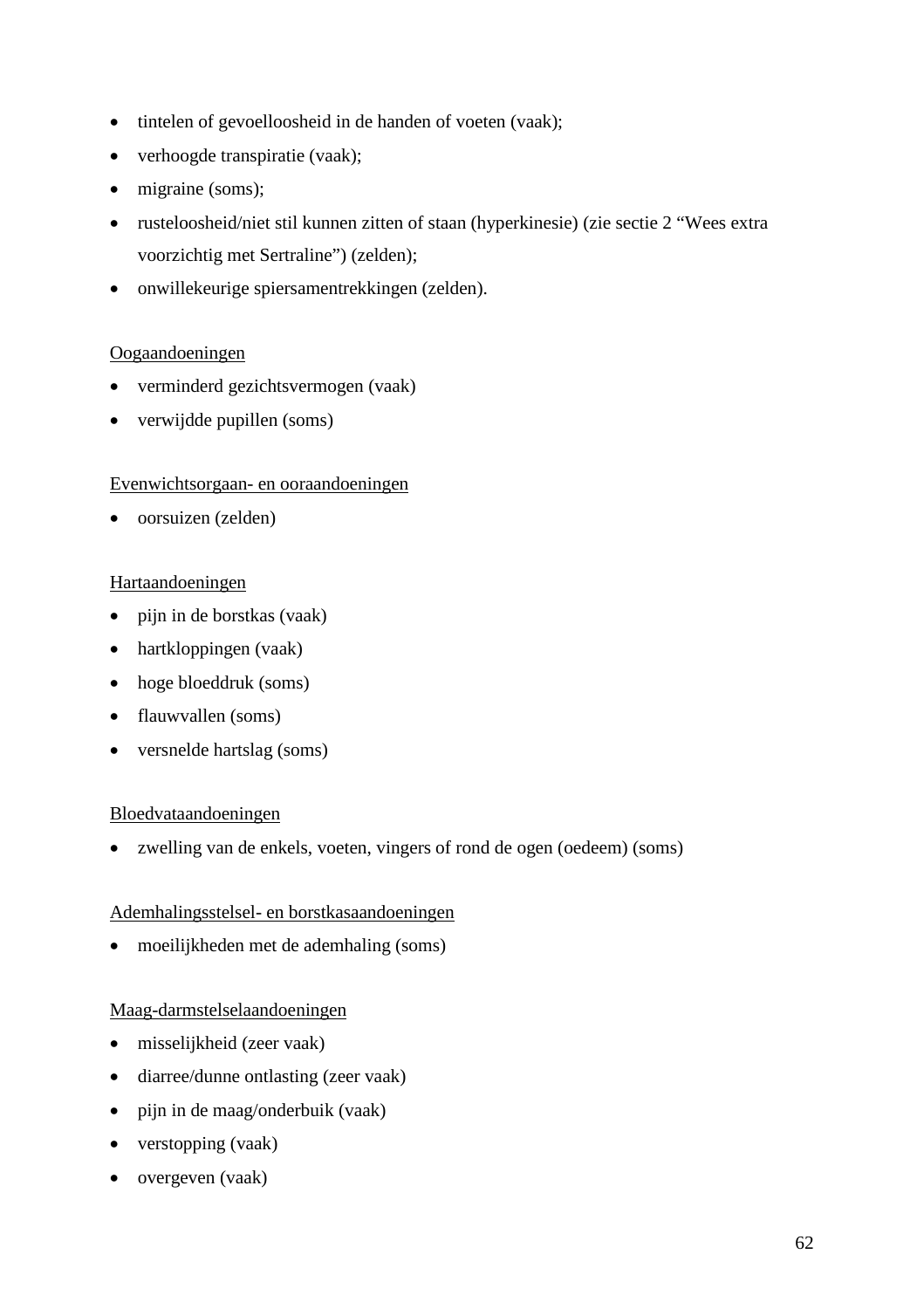- tintelen of gevoelloosheid in de handen of voeten (vaak);
- verhoogde transpiratie (vaak);
- migraine (soms);
- rusteloosheid/niet stil kunnen zitten of staan (hyperkinesie) (zie sectie 2 "Wees extra voorzichtig met Sertraline") (zelden);
- onwillekeurige spiersamentrekkingen (zelden).

### Oogaandoeningen

- verminderd gezichtsvermogen (vaak)
- verwijdde pupillen (soms)

### Evenwichtsorgaan- en ooraandoeningen

oorsuizen (zelden)

### Hartaandoeningen

- pijn in de borstkas (vaak)
- hartkloppingen (vaak)
- hoge bloeddruk (soms)
- flauwvallen (soms)
- versnelde hartslag (soms)

#### Bloedvataandoeningen

zwelling van de enkels, voeten, vingers of rond de ogen (oedeem) (soms)

#### Ademhalingsstelsel- en borstkasaandoeningen

moeilijkheden met de ademhaling (soms)

#### Maag-darmstelselaandoeningen

- misselijkheid (zeer vaak)
- diarree/dunne ontlasting (zeer vaak)
- pijn in de maag/onderbuik (vaak)
- verstopping (vaak)
- overgeven (vaak)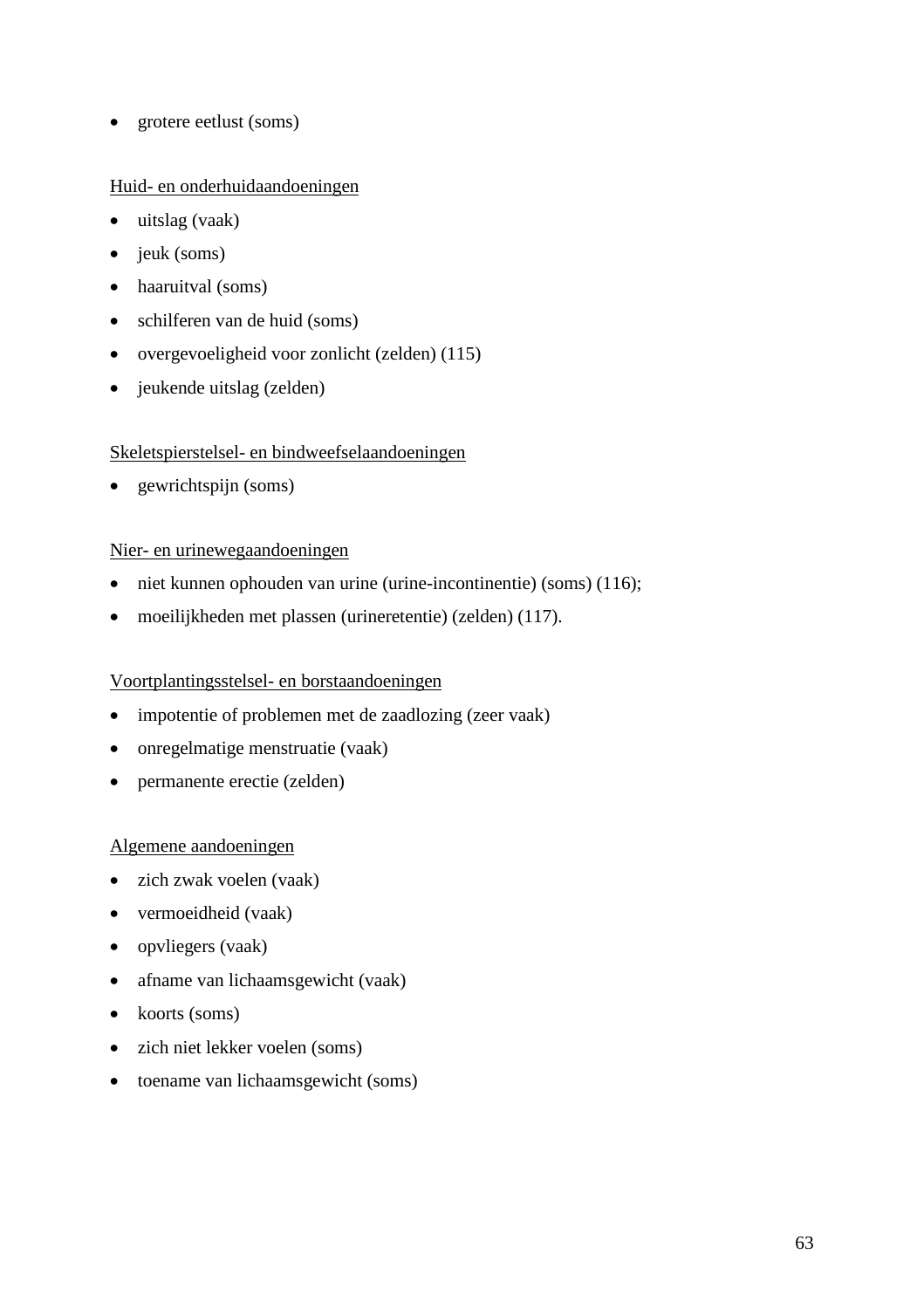• grotere eetlust (soms)

### Huid- en onderhuidaandoeningen

- uitslag (vaak)
- $\bullet$  jeuk (soms)
- haaruitval (soms)
- schilferen van de huid (soms)
- overgevoeligheid voor zonlicht (zelden) (115)
- jeukende uitslag (zelden)

### Skeletspierstelsel- en bindweefselaandoeningen

• gewrichtspijn (soms)

#### Nier- en urinewegaandoeningen

- niet kunnen ophouden van urine (urine-incontinentie) (soms) (116);
- moeilijkheden met plassen (urineretentie) (zelden) (117).

### Voortplantingsstelsel- en borstaandoeningen

- impotentie of problemen met de zaadlozing (zeer vaak)
- onregelmatige menstruatie (vaak)
- permanente erectie (zelden)

#### Algemene aandoeningen

- zich zwak voelen (vaak)
- vermoeidheid (vaak)
- opvliegers (vaak)
- afname van lichaamsgewicht (vaak)
- koorts (soms)
- zich niet lekker voelen (soms)
- toename van lichaamsgewicht (soms)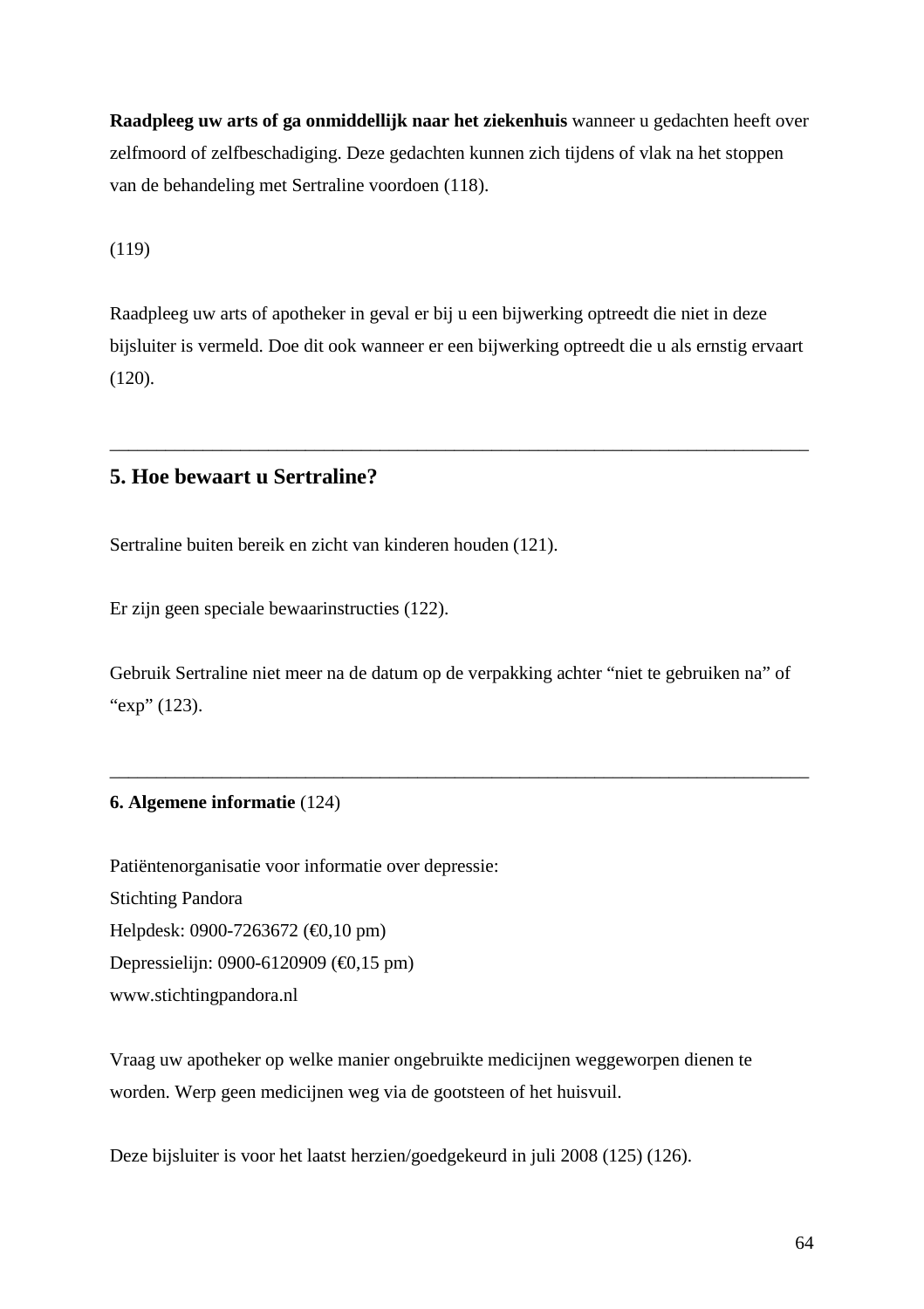Raadpleeg uw arts of gaonmiddellijk naar het ziekenhuiswanneer ugedachten heeft over zelfmoord of zelfbeschadigin@eze gedachten kunnen zich tijden sylak na het stoppen van de behandelinget Sertraline voordoen 18).

(119)

Raadpleeg uw arts of apotheker in geval er bij u een bijwerking optreedt die niet in deze bijsluiter is vermeld. Doe dit ook wanneer er een bijwerking optreedt die u als ernstig ervaart (120).

\_\_\_\_\_\_\_\_\_\_\_\_\_\_\_\_\_\_\_\_\_\_\_\_\_\_\_\_\_\_\_\_\_\_\_\_\_\_\_\_\_\_\_\_\_\_\_\_\_\_\_\_\_\_\_\_\_\_\_\_\_\_\_\_\_\_\_\_\_\_\_\_\_\_\_

5. Hoe bewaart u Sertraline?

Sertraline buiten bereik en zicht van kinderen houden).

Er zijn geen speciale bewaarinstructies (2).

Gebruik Sertraline niet meer na de datum op de verpakkinteraniet te gebruiken na... of  $exp...1(23)$ .

\_\_\_\_\_\_\_\_\_\_\_\_\_\_\_\_\_\_\_\_\_\_\_\_\_\_\_\_\_\_\_\_\_\_\_\_\_\_\_\_\_\_\_\_\_\_\_\_\_\_\_\_\_\_\_\_\_\_\_\_\_\_\_\_\_\_\_\_\_\_\_\_\_\_\_

6. Algemene informatie(124)

Patiëntenorganisatie voor informatie over depressie: Stichting Pandora Helpdesk: 09007263672 (+0,10 pm) Depressielijn: 09066120909 (+0,15 pm) [www.stichtingpandora.n](www.stichtingpandora.nl)l

Vraag uw apothekerp welke manier ongebruikteedicijnenweggeworpen dienen te worden. Werp geen medicijne wegvia de gootsteen of het uisvuil.

Deze bijsluiter is voor het laatst herzien/goedgekeurd in juli 2025 (126).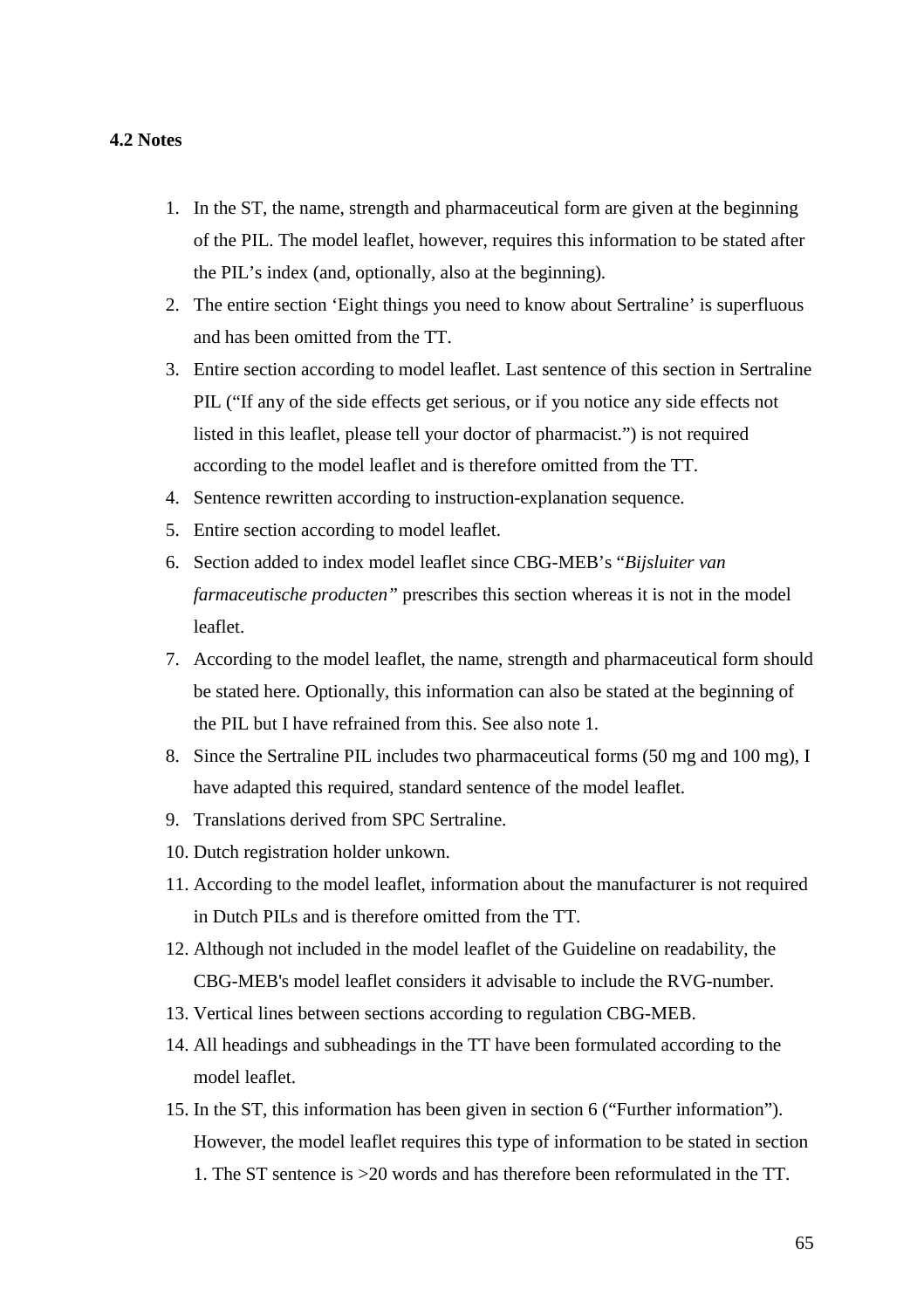#### **4.2 Notes**

- 1. In the ST, the name, strength and pharmaceutical form are given at the beginning of the PIL. The model leaflet, however, requires this information to be stated after the PIL's index (and, optionally, also at the beginning).
- 2. The entire section 'Eight things you need to know about Sertraline' is superfluous and has been omitted from the TT.
- 3. Entire section according to model leaflet. Last sentence of this section in Sertraline PIL ("If any of the side effects get serious, or if you notice any side effects not listed in this leaflet, please tell your doctor of pharmacist.") is not required according to the model leaflet and is therefore omitted from the TT.
- 4. Sentence rewritten according to instruction-explanation sequence.
- 5. Entire section according to model leaflet.
- 6. Section added to index model leaflet since CBG-MEB's "*Bijsluiter van farmaceutische producten"* prescribes this section whereas it is not in the model leaflet.
- 7. According to the model leaflet, the name, strength and pharmaceutical form should be stated here. Optionally, this information can also be stated at the beginning of the PIL but I have refrained from this. See also note 1.
- 8. Since the Sertraline PIL includes two pharmaceutical forms (50 mg and 100 mg), I have adapted this required, standard sentence of the model leaflet.
- 9. Translations derived from SPC Sertraline.
- 10. Dutch registration holder unkown.
- 11. According to the model leaflet, information about the manufacturer is not required in Dutch PILs and is therefore omitted from the TT.
- 12. Although not included in the model leaflet of the Guideline on readability, the CBG-MEB's model leaflet considers it advisable to include the RVG-number.
- 13. Vertical lines between sections according to regulation CBG-MEB.
- 14. All headings and subheadings in the TT have been formulated according to the model leaflet.
- 15. In the ST, this information has been given in section 6 ("Further information"). However, the model leaflet requires this type of information to be stated in section 1. The ST sentence is >20 words and has therefore been reformulated in the TT.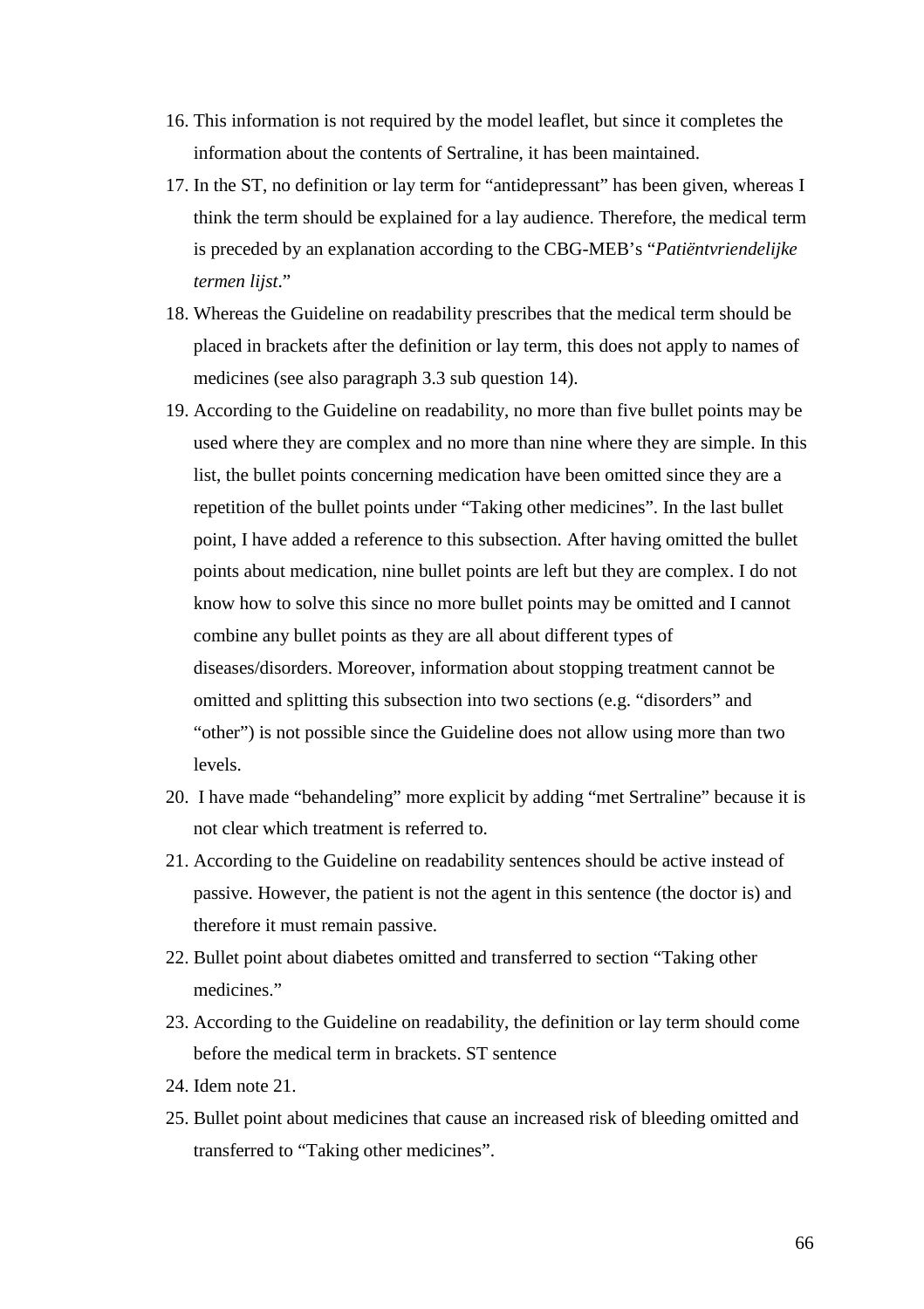- 16. This information is not required by the model leaflet, but since it completes the information about the contents of Sertraline, it has been maintained.
- 17. In the ST, no definition or lay term for "antidepressant" has been given, whereas I think the term should be explained for a lay audience. Therefore, the medical term is preceded by an explanation according to the CBG-MEB's "*Patiëntvriendelijke termen lijst*."
- 18. Whereas the Guideline on readability prescribes that the medical term should be placed in brackets after the definition or lay term, this does not apply to names of medicines (see also paragraph 3.3 sub question 14).
- 19. According to the Guideline on readability, no more than five bullet points may be used where they are complex and no more than nine where they are simple. In this list, the bullet points concerning medication have been omitted since they are a repetition of the bullet points under "Taking other medicines". In the last bullet point, I have added a reference to this subsection. After having omitted the bullet points about medication, nine bullet points are left but they are complex. I do not know how to solve this since no more bullet points may be omitted and I cannot combine any bullet points as they are all about different types of diseases/disorders. Moreover, information about stopping treatment cannot be omitted and splitting this subsection into two sections (e.g. "disorders" and "other") is not possible since the Guideline does not allow using more than two levels.
- 20. I have made "behandeling" more explicit by adding "met Sertraline" because it is not clear which treatment is referred to.
- 21. According to the Guideline on readability sentences should be active instead of passive. However, the patient is not the agent in this sentence (the doctor is) and therefore it must remain passive.
- 22. Bullet point about diabetes omitted and transferred to section "Taking other medicines."
- 23. According to the Guideline on readability, the definition or lay term should come before the medical term in brackets. ST sentence
- 24. Idem note 21.
- 25. Bullet point about medicines that cause an increased risk of bleeding omitted and transferred to "Taking other medicines".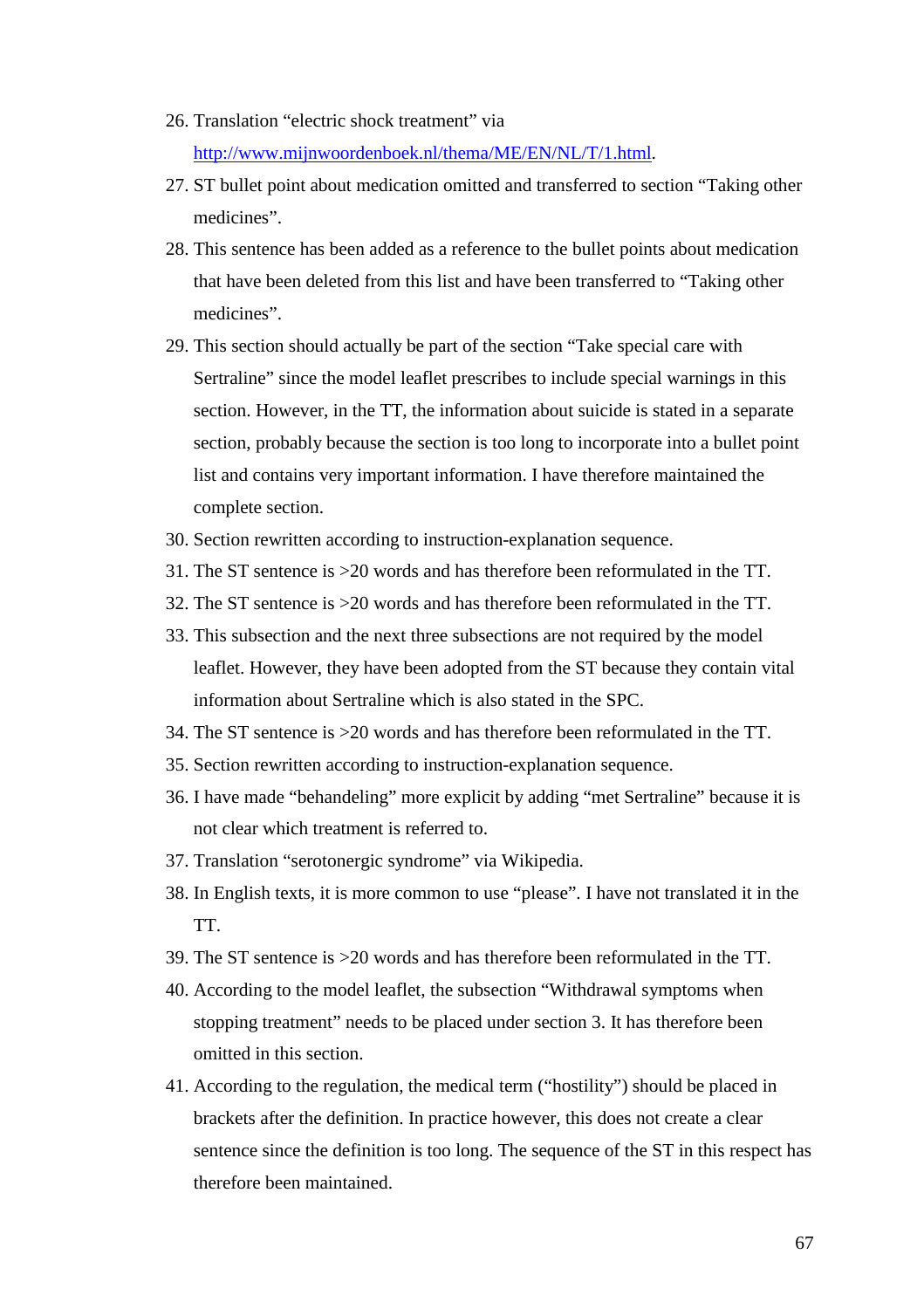- 26.Translation •electric shock treatment… via [http://www.mijnwoordenboek.nl/thema/ME/EN/NL/T/1.ht](http://www.mijnwoordenboek.nl/thema/ME/EN/NL/T/1.html)ml .
- 27. ST bullet point bout medication omitted and transferred to section •Taking roth medicines….
- 28. This sentence has been added as a reference to the bullet points about medication that have been deleted from this list an axis beentransferred to  $\bullet$ Taking outh medicines….
- 29.This section should actually be part of the section •Take special care with Sertraline... since theodel leaflet prescribes to include special warnings in this section. However, in the TThe information about suicide is stated in a separate section, probablige ause the section is too long to incorporate into a bullet point list and contains very important information. I have therefore maintained the complete section.
- 30. Section rewritten according to instruction planation sequence.
- 31. The ST sentence is  $>20$  was and has therefore been reformulated in the TT.
- 32.The ST sentence is >20 words and has therefore been reformulated in the TT.
- 33.This subsection and the next three subsections are not required by the model leaflet. However, they have been adopted from ST because they contain vital information about Sertraline which is also stated in the SPC.
- 34.The ST sentence is >20 words and has therefore been reformulated in the TT.
- 35. Section rewritten according to instruction planation sequence.
- 36. I have made •behanding... more explicit by adding •met Sertraline... because it is not clear which treatment is referred to.
- 37.Translation •serotonergic syndrome… via Wikipedia.
- 38.In English texts, it is more common to use •please…. I have not translated it in the TT.
- 39. The ST setence is  $>20$  words and has therefore been reformulated in the TT.
- 40.According to the model leaflet, the subsection •Withdrawal symptoms when stopping treatment… needs to be placed under section 3. It has therefore been omitted in this section.
- 41.According tothe regulation, the medical term (•hostility…) should be placed in brackets after the definition. In practice however, this does not create a clear sentence since the definition is too long. The sequence of the ST in this respect has therefore been maintaid.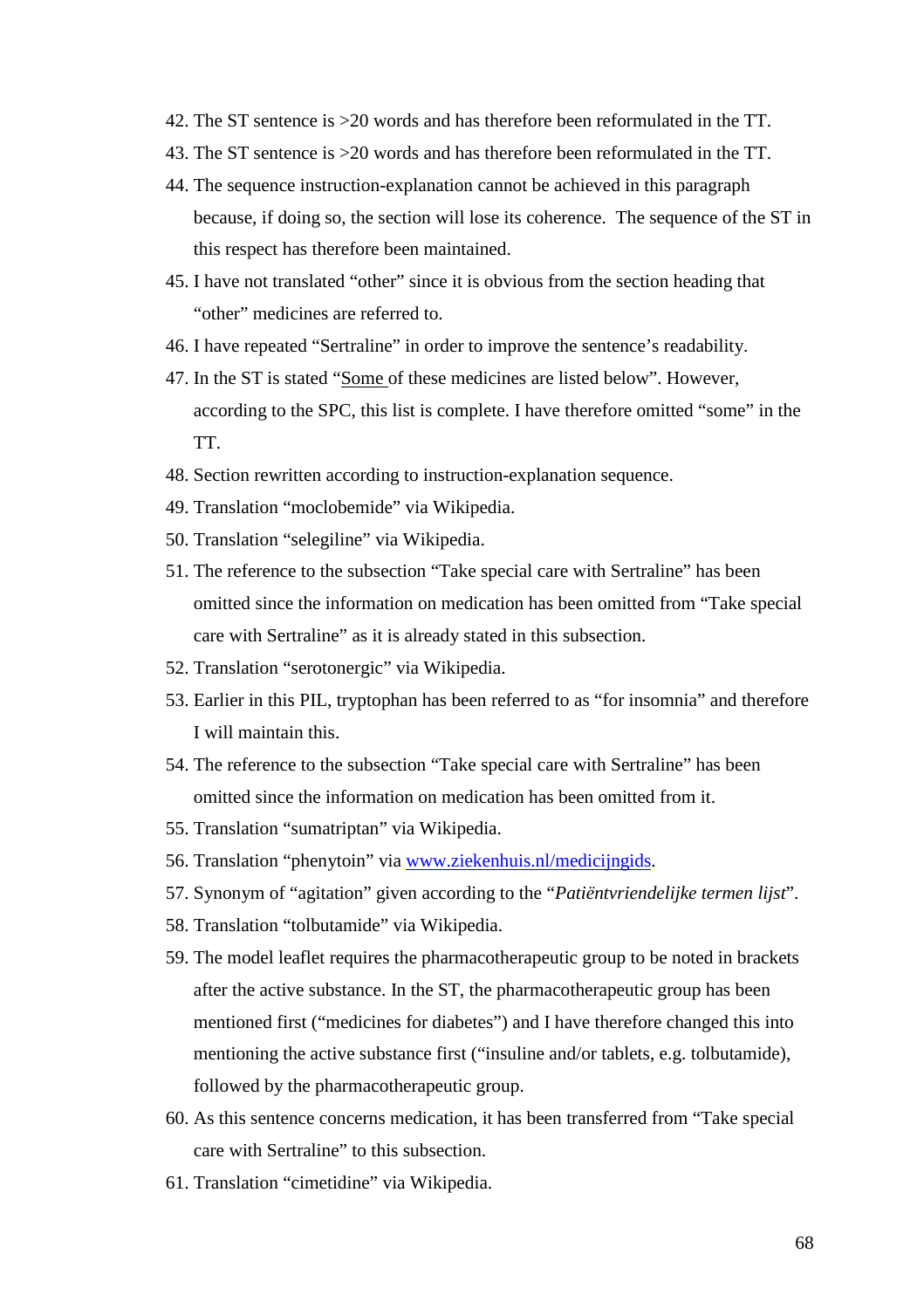- 42.The ST sentence is >20 words and has therefore been reformulated in the TT.
- 43.The ST sentence is >20 words and has therefore been reformulated in the TT.
- 44. The sequence instructic explanation cannot be achieved in this paragraph because, if doing so, the section will lose its coherence. The sequence of the ST in this respect has therefore been maintained.
- 45.I have not translated •other… since it is obvious from the section heading that •other… medicines are referred to.
- 46. I have repeated •Sertraline... ride to improve the sentence  $\epsilon$ s readability.
- 47. In the ST is stated Some of these medicines are listed below.... However, according to the SPC, this list is complete. I have therefore omitted •some… in the TT.
- 48. Section rewritten according to instruction planation sequence.
- 49.Translation •moclobemide… via Wikipedia.
- 50.Translation •selegiline… via Wikipedia.
- 51.The reference to the subsection •Take special care with Sertraline… has been omitted since the information on medication has been omitted from •Take special care with Sertraline... as it is already stated in unimation.
- 52.Translation •serotonergic… via Wikipedia.
- 53.Earlier in this PIL, tryptophan has been referred to as •for insomnia… and therefore I will maintain this.
- 54. The reference to the subsection •Take cial care with Sertraline... has been omitted since the information on medication has beented from it.
- 55.Translation •sumatriptan… via Wikipedia.
- 56. Translation · phenytoin... viaww.ziekenhuis.nl/medinigids.
- 57. Synonym of •agitation... given according to **Pati**ëntvriendelijke termelijst....
- 58.Translation •tolbutamide… via Wikipedia.
- 59. The model leaflet requires the armacotherapeutic group to be noted in brackets after the active substance. In  $t\bar{B}T$ , the pharmacotherapeutic group has been mentioned first (•medicines for diabetes…) and I have therefore changed this into mentioning the active substance first (•insuline and/or tablets, e.g. tolbutamide) followed by the pharmacotherapeutic group.
- 60. As thissentence concerns medicatiom at been transferred from •Take special care with Sertraline… to this subsection.
- 61.Translation •cimetidine… via Wikipedia.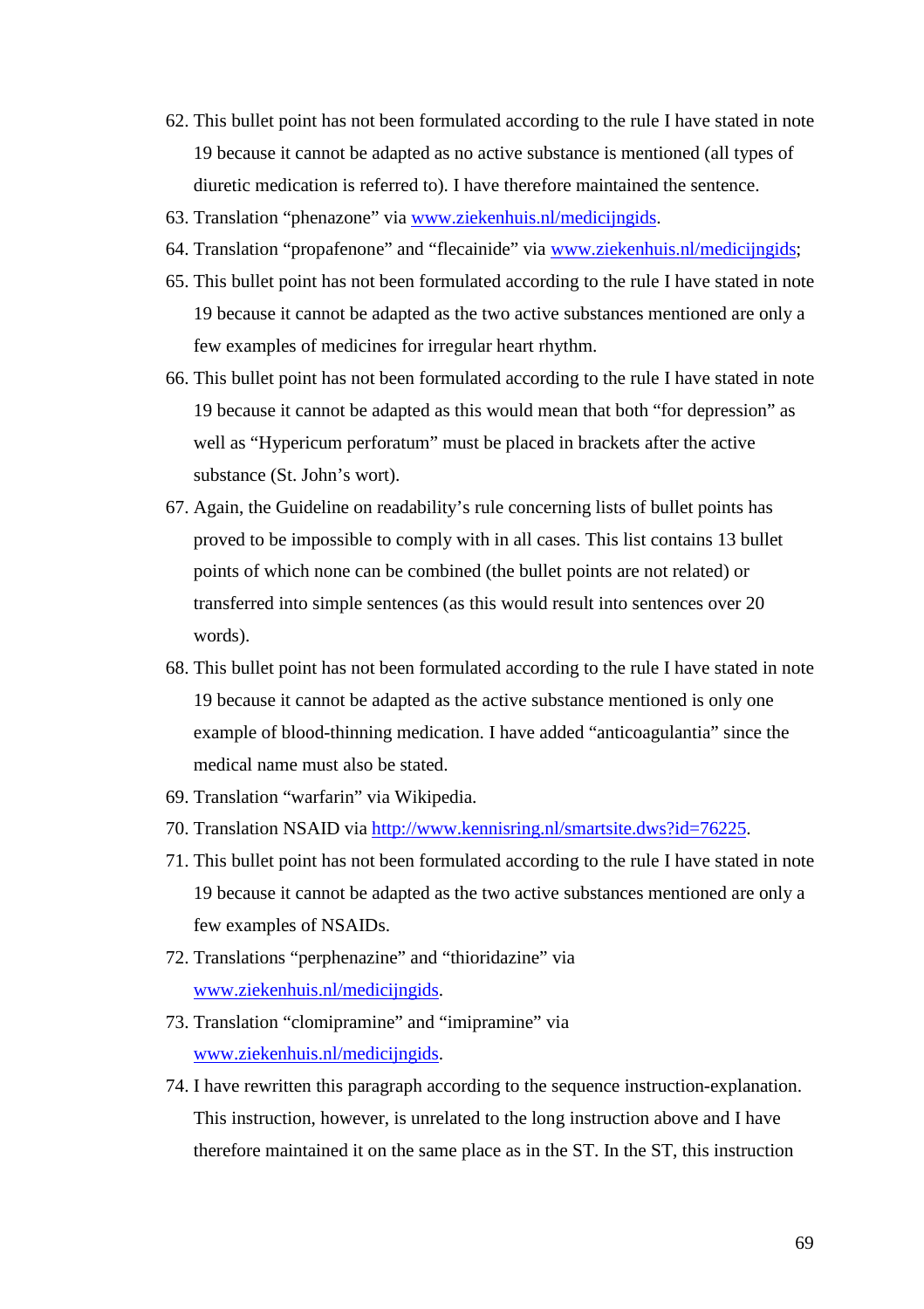- 62.This bullet point has not been formulated according to the rule I have stated in note 19 because it annot be adapten the active substance is mentioned (all types of diuretic medication is referred to). I have therefore maintained the sentence.
- 63. Translation •phenazone... www.ziekenhuis.nl/medicingids.
- 64. Translation •propafenone... and •flecainide www.aziekenhuis.nl/medicijngids[;](www.ziekenhuis.nl/medicijngids)
- 65.This bullet point has not been formulated according to the rule I have stated in note 19 because it cannot be ad the two active substances mentioned are only a few examples of medicines for irregular heart rhythm.
- 66.This bullet point has not been formulated according to the rule I have stated in note 19 because it cannot be adapted as this would mean thartorode pression... as well as •Hypericum perforatum… must be placed in brackets after the active substance (St. John€s wort).
- 67. Again, the Guideline on readability€s rule concernistis lof bullet points has proved to be impossible to comply with in all case his list contains 13 bullet points of which none can be combined bullet points are not related) transferred into simple sentences (as this would result into sentences over 20 words).
- 68. This bullet point has not been formulated according to the run have stated in note 19 because it cannot be adapted as the active substance mentioned is only one example of bloodhinning medication. I have added •anticoagulantia... since the medical name must also be stated.
- 69.Translation •warfarin… via Wikipedia.
- 70. Translation NSAID vi[ahttp://www.kennisring.nl/smartsite.dw](http://www.kennisring.nl/smartsite.dws)s?id=76225
- 71.This bullet point has not been formulated according to the rule I have stated in note 19 because it cannot be adapted hestwo active substances mentioned are only a few examples of NSAIDs.
- 72. Translations •perphenazine... athioridazine. via [www.ziekenhuis.nl/medicijngid](www.ziekenhuis.nl/medicijngids)s[.](www.ziekenhuis.nl/medicijngids)
- 73. Translation *clomipramine* and •imipramine via [www.ziekenhuis.nl/medicijngid](www.ziekenhuis.nl/medicijngids)s[.](www.ziekenhuis.nl/medicijngids)
- 74. I have rewritten this paragraph according to the sequence instruction ation. This instruction, however, is unrelated to the long instruction above and I have therefore maintained it on the same place as in the ST. In the ST, this instruction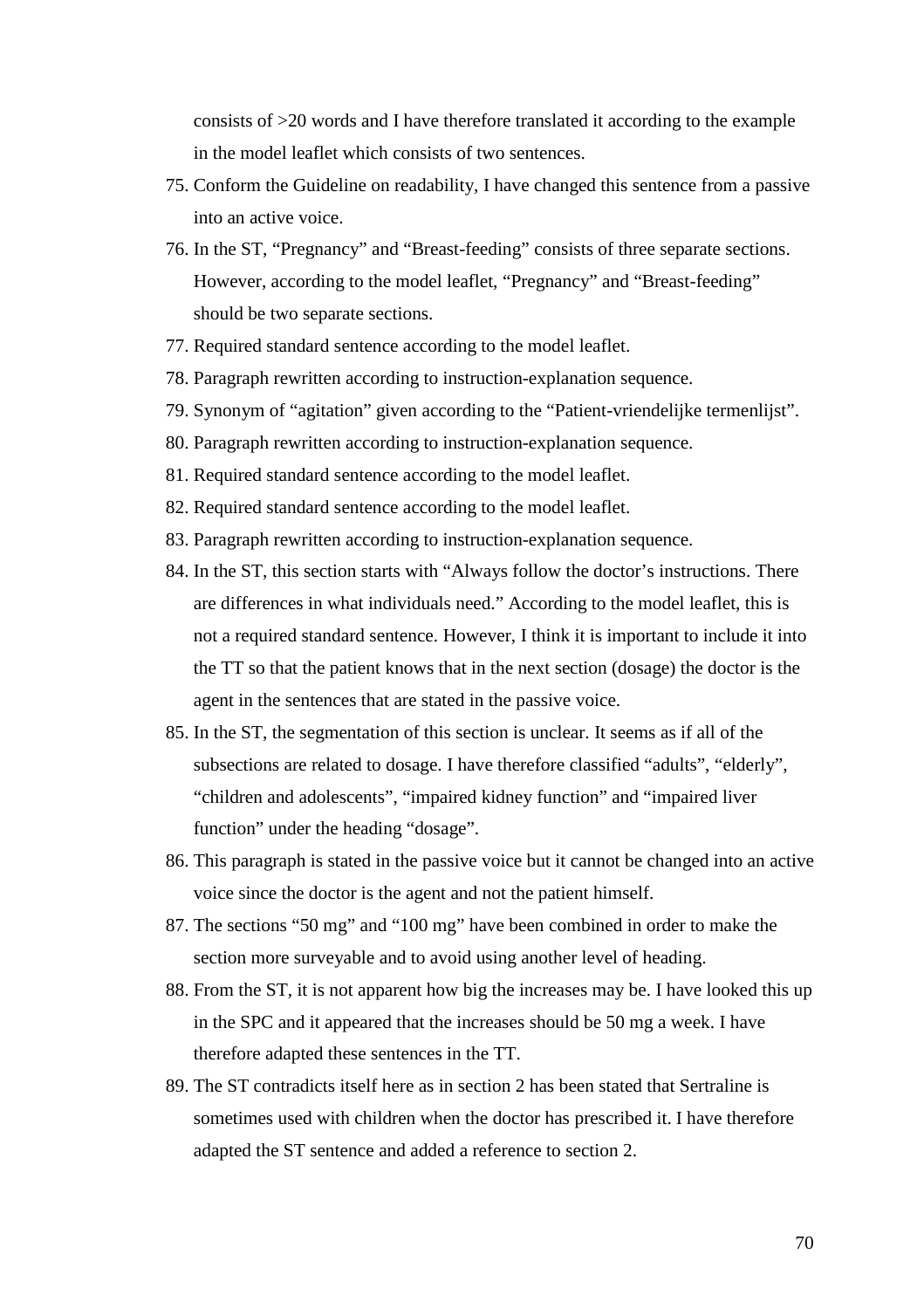consists of >20 words and I have therefore translated it according to the example in the model leaflet which consists of two sentences.

- 75. Conform the Guideline on readability, I have changed this sentence from a passive into an active voice.
- 76. In the ST, "Pregnancy" and "Breast-feeding" consists of three separate sections. However, according to the model leaflet, "Pregnancy" and "Breast-feeding" should be two separate sections.
- 77. Required standard sentence according to the model leaflet.
- 78. Paragraph rewritten according to instruction-explanation sequence.
- 79. Synonym of "agitation" given according to the "Patient-vriendelijke termenlijst".
- 80. Paragraph rewritten according to instruction-explanation sequence.
- 81. Required standard sentence according to the model leaflet.
- 82. Required standard sentence according to the model leaflet.
- 83. Paragraph rewritten according to instruction-explanation sequence.
- 84. In the ST, this section starts with "Always follow the doctor's instructions. There are differences in what individuals need." According to the model leaflet, this is not a required standard sentence. However, I think it is important to include it into the TT so that the patient knows that in the next section (dosage) the doctor is the agent in the sentences that are stated in the passive voice.
- 85. In the ST, the segmentation of this section is unclear. It seems as if all of the subsections are related to dosage. I have therefore classified "adults", "elderly", "children and adolescents", "impaired kidney function" and "impaired liver function" under the heading "dosage".
- 86. This paragraph is stated in the passive voice but it cannot be changed into an active voice since the doctor is the agent and not the patient himself.
- 87. The sections "50 mg" and "100 mg" have been combined in order to make the section more surveyable and to avoid using another level of heading.
- 88. From the ST, it is not apparent how big the increases may be. I have looked this up in the SPC and it appeared that the increases should be 50 mg a week. I have therefore adapted these sentences in the TT.
- 89. The ST contradicts itself here as in section 2 has been stated that Sertraline is sometimes used with children when the doctor has prescribed it. I have therefore adapted the ST sentence and added a reference to section 2.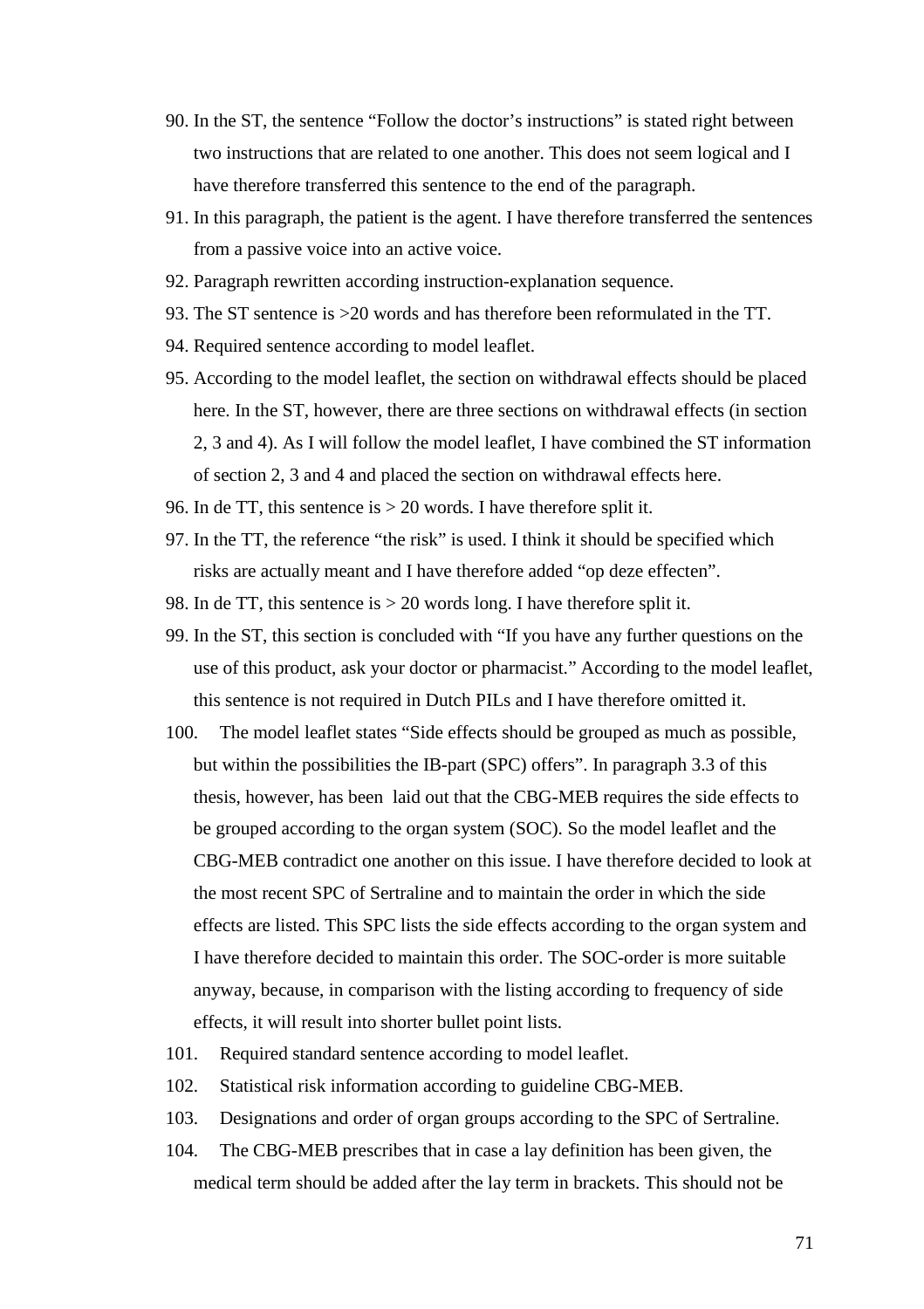- 90. In the ST, the sentence "Follow the doctor's instructions" is stated right between two instructions that are related to one another. This does not seem logical and I have therefore transferred this sentence to the end of the paragraph.
- 91. In this paragraph, the patient is the agent. I have therefore transferred the sentences from a passive voice into an active voice.
- 92. Paragraph rewritten according instruction-explanation sequence.
- 93. The ST sentence is >20 words and has therefore been reformulated in the TT.
- 94. Required sentence according to model leaflet.
- 95. According to the model leaflet, the section on withdrawal effects should be placed here. In the ST, however, there are three sections on withdrawal effects (in section 2, 3 and 4). As I will follow the model leaflet, I have combined the ST information of section 2, 3 and 4 and placed the section on withdrawal effects here.
- 96. In de TT, this sentence is > 20 words. I have therefore split it.
- 97. In the TT, the reference "the risk" is used. I think it should be specified which risks are actually meant and I have therefore added "op deze effecten".
- 98. In de TT, this sentence is > 20 words long. I have therefore split it.
- 99. In the ST, this section is concluded with "If you have any further questions on the use of this product, ask your doctor or pharmacist." According to the model leaflet, this sentence is not required in Dutch PILs and I have therefore omitted it.
- 100. The model leaflet states "Side effects should be grouped as much as possible, but within the possibilities the IB-part (SPC) offers". In paragraph 3.3 of this thesis, however, has been laid out that the CBG-MEB requires the side effects to be grouped according to the organ system (SOC). So the model leaflet and the CBG-MEB contradict one another on this issue. I have therefore decided to look at the most recent SPC of Sertraline and to maintain the order in which the side effects are listed. This SPC lists the side effects according to the organ system and I have therefore decided to maintain this order. The SOC-order is more suitable anyway, because, in comparison with the listing according to frequency of side effects, it will result into shorter bullet point lists.
- 101. Required standard sentence according to model leaflet.
- 102. Statistical risk information according to guideline CBG-MEB.
- 103. Designations and order of organ groups according to the SPC of Sertraline.
- 104. The CBG-MEB prescribes that in case a lay definition has been given, the medical term should be added after the lay term in brackets. This should not be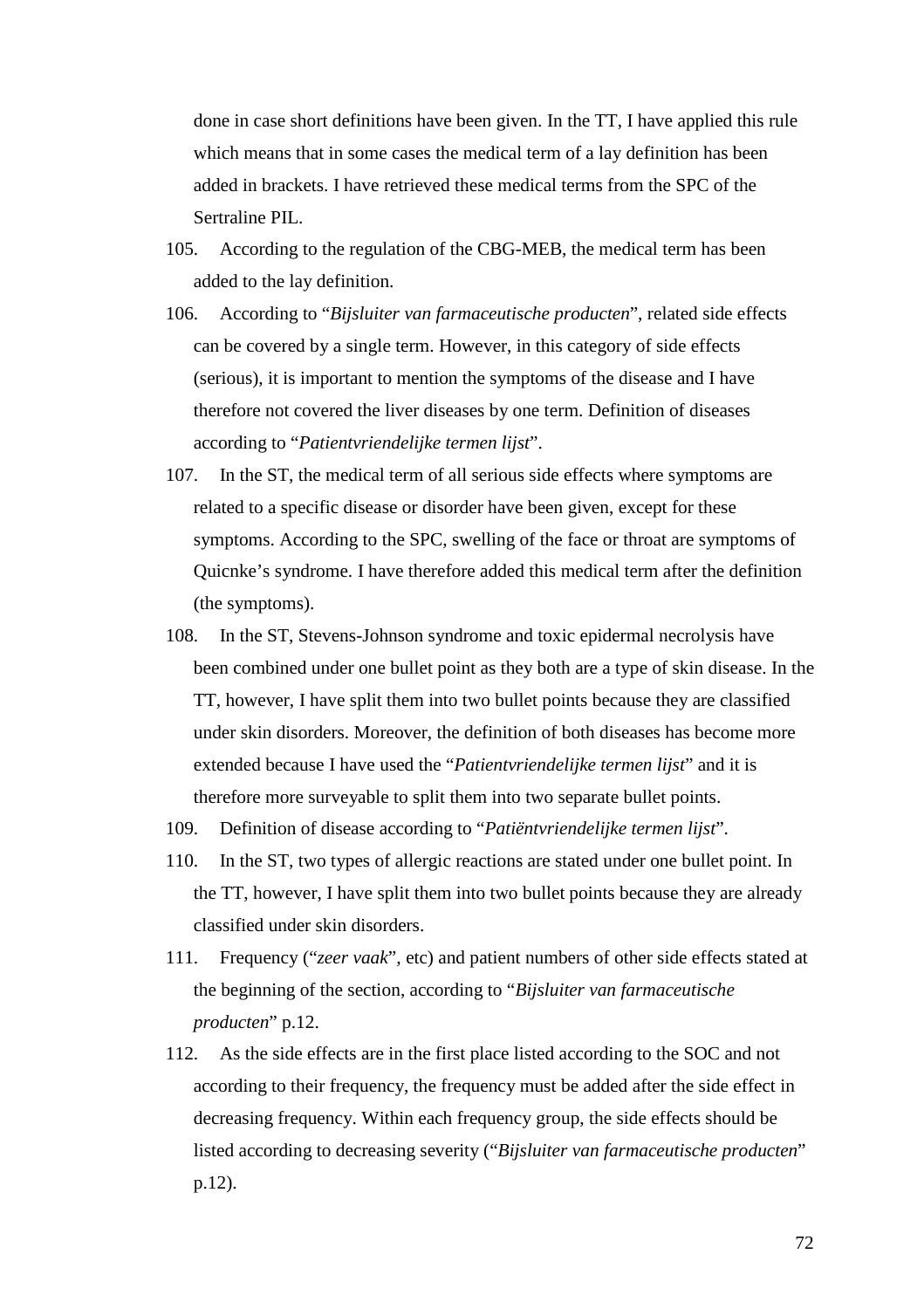done in case short definitions have been given. In the TT, I have applied this rule which means that in some cases the medical term of a lay definition has been added in brackets. I have retrieved these medical terms from the SPC of the Sertraline PIL.

- 105. According to the regulation of the CBG-MEB, the medical term has been added to the lay definition.
- 106. According to "*Bijsluiter van farmaceutische producten*", related side effects can be covered by a single term. However, in this category of side effects (serious), it is important to mention the symptoms of the disease and I have therefore not covered the liver diseases by one term. Definition of diseases according to "*Patientvriendelijke termen lijst*".
- 107. In the ST, the medical term of all serious side effects where symptoms are related to a specific disease or disorder have been given, except for these symptoms. According to the SPC, swelling of the face or throat are symptoms of Quicnke's syndrome. I have therefore added this medical term after the definition (the symptoms).
- 108. In the ST, Stevens-Johnson syndrome and toxic epidermal necrolysis have been combined under one bullet point as they both are a type of skin disease. In the TT, however, I have split them into two bullet points because they are classified under skin disorders. Moreover, the definition of both diseases has become more extended because I have used the "*Patientvriendelijke termen lijst*" and it is therefore more surveyable to split them into two separate bullet points.
- 109. Definition of disease according to "*Patiëntvriendelijke termen lijst*".
- 110. In the ST, two types of allergic reactions are stated under one bullet point. In the TT, however, I have split them into two bullet points because they are already classified under skin disorders.
- 111. Frequency ("*zeer vaak*", etc) and patient numbers of other side effects stated at the beginning of the section, according to "*Bijsluiter van farmaceutische producten*" p.12.
- 112. As the side effects are in the first place listed according to the SOC and not according to their frequency, the frequency must be added after the side effect in decreasing frequency. Within each frequency group, the side effects should be listed according to decreasing severity ("*Bijsluiter van farmaceutische producten*" p.12).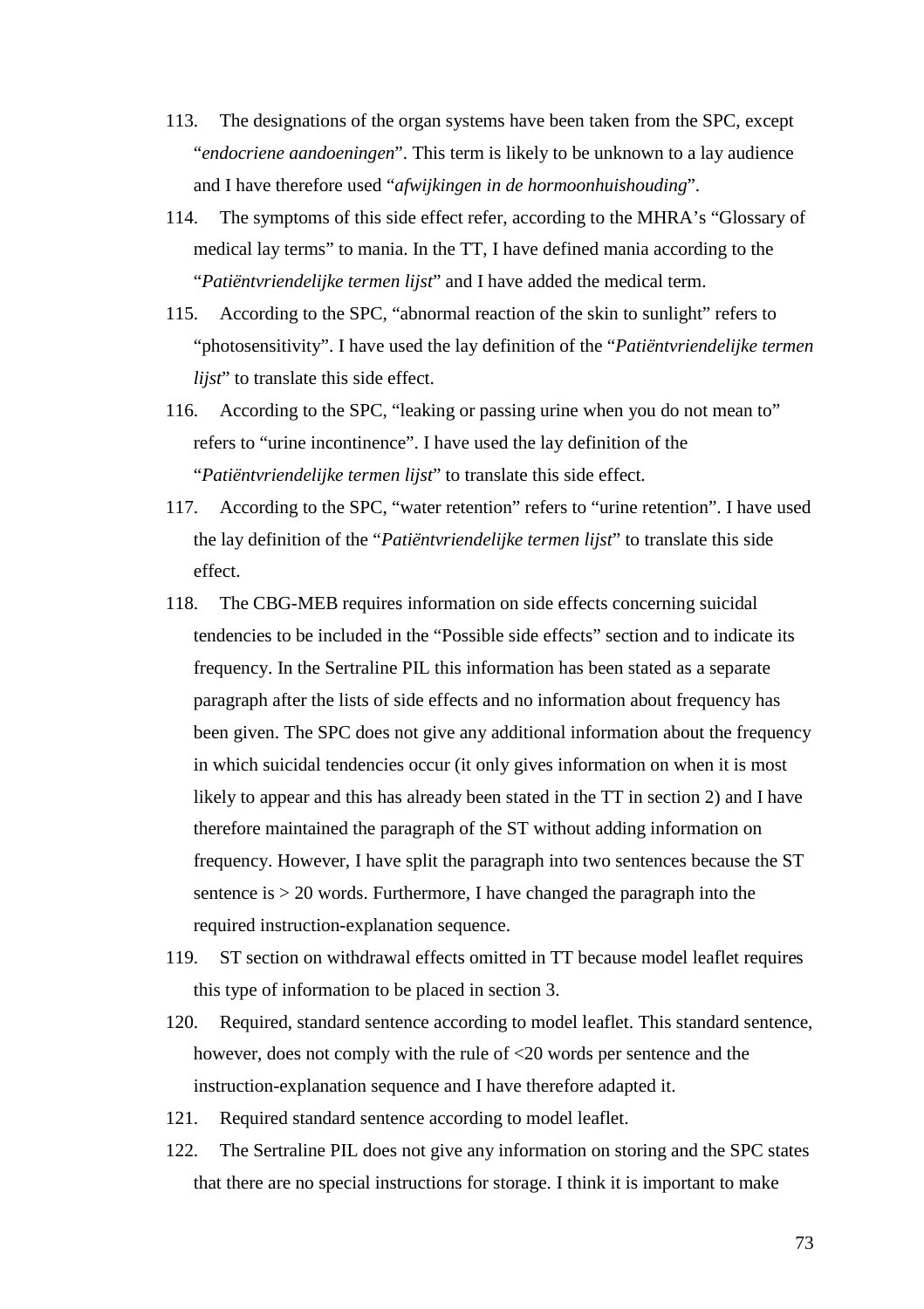- 113. The designations of the organ systems have been taken from the SPC, except "*endocriene aandoeningen*". This term is likely to be unknown to a lay audience and I have therefore used "*afwijkingen in de hormoonhuishouding*".
- 114. The symptoms of this side effect refer, according to the MHRA's "Glossary of medical lay terms" to mania. In the TT, I have defined mania according to the "*Patiëntvriendelijke termen lijst*" and I have added the medical term.
- 115. According to the SPC, "abnormal reaction of the skin to sunlight" refers to "photosensitivity". I have used the lay definition of the "*Patiëntvriendelijke termen lijst*" to translate this side effect.
- 116. According to the SPC, "leaking or passing urine when you do not mean to" refers to "urine incontinence". I have used the lay definition of the "*Patiëntvriendelijke termen lijst*" to translate this side effect.
- 117. According to the SPC, "water retention" refers to "urine retention". I have used the lay definition of the "*Patiëntvriendelijke termen lijst*" to translate this side effect.
- 118. The CBG-MEB requires information on side effects concerning suicidal tendencies to be included in the "Possible side effects" section and to indicate its frequency. In the Sertraline PIL this information has been stated as a separate paragraph after the lists of side effects and no information about frequency has been given. The SPC does not give any additional information about the frequency in which suicidal tendencies occur (it only gives information on when it is most likely to appear and this has already been stated in the TT in section 2) and I have therefore maintained the paragraph of the ST without adding information on frequency. However, I have split the paragraph into two sentences because the ST sentence is > 20 words. Furthermore, I have changed the paragraph into the required instruction-explanation sequence.
- 119. ST section on withdrawal effects omitted in TT because model leaflet requires this type of information to be placed in section 3.
- 120. Required, standard sentence according to model leaflet. This standard sentence, however, does not comply with the rule of <20 words per sentence and the instruction-explanation sequence and I have therefore adapted it.
- 121. Required standard sentence according to model leaflet.
- 122. The Sertraline PIL does not give any information on storing and the SPC states that there are no special instructions for storage. I think it is important to make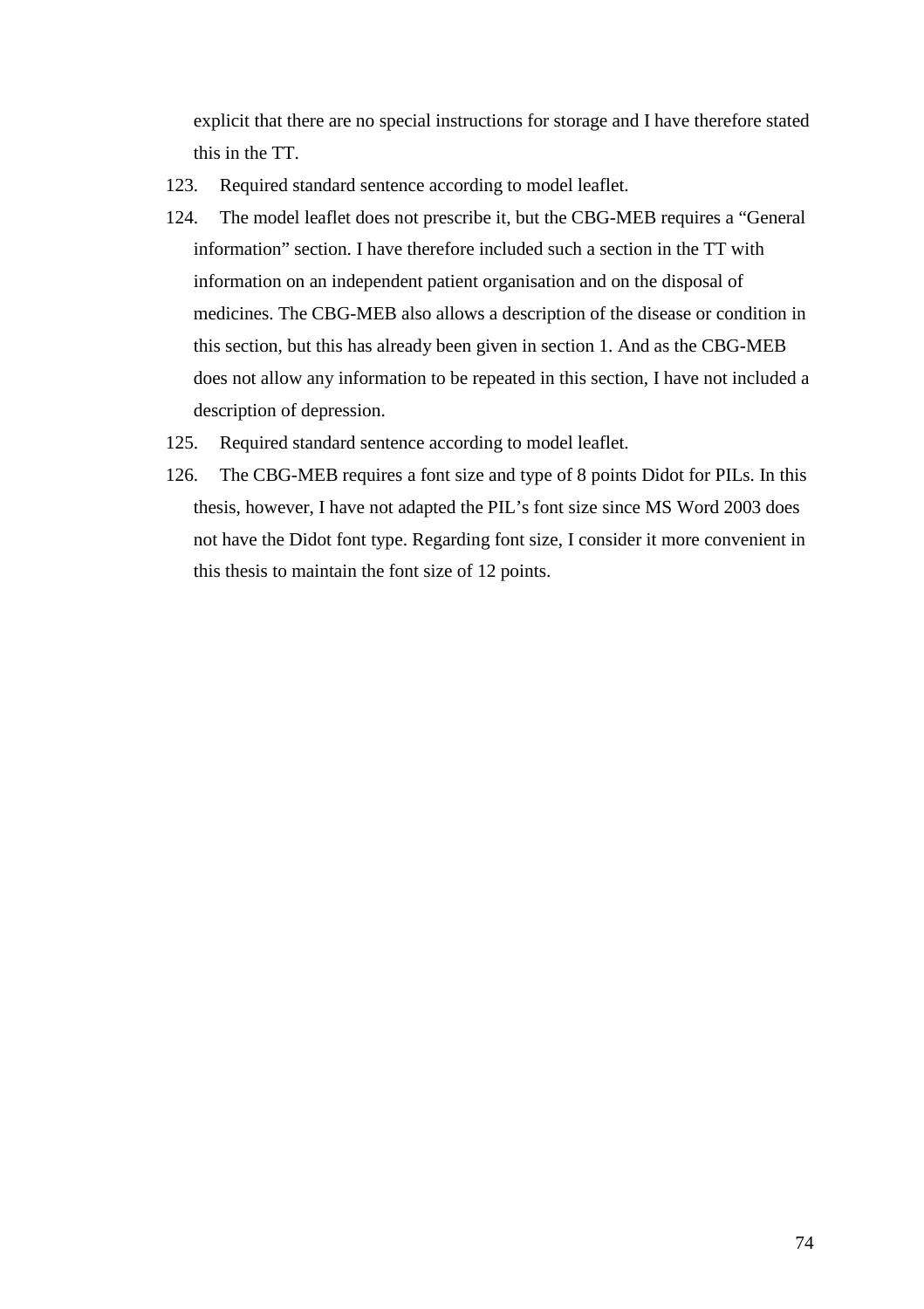explicit that there are no special instructions for storage and I have therefore stated this in the TT.

- 123. Required standard sentence according to model leaflet.
- 124. The model leaflet does not prescribe it, but the CBG-MEB requires a "General information" section. I have therefore included such a section in the TT with information on an independent patient organisation and on the disposal of medicines. The CBG-MEB also allows a description of the disease or condition in this section, but this has already been given in section 1. And as the CBG-MEB does not allow any information to be repeated in this section, I have not included a description of depression.
- 125. Required standard sentence according to model leaflet.
- 126. The CBG-MEB requires a font size and type of 8 points Didot for PILs. In this thesis, however, I have not adapted the PIL's font size since MS Word 2003 does not have the Didot font type. Regarding font size, I consider it more convenient in this thesis to maintain the font size of 12 points.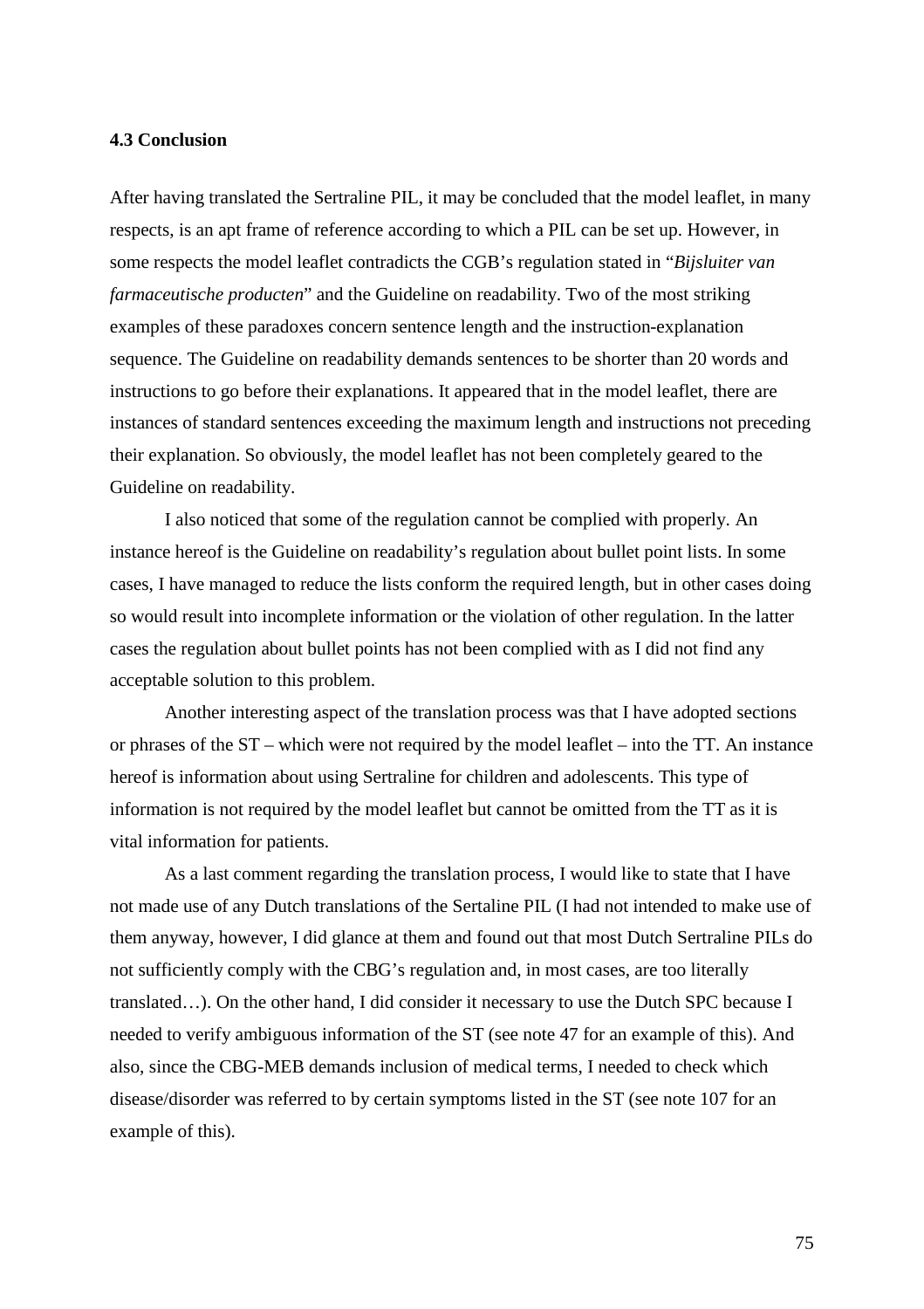#### **4.3 Conclusion**

After having translated the Sertraline PIL, it may be concluded that the model leaflet, in many respects, is an apt frame of reference according to which a PIL can be set up. However, in some respects the model leaflet contradicts the CGB's regulation stated in "*Bijsluiter van farmaceutische producten*" and the Guideline on readability. Two of the most striking examples of these paradoxes concern sentence length and the instruction-explanation sequence. The Guideline on readability demands sentences to be shorter than 20 words and instructions to go before their explanations. It appeared that in the model leaflet, there are instances of standard sentences exceeding the maximum length and instructions not preceding their explanation. So obviously, the model leaflet has not been completely geared to the Guideline on readability.

I also noticed that some of the regulation cannot be complied with properly. An instance hereof is the Guideline on readability's regulation about bullet point lists. In some cases, I have managed to reduce the lists conform the required length, but in other cases doing so would result into incomplete information or the violation of other regulation. In the latter cases the regulation about bullet points has not been complied with as I did not find any acceptable solution to this problem.

Another interesting aspect of the translation process was that I have adopted sections or phrases of the ST – which were not required by the model leaflet – into the TT. An instance hereof is information about using Sertraline for children and adolescents. This type of information is not required by the model leaflet but cannot be omitted from the TT as it is vital information for patients.

As a last comment regarding the translation process, I would like to state that I have not made use of any Dutch translations of the Sertaline PIL (I had not intended to make use of them anyway, however, I did glance at them and found out that most Dutch Sertraline PILs do not sufficiently comply with the CBG's regulation and, in most cases, are too literally translated…). On the other hand, I did consider it necessary to use the Dutch SPC because I needed to verify ambiguous information of the ST (see note 47 for an example of this). And also, since the CBG-MEB demands inclusion of medical terms, I needed to check which disease/disorder was referred to by certain symptoms listed in the ST (see note 107 for an example of this).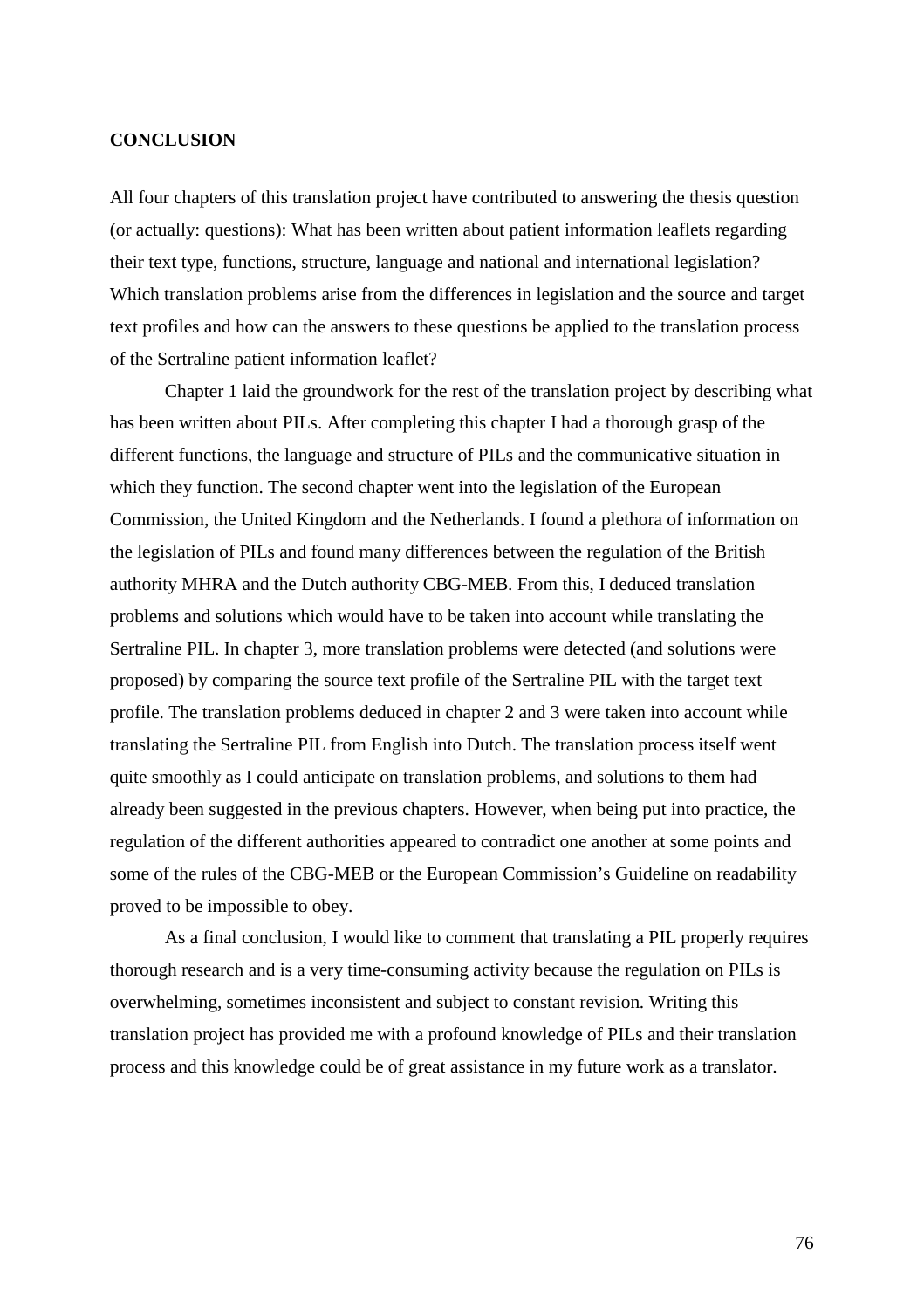#### **CONCLUSION**

All four chapters of this translation project have contributed to answering the thesis question (or actually: questions): What has been written about patient information leaflets regarding their text type, functions, structure, language and national and international legislation? Which translation problems arise from the differences in legislation and the source and target text profiles and how can the answers to these questions be applied to the translation process of the Sertraline patient information leaflet?

Chapter 1 laid the groundwork for the rest of the translation project by describing what has been written about PILs. After completing this chapter I had a thorough grasp of the different functions, the language and structure of PILs and the communicative situation in which they function. The second chapter went into the legislation of the European Commission, the United Kingdom and the Netherlands. I found a plethora of information on the legislation of PILs and found many differences between the regulation of the British authority MHRA and the Dutch authority CBG-MEB. From this, I deduced translation problems and solutions which would have to be taken into account while translating the Sertraline PIL. In chapter 3, more translation problems were detected (and solutions were proposed) by comparing the source text profile of the Sertraline PIL with the target text profile. The translation problems deduced in chapter 2 and 3 were taken into account while translating the Sertraline PIL from English into Dutch. The translation process itself went quite smoothly as I could anticipate on translation problems, and solutions to them had already been suggested in the previous chapters. However, when being put into practice, the regulation of the different authorities appeared to contradict one another at some points and some of the rules of the CBG-MEB or the European Commission's Guideline on readability proved to be impossible to obey.

As a final conclusion, I would like to comment that translating a PIL properly requires thorough research and is a very time-consuming activity because the regulation on PILs is overwhelming, sometimes inconsistent and subject to constant revision. Writing this translation project has provided me with a profound knowledge of PILs and their translation process and this knowledge could be of great assistance in my future work as a translator.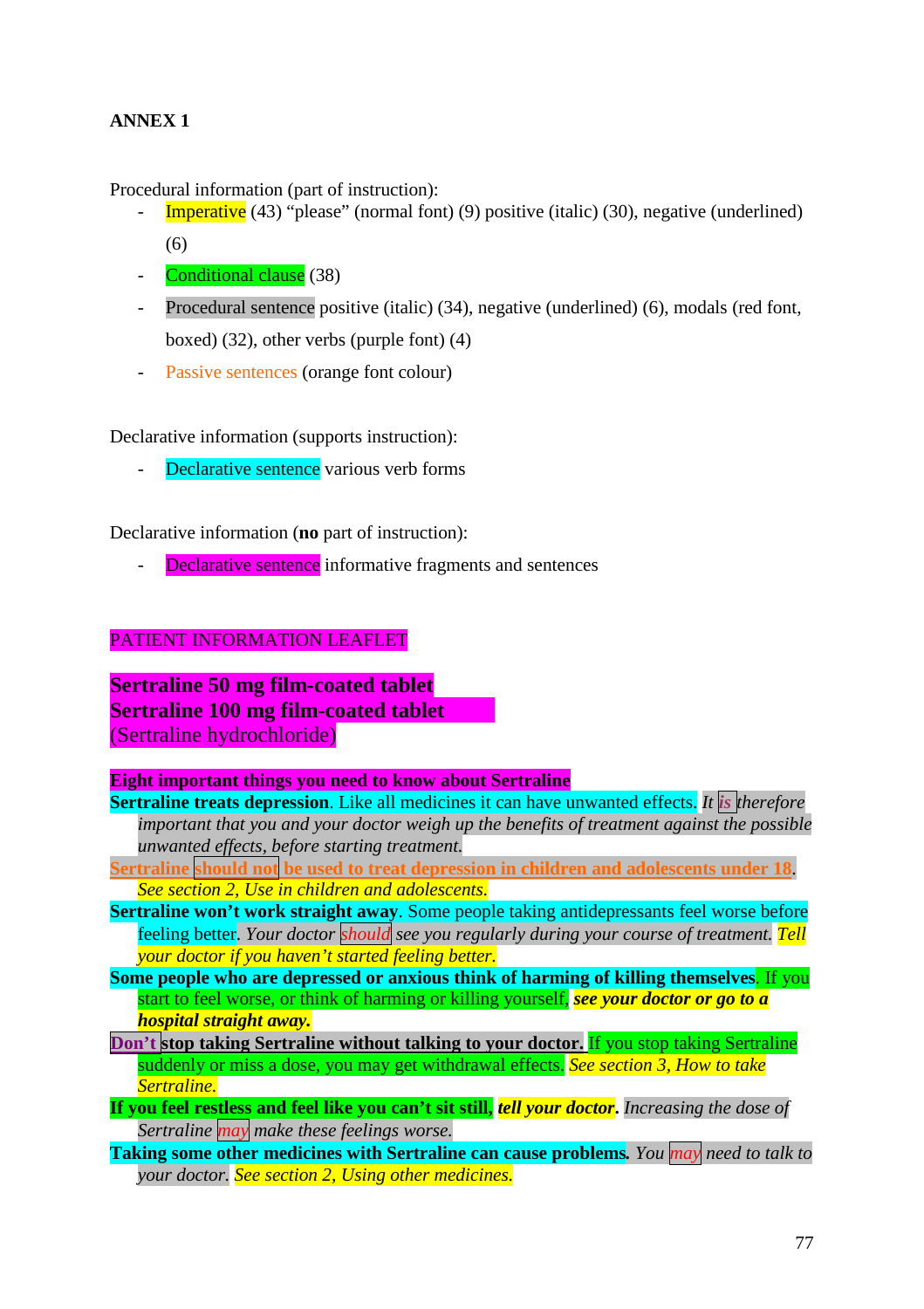# **ANNEX 1**

Procedural information (part of instruction):

- **Imperative** (43) "please" (normal font) (9) positive (italic) (30), negative (underlined) (6)
- Conditional clause (38)
- Procedural sentence positive (italic) (34), negative (underlined) (6), modals (red font, boxed) (32), other verbs (purple font) (4)
- Passive sentences (orange font colour)

Declarative information (supports instruction):

- Declarative sentence various verb forms

Declarative information (**no** part of instruction):

Declarative sentence informative fragments and sentences

## PATIENT INFORMATION LEAFLET

**Sertraline 50 mg film-coated tablet Sertraline 100 mg film-coated tablet** (Sertraline hydrochloride)

### **Eight important things you need to know about Sertraline**

- **Sertraline treats depression**. Like all medicines it can have unwanted effects. *It is therefore important that you and your doctor weigh up the benefits of treatment against the possible unwanted effects, before starting treatment.*
- **Sertraline should not be used to treat depression in children and adolescents under 18**. *See section 2, Use in children and adolescents*.
- **Sertraline won't work straight away**. Some people taking antidepressants feel worse before feeling better. *Your doctor should see you regularly during your course of treatment. Tell your doctor if you haven't started feeling better.*
- **Some people who are depressed or anxious think of harming of killing themselves**. If you start to feel worse, or think of harming or killing yourself, *see your doctor or go to a hospital straight away.*
- **Don't stop taking Sertraline without talking to your doctor.** If you stop taking Sertraline suddenly or miss a dose, you may get withdrawal effects. *See section 3, How to take Sertraline.*
- **If you feel restless and feel like you can't sit still,** *tell your doctor***.** *Increasing the dose of Sertraline may make these feelings worse.*
- **Taking some other medicines with Sertraline can cause problems***. You may need to talk to your doctor. See section 2, Using other medicines.*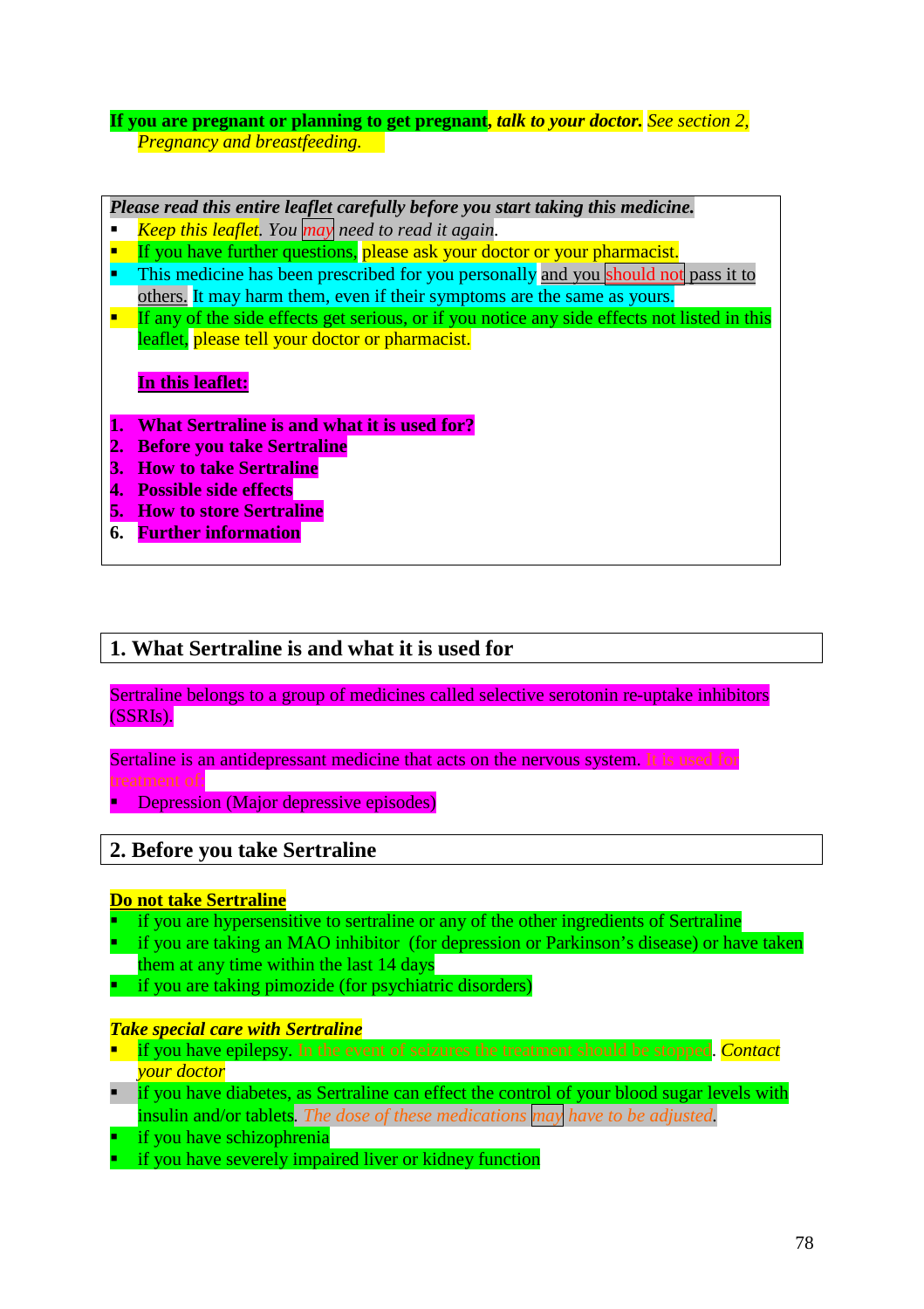## **If you are pregnant or planning to get pregnant,** *talk to your doctor. See section 2, Pregnancy and breastfeeding.*

## *Please read this entire leaflet carefully before you start taking this medicine.*

- *Keep this leaflet. You may need to read it again*.
- **If** you have further questions, please ask your doctor or your pharmacist.
- This medicine has been prescribed for you personally and you should not pass it to others. It may harm them, even if their symptoms are the same as yours.
- If any of the side effects get serious, or if you notice any side effects not listed in this leaflet, please tell your doctor or pharmacist.

## **In this leaflet:**

- **1. What Sertraline is and what it is used for?**
- **2. Before you take Sertraline**
- **3. How to take Sertraline**
- **4. Possible side effects**
- **5. How to store Sertraline**
- **6. Further information**

## **1. What Sertraline is and what it is used for**

Sertraline belongs to a group of medicines called selective serotonin re-uptake inhibitors (SSRIs).

Sertaline is an antidepressant medicine that acts on the nervous system. It is used for treatment of:

Depression (Major depressive episodes)

# **2. Before you take Sertraline**

### **Do not take Sertraline**

- if you are hypersensitive to sertraline or any of the other ingredients of Sertraline
- if you are taking an MAO inhibitor (for depression or Parkinson's disease) or have taken them at any time within the last 14 days
- if you are taking pimozide (for psychiatric disorders)

### *Take special care with Sertraline*

- if you have epilepsy. In the event of seizures the treatment should be stopped. *Contact your doctor*
- $\blacksquare$  if you have diabetes, as Sertraline can effect the control of your blood sugar levels with insulin and/or tablets*. The dose of these medications may have to be adjusted.*
- if you have schizophrenia
- if you have severely impaired liver or kidney function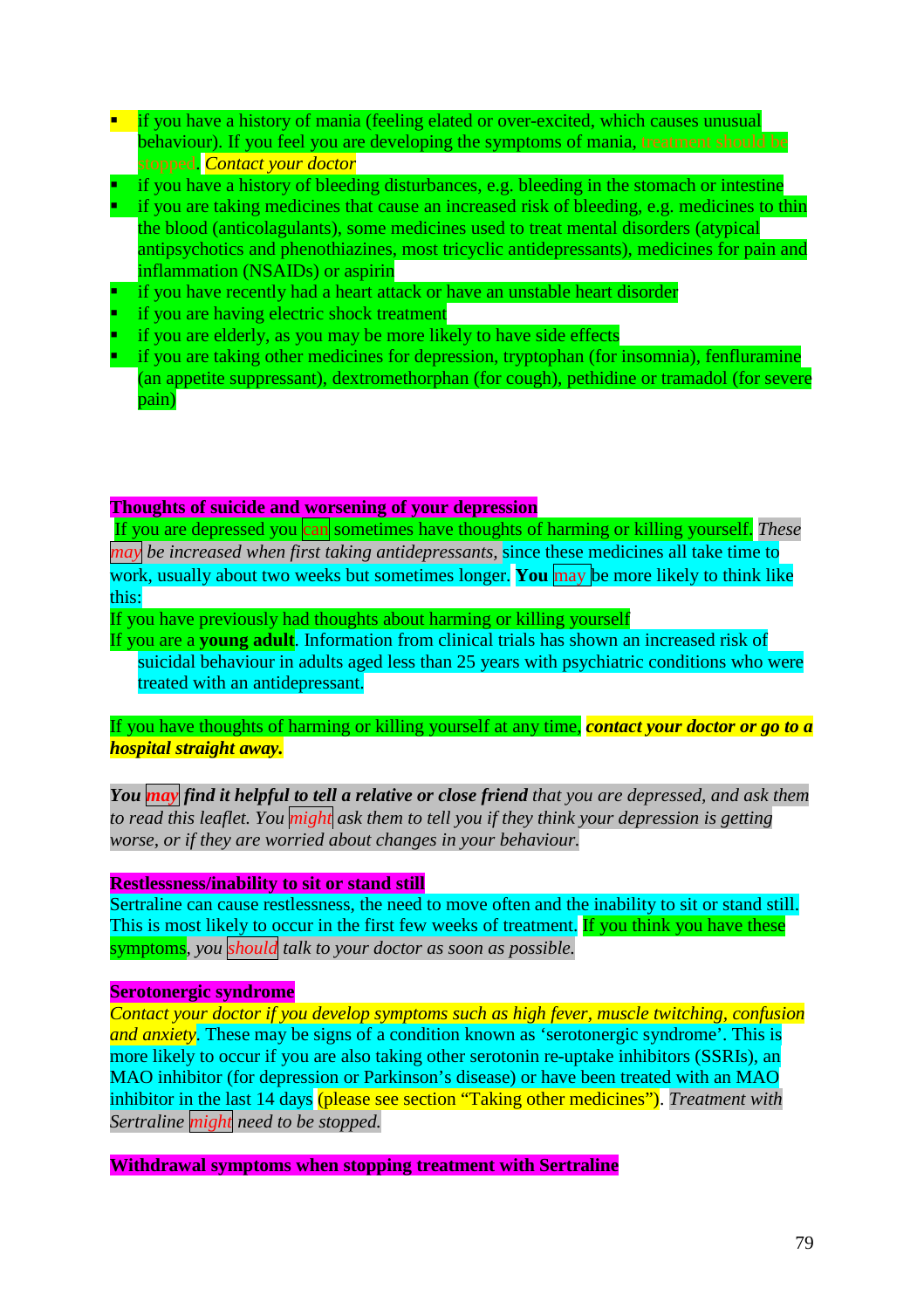- $\blacksquare$  if you have a history of mania (feeling elated or over-excited, which causes unusual behaviour). If you feel you are developing the symptoms of mania, treatment should be stopped. *Contact your doctor*
- if you have a history of bleeding disturbances, e.g. bleeding in the stomach or intestine
- if you are taking medicines that cause an increased risk of bleeding, e.g. medicines to thin the blood (anticolagulants), some medicines used to treat mental disorders (atypical antipsychotics and phenothiazines, most tricyclic antidepressants), medicines for pain and inflammation (NSAIDs) or aspirin
- if you have recently had a heart attack or have an unstable heart disorder
- if you are having electric shock treatment
- if you are elderly, as you may be more likely to have side effects
- if you are taking other medicines for depression, tryptophan (for insomnia), fenfluramine (an appetite suppressant), dextromethorphan (for cough), pethidine or tramadol (for severe pain)

### **Thoughts of suicide and worsening of your depression**

If you are depressed you can sometimes have thoughts of harming or killing yourself. *These may be increased when first taking antidepressants,* since these medicines all take time to work, usually about two weeks but sometimes longer. **You** may be more likely to think like this:

If you have previously had thoughts about harming or killing yourself

If you are a **young adult**. Information from clinical trials has shown an increased risk of suicidal behaviour in adults aged less than 25 years with psychiatric conditions who were treated with an antidepressant.

If you have thoughts of harming or killing yourself at any time, *contact your doctor or go to a hospital straight away.*

*You may find it helpful to tell a relative or close friend that you are depressed, and ask them to read this leaflet. You might ask them to tell you if they think your depression is getting worse, or if they are worried about changes in your behaviour.*

### **Restlessness/inability to sit or stand still**

Sertraline can cause restlessness, the need to move often and the inability to sit or stand still. This is most likely to occur in the first few weeks of treatment. If you think you have these symptoms*, you should talk to your doctor as soon as possible.*

### **Serotonergic syndrome**

*Contact your doctor if you develop symptoms such as high fever, muscle twitching, confusion and anxiety*. These may be signs of a condition known as 'serotonergic syndrome'. This is more likely to occur if you are also taking other serotonin re-uptake inhibitors (SSRIs), an MAO inhibitor (for depression or Parkinson's disease) or have been treated with an MAO inhibitor in the last 14 days (please see section "Taking other medicines"). *Treatment with Sertraline might need to be stopped.*

**Withdrawal symptoms when stopping treatment with Sertraline**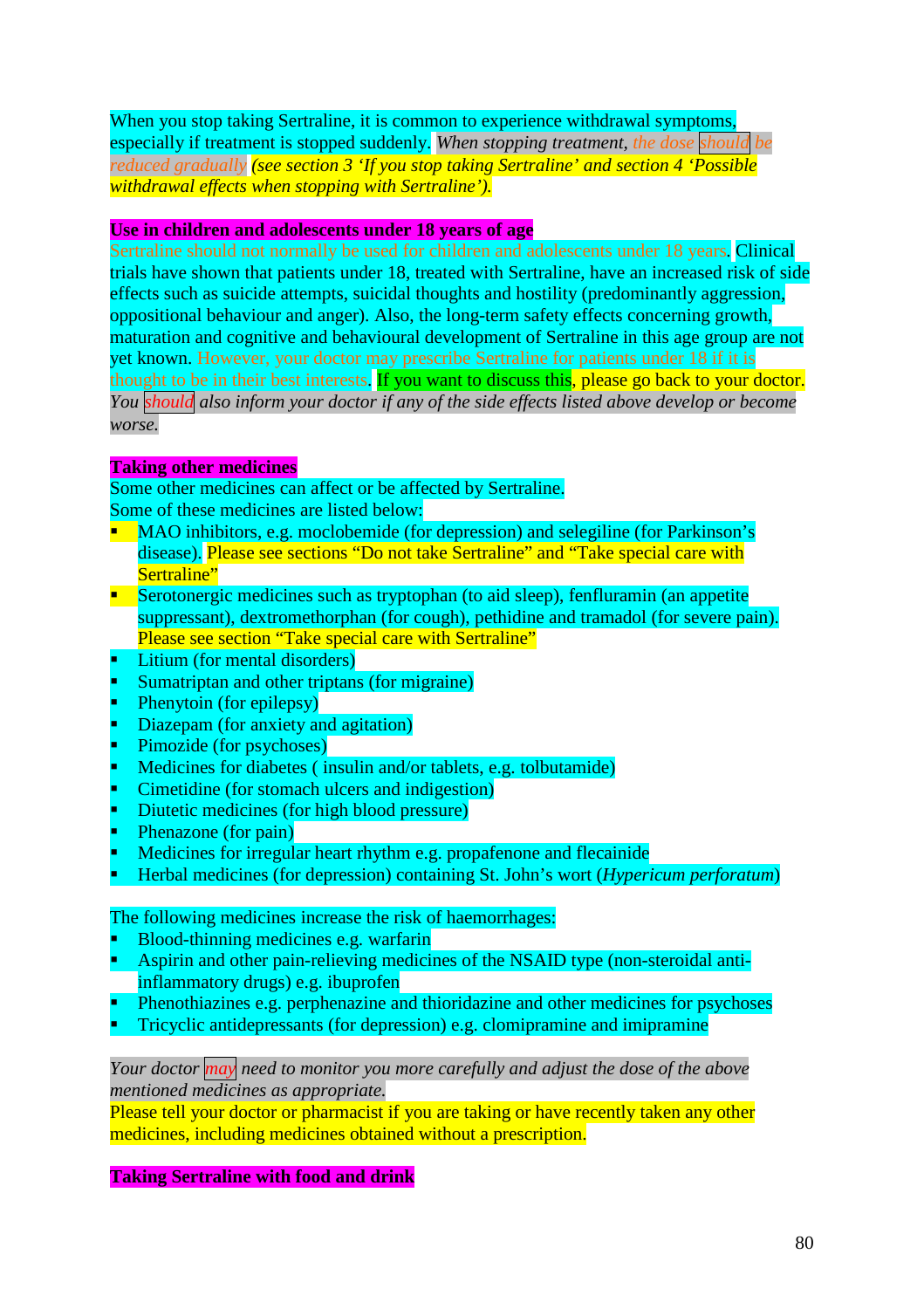When you stop taking Sertraline, it is common to experience withdrawal symptoms, especially if treatment is stopped suddenly. *When stopping treatment, the dose should be reduced gradually (see section 3 'If you stop taking Sertraline' and section 4 'Possible withdrawal effects when stopping with Sertraline').*

### **Use in children and adolescents under 18 years of age**

Sertraline should not normally be used for children and adolescents under 18 years. Clinical trials have shown that patients under 18, treated with Sertraline, have an increased risk of side effects such as suicide attempts, suicidal thoughts and hostility (predominantly aggression, oppositional behaviour and anger). Also, the long-term safety effects concerning growth, maturation and cognitive and behavioural development of Sertraline in this age group are not yet known. However, your doctor may prescribe Sertraline for patients under 18 if it is thought to be in their best interests. If you want to discuss this, please go back to your doctor. *You should also inform your doctor if any of the side effects listed above develop or become worse.*

### **Taking other medicines**

Some other medicines can affect or be affected by Sertraline. Some of these medicines are listed below:

- MAO inhibitors, e.g. moclobemide (for depression) and selegiline (for Parkinson's disease). Please see sections "Do not take Sertraline" and "Take special care with Sertraline"
- Serotonergic medicines such as tryptophan (to aid sleep), fenfluramin (an appetite suppressant), dextromethorphan (for cough), pethidine and tramadol (for severe pain). Please see section "Take special care with Sertraline"
- Litium (for mental disorders)
- Sumatriptan and other triptans (for migraine)
- Phenytoin (for epilepsy)
- Diazepam (for anxiety and agitation)
- Pimozide (for psychoses)
- Medicines for diabetes ( insulin and/or tablets, e.g. tolbutamide)
- Cimetidine (for stomach ulcers and indigestion)
- Diutetic medicines (for high blood pressure)
- Phenazone (for pain)
- Medicines for irregular heart rhythm e.g. propafenone and flecainide
- Herbal medicines (for depression) containing St. John's wort (*Hypericum perforatum*)

The following medicines increase the risk of haemorrhages:

- Blood-thinning medicines e.g. warfarin
- Aspirin and other pain-relieving medicines of the NSAID type (non-steroidal antiinflammatory drugs) e.g. ibuprofen
- Phenothiazines e.g. perphenazine and thioridazine and other medicines for psychoses
- Tricyclic antidepressants (for depression) e.g. clomipramine and imipramine

*Your doctor may need to monitor you more carefully and adjust the dose of the above mentioned medicines as appropriate.*

Please tell your doctor or pharmacist if you are taking or have recently taken any other medicines, including medicines obtained without a prescription.

### **Taking Sertraline with food and drink**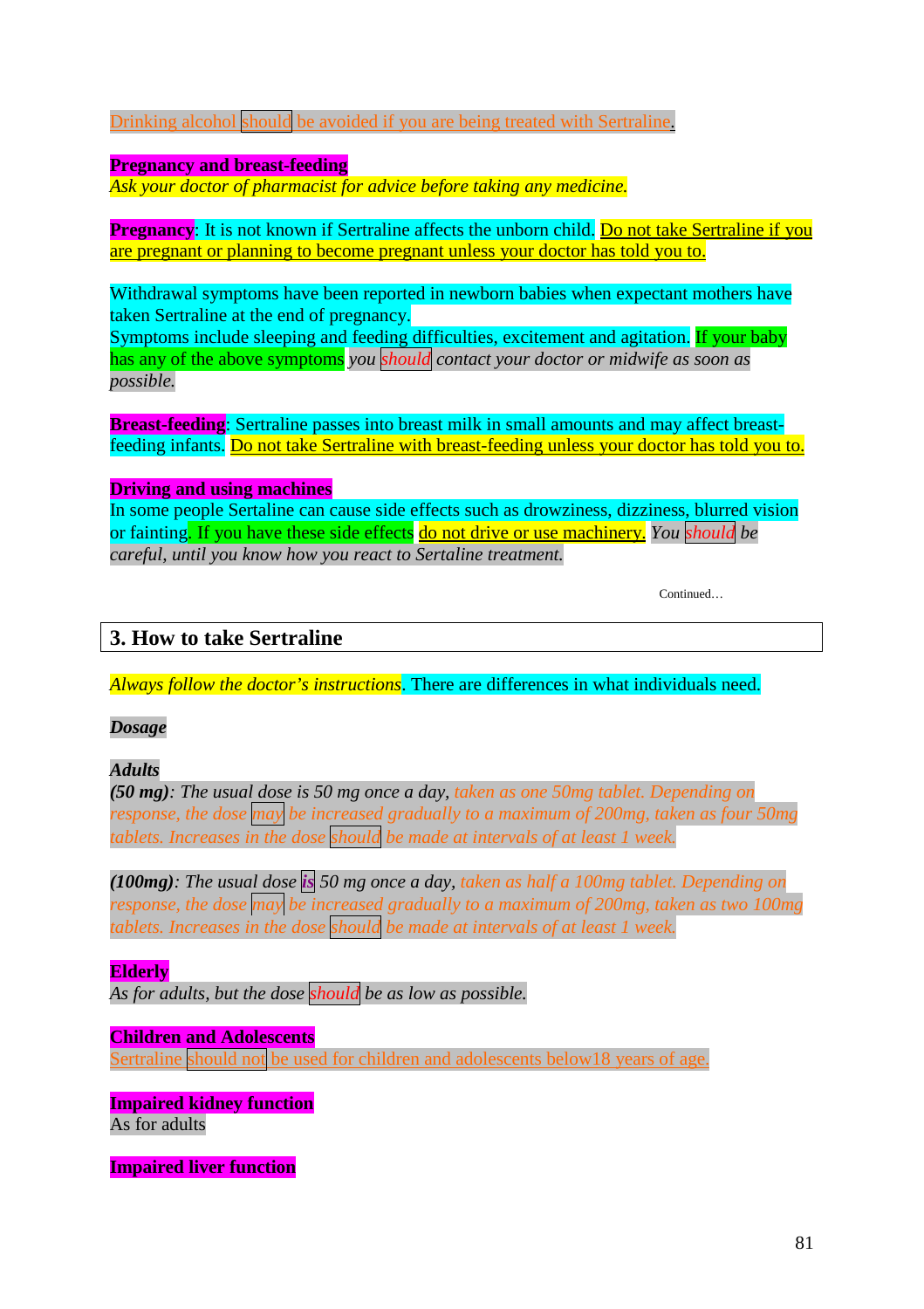Drinking alcohol should be avoided if you are being treated with Sertraline.

## **Pregnancy and breast-feeding**

*Ask your doctor of pharmacist for advice before taking any medicine*.

**Pregnancy**: It is not known if Sertraline affects the unborn child. Do not take Sertraline if you are pregnant or planning to become pregnant unless your doctor has told you to.

Withdrawal symptoms have been reported in newborn babies when expectant mothers have taken Sertraline at the end of pregnancy.

Symptoms include sleeping and feeding difficulties, excitement and agitation. If your baby has any of the above symptoms *you should contact your doctor or midwife as soon as possible.*

**Breast-feeding**: Sertraline passes into breast milk in small amounts and may affect breastfeeding infants. Do not take Sertraline with breast-feeding unless your doctor has told you to.

## **Driving and using machines**

In some people Sertaline can cause side effects such as drowziness, dizziness, blurred vision or fainting. If you have these side effects do not drive or use machinery. *You should be careful, until you know how you react to Sertaline treatment.*

Continued…

# **3. How to take Sertraline**

*Always follow the doctor's instructions*. There are differences in what individuals need.

### *Dosage*

## *Adults*

*(50 mg): The usual dose is 50 mg once a day, taken as one 50mg tablet. Depending on response, the dose may be increased gradually to a maximum of 200mg, taken as four 50mg tablets. Increases in the dose should be made at intervals of at least 1 week.*

*(100mg): The usual dose is 50 mg once a day, taken as half a 100mg tablet. Depending on response, the dose may be increased gradually to a maximum of 200mg, taken as two 100mg tablets. Increases in the dose should be made at intervals of at least 1 week.*

## **Elderly**

*As for adults, but the dose should be as low as possible.*

## **Children and Adolescents**

Sertraline should not be used for children and adolescents below18 years of age.

## **Impaired kidney function** As for adults

**Impaired liver function**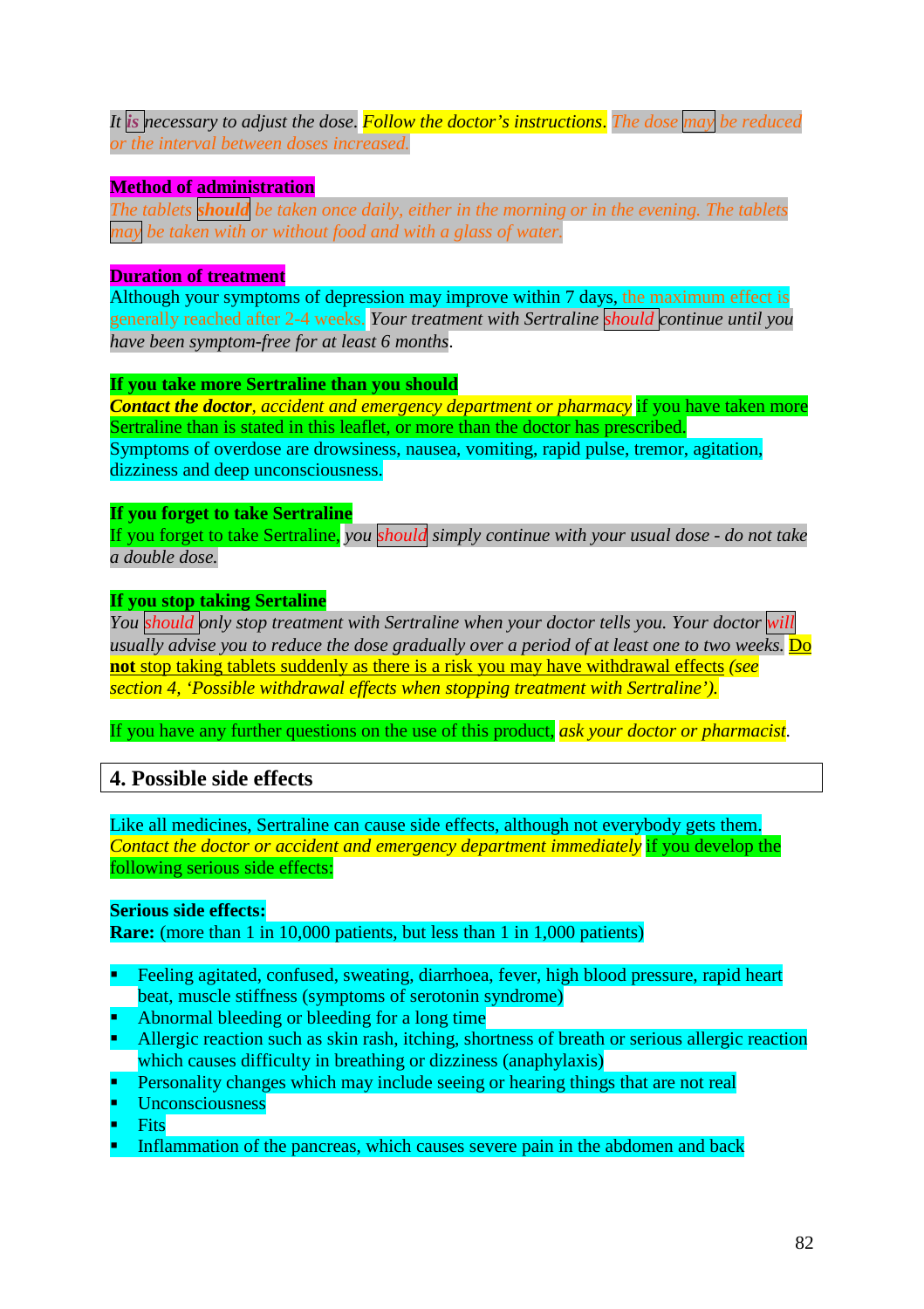*It is necessary to adjust the dose*. *Follow the doctor's instructions*. *The dose may be reduced or the interval between doses increased.*

## **Method of administration**

*The tablets should be taken once daily, either in the morning or in the evening. The tablets may be taken with or without food and with a glass of water.*

### **Duration of treatment**

Although your symptoms of depression may improve within 7 days, the maximum effect is generally reached after 2-4 weeks. *Your treatment with Sertraline should continue until you have been symptom-free for at least 6 months*.

### **If you take more Sertraline than you should**

*Contact the doctor, accident and emergency department or pharmacy* if you have taken more Sertraline than is stated in this leaflet, or more than the doctor has prescribed. Symptoms of overdose are drowsiness, nausea, vomiting, rapid pulse, tremor, agitation, dizziness and deep unconsciousness.

### **If you forget to take Sertraline**

If you forget to take Sertraline, *you should simply continue with your usual dose - do not take a double dose.*

## **If you stop taking Sertaline**

*You should only stop treatment with Sertraline when your doctor tells you. Your doctor will usually advise you to reduce the dose gradually over a period of at least one to two weeks.* Do **not** stop taking tablets suddenly as there is a risk you may have withdrawal effects *(see section 4, 'Possible withdrawal effects when stopping treatment with Sertraline').*

If you have any further questions on the use of this product, *ask your doctor or pharmacist*.

# **4. Possible side effects**

Like all medicines, Sertraline can cause side effects, although not everybody gets them. *Contact the doctor or accident and emergency department immediately* if you develop the following serious side effects:

# **Serious side effects:**

**Rare:** (more than 1 in 10,000 patients, but less than 1 in 1,000 patients)

- Feeling agitated, confused, sweating, diarrhoea, fever, high blood pressure, rapid heart beat, muscle stiffness (symptoms of serotonin syndrome)
- Abnormal bleeding or bleeding for a long time
- Allergic reaction such as skin rash, itching, shortness of breath or serious allergic reaction which causes difficulty in breathing or dizziness (anaphylaxis)
- Personality changes which may include seeing or hearing things that are not real
- Unconsciousness
- Fits
- Inflammation of the pancreas, which causes severe pain in the abdomen and back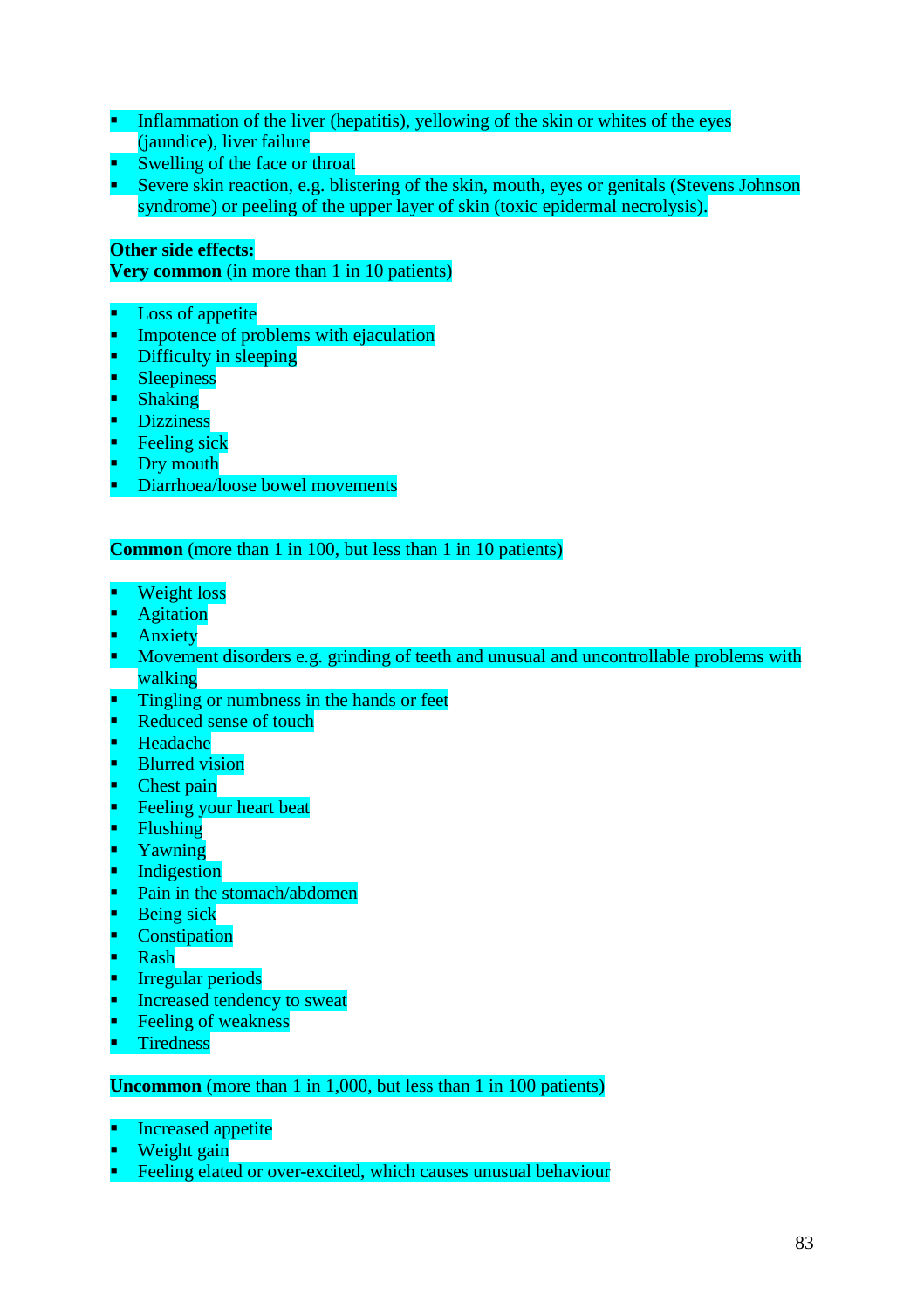- Inflammation of the liver (hepatitis), yellowing of the skin or whites of the eyes (jaundice), liver failure
- Swelling of the face or throat
- Severe skin reaction, e.g. blistering of the skin, mouth, eyes or genitals (Stevens Johnson syndrome) or peeling of the upper layer of skin (toxic epidermal necrolysis).

## **Other side effects:**

**Very common** (in more than 1 in 10 patients)

- Loss of appetite
- Impotence of problems with ejaculation
- Difficulty in sleeping
- **Sleepiness**
- Shaking
- Dizziness
- Feeling sick
- Dry mouth
- Diarrhoea/loose bowel movements

## **Common** (more than 1 in 100, but less than 1 in 10 patients)

- Weight loss
- Agitation
- Anxiety
- Movement disorders e.g. grinding of teeth and unusual and uncontrollable problems with walking
- Tingling or numbness in the hands or feet
- Reduced sense of touch
- Headache
- Blurred vision
- Chest pain
- Feeling your heart beat
- Flushing
- Yawning
- Indigestion
- Pain in the stomach/abdomen
- Being sick
- **Constipation**
- Rash
- Irregular periods
- Increased tendency to sweat
- Feeling of weakness
- Tiredness

### **Uncommon** (more than 1 in 1,000, but less than 1 in 100 patients)

- Increased appetite
- Weight gain
- Feeling elated or over-excited, which causes unusual behaviour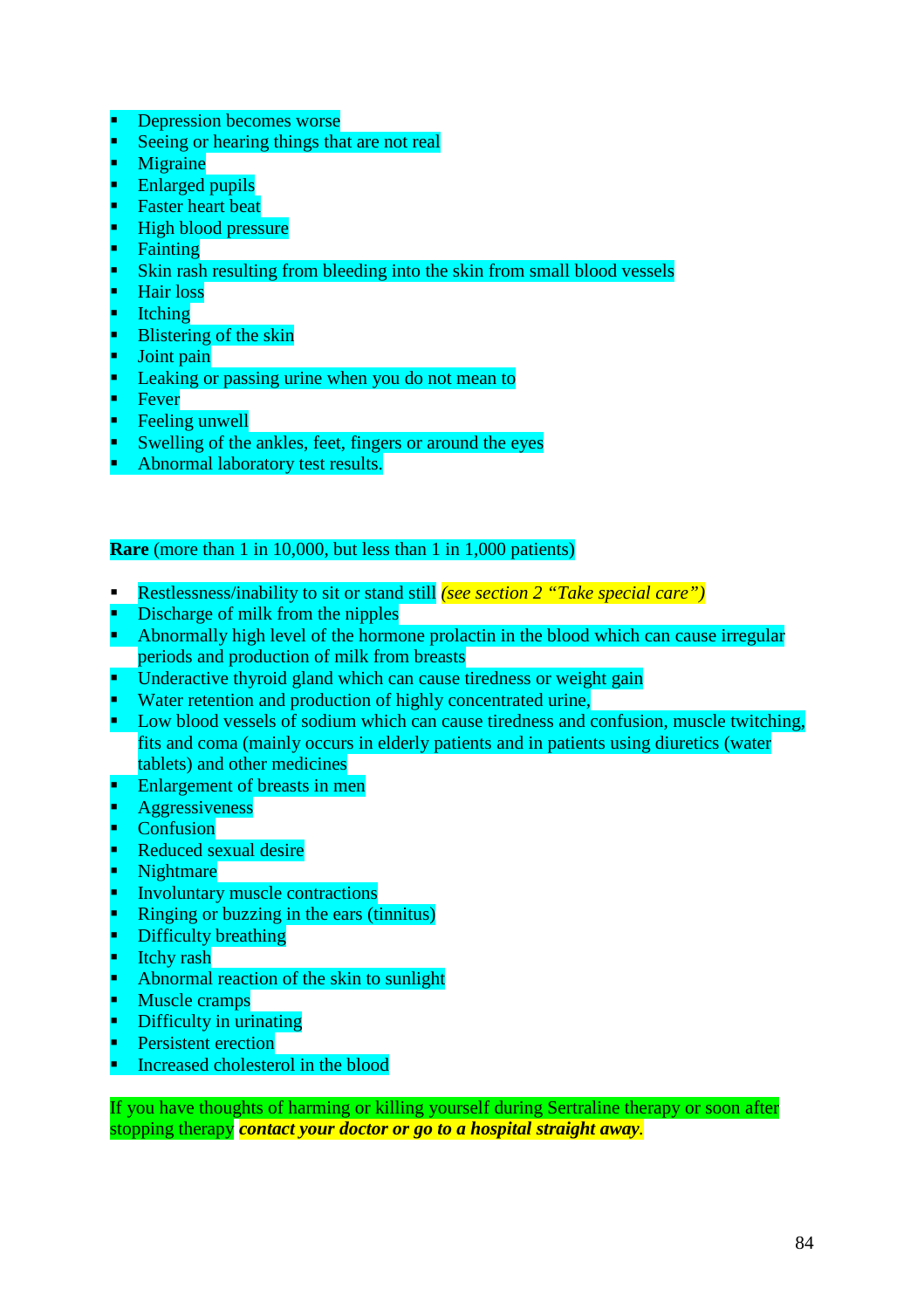- Depression becomes worse
- Seeing or hearing things that are not real
- Migraine
- Enlarged pupils
- Faster heart beat
- High blood pressure
- Fainting
- Skin rash resulting from bleeding into the skin from small blood vessels
- Hair loss
- Itching
- Blistering of the skin
- Joint pain
- Leaking or passing urine when you do not mean to
- Fever
- Feeling unwell
- Swelling of the ankles, feet, fingers or around the eyes
- Abnormal laboratory test results.

### **Rare** (more than 1 in 10,000, but less than 1 in 1,000 patients)

- Restlessness/inability to sit or stand still *(see section 2 "Take special care")*
- Discharge of milk from the nipples
- Abnormally high level of the hormone prolactin in the blood which can cause irregular periods and production of milk from breasts
- Underactive thyroid gland which can cause tiredness or weight gain
- Water retention and production of highly concentrated urine,
- **Low blood vessels of sodium which can cause tiredness and confusion, muscle twitching,** fits and coma (mainly occurs in elderly patients and in patients using diuretics (water tablets) and other medicines
- Enlargement of breasts in men
- Aggressiveness
- Confusion
- Reduced sexual desire
- Nightmare
- Involuntary muscle contractions
- Ringing or buzzing in the ears (tinnitus)
- Difficulty breathing
- Itchy rash
- Abnormal reaction of the skin to sunlight
- Muscle cramps
- Difficulty in urinating
- Persistent erection
- Increased cholesterol in the blood

If you have thoughts of harming or killing yourself during Sertraline therapy or soon after stopping therapy *contact your doctor or go to a hospital straight away.*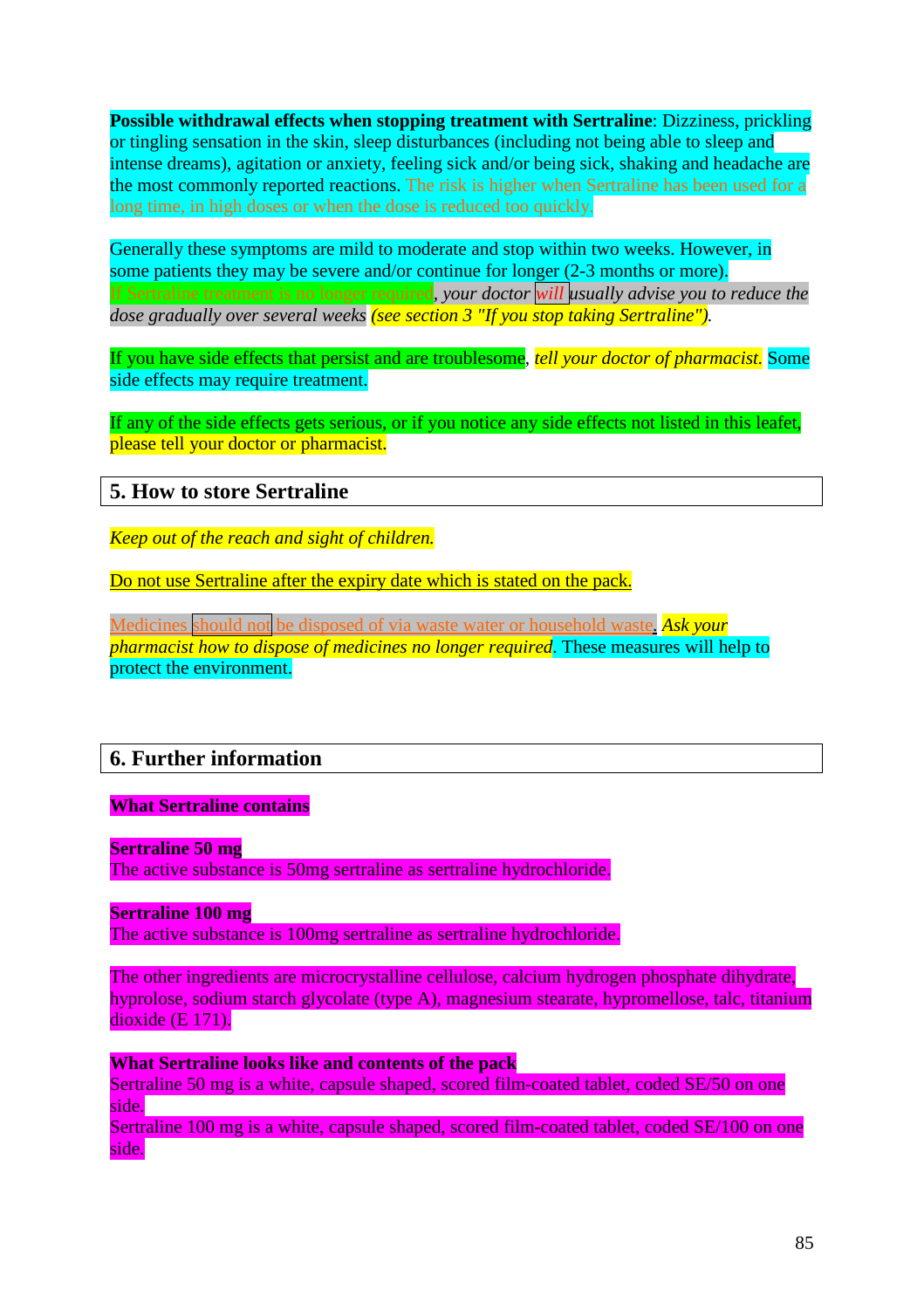**Possible withdrawal effects when stopping treatment with Sertraline**: Dizziness, prickling or tingling sensation in the skin, sleep disturbances (including not being able to sleep and intense dreams), agitation or anxiety, feeling sick and/or being sick, shaking and headache are the most commonly reported reactions. The risk is higher when Sertraline has been used for a long time, in high doses or when the dose is reduced too quickly.

Generally these symptoms are mild to moderate and stop within two weeks. However, in some patients they may be severe and/or continue for longer (2-3 months or more). If Sertraline treatment is no longer required*, your doctor will usually advise you to reduce the dose gradually over several weeks (see section 3 "If you stop taking Sertraline").*

If you have side effects that persist and are troublesome, *tell your doctor of pharmacist.* Some side effects may require treatment.

If any of the side effects gets serious, or if you notice any side effects not listed in this leafet, please tell your doctor or pharmacist.

## **5. How to store Sertraline**

*Keep out of the reach and sight of children.*

Do not use Sertraline after the expiry date which is stated on the pack.

Medicines should not be disposed of via waste water or household waste. *Ask your pharmacist how to dispose of medicines no longer required*. These measures will help to protect the environment.

# **6. Further information**

#### **What Sertraline contains**

**Sertraline 50 mg**

The active substance is 50mg sertraline as sertraline hydrochloride.

### **Sertraline 100 mg**

The active substance is 100mg sertraline as sertraline hydrochloride.

The other ingredients are microcrystalline cellulose, calcium hydrogen phosphate dihydrate, hyprolose, sodium starch glycolate (type A), magnesium stearate, hypromellose, talc, titanium dioxide (E 171).

**What Sertraline looks like and contents of the pack** Sertraline 50 mg is a white, capsule shaped, scored film-coated tablet, coded SE/50 on one side.

Sertraline 100 mg is a white, capsule shaped, scored film-coated tablet, coded SE/100 on one side.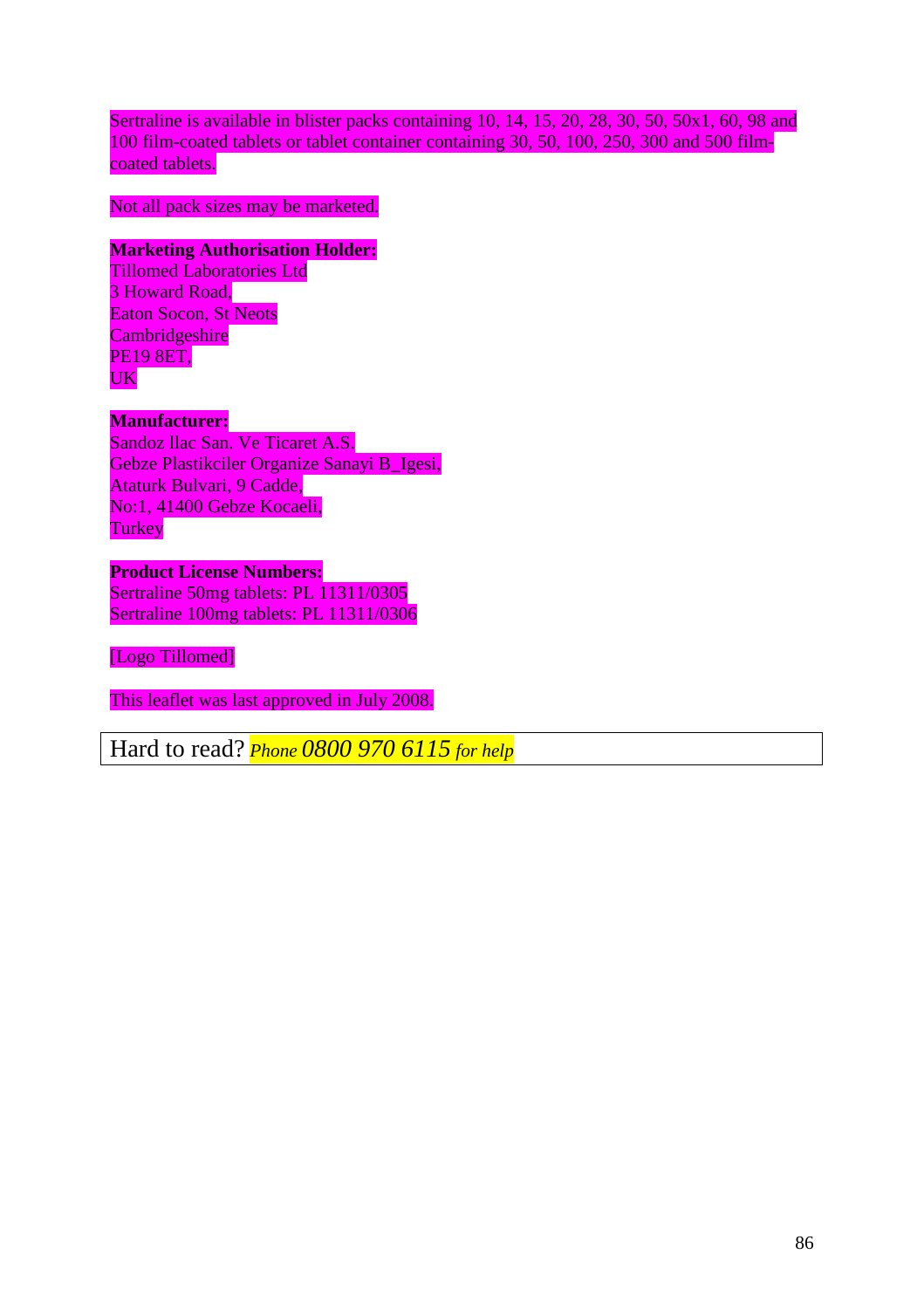Sertraline is available in blister packs containing 10, 14, 15, 20, 28, 30, 50, 50x1, 60, 98 and 100 film-coated tablets or tablet container containing 30, 50, 100, 250, 300 and 500 filmcoated tablets.

Not all pack sizes may be marketed.

## **Marketing Authorisation Holder:**

Tillomed Laboratories Ltd 3 Howard Road. Eaton Socon, St Neots **Cambridgeshire** PE19 8ET, UK

## **Manufacturer:**

Sandoz llac San. Ve Ticaret A.S. Gebze Plastikciler Organize Sanayi B\_Igesi, Ataturk Bulvari, 9 Cadde, No:1, 41400 Gebze Kocaeli, **Turkey** 

**Product License Numbers:** Sertraline 50mg tablets: PL 11311/0305 Sertraline 100mg tablets: PL 11311/0306

[Logo Tillomed]

This leaflet was last approved in July 2008.

Hard to read? *Phone 0800 970 6115 for help*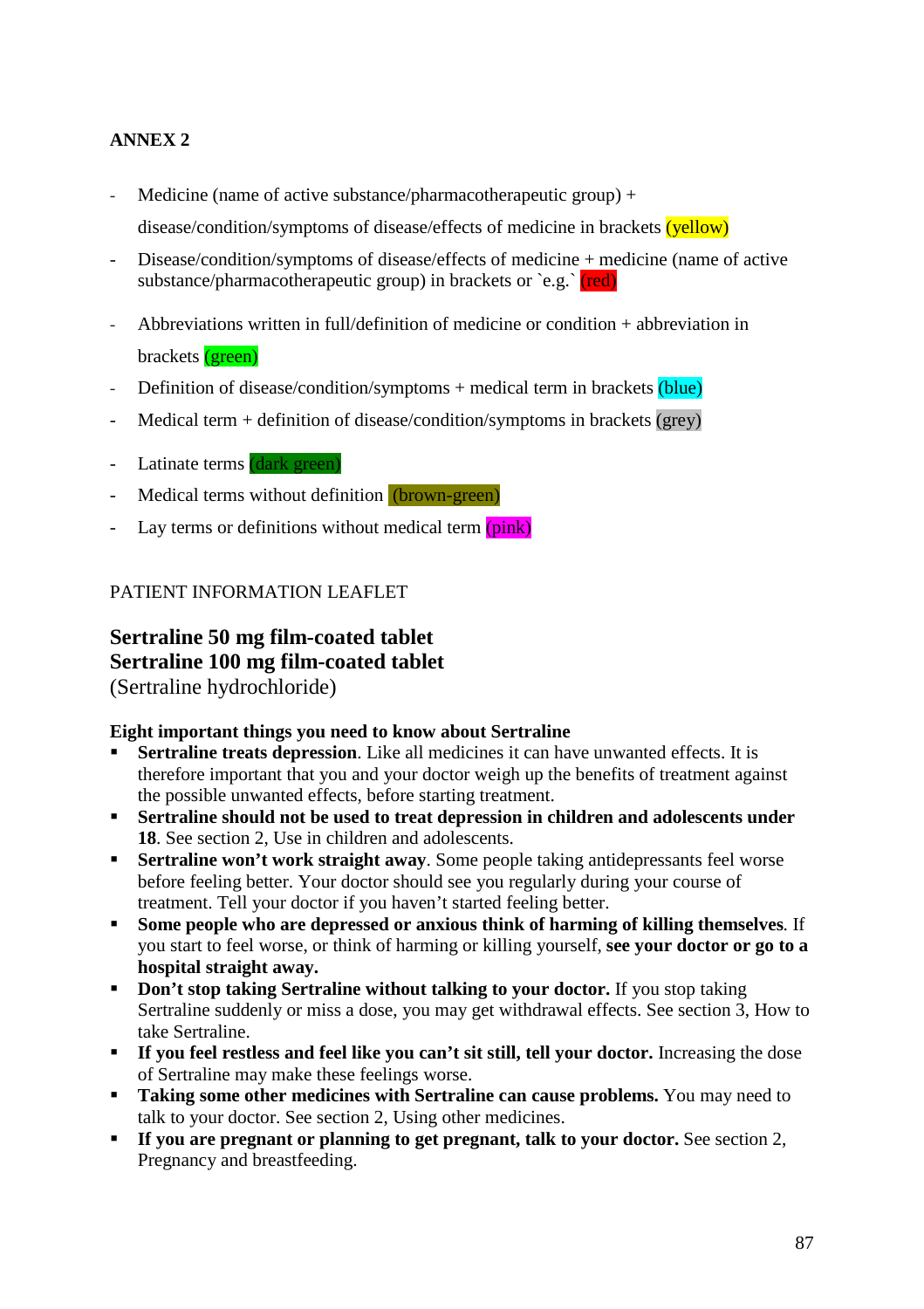# **ANNEX 2**

- Medicine (name of active substance/pharmacotherapeutic group) + disease/condition/symptoms of disease/effects of medicine in brackets (yellow)
- Disease/condition/symptoms of disease/effects of medicine + medicine (name of active substance/pharmacotherapeutic group) in brackets or  $\text{e.g.}$  (red)
- Abbreviations written in full/definition of medicine or condition  $+$  abbreviation in brackets (green)
- Definition of disease/condition/symptoms + medical term in brackets (blue)
- $\text{Median term} + \text{definition of disease/condition/symptoms in brackets (grey)}$
- Latinate terms (dark green)
- Medical terms without definition (brown-green)
- Lay terms or definitions without medical term  $(pink)$

## PATIENT INFORMATION LEAFLET

# **Sertraline 50 mg film-coated tablet Sertraline 100 mg film-coated tablet** (Sertraline hydrochloride)

### **Eight important things you need to know about Sertraline**

- **Sertraline treats depression**. Like all medicines it can have unwanted effects. It is therefore important that you and your doctor weigh up the benefits of treatment against the possible unwanted effects, before starting treatment.
- **Sertraline should not be used to treat depression in children and adolescents under 18**. See section 2, Use in children and adolescents.
- **Sertraline won't work straight away**. Some people taking antidepressants feel worse before feeling better. Your doctor should see you regularly during your course of treatment. Tell your doctor if you haven't started feeling better.
- **Some people who are depressed or anxious think of harming of killing themselves**. If you start to feel worse, or think of harming or killing yourself, **see your doctor or go to a hospital straight away.**
- **Don't stop taking Sertraline without talking to your doctor.** If you stop taking Sertraline suddenly or miss a dose, you may get withdrawal effects. See section 3, How to take Sertraline.
- **If you feel restless and feel like you can't sit still, tell your doctor.** Increasing the dose of Sertraline may make these feelings worse.
- **Taking some other medicines with Sertraline can cause problems.** You may need to talk to your doctor. See section 2, Using other medicines.
- **If you are pregnant or planning to get pregnant, talk to your doctor.** See section 2, Pregnancy and breastfeeding.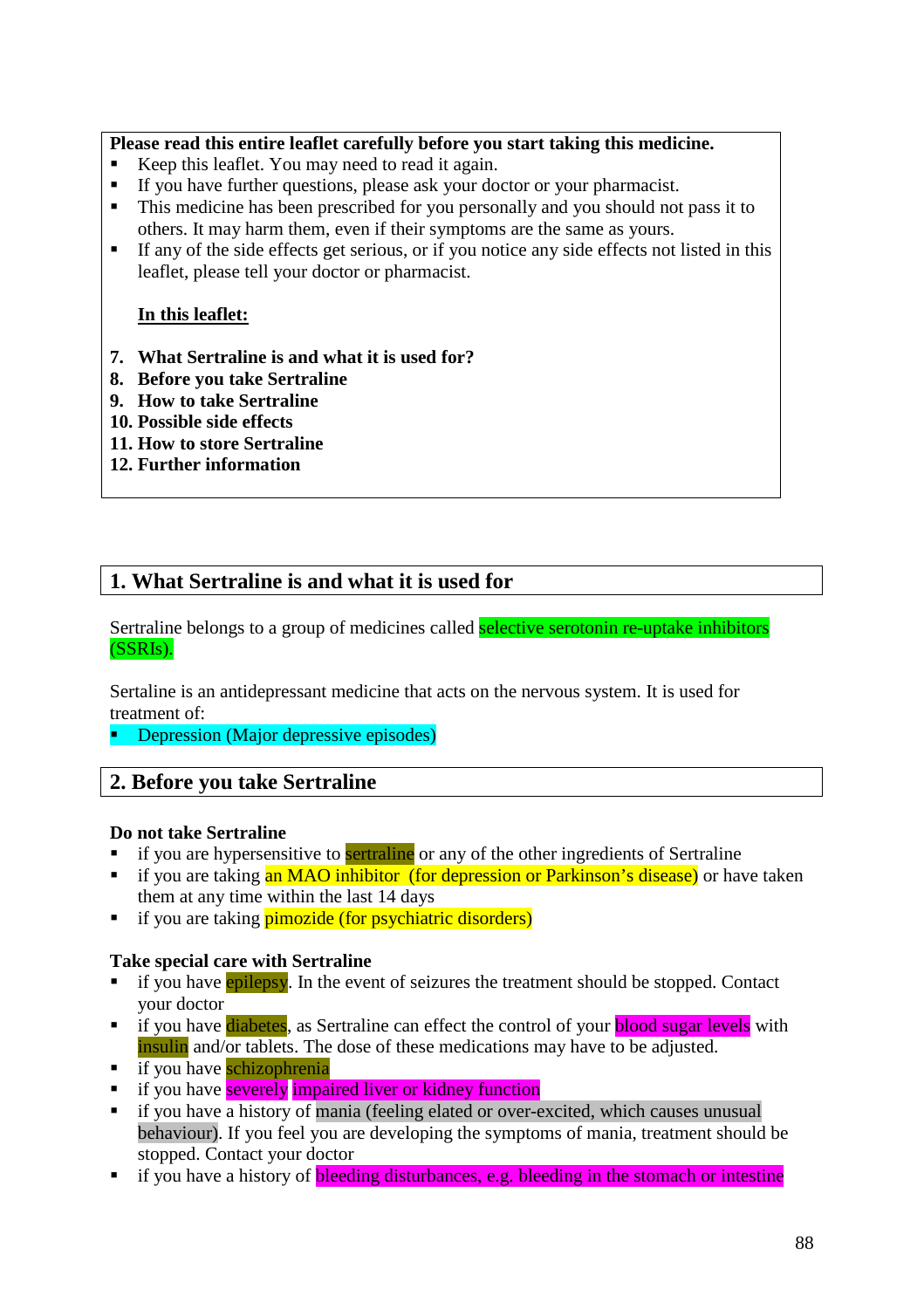## **Please read this entire leaflet carefully before you start taking this medicine.**

- Keep this leaflet. You may need to read it again.
- If you have further questions, please ask your doctor or your pharmacist.
- This medicine has been prescribed for you personally and you should not pass it to others. It may harm them, even if their symptoms are the same as yours.
- If any of the side effects get serious, or if you notice any side effects not listed in this leaflet, please tell your doctor or pharmacist.

## **In this leaflet:**

- **7. What Sertraline is and what it is used for?**
- **8. Before you take Sertraline**
- **9. How to take Sertraline**
- **10. Possible side effects**
- **11. How to store Sertraline**
- **12. Further information**

# **1. What Sertraline is and what it is used for**

Sertraline belongs to a group of medicines called **selective serotonin re-uptake inhibitors** (SSRIs).

Sertaline is an antidepressant medicine that acts on the nervous system. It is used for treatment of:

**Depression (Major depressive episodes)** 

# **2. Before you take Sertraline**

### **Do not take Sertraline**

- if you are hypersensitive to **sertraline** or any of the other ingredients of Sertraline
- if you are taking an MAO inhibitor (for depression or Parkinson's disease) or have taken them at any time within the last 14 days
- if you are taking **pimozide** (for psychiatric disorders)

### **Take special care with Sertraline**

- if you have epilepsy. In the event of seizures the treatment should be stopped. Contact your doctor
- if you have diabetes, as Sertraline can effect the control of your **blood sugar levels** with insulin and/or tablets. The dose of these medications may have to be adjusted.
- $\blacksquare$  if you have schizophrenia
- if you have severely impaired liver or kidney function
- $\blacksquare$  if you have a history of mania (feeling elated or over-excited, which causes unusual behaviour). If you feel you are developing the symptoms of mania, treatment should be stopped. Contact your doctor
- if you have a history of **bleeding disturbances, e.g. bleeding in the stomach or intestine**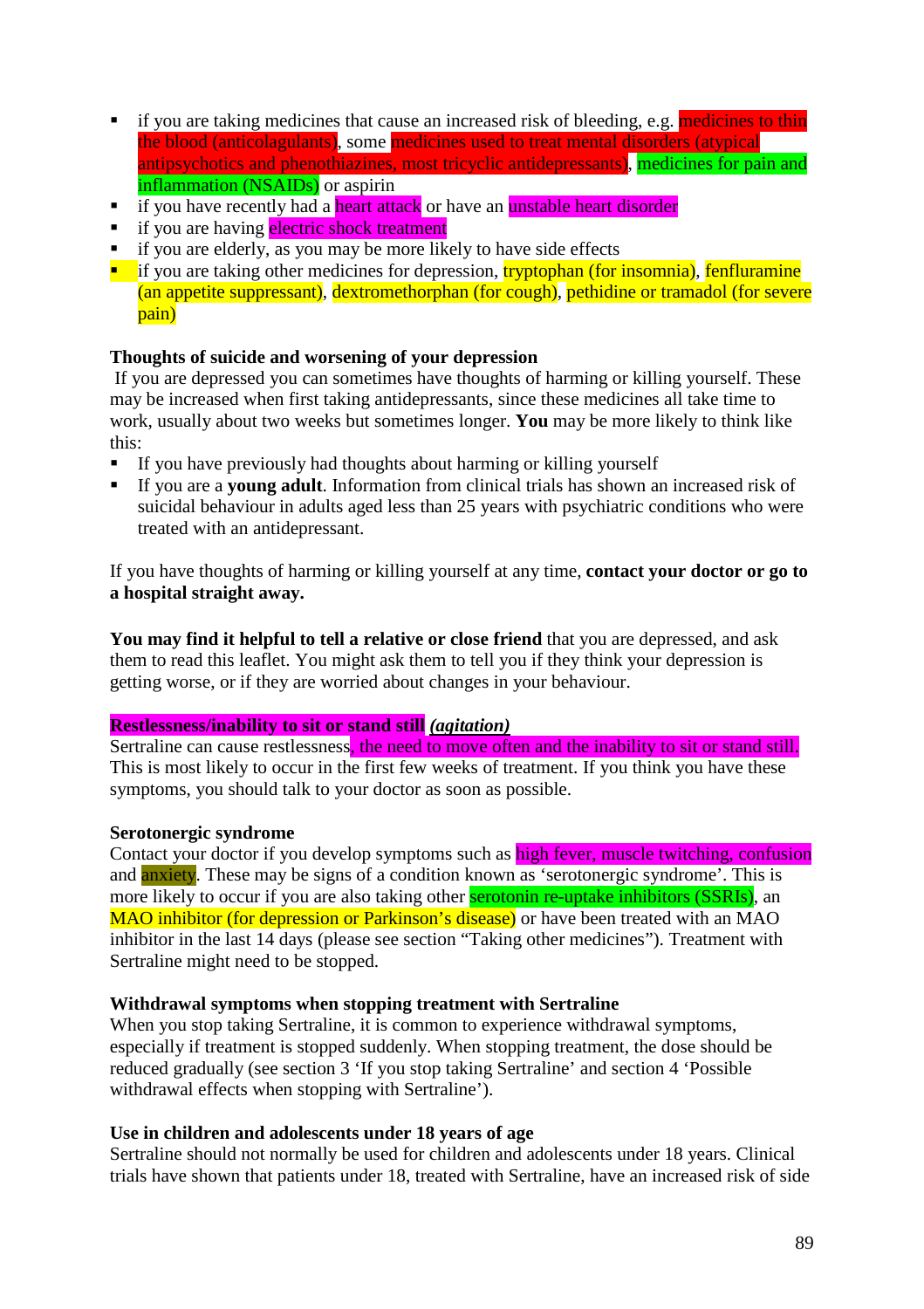- if you are taking medicines that cause an increased risk of bleeding, e.g. medicines to thin the blood (anticolagulants), some medicines used to treat mental disorders (atypical antipsychotics and phenothiazines, most tricyclic antidepressants), medicines for pain and inflammation (NSAIDs) or aspirin
- $\overline{\text{if}}$  you have recently had a heart attack or have an unstable heart disorder
- if you are having electric shock treatment
- if you are elderly, as you may be more likely to have side effects
- $\blacksquare$  if you are taking other medicines for depression, tryptophan (for insomnia), fenfluramine (an appetite suppressant), dextromethorphan (for cough), pethidine or tramadol (for severe pain)

### **Thoughts of suicide and worsening of your depression**

 If you are depressed you can sometimes have thoughts of harming or killing yourself. These may be increased when first taking antidepressants, since these medicines all take time to work, usually about two weeks but sometimes longer. **You** may be more likely to think like this:

- If you have previously had thoughts about harming or killing yourself
- If you are a **young adult**. Information from clinical trials has shown an increased risk of suicidal behaviour in adults aged less than 25 years with psychiatric conditions who were treated with an antidepressant.

If you have thoughts of harming or killing yourself at any time, **contact your doctor or go to a hospital straight away.**

**You may find it helpful to tell a relative or close friend** that you are depressed, and ask them to read this leaflet. You might ask them to tell you if they think your depression is getting worse, or if they are worried about changes in your behaviour.

### **Restlessness/inability to sit or stand still** *(agitation)*

Sertraline can cause restlessness, the need to move often and the inability to sit or stand still. This is most likely to occur in the first few weeks of treatment. If you think you have these symptoms, you should talk to your doctor as soon as possible.

### **Serotonergic syndrome**

Contact your doctor if you develop symptoms such as high fever, muscle twitching, confusion and anxiety. These may be signs of a condition known as 'serotonergic syndrome'. This is more likely to occur if you are also taking other **serotonin re-uptake inhibitors (SSRIs)**, an MAO inhibitor (for depression or Parkinson's disease) or have been treated with an MAO inhibitor in the last 14 days (please see section "Taking other medicines"). Treatment with Sertraline might need to be stopped.

### **Withdrawal symptoms when stopping treatment with Sertraline**

When you stop taking Sertraline, it is common to experience withdrawal symptoms, especially if treatment is stopped suddenly. When stopping treatment, the dose should be reduced gradually (see section 3 'If you stop taking Sertraline' and section 4 'Possible withdrawal effects when stopping with Sertraline').

### **Use in children and adolescents under 18 years of age**

Sertraline should not normally be used for children and adolescents under 18 years. Clinical trials have shown that patients under 18, treated with Sertraline, have an increased risk of side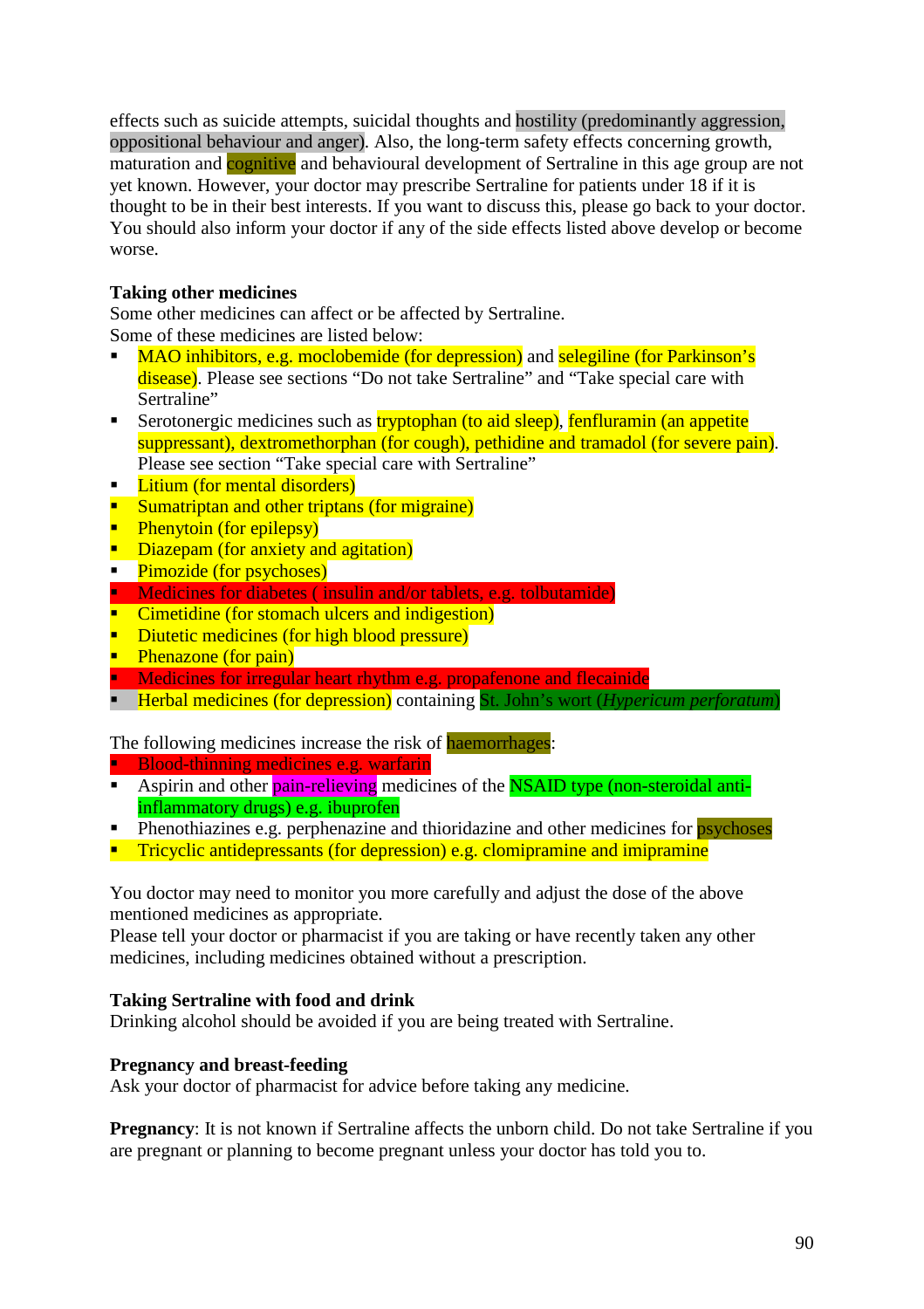effects such as suicide attempts, suicidal thoughts and hostility (predominantly aggression, oppositional behaviour and anger). Also, the long-term safety effects concerning growth, maturation and cognitive and behavioural development of Sertraline in this age group are not yet known. However, your doctor may prescribe Sertraline for patients under 18 if it is thought to be in their best interests. If you want to discuss this, please go back to your doctor. You should also inform your doctor if any of the side effects listed above develop or become worse.

## **Taking other medicines**

Some other medicines can affect or be affected by Sertraline. Some of these medicines are listed below:

- MAO inhibitors, e.g. moclobemide (for depression) and selegiline (for Parkinson's disease). Please see sections "Do not take Sertraline" and "Take special care with Sertraline"
- Serotonergic medicines such as **tryptophan** (to aid sleep), fenfluramin (an appetite suppressant), dextromethorphan (for cough), pethidine and tramadol (for severe pain). Please see section "Take special care with Sertraline"
- **Litium (for mental disorders)**
- **Sumatriptan and other triptans (for migraine)**
- $\blacksquare$  Phenytoin (for epilepsy)
- Diazepam (for anxiety and agitation)
- Pimozide (for psychoses)
- **Medicines for diabetes (insulin and/or tablets, e.g. tolbutamide)**
- **Cimetidine (for stomach ulcers and indigestion)**
- Diutetic medicines (for high blood pressure)
- Phenazone (for pain)
- **Medicines for irregular heart rhythm e.g. propafenone and flecainide**
- **Herbal medicines (for depression)** containing St. John's wort (*Hypericum perforatum*)

## The following medicines increase the risk of haemorrhages:

Blood-thinning medicines e.g. warfarin

- Aspirin and other pain-relieving medicines of the NSAID type (non-steroidal antiinflammatory drugs) e.g. ibuprofen
- $\blacksquare$  Phenothiazines e.g. perphenazine and thioridazine and other medicines for psychoses
- **Tricyclic antidepressants (for depression) e.g. clomipramine and imipramine**

You doctor may need to monitor you more carefully and adjust the dose of the above mentioned medicines as appropriate.

Please tell your doctor or pharmacist if you are taking or have recently taken any other medicines, including medicines obtained without a prescription.

## **Taking Sertraline with food and drink**

Drinking alcohol should be avoided if you are being treated with Sertraline.

## **Pregnancy and breast-feeding**

Ask your doctor of pharmacist for advice before taking any medicine.

**Pregnancy**: It is not known if Sertraline affects the unborn child. Do not take Sertraline if you are pregnant or planning to become pregnant unless your doctor has told you to.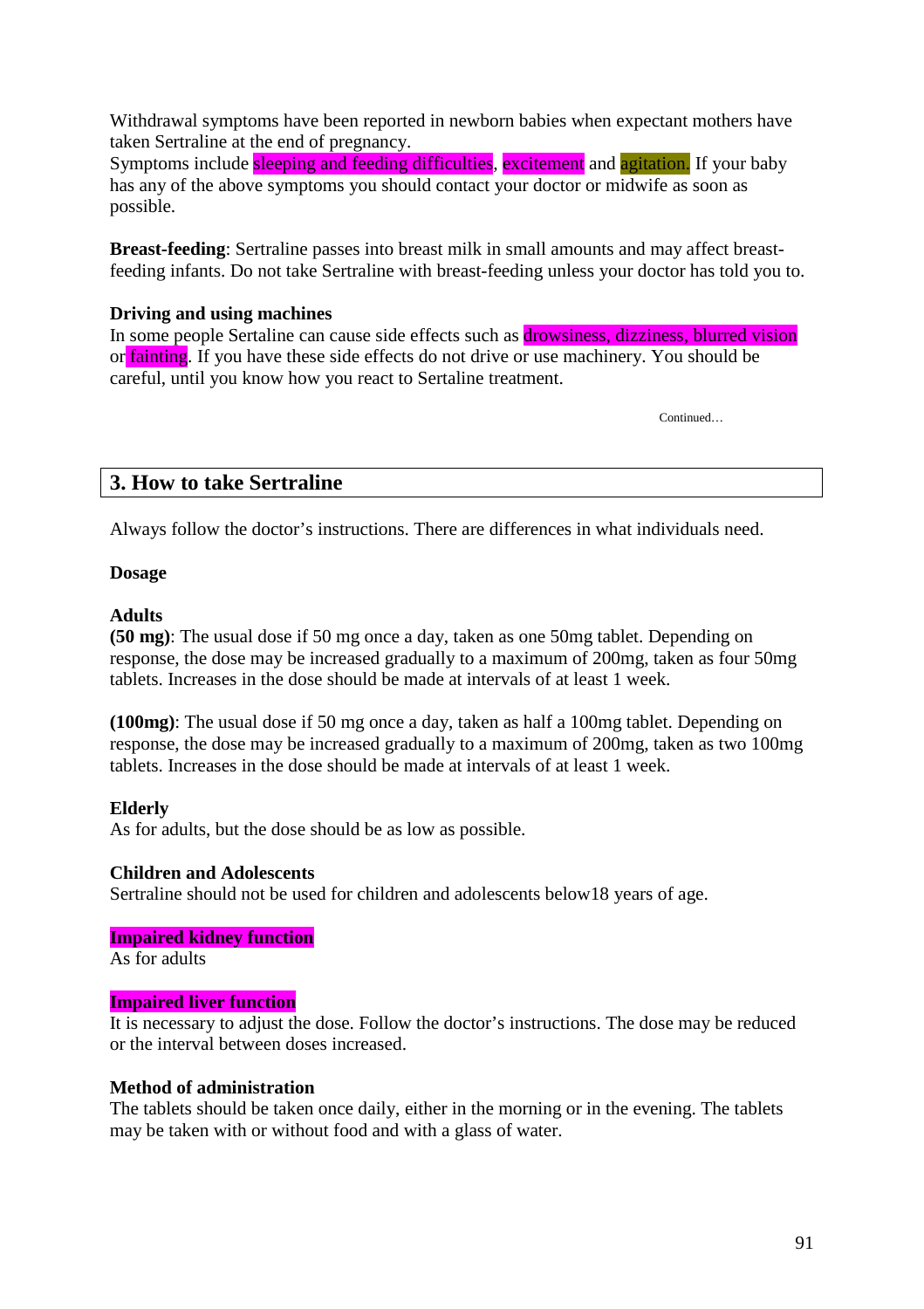Withdrawal symptoms have been reported in newborn babies when expectant mothers have taken Sertraline at the end of pregnancy.

Symptoms include sleeping and feeding difficulties, excitement and agitation. If your baby has any of the above symptoms you should contact your doctor or midwife as soon as possible.

**Breast-feeding**: Sertraline passes into breast milk in small amounts and may affect breastfeeding infants. Do not take Sertraline with breast-feeding unless your doctor has told you to.

## **Driving and using machines**

In some people Sertaline can cause side effects such as *drowsiness*, dizziness, blurred vision or fainting. If you have these side effects do not drive or use machinery. You should be careful, until you know how you react to Sertaline treatment.

Continued…

## **3. How to take Sertraline**

Always follow the doctor's instructions. There are differences in what individuals need.

## **Dosage**

## **Adults**

**(50 mg)**: The usual dose if 50 mg once a day, taken as one 50mg tablet. Depending on response, the dose may be increased gradually to a maximum of 200mg, taken as four 50mg tablets. Increases in the dose should be made at intervals of at least 1 week.

**(100mg)**: The usual dose if 50 mg once a day, taken as half a 100mg tablet. Depending on response, the dose may be increased gradually to a maximum of 200mg, taken as two 100mg tablets. Increases in the dose should be made at intervals of at least 1 week.

## **Elderly**

As for adults, but the dose should be as low as possible.

### **Children and Adolescents**

Sertraline should not be used for children and adolescents below18 years of age.

### **Impaired kidney function**

As for adults

### **Impaired liver function**

It is necessary to adjust the dose. Follow the doctor's instructions. The dose may be reduced or the interval between doses increased.

### **Method of administration**

The tablets should be taken once daily, either in the morning or in the evening. The tablets may be taken with or without food and with a glass of water.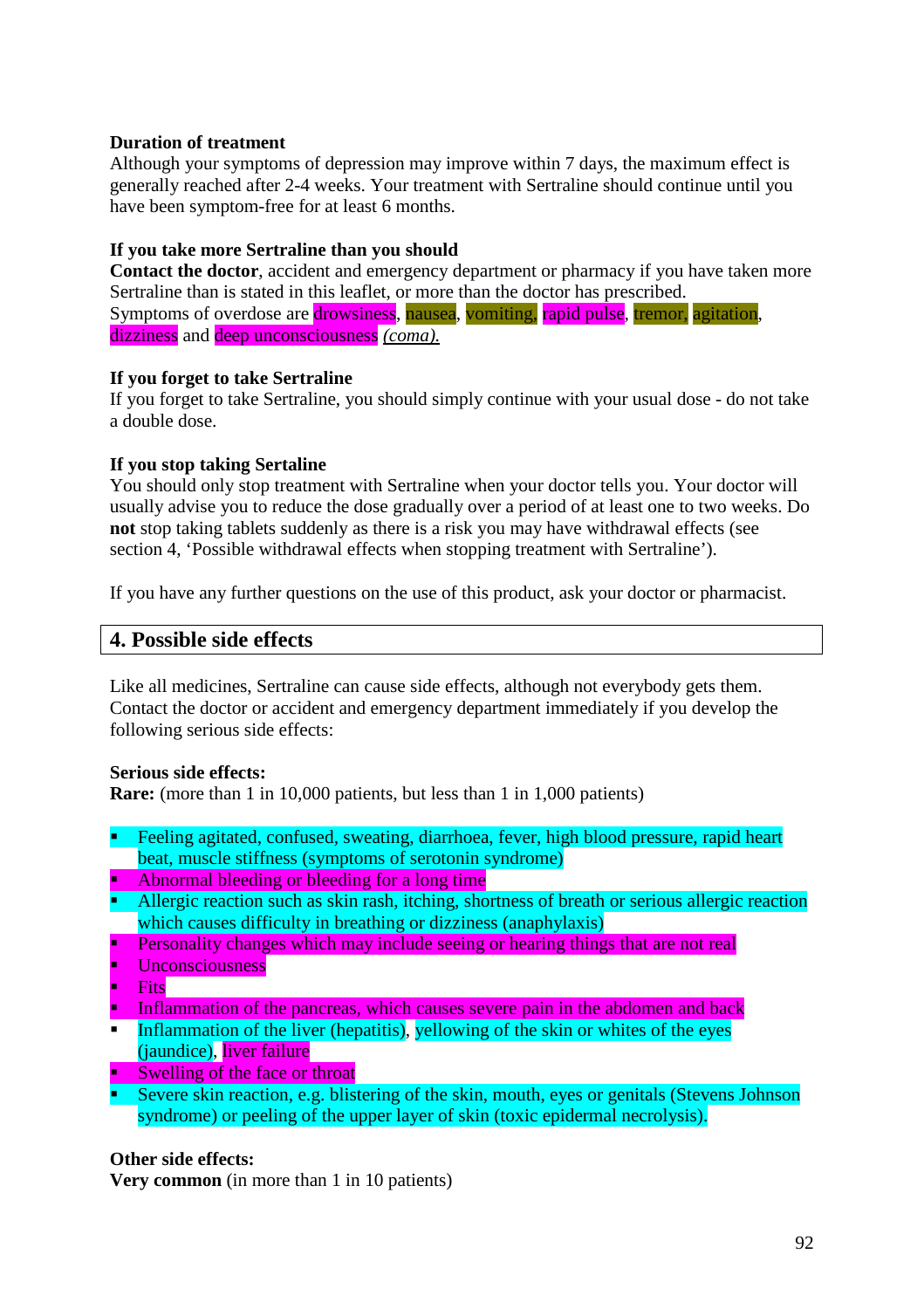## **Duration of treatment**

Although your symptoms of depression may improve within 7 days, the maximum effect is generally reached after 2-4 weeks. Your treatment with Sertraline should continue until you have been symptom-free for at least 6 months.

## **If you take more Sertraline than you should**

**Contact the doctor**, accident and emergency department or pharmacy if you have taken more Sertraline than is stated in this leaflet, or more than the doctor has prescribed. Symptoms of overdose are drowsiness, nausea, vomiting, rapid pulse, tremor, agitation, dizziness and deep unconsciousness *(coma).*

## **If you forget to take Sertraline**

If you forget to take Sertraline, you should simply continue with your usual dose - do not take a double dose.

## **If you stop taking Sertaline**

You should only stop treatment with Sertraline when your doctor tells you. Your doctor will usually advise you to reduce the dose gradually over a period of at least one to two weeks. Do **not** stop taking tablets suddenly as there is a risk you may have withdrawal effects (see section 4, 'Possible withdrawal effects when stopping treatment with Sertraline').

If you have any further questions on the use of this product, ask your doctor or pharmacist.

## **4. Possible side effects**

Like all medicines, Sertraline can cause side effects, although not everybody gets them. Contact the doctor or accident and emergency department immediately if you develop the following serious side effects:

### **Serious side effects:**

**Rare:** (more than 1 in 10,000 patients, but less than 1 in 1,000 patients)

- Feeling agitated, confused, sweating, diarrhoea, fever, high blood pressure, rapid heart beat, muscle stiffness (symptoms of serotonin syndrome)
- Abnormal bleeding or bleeding for a long time
- Allergic reaction such as skin rash, itching, shortness of breath or serious allergic reaction which causes difficulty in breathing or dizziness (anaphylaxis)
- Personality changes which may include seeing or hearing things that are not real
- Unconsciousness
- **Fits**
- Inflammation of the pancreas, which causes severe pain in the abdomen and back
- Inflammation of the liver (hepatitis), yellowing of the skin or whites of the eyes (jaundice), liver failure
- Swelling of the face or throat
- Severe skin reaction, e.g. blistering of the skin, mouth, eyes or genitals (Stevens Johnson syndrome) or peeling of the upper layer of skin (toxic epidermal necrolysis).

### **Other side effects:**

**Very common** (in more than 1 in 10 patients)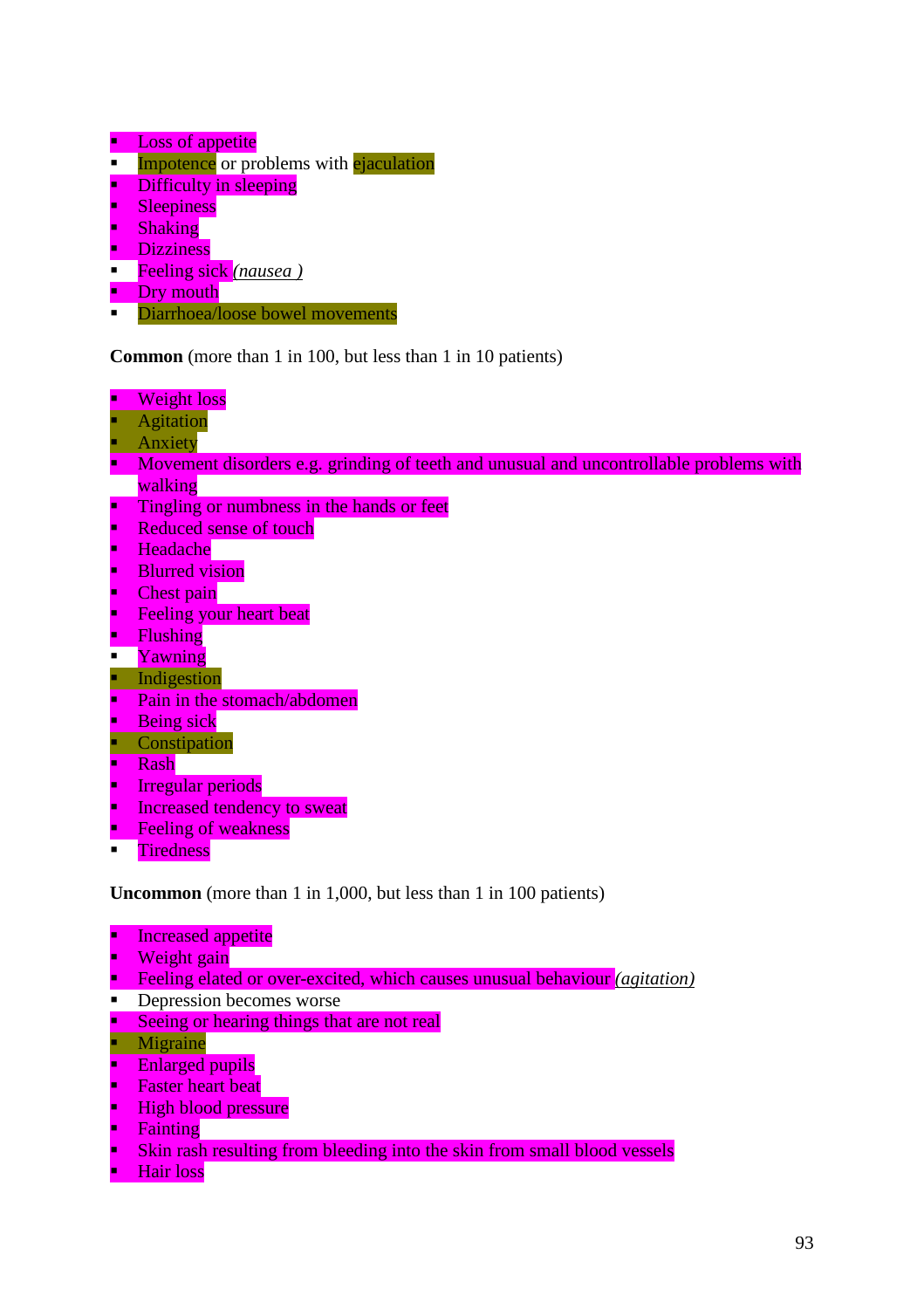- Loss of appetite
- $\blacksquare$  Impotence or problems with ejaculation
- Difficulty in sleeping
- Sleepiness<br>Shaking
- Shaking
- **Dizziness**
- Feeling sick *(nausea )*
- Dry mouth
- Diarrhoea/loose bowel movements

**Common** (more than 1 in 100, but less than 1 in 10 patients)

- **Weight loss**
- Agitation
- **Anxiety**
- Movement disorders e.g. grinding of teeth and unusual and uncontrollable problems with walking
- **Tingling or numbness in the hands or feet**
- Reduced sense of touch<br>Beadache
- Headache
- Blurred vision
- Chest pain
- **Feeling your heart beat**<br>Flushing
- **Flushing**<br>Flushing
- Yawning
- **Indigestion**
- Pain in the stomach/abdomen
- Being sick
- **Constipation**
- Rash
- Irregular periods
- Increased tendency to sweat
- Feeling of weakness
- **Tiredness**

**Uncommon** (more than 1 in 1,000, but less than 1 in 100 patients)

- **Increased appetite**
- Weight gain
- Feeling elated or over-excited, which causes unusual behaviour *(agitation)*
- **Depression becomes worse**
- Seeing or hearing things that are not real
- **Migraine**
- Enlarged pupils
- Faster heart beat
- High blood pressure
- Fainting
- Skin rash resulting from bleeding into the skin from small blood vessels
- Hair loss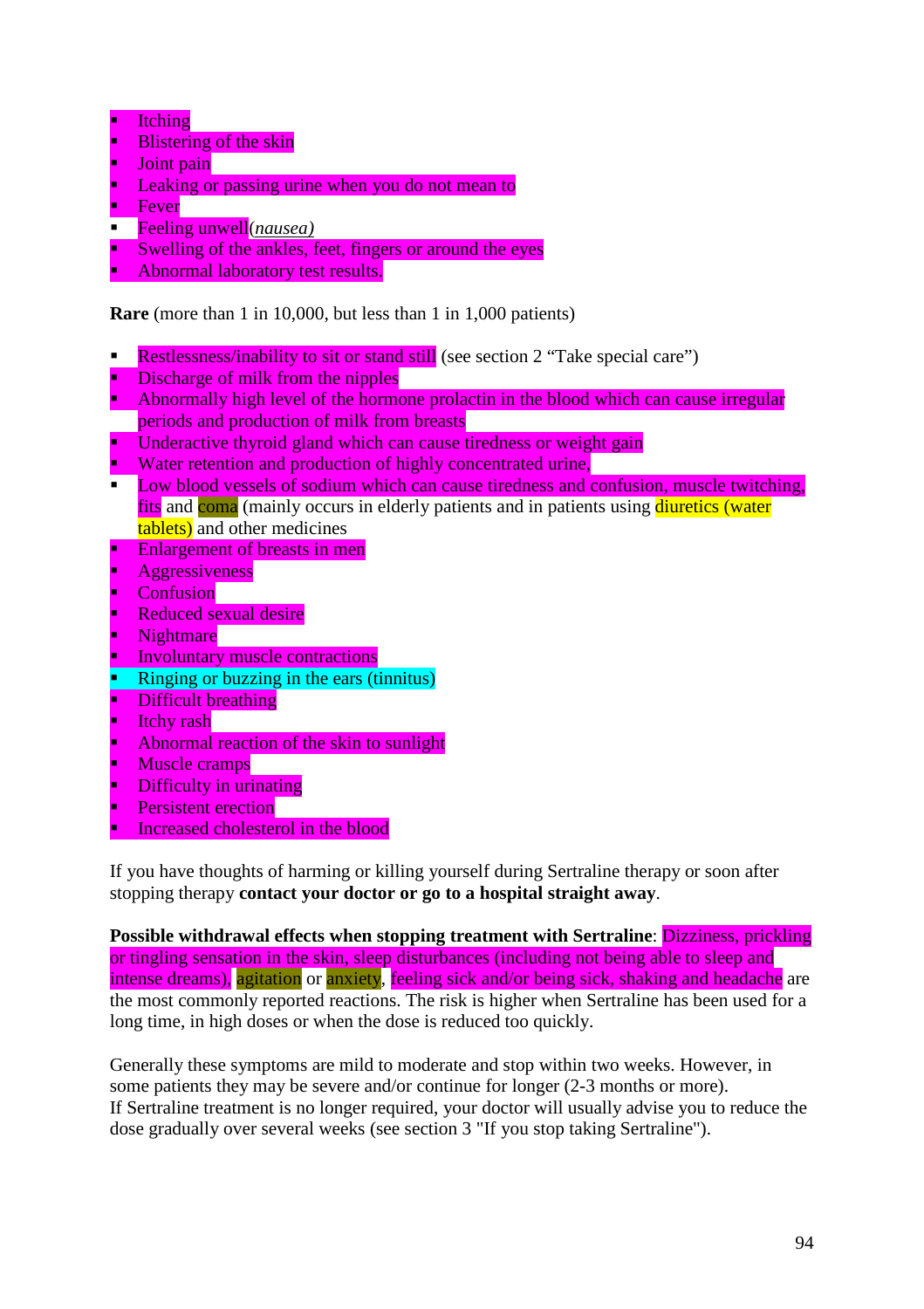- **Itching**
- **Blistering of the skin**
- Joint pain
- Leaking or passing urine when you do not mean to
- Fever
- Feeling unwell(*nausea)*
- Swelling of the ankles, feet, fingers or around the eyes
- Abnormal laboratory test results.

## **Rare** (more than 1 in 10,000, but less than 1 in 1,000 patients)

- Restlessness/inability to sit or stand still (see section 2 "Take special care")
- Discharge of milk from the nipples
- Abnormally high level of the hormone prolactin in the blood which can cause irregular periods and production of milk from breasts
- Underactive thyroid gland which can cause tiredness or weight gain
- Water retention and production of highly concentrated urine,
- **Low blood vessels of sodium which can cause tiredness and confusion, muscle twitching,** fits and coma (mainly occurs in elderly patients and in patients using diuretics (water tablets) and other medicines
- **Enlargement of breasts in men**
- Aggressiveness
- **Confusion**
- Reduced sexual desire
- Nightmare
- Involuntary muscle contractions
- Ringing or buzzing in the ears (tinnitus)
- Difficult breathing
- Itchy rash
- Abnormal reaction of the skin to sunlight
- Muscle cramps
- Difficulty in urinating
- Persistent erection
- Increased cholesterol in the blood

If you have thoughts of harming or killing yourself during Sertraline therapy or soon after stopping therapy **contact your doctor or go to a hospital straight away**.

**Possible withdrawal effects when stopping treatment with Sertraline**: Dizziness, prickling or tingling sensation in the skin, sleep disturbances (including not being able to sleep and intense dreams), agitation or anxiety, feeling sick and/or being sick, shaking and headache are the most commonly reported reactions. The risk is higher when Sertraline has been used for a long time, in high doses or when the dose is reduced too quickly.

Generally these symptoms are mild to moderate and stop within two weeks. However, in some patients they may be severe and/or continue for longer (2-3 months or more). If Sertraline treatment is no longer required, your doctor will usually advise you to reduce the dose gradually over several weeks (see section 3 "If you stop taking Sertraline").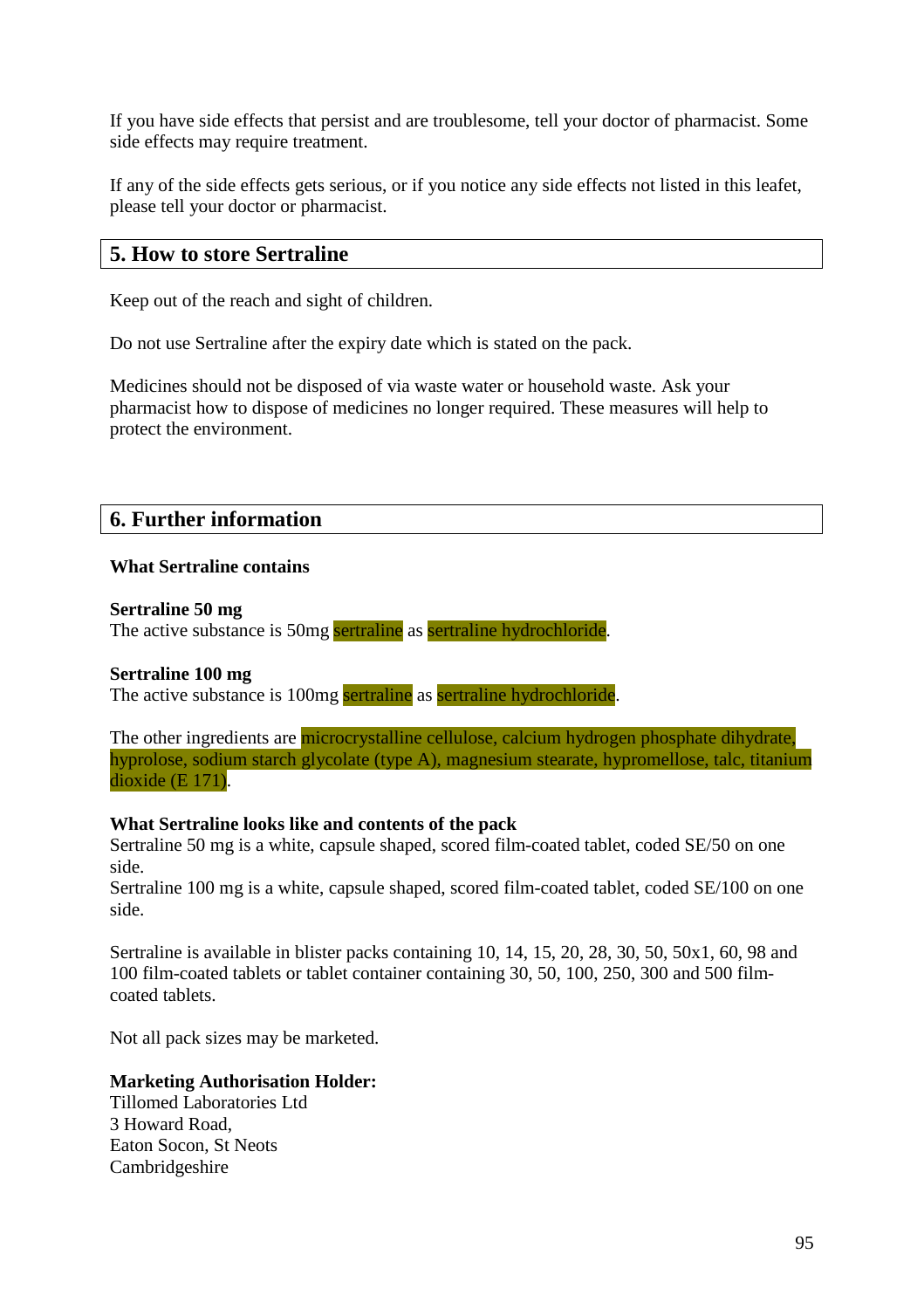If you have side effects that persist and are troublesome, tell your doctor of pharmacist. Some side effects may require treatment.

If any of the side effects gets serious, or if you notice any side effects not listed in this leafet, please tell your doctor or pharmacist.

## **5. How to store Sertraline**

Keep out of the reach and sight of children.

Do not use Sertraline after the expiry date which is stated on the pack.

Medicines should not be disposed of via waste water or household waste. Ask your pharmacist how to dispose of medicines no longer required. These measures will help to protect the environment.

## **6. Further information**

### **What Sertraline contains**

#### **Sertraline 50 mg**

The active substance is 50mg sertraline as sertraline hydrochloride.

### **Sertraline 100 mg**

The active substance is 100mg sertraline as sertraline hydrochloride.

The other ingredients are microcrystalline cellulose, calcium hydrogen phosphate dihydrate, hyprolose, sodium starch glycolate (type A), magnesium stearate, hypromellose, talc, titanium dioxide (E 171).

### **What Sertraline looks like and contents of the pack**

Sertraline 50 mg is a white, capsule shaped, scored film-coated tablet, coded SE/50 on one side.

Sertraline 100 mg is a white, capsule shaped, scored film-coated tablet, coded SE/100 on one side.

Sertraline is available in blister packs containing 10, 14, 15, 20, 28, 30, 50, 50x1, 60, 98 and 100 film-coated tablets or tablet container containing 30, 50, 100, 250, 300 and 500 filmcoated tablets.

Not all pack sizes may be marketed.

#### **Marketing Authorisation Holder:**

Tillomed Laboratories Ltd 3 Howard Road, Eaton Socon, St Neots Cambridgeshire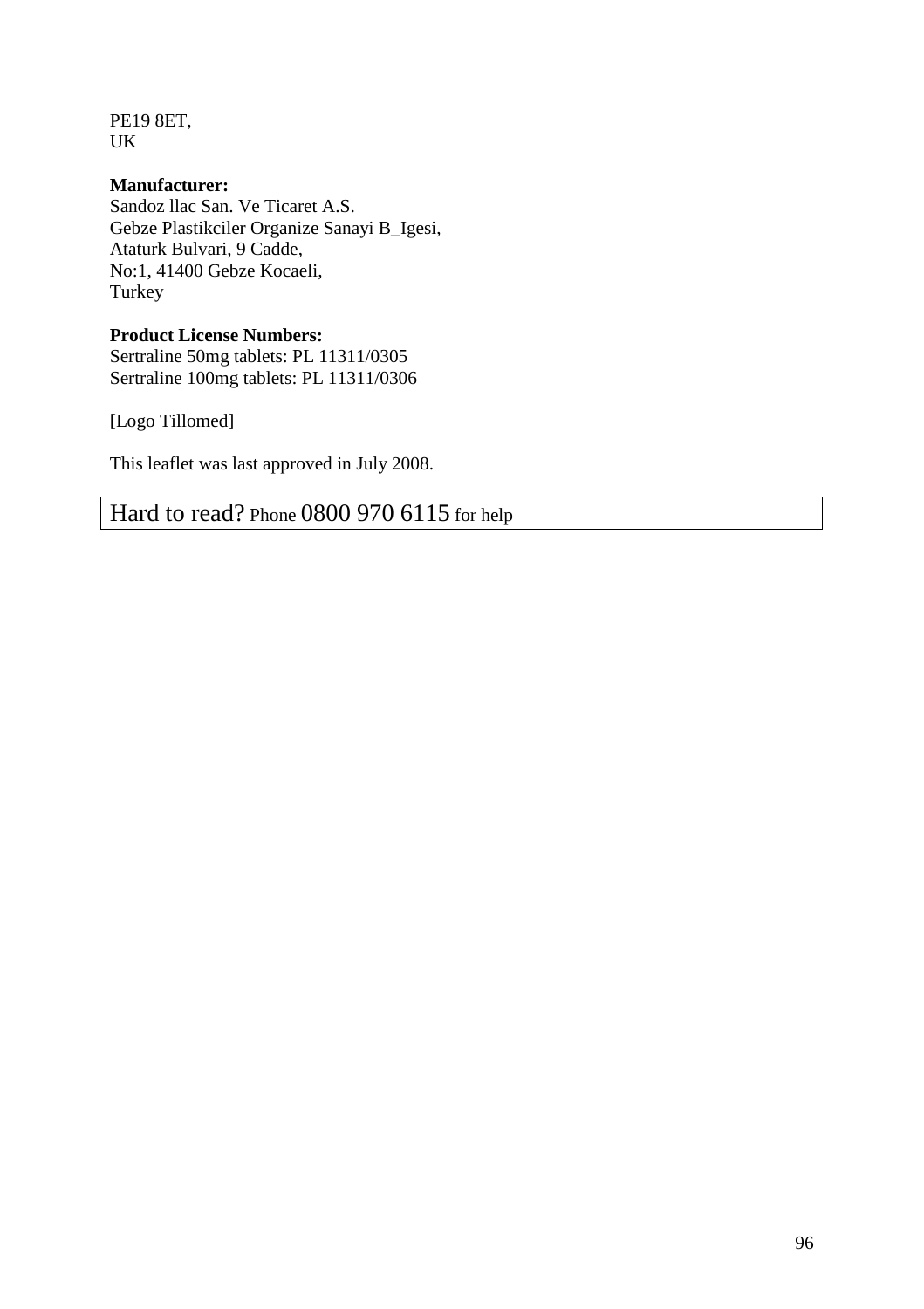PE19 8ET, UK

## **Manufacturer:**

Sandoz llac San. Ve Ticaret A.S. Gebze Plastikciler Organize Sanayi B\_Igesi, Ataturk Bulvari, 9 Cadde, No:1, 41400 Gebze Kocaeli, Turkey

## **Product License Numbers:**

Sertraline 50mg tablets: PL 11311/0305 Sertraline 100mg tablets: PL 11311/0306

[Logo Tillomed]

This leaflet was last approved in July 2008.

Hard to read? Phone 0800 970 6115 for help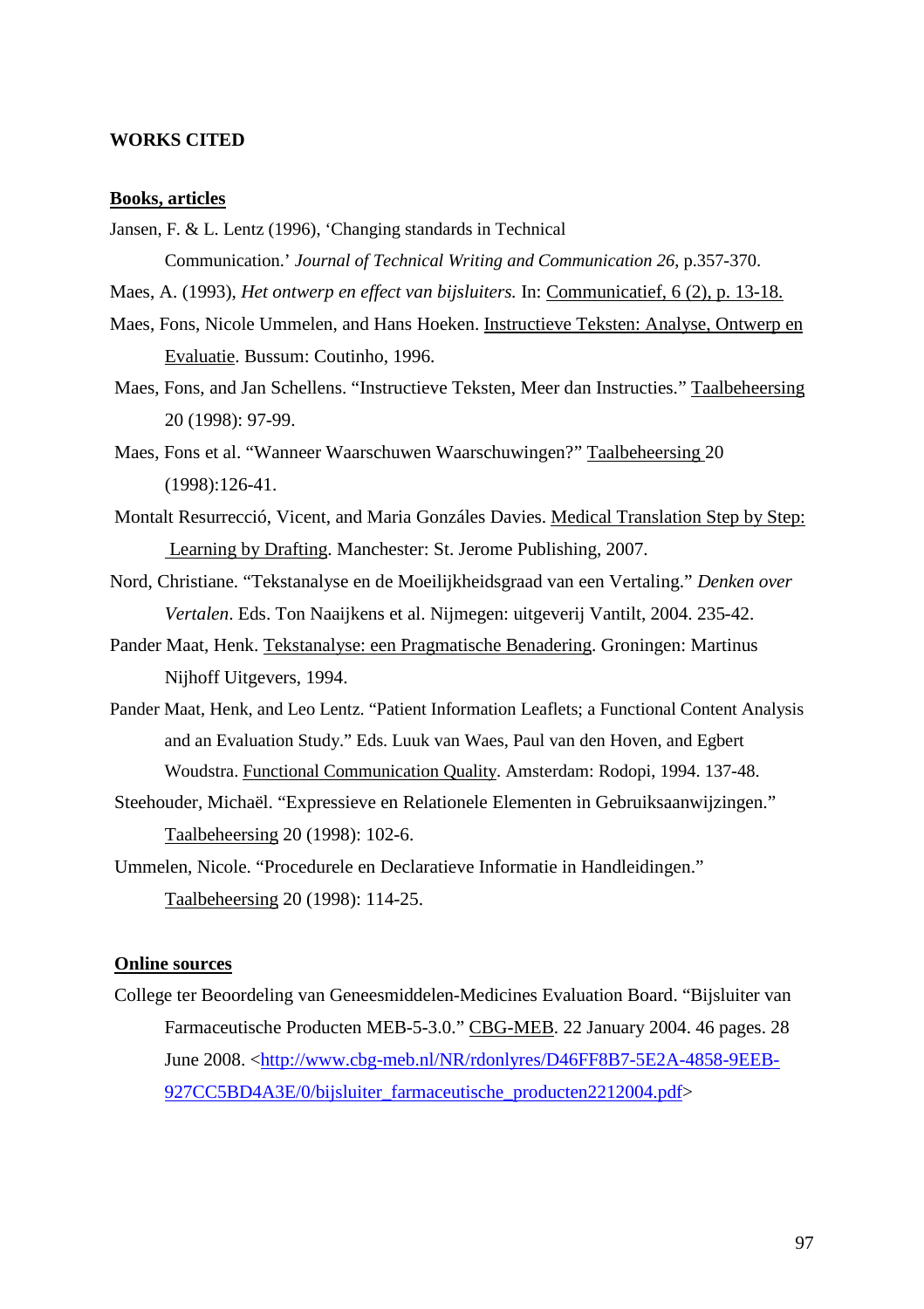## WORKS CITED

#### Books, articles

Jansen, F. & L. Lentz (1996), Changing standards in Technical

Communication EJournal of Technical Writing and Communation 26 p.357370.

- Maes, A. (1993), Het ontwerp en effect van bijsluiters. Communicatief, 6 (2), p. 138.
- Maes, Fons, Nicole Ummelen, and Hans Hoekestructieve Teksten: Analyse, Ontwerp en Evaluatie. Bussum: Coutinho, 1996.
- Maes, Fonsand Jan Schellens Instructieve Teksten, Meer dan Instructies. Taalbeheersing 20 (1998) 97-99.

Maes, Fons et al. •Wanneer Waarschuwen Waarschuwingena? beheersing 0  $(1998):12641.$ 

- Montalt Resurrecció, Vicent, and Maria Gonzáles Da Wesdical TranslationStep byStep: Learning byDrafting. Manchester: St. Jerome Publishing, 2007.
- Nord, Christiane. •Tekstanalyse en de Moeilijkheidsgraad van een Vertalingken over Vertalen Eds. Ton Naaijkens et al. Nijmegen: uitgeverij Vantilt, 2004. 235
- Pander MaatHenk TekstanalyseenPragmatischeBenaderingGroningen: Martinus Nijhoff Uitgevers, 1994.
- Pander Maat, Henk, and Leo Lent Patient Information Leaflets; a Functional Content Analysis and an Evalation Study... Eds.Luuk van Waes, Paul van den Hoven, and abert Woudstra Functional Communication Qualit Amsterdam: Rodopi, 1994. 1378.
- Steehouder, Micha‡l. •Expressieve en Relationele Elementen in Gebruiksaanwijzingen.… Taalbeheersing 0 (1998): 1026.

Ummelen, Nicole. •Procedele en Declaratieve Informatie in Handleidingen.... Taalbeheersing 0 (1998): 11425.

#### Online sources

College ter Beoordeling van Geneesmiddellen die Evaluation Board Bijsluiter van Farmaceutische Producten MEB3.0...CBG-MEB. 22 Januar 2004. 46 pages 28 June 2008. kttp://www.cbgmeb.nl/NR/rdonlyres/D46FF8B5E2A-48589EEB-927CC5BD4A3E/0/bijsluiter farmactische producten2212004.pdf